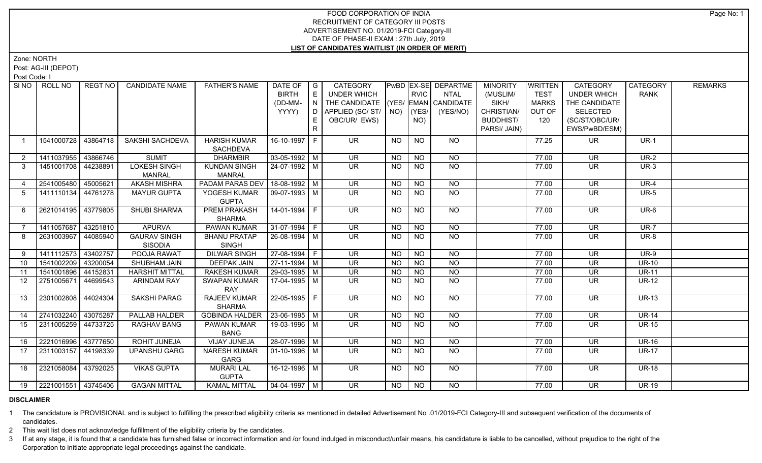Zone: NORTH

Post: AG-III (DEPOT)

Post Code: I

| SI NO           | ROLL NO                | REGT NO  | <b>CANDIDATE NAME</b>                | <b>FATHER'S NAME</b>                 | DATE OF               | $\overline{\phantom{a}}$ G | CATEGORY                           |           |                 | PwBD EX-SE DEPARTME | <b>MINORITY</b>  | <b>WRITTEN</b> | CATEGORY                 | CATEGORY     | <b>REMARKS</b> |
|-----------------|------------------------|----------|--------------------------------------|--------------------------------------|-----------------------|----------------------------|------------------------------------|-----------|-----------------|---------------------|------------------|----------------|--------------------------|--------------|----------------|
|                 |                        |          |                                      |                                      | <b>BIRTH</b>          | E                          | <b>UNDER WHICH</b>                 |           | <b>RVIC</b>     | <b>NTAL</b>         | (MUSLIM/         | <b>TEST</b>    | <b>UNDER WHICH</b>       | <b>RANK</b>  |                |
|                 |                        |          |                                      |                                      | (DD-MM-               | N                          | THE CANDIDATE (YES/ EMAN CANDIDATE |           |                 |                     | SIKH/            | <b>MARKS</b>   | THE CANDIDATE            |              |                |
|                 |                        |          |                                      |                                      | YYYY)                 | D                          | APPLIED (SC/ ST/   NO)   (YES/     |           |                 | (YES/NO)            | CHRISTIAN/       | OUT OF         | <b>SELECTED</b>          |              |                |
|                 |                        |          |                                      |                                      |                       | E.                         | OBC/UR/ EWS)                       |           | NO)             |                     | <b>BUDDHIST/</b> | 120            | (SC/ST/OBC/UR/           |              |                |
|                 |                        |          |                                      |                                      |                       | R                          |                                    |           |                 |                     | PARSI/ JAIN)     |                | EWS/PwBD/ESM)            |              |                |
| $\mathbf{1}$    | 1541000728             | 43864718 | SAKSHI SACHDEVA                      | <b>HARISH KUMAR</b>                  | 16-10-1997 F          |                            | UR.                                | <b>NO</b> | <b>NO</b>       | <b>NO</b>           |                  | 77.25          | UR.                      | $UR-1$       |                |
|                 |                        |          |                                      | SACHDEVA                             |                       |                            |                                    |           |                 |                     |                  |                |                          |              |                |
| $\overline{2}$  | 1411037955             | 43866746 | <b>SUMIT</b>                         | <b>DHARMBIR</b>                      | $03-05-1992$ M        |                            | <b>UR</b>                          | <b>NO</b> | <b>NO</b>       | <b>NO</b>           |                  | 77.00          | <b>UR</b>                | <b>UR-2</b>  |                |
| 3               | 1451001708 44238891    |          | <b>LOKESH SINGH</b><br><b>MANRAL</b> | <b>KUNDAN SINGH</b><br><b>MANRAL</b> | 24-07-1992   M        |                            | <b>UR</b>                          | <b>NO</b> | <b>NO</b>       | <b>NO</b>           |                  | 77.00          | <b>UR</b>                | $UR-3$       |                |
| 4               | 2541005480             | 45005621 | <b>AKASH MISHRA</b>                  | PADAM PARAS DEV                      | 18-08-1992 M          |                            | $\overline{\mathsf{UR}}$           | <b>NO</b> | <b>NO</b>       | $\overline{NQ}$     |                  | 77.00          | $\overline{\mathsf{UR}}$ | $UR-4$       |                |
| 5               | 1411110134 44761278    |          | <b>MAYUR GUPTA</b>                   | YOGESH KUMAR<br><b>GUPTA</b>         | $09-07-1993$ M        |                            | <b>UR</b>                          | NO.       | <b>NO</b>       | $\overline{NQ}$     |                  | 77.00          | <b>UR</b>                | <b>UR-5</b>  |                |
| 6               | 2621014195 43779805    |          | SHUBI SHARMA                         | <b>PREM PRAKASH</b>                  | 14-01-1994 F          |                            | $\overline{\mathsf{UR}}$           | <b>NO</b> | N <sub>O</sub>  | N <sub>O</sub>      |                  | 77.00          | $\overline{\mathsf{UR}}$ | UR-6         |                |
|                 |                        |          |                                      | <b>SHARMA</b>                        |                       |                            |                                    |           |                 |                     |                  |                |                          |              |                |
|                 | 1411057687             | 43251810 | <b>APURVA</b>                        | PAWAN KUMAR                          | $31-07-1994$ F        |                            | <b>UR</b>                          | <b>NO</b> | $N$ O           | <b>NO</b>           |                  | 77.00          | <b>UR</b>                | <b>UR-7</b>  |                |
| 8               | 2631003967             | 44085940 | <b>GAURAV SINGH</b>                  | <b>BHANU PRATAP</b>                  | $26 - 08 - 1994$ M    |                            | $\overline{\mathsf{UR}}$           | <b>NO</b> | N <sub>O</sub>  | NO                  |                  | 77.00          | <b>UR</b>                | $UR-8$       |                |
|                 |                        |          | <b>SISODIA</b>                       | <b>SINGH</b>                         |                       |                            |                                    |           |                 |                     |                  |                |                          |              |                |
| 9               | 1411112573 43402757    |          | POOJA RAWAT                          | <b>DILWAR SINGH</b>                  | $27-08-1994$ F        |                            | $\overline{\mathsf{UR}}$           | NO        | NO              | $N$ O               |                  | 77.00          | $\overline{\mathsf{UR}}$ | $UR-9$       |                |
| 10 <sup>1</sup> | 1541002209             | 43200054 | SHUBHAM JAIN                         | <b>DEEPAK JAIN</b>                   | $27-11-1994$ M        |                            | UR.                                | <b>NO</b> | <b>NO</b>       | N <sub>O</sub>      |                  | 77.00          | <b>UR</b>                | <b>UR-10</b> |                |
| 11              | 1541001896             | 44152831 | <b>HARSHIT MITTAL</b>                | <b>RAKESH KUMAR</b>                  | 29-03-1995 M          |                            | UR                                 | <b>NO</b> | <b>NO</b>       | NO                  |                  | 77.00          | <b>UR</b>                | <b>UR-11</b> |                |
| 12 <sup>°</sup> | 2751005671             | 44699543 | <b>ARINDAM RAY</b>                   | <b>SWAPAN KUMAR</b><br>RAY           | 17-04-1995   M        |                            | UR.                                | NO.       | <b>NO</b>       | N <sub>O</sub>      |                  | 77.00          | UR.                      | <b>UR-12</b> |                |
| 13              | 2301002808             | 44024304 | <b>SAKSHI PARAG</b>                  | <b>RAJEEV KUMAR</b><br><b>SHARMA</b> | 22-05-1995 F          |                            | <b>UR</b>                          | NO.       | <b>NO</b>       | <b>NO</b>           |                  | 77.00          | <b>UR</b>                | <b>UR-13</b> |                |
| 14              | 2741032240 43075287    |          | <b>PALLAB HALDER</b>                 | GOBINDA HALDER   23-06-1995   M      |                       |                            | $\overline{\mathsf{UR}}$           | NO        | <b>NO</b>       | $\overline{NQ}$     |                  | 77.00          | <b>UR</b>                | $UR-14$      |                |
| 15              | 2311005259 44733725    |          | RAGHAV BANG                          | <b>PAWAN KUMAR</b>                   | 19-03-1996 M          |                            | $\overline{\mathsf{UR}}$           | <b>NO</b> | $\overline{NQ}$ | N <sub>O</sub>      |                  | 77.00          | $\overline{\mathsf{UR}}$ | $UR-15$      |                |
|                 |                        |          |                                      | <b>BANG</b>                          |                       |                            |                                    |           |                 |                     |                  |                |                          |              |                |
| 16              | 2221016996 43777650    |          | ROHIT JUNEJA                         | VIJAY JUNEJA                         | 28-07-1996 M          |                            | <b>UR</b>                          | NO.       | <b>NO</b>       | <b>NO</b>           |                  | 77.00          | <b>UR</b>                | <b>UR-16</b> |                |
| 17              | 2311003157             | 44198339 | <b>UPANSHU GARG</b>                  | <b>NARESH KUMAR</b>                  | $01-10-1996$ M        |                            | $\overline{\mathsf{UR}}$           | <b>NO</b> | N <sub>O</sub>  | NO                  |                  | 77.00          | <b>UR</b>                | <b>UR-17</b> |                |
|                 |                        |          |                                      | GARG                                 |                       |                            |                                    |           |                 |                     |                  |                |                          |              |                |
| 18              | 2321058084             | 43792025 | <b>VIKAS GUPTA</b>                   | <b>MURARI LAL</b><br><b>GUPTA</b>    | 16-12-1996 M          |                            | UR.                                | NO.       | <b>NO</b>       | NO                  |                  | 77.00          | UR.                      | <b>UR-18</b> |                |
|                 | 19 2221001551 43745406 |          | <b>GAGAN MITTAL</b>                  | <b>KAMAL MITTAL</b>                  | $\sqrt{04-04-1997}$ M |                            | $\overline{\mathsf{UR}}$           | NO        | NO              | N <sub>O</sub>      |                  | 77.00          | $\overline{\mathsf{UR}}$ | <b>UR-19</b> |                |
|                 |                        |          |                                      |                                      |                       |                            |                                    |           |                 |                     |                  |                |                          |              |                |

#### **DISCLAIMER**

1 The candidature is PROVISIONAL and is subject to fulfilling the prescribed eligibility criteria as mentioned in detailed Advertisement No .01/2019-FCI Category-III and subsequent verification of the documents of candidates.

2 This wait list does not acknowledge fulfillment of the eligibility criteria by the candidates.

3 If at any stage, it is found that a candidate has furnished false or incorrect information and /or found indulged in misconduct/unfair means, his candidature is liable to be cancelled, without prejudice to the right of t Corporation to initiate appropriate legal proceedings against the candidate.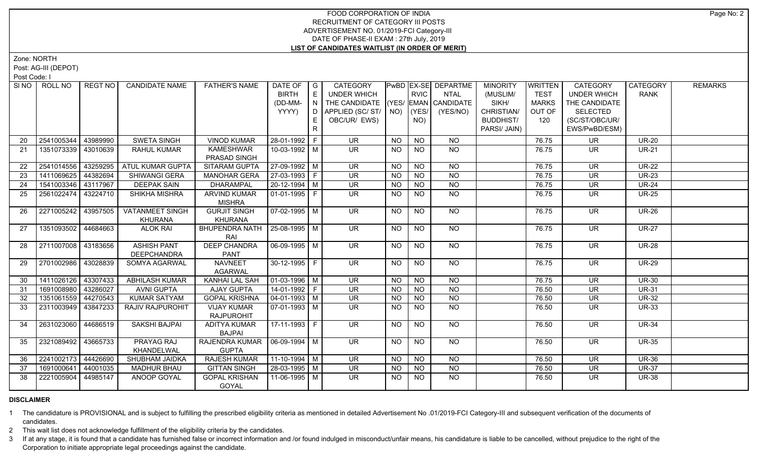Zone: NORTH

Post: AG-III (DEPOT)

Post Code: I

| SI NO I  | ROLL NO               | REGT NO  | <b>CANDIDATE NAME</b>  | <b>FATHER'S NAME</b>                    | DATE OF   G<br><b>BIRTH</b> | E            | <b>CATEGORY</b><br><b>UNDER WHICH</b> |           | <b>RVIC</b>     | <b>PwBD EX-SE DEPARTME</b><br><b>NTAL</b> | <b>MINORITY</b><br>(MUSLIM/ | <b>WRITTEN</b><br><b>TEST</b> | <b>CATEGORY</b><br><b>UNDER WHICH</b> | CATEGORY<br><b>RANK</b> | <b>REMARKS</b> |
|----------|-----------------------|----------|------------------------|-----------------------------------------|-----------------------------|--------------|---------------------------------------|-----------|-----------------|-------------------------------------------|-----------------------------|-------------------------------|---------------------------------------|-------------------------|----------------|
|          |                       |          |                        |                                         | (DD-MM-                     | IN           | THE CANDIDATE (YES/ EMAN CANDIDATE    |           |                 |                                           | SIKH/                       | <b>MARKS</b>                  | THE CANDIDATE                         |                         |                |
|          |                       |          |                        |                                         | YYYY)                       | D            | APPLIED (SC/ ST/   NO)   (YES/        |           |                 | (YES/NO)                                  | CHRISTIAN/                  | OUT OF                        | <b>SELECTED</b>                       |                         |                |
|          |                       |          |                        |                                         |                             | E.           | OBC/UR/ EWS)                          |           | NO)             |                                           | <b>BUDDHIST/</b>            | 120                           | (SC/ST/OBC/UR/                        |                         |                |
|          |                       |          |                        |                                         |                             | $\mathsf{R}$ |                                       |           |                 |                                           | PARSI/ JAIN)                |                               | EWS/PwBD/ESM)                         |                         |                |
| 20       | 2541005344            | 43989990 | <b>SWETA SINGH</b>     | <b>VINOD KUMAR</b>                      | 28-01-1992 F                |              | <b>UR</b>                             | <b>NO</b> | <b>NO</b>       | <b>NO</b>                                 |                             | 76.75                         | <b>UR</b>                             | <b>UR-20</b>            |                |
| 21       | 1351073339            | 43010639 | <b>RAHUL KUMAR</b>     | <b>KAMESHWAR</b>                        | 10-03-1992 M                |              | <b>UR</b>                             | <b>NO</b> | <b>NO</b>       | NO                                        |                             | 76.75                         | <b>UR</b>                             | <b>UR-21</b>            |                |
|          |                       |          |                        | PRASAD SINGH                            |                             |              |                                       |           |                 |                                           |                             |                               |                                       |                         |                |
| 22       | 2541014556            | 43259295 | ATUL KUMAR GUPTA       | SITARAM GUPTA                           | 27-09-1992 M                |              | <b>UR</b>                             | NO        | <b>NO</b>       | <b>NO</b>                                 |                             | 76.75                         | <b>UR</b>                             | <b>UR-22</b>            |                |
| 23       | 1411069625 44382694   |          | SHIWANGI GERA          | <b>MANOHAR GERA</b>                     | 27-03-1993 F                |              | <b>UR</b>                             | <b>NO</b> | <b>NO</b>       | <b>NO</b>                                 |                             | 76.75                         | <b>UR</b>                             | <b>UR-23</b>            |                |
| 24       | 1541003346 43117967   |          | <b>DEEPAK SAIN</b>     | <b>DHARAMPAL</b>                        | 20-12-1994 M                |              | <b>UR</b>                             | <b>NO</b> | <b>NO</b>       | <b>NO</b>                                 |                             | 76.75                         | <b>UR</b>                             | <b>UR-24</b>            |                |
| 25       | 2561022474 43224710   |          | SHIKHA MISHRA          | <b>ARVIND KUMAR</b>                     | $01-01-1995$ F              |              | UR.                                   | <b>NO</b> | <b>NO</b>       | $\overline{NQ}$                           |                             | 76.75                         | <b>UR</b>                             | <b>UR-25</b>            |                |
|          |                       |          |                        | <b>MISHRA</b>                           |                             |              |                                       |           |                 |                                           |                             |                               |                                       |                         |                |
| 26       | 2271005242            | 43957505 | <b>VATANMEET SINGH</b> | <b>GURJIT SINGH</b>                     | 07-02-1995 M                |              | $\overline{\mathsf{UR}}$              | NO        | $\overline{NQ}$ | NO                                        |                             | 76.75                         | UR.                                   | <b>UR-26</b>            |                |
|          |                       |          | KHURANA                | <b>KHURANA</b>                          |                             |              |                                       |           |                 |                                           |                             |                               |                                       |                         |                |
| 27       | 1351093502 44684663   |          | <b>ALOK RAI</b>        | BHUPENDRA NATH   25-08-1995   M         |                             |              | $\overline{\mathsf{UR}}$              | NO        | N <sub>O</sub>  | NO                                        |                             | 76.75                         | UR.                                   | <b>UR-27</b>            |                |
|          |                       |          |                        | RAI                                     |                             |              |                                       |           |                 |                                           |                             |                               |                                       |                         |                |
| 28       | 2711007008 43183656   |          | <b>ASHISH PANT</b>     | <b>DEEP CHANDRA</b>                     | $06-09-1995$ M              |              | <b>UR</b>                             | <b>NO</b> | <b>NO</b>       | NO                                        |                             | 76.75                         | UR.                                   | <b>UR-28</b>            |                |
|          |                       |          | <b>DEEPCHANDRA</b>     | <b>PANT</b>                             |                             |              |                                       |           |                 |                                           |                             |                               |                                       |                         |                |
| 29       | 2701002986 43028839   |          | SOMYA AGARWAL          | <b>NAVNEET</b>                          | $30-12-1995$ F              |              | UR                                    | <b>NO</b> | <b>NO</b>       | NO                                        |                             | 76.75                         | <b>UR</b>                             | <b>UR-29</b>            |                |
|          | 1411026126 43307433   |          | <b>ABHILASH KUMAR</b>  | <b>AGARWAL</b><br>KANHAI LAL SAH        | $01-03-1996$ M              |              | <b>UR</b>                             | <b>NO</b> | <b>NO</b>       | <b>NO</b>                                 |                             | 76.75                         | <b>UR</b>                             | <b>UR-30</b>            |                |
| 30       | 1691008980 43286027   |          | <b>AVNI GUPTA</b>      | <b>AJAY GUPTA</b>                       | 14-01-1992 F                |              | <b>UR</b>                             | <b>NO</b> | <b>NO</b>       | <b>NO</b>                                 |                             | 76.50                         | <b>UR</b>                             | <b>UR-31</b>            |                |
| 31<br>32 | 1351061559            | 44270543 | <b>KUMAR SATYAM</b>    | <b>GOPAL KRISHNA</b>                    | $04 - 01 - 1993$ M          |              | <b>UR</b>                             | <b>NO</b> | <b>NO</b>       | <b>NO</b>                                 |                             | 76.50                         | <b>UR</b>                             | <b>UR-32</b>            |                |
|          |                       |          |                        |                                         |                             |              |                                       |           |                 |                                           |                             |                               |                                       |                         |                |
| 33       | 2311003949   43847233 |          | RAJIV RAJPUROHIT       | <b>VIJAY KUMAR</b><br><b>RAJPUROHIT</b> | $07-01-1993$ M              |              | <b>UR</b>                             | NO.       | <b>NO</b>       | <b>NO</b>                                 |                             | 76.50                         | <b>UR</b>                             | <b>UR-33</b>            |                |
| 34       | 2631023060 44686519   |          | SAKSHI BAJPAI          | <b>ADITYA KUMAR</b>                     | 17-11-1993 F                |              | $\overline{\mathsf{UR}}$              | NO        | <b>NO</b>       | $N$ <sup>O</sup>                          |                             | 76.50                         | <b>UR</b>                             | <b>UR-34</b>            |                |
|          |                       |          |                        | <b>BAJPAI</b>                           |                             |              |                                       |           |                 |                                           |                             |                               |                                       |                         |                |
| 35       | 2321089492            | 43665733 | PRAYAG RAJ             | RAJENDRA KUMAR                          | 06-09-1994 M                |              | <b>UR</b>                             | <b>NO</b> | <b>NO</b>       | NO                                        |                             | 76.50                         | <b>UR</b>                             | <b>UR-35</b>            |                |
|          |                       |          | KHANDELWAL             | <b>GUPTA</b>                            |                             |              |                                       |           |                 |                                           |                             |                               |                                       |                         |                |
| 36       | 2241002173            | 44426690 | SHUBHAM JAIDKA         | <b>RAJESH KUMAR</b>                     | $11-10-1994$ M              |              | UR.                                   | NO        | N <sub>O</sub>  | <b>NO</b>                                 |                             | 76.50                         | <b>UR</b>                             | <b>UR-36</b>            |                |
| 37       | 1691000641            | 44001035 | <b>MADHUR BHAU</b>     | <b>GITTAN SINGH</b>                     | 28-03-1995 M                |              | <b>UR</b>                             | <b>NO</b> | <b>NO</b>       | $N$ O                                     |                             | 76.50                         | <b>UR</b>                             | <b>UR-37</b>            |                |
| 38       | 2221005904            | 44985147 | ANOOP GOYAL            | <b>GOPAL KRISHAN</b>                    | 11-06-1995   M              |              | <b>UR</b>                             | NO.       | NO.             | N <sub>O</sub>                            |                             | 76.50                         | <b>UR</b>                             | <b>UR-38</b>            |                |
|          |                       |          |                        | GOYAL                                   |                             |              |                                       |           |                 |                                           |                             |                               |                                       |                         |                |
|          |                       |          |                        |                                         |                             |              |                                       |           |                 |                                           |                             |                               |                                       |                         |                |

# **DISCLAIMER**

1 The candidature is PROVISIONAL and is subject to fulfilling the prescribed eligibility criteria as mentioned in detailed Advertisement No .01/2019-FCI Category-III and subsequent verification of the documents of candidates.

2 This wait list does not acknowledge fulfillment of the eligibility criteria by the candidates.

3 If at any stage, it is found that a candidate has furnished false or incorrect information and /or found indulged in misconduct/unfair means, his candidature is liable to be cancelled, without prejudice to the right of t Corporation to initiate appropriate legal proceedings against the candidate.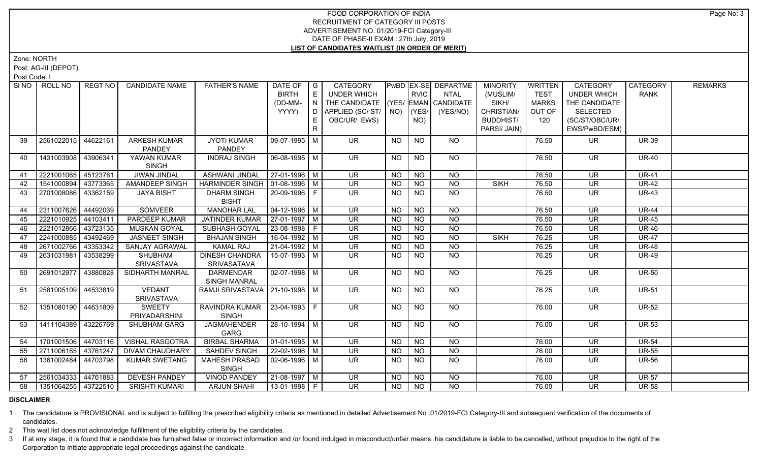Zone: NORTH

Post: AG-III (DEPOT)

Post Code: I

| SI NO | ROLL NO             | REGT NO  | <b>CANDIDATE NAME</b>  | <b>FATHER'S NAME</b>              | DATE OF                | $\overline{\phantom{a}}$ G | CATEGORY                           |           |                 | PwBD EX-SE DEPARTME | <b>MINORITY</b>  | <b>WRITTEN</b> | CATEGORY                 | <b>CATEGORY</b> | <b>REMARKS</b> |
|-------|---------------------|----------|------------------------|-----------------------------------|------------------------|----------------------------|------------------------------------|-----------|-----------------|---------------------|------------------|----------------|--------------------------|-----------------|----------------|
|       |                     |          |                        |                                   | <b>BIRTH</b>           | E                          | <b>UNDER WHICH</b>                 |           | <b>RVIC</b>     | <b>NTAL</b>         | (MUSLIM/         | <b>TEST</b>    | <b>UNDER WHICH</b>       | <b>RANK</b>     |                |
|       |                     |          |                        |                                   | (DD-MM-                | $\overline{N}$             | THE CANDIDATE (YES/ EMAN CANDIDATE |           |                 |                     | SIKH/            | <b>MARKS</b>   | THE CANDIDATE            |                 |                |
|       |                     |          |                        |                                   | YYYY)                  | D                          | APPLIED (SC/ST/                    | NO)       | YES/            | (YES/NO)            | CHRISTIAN/       | OUT OF         | <b>SELECTED</b>          |                 |                |
|       |                     |          |                        |                                   |                        | E                          | OBC/UR/ EWS)                       |           | NO)             |                     | <b>BUDDHIST/</b> | 120            | (SC/ST/OBC/UR/           |                 |                |
|       |                     |          |                        |                                   |                        | R                          |                                    |           |                 |                     | PARSI/ JAIN)     |                | EWS/PwBD/ESM)            |                 |                |
| 39    | 2561022015          | 44622161 | <b>ARKESH KUMAR</b>    | <b>JYOTI KUMAR</b>                | 09-07-1995 M           |                            | <b>UR</b>                          | <b>NO</b> | <b>NO</b>       | <b>NO</b>           |                  | 76.50          | UR.                      | <b>UR-39</b>    |                |
|       |                     |          | <b>PANDEY</b>          | <b>PANDEY</b>                     |                        |                            |                                    |           |                 |                     |                  |                |                          |                 |                |
| 40    | 1431003908 43906341 |          | YAWAN KUMAR            | <b>INDRAJ SINGH</b>               | $06-08-1995$ M         |                            | <b>UR</b>                          | <b>NO</b> | <b>NO</b>       | <b>NO</b>           |                  | 76.50          | UR.                      | <b>UR-40</b>    |                |
|       |                     |          | <b>SINGH</b>           |                                   |                        |                            |                                    |           |                 |                     |                  |                |                          |                 |                |
| 41    | 2221001065 45123781 |          | JIWAN JINDAL           | <b>ASHWANI JINDAL</b>             | 27-01-1996 M           |                            | UR.                                | NO.       | <b>NO</b>       | <b>NO</b>           |                  | 76.50          | <b>UR</b>                | <b>UR-41</b>    |                |
| 42    | 1541000894          | 43773365 | <b>AMANDEEP SINGH</b>  | HARMINDER SINGH   01-08-1996   M  |                        |                            | $\overline{\mathsf{UR}}$           | <b>NO</b> | <b>NO</b>       | $\overline{NO}$     | <b>SIKH</b>      | 76.50          | <b>UR</b>                | $UR-42$         |                |
| 43    | 2701008086 43362159 |          | <b>JAYA BISHT</b>      | <b>DHARM SINGH</b>                | 20-09-1996 F           |                            | <b>UR</b>                          | NO.       | <b>NO</b>       | <b>NO</b>           |                  | 76.50          | <b>UR</b>                | <b>UR-43</b>    |                |
|       |                     |          |                        | <b>BISHT</b>                      |                        |                            |                                    |           |                 |                     |                  |                |                          |                 |                |
| 44    | 2311007626          | 44492039 | SOMVEER                | <b>MANOHAR LAL</b>                | $04 - 12 - 1996$ M     |                            | <b>UR</b>                          | <b>NO</b> | <b>NO</b>       | <b>NO</b>           |                  | 76.50          | <b>UR</b>                | <b>UR-44</b>    |                |
| 45    | 2221010925          | 44103411 | <b>PARDEEP KUMAR</b>   | <b>JATINDER KUMAR</b>             | $27-01-1997$ M         |                            | $\overline{\mathsf{UR}}$           | <b>NO</b> | N <sub>O</sub>  | N <sub>O</sub>      |                  | 76.50          | $\overline{\mathsf{UR}}$ | $UR-45$         |                |
| 46    | 2221012866          | 43723135 | MUSKAN GOYAL           | SUBHASH GOYAL                     | 23-08-1998 F           |                            | $\overline{\mathsf{UR}}$           | <b>NO</b> | N <sub>O</sub>  | N <sub>O</sub>      |                  | 76.50          | $\overline{\mathsf{UR}}$ | <b>UR-46</b>    |                |
| 47    | 2241000885 43492469 |          | <b>JASNEET SINGH</b>   | <b>BHAJAN SINGH</b>               | $16-04-1992$ M         |                            | <b>UR</b>                          | <b>NO</b> | <b>NO</b>       | $\overline{NO}$     | <b>SIKH</b>      | 76.25          | <b>UR</b>                | <b>UR-47</b>    |                |
| 48    | 2671002766          | 43353342 | <b>SANJAY AGRAWAL</b>  | <b>KAMAL RAJ</b>                  | $21-04-1992$ M         |                            | <b>UR</b>                          | <b>NO</b> | $\overline{NO}$ | N <sub>O</sub>      |                  | 76.25          | <b>UR</b>                | <b>UR-48</b>    |                |
| 49    | 2631031981          | 43538299 | SHUBHAM                | <b>DINESH CHANDRA</b>             | 15-07-1993 M           |                            | <b>UR</b>                          | NO.       | <b>NO</b>       | N <sub>O</sub>      |                  | 76.25          | <b>UR</b>                | $UR-49$         |                |
|       |                     |          | SRIVASTAVA             | SRIVASATAVA                       |                        |                            |                                    |           |                 |                     |                  |                |                          |                 |                |
| 50    | 2691012977          | 43880828 | SIDHARTH MANRAL        | <b>DARMENDAR</b>                  | $02-07-1998$ M         |                            | UR.                                | <b>NO</b> | <b>NO</b>       | NO                  |                  | 76.25          | UR                       | <b>UR-50</b>    |                |
|       |                     |          |                        | <b>SINGH MANRAL</b>               |                        |                            |                                    |           |                 |                     |                  |                |                          |                 |                |
| 51    | 2581005109 44533819 |          | <b>VEDANT</b>          | RAMJI SRIVASTAVA   21-10-1998   M |                        |                            | UR                                 | NO        | <b>NO</b>       | NO                  |                  | 76.25          | <b>UR</b>                | <b>UR-51</b>    |                |
|       |                     |          | SRIVASTAVA             |                                   |                        |                            |                                    |           |                 |                     |                  |                |                          |                 |                |
| 52    | 1351080190 44631809 |          | SWEETY                 | RAVINDRA KUMAR   23-04-1993   F   |                        |                            | <b>UR</b>                          | <b>NO</b> | <b>NO</b>       | <b>NO</b>           |                  | 76.00          | <b>UR</b>                | <b>UR-52</b>    |                |
|       |                     |          | PRIYADARSHINI          | <b>SINGH</b>                      |                        |                            |                                    |           |                 |                     |                  |                |                          |                 |                |
| 53    | 1411104389 43226769 |          | SHUBHAM GARG           | <b>JAGMAHENDER</b>                | $28-10-1994$ M         |                            | <b>UR</b>                          | <b>NO</b> | <b>NO</b>       | $N$ <sup>O</sup>    |                  | 76.00          | <b>UR</b>                | <b>UR-53</b>    |                |
|       |                     |          |                        | GARG                              |                        |                            |                                    |           |                 |                     |                  |                |                          |                 |                |
| 54    | 1701001506 44703116 |          | <b>VISHAL RASGOTRA</b> | <b>BIRBAL SHARMA</b>              | $\boxed{01-01-1995}$ M |                            | $\overline{\mathsf{UR}}$           | <b>NO</b> | N <sub>O</sub>  | N <sub>O</sub>      |                  | 76.00          | $\overline{\mathsf{UR}}$ | <b>UR-54</b>    |                |
| 55    | 2711006185 43761247 |          | <b>DIVAM CHAUDHARY</b> | <b>SAHDEV SINGH</b>               | 22-02-1996 M           |                            | <b>UR</b>                          | <b>NO</b> | N <sub>O</sub>  | N <sub>O</sub>      |                  | 76.00          | <b>UR</b>                | <b>UR-55</b>    |                |
| 56    | 1361002484          | 44703798 | <b>KUMAR SWETANG</b>   | <b>MAHESH PRASAD</b>              | $02-06-1996$ M         |                            | $\overline{\mathsf{UR}}$           | <b>NO</b> | N <sub>O</sub>  | N <sub>O</sub>      |                  | 76.00          | <b>UR</b>                | <b>UR-56</b>    |                |
|       |                     |          |                        | <b>SINGH</b>                      |                        |                            |                                    |           |                 |                     |                  |                |                          |                 |                |
| 57    | 2561034333 44761883 |          | <b>DEVESH PANDEY</b>   | <b>VINOD PANDEY</b>               | $21-08-1997$ M         |                            | $\overline{\mathsf{UR}}$           | <b>NO</b> | $N$ O           | $N$ O               |                  | 76.00          | <b>UR</b>                | <b>UR-57</b>    |                |
| 58    | 1351064255 43722510 |          | <b>SRISHTI KUMARI</b>  | <b>ARJUN SHAHI</b>                | $13-01-1998$ F         |                            | UR.                                | NO.       | <b>NO</b>       | <b>NO</b>           |                  | 76.00          | <b>UR</b>                | <b>UR-58</b>    |                |

#### **DISCLAIMER**

1 The candidature is PROVISIONAL and is subject to fulfilling the prescribed eligibility criteria as mentioned in detailed Advertisement No .01/2019-FCI Category-III and subsequent verification of the documents of candidates.

2 This wait list does not acknowledge fulfillment of the eligibility criteria by the candidates.

3 If at any stage, it is found that a candidate has furnished false or incorrect information and /or found indulged in misconduct/unfair means, his candidature is liable to be cancelled, without prejudice to the right of t Corporation to initiate appropriate legal proceedings against the candidate.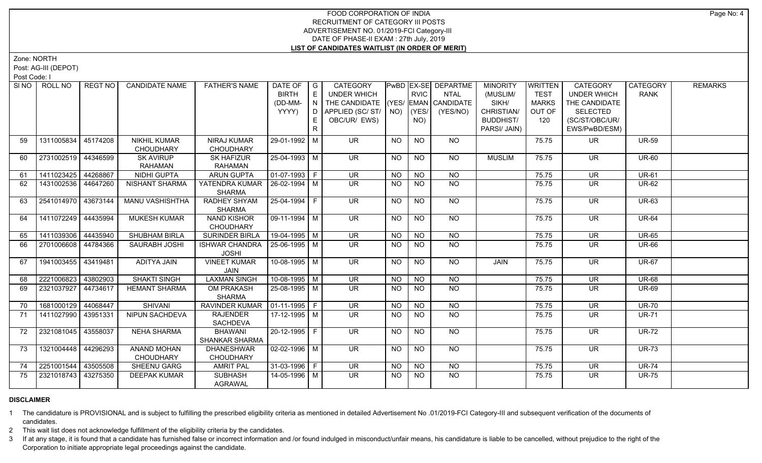Zone: NORTH

Post: AG-III (DEPOT)

Post Code: I

| SI NO I | ROLL NO             | REGT NO  | <b>CANDIDATE NAME</b>  | <b>FATHER'S NAME</b>  | DATE OF                    | $\overline{\phantom{a}}$ G | CATEGORY                           |                |                  | PwBD EX-SE DEPARTME | <b>MINORITY</b>  | <b>WRITTEN</b> | CATEGORY                 | CATEGORY     | <b>REMARKS</b> |
|---------|---------------------|----------|------------------------|-----------------------|----------------------------|----------------------------|------------------------------------|----------------|------------------|---------------------|------------------|----------------|--------------------------|--------------|----------------|
|         |                     |          |                        |                       | <b>BIRTH</b>               | E                          | <b>UNDER WHICH</b>                 |                | <b>RVIC</b>      | <b>NTAL</b>         | (MUSLIM/         | <b>TEST</b>    | <b>UNDER WHICH</b>       | <b>RANK</b>  |                |
|         |                     |          |                        |                       | (DD-MM-                    | $\overline{N}$             | THE CANDIDATE (YES/ EMAN CANDIDATE |                |                  |                     | SIKH/            | <b>MARKS</b>   | THE CANDIDATE            |              |                |
|         |                     |          |                        |                       | YYYY)                      | D.                         | APPLIED (SC/ST/ NO)                |                | (YES/            | (YES/NO)            | CHRISTIAN/       | OUT OF         | <b>SELECTED</b>          |              |                |
|         |                     |          |                        |                       |                            | E                          | OBC/UR/ EWS)                       |                | NO)              |                     | <b>BUDDHIST/</b> | 120            | (SC/ST/OBC/UR/           |              |                |
|         |                     |          |                        |                       |                            | R.                         |                                    |                |                  |                     | PARSI/ JAIN)     |                | EWS/PwBD/ESM)            |              |                |
| 59      | 1311005834          | 45174208 | <b>NIKHIL KUMAR</b>    | NIRAJ KUMAR           | 29-01-1992 M               |                            | <b>UR</b>                          | <b>NO</b>      | <b>NO</b>        | NO                  |                  | 75.75          | <b>UR</b>                | <b>UR-59</b> |                |
|         |                     |          | <b>CHOUDHARY</b>       | <b>CHOUDHARY</b>      |                            |                            |                                    |                |                  |                     |                  |                |                          |              |                |
| 60      | 2731002519 44346599 |          | <b>SK AVIRUP</b>       | <b>SK HAFIZUR</b>     | 25-04-1993 M               |                            | <b>UR</b>                          | <b>NO</b>      | <b>NO</b>        | NO                  | <b>MUSLIM</b>    | 75.75          | UR.                      | <b>UR-60</b> |                |
|         |                     |          | <b>RAHAMAN</b>         | RAHAMAN               |                            |                            |                                    |                |                  |                     |                  |                |                          |              |                |
| 61      | 1411023425          | 44268867 | NIDHI GUPTA            | <b>ARUN GUPTA</b>     | $\boxed{01-07-1993}$ F     |                            | <b>UR</b>                          | <b>NO</b>      | <b>NO</b>        | NO                  |                  | 75.75          | <b>UR</b>                | <b>UR-61</b> |                |
| 62      | 1431002536 44647260 |          | NISHANT SHARMA         | YATENDRA KUMAR        | $26 - 02 - 1994$ M         |                            | $\overline{\mathsf{UR}}$           | <b>NO</b>      | <b>NO</b>        | $\overline{NO}$     |                  | 75.75          | <b>UR</b>                | <b>UR-62</b> |                |
|         |                     |          |                        | <b>SHARMA</b>         |                            |                            |                                    |                |                  |                     |                  |                |                          |              |                |
| 63      | 2541014970 43673144 |          | <b>MANU VASHISHTHA</b> | RADHEY SHYAM          | 25-04-1994 F               |                            | $\overline{\mathsf{UR}}$           | <b>NO</b>      | $\overline{NO}$  | $N$ <sup>O</sup>    |                  | 75.75          | $\overline{\mathsf{UR}}$ | <b>UR-63</b> |                |
|         |                     |          |                        | <b>SHARMA</b>         |                            |                            |                                    |                |                  |                     |                  |                |                          |              |                |
| 64      | 1411072249 44435994 |          | <b>MUKESH KUMAR</b>    | <b>NAND KISHOR</b>    | $\boxed{09 - 11 - 1994}$ M |                            | $\overline{\mathsf{UR}}$           | $N$ O          | $N$ <sup>O</sup> | $N$ O               |                  | 75.75          | $\overline{\mathsf{UR}}$ | <b>UR-64</b> |                |
|         |                     |          |                        | <b>CHOUDHARY</b>      |                            |                            |                                    |                |                  |                     |                  |                |                          |              |                |
| 65      | 1411039306          | 44435940 | <b>SHUBHAM BIRLA</b>   | <b>SURINDER BIRLA</b> | 19-04-1995 M               |                            | $\overline{\mathsf{UR}}$           | <b>NO</b>      | NO               | $N$ O               |                  | 75.75          | $\overline{\mathsf{UR}}$ | <b>UR-65</b> |                |
| 66      | 2701006608 44784366 |          | SAURABH JOSHI          | <b>ISHWAR CHANDRA</b> | $25-06-1995$ M             |                            | $\overline{\mathsf{UR}}$           | <b>NO</b>      | <b>NO</b>        | $N$ <sup>O</sup>    |                  | 75.75          | <b>UR</b>                | <b>UR-66</b> |                |
|         |                     |          |                        | <b>JOSHI</b>          |                            |                            |                                    |                |                  |                     |                  |                |                          |              |                |
| 67      | 1941003455 43419481 |          | <b>ADITYA JAIN</b>     | <b>VINEET KUMAR</b>   | $10-08-1995$ M             |                            | <b>UR</b>                          | <b>NO</b>      | <b>NO</b>        | <b>NO</b>           | JAIN             | 75.75          | <b>UR</b>                | <b>UR-67</b> |                |
|         |                     |          |                        | <b>JAIN</b>           |                            |                            |                                    |                |                  |                     |                  |                |                          |              |                |
| 68      | 2221006823          | 43802903 | <b>SHAKTI SINGH</b>    | <b>LAXMAN SINGH</b>   | $10-08-1995$ M             |                            | $\overline{\mathsf{UR}}$           | <b>NO</b>      | N <sub>O</sub>   | N <sub>O</sub>      |                  | 75.75          | <b>UR</b>                | <b>UR-68</b> |                |
| 69      | 2321037927          | 44734617 | <b>HEMANT SHARMA</b>   | <b>OM PRAKASH</b>     | 25-08-1995 M               |                            | $\overline{\mathsf{UR}}$           | <b>NO</b>      | $\overline{NO}$  | NO                  |                  | 75.75          | $\overline{\mathsf{UR}}$ | <b>UR-69</b> |                |
|         |                     |          |                        | <b>SHARMA</b>         |                            |                            |                                    |                |                  |                     |                  |                |                          |              |                |
| 70      | 1681000129          | 44068447 | <b>SHIVANI</b>         | <b>RAVINDER KUMAR</b> | $\vert$ 01-11-1995 F       |                            | $\overline{\mathsf{UR}}$           | N <sub>O</sub> | N <sub>O</sub>   | $\overline{NO}$     |                  | 75.75          | <b>UR</b>                | <b>UR-70</b> |                |
| 71      | 1411027990          | 43951331 | NIPUN SACHDEVA         | <b>RAJENDER</b>       | $17-12-1995$ M             |                            | $\overline{\mathsf{UR}}$           | <b>NO</b>      | <b>NO</b>        | N <sub>O</sub>      |                  | 75.75          | $\overline{\mathsf{UR}}$ | <b>UR-71</b> |                |
|         |                     |          |                        | <b>SACHDEVA</b>       |                            |                            |                                    |                |                  |                     |                  |                |                          |              |                |
| 72      | 2321081045          | 43558037 | NEHA SHARMA            | <b>BHAWANI</b>        | 20-12-1995 F               |                            | <b>UR</b>                          | <b>NO</b>      | <b>NO</b>        | NO                  |                  | 75.75          | <b>UR</b>                | <b>UR-72</b> |                |
|         |                     |          |                        | <b>SHANKAR SHARMA</b> |                            |                            |                                    |                |                  |                     |                  |                |                          |              |                |
| 73      | 1321004448          | 44296293 | <b>ANAND MOHAN</b>     | <b>DHANESHWAR</b>     | $02 - 02 - 1996$ M         |                            | $\overline{\mathsf{UR}}$           | <b>NO</b>      | NO               | NO                  |                  | 75.75          | <b>UR</b>                | <b>UR-73</b> |                |
|         |                     |          | CHOUDHARY              | <b>CHOUDHARY</b>      |                            |                            |                                    |                |                  |                     |                  |                |                          |              |                |
| 74      | 2251001544          | 43505508 | SHEENU GARG            | <b>AMRIT PAL</b>      | 31-03-1996   F             |                            | <b>UR</b>                          | <b>NO</b>      | <b>NO</b>        | <b>NO</b>           |                  | 75.75          | <b>UR</b>                | <b>UR-74</b> |                |
| 75      | 2321018743          | 43275350 | <b>DEEPAK KUMAR</b>    | <b>SUBHASH</b>        | 14-05-1996 M               |                            | <b>UR</b>                          | <b>NO</b>      | <b>NO</b>        | NO.                 |                  | 75.75          | <b>UR</b>                | <b>UR-75</b> |                |
|         |                     |          |                        | AGRAWAL               |                            |                            |                                    |                |                  |                     |                  |                |                          |              |                |

# **DISCLAIMER**

1 The candidature is PROVISIONAL and is subject to fulfilling the prescribed eligibility criteria as mentioned in detailed Advertisement No .01/2019-FCI Category-III and subsequent verification of the documents of candidates.

2 This wait list does not acknowledge fulfillment of the eligibility criteria by the candidates.

3 If at any stage, it is found that a candidate has furnished false or incorrect information and /or found indulged in misconduct/unfair means, his candidature is liable to be cancelled, without prejudice to the right of t Corporation to initiate appropriate legal proceedings against the candidate.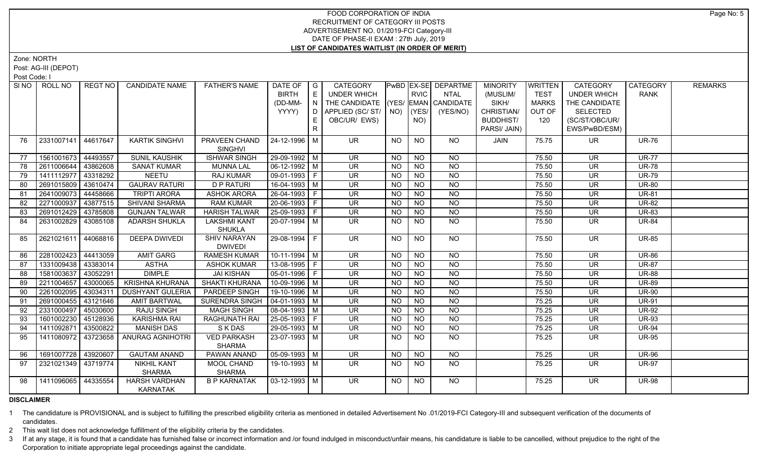Zone: NORTH

Post: AG-III (DEPOT)

Post Code: I

| SI NO I | ROLL NO             | REGT NO  | <b>CANDIDATE NAME</b>                   | <b>FATHER'S NAME</b>                  | DATE OF   G<br><b>BIRTH</b><br>(DD-MM-<br>YYYY) | E<br>$\mathbf{1} \ \mathbf{N} \ \mathbf{1}$<br>D I<br>E.<br>R. | <b>CATEGORY</b><br><b>UNDER WHICH</b><br>THE CANDIDATE (YES/ EMAN CANDIDATE<br>  APPLIED (SC/ ST/   NO)   (YES/<br>OBC/UR/ EWS) |                 | <b>RVIC</b><br>NO) | <b>PwBD EX-SE DEPARTME</b><br><b>NTAL</b><br>(YES/NO) | <b>MINORITY</b><br>(MUSLIM/<br>SIKH/<br>CHRISTIAN/<br><b>BUDDHIST/</b><br>PARSI/ JAIN) | <b>WRITTEN</b><br><b>TEST</b><br>MARKS<br>OUT OF<br>120 | <b>CATEGORY</b><br><b>UNDER WHICH</b><br>THE CANDIDATE<br><b>SELECTED</b><br>(SC/ST/OBC/UR/<br>EWS/PwBD/ESM) | CATEGORY<br><b>RANK</b> | <b>REMARKS</b> |
|---------|---------------------|----------|-----------------------------------------|---------------------------------------|-------------------------------------------------|----------------------------------------------------------------|---------------------------------------------------------------------------------------------------------------------------------|-----------------|--------------------|-------------------------------------------------------|----------------------------------------------------------------------------------------|---------------------------------------------------------|--------------------------------------------------------------------------------------------------------------|-------------------------|----------------|
| 76      | 2331007141          | 44617647 | <b>KARTIK SINGHVI</b>                   | PRAVEEN CHAND<br><b>SINGHVI</b>       | 24-12-1996   M                                  |                                                                | UR.                                                                                                                             | NO              | NO                 | NO.                                                   | JAIN                                                                                   | 75.75                                                   | UR.                                                                                                          | <b>UR-76</b>            |                |
| 77      | 1561001673          | 44493557 | <b>SUNIL KAUSHIK</b>                    | <b>ISHWAR SINGH</b>                   | 29-09-1992 M                                    |                                                                | $\overline{\mathsf{UR}}$                                                                                                        | <b>NO</b>       | <b>NO</b>          | <b>NO</b>                                             |                                                                                        | 75.50                                                   | <b>UR</b>                                                                                                    | <b>UR-77</b>            |                |
| 78      | 2611006644          | 43862608 | <b>SANAT KUMAR</b>                      | <b>MUNNA LAL</b>                      | 06-12-1992 M                                    |                                                                | <b>UR</b>                                                                                                                       | <b>NO</b>       | <b>NO</b>          | <b>NO</b>                                             |                                                                                        | 75.50                                                   | UR                                                                                                           | <b>UR-78</b>            |                |
| 79      | 1411112977          | 43318292 | <b>NEETU</b>                            | <b>RAJ KUMAR</b>                      | 09-01-1993 F                                    |                                                                | <b>UR</b>                                                                                                                       | <b>NO</b>       | <b>NO</b>          | $\overline{N}$                                        |                                                                                        | 75.50                                                   | <b>UR</b>                                                                                                    | <b>UR-79</b>            |                |
| 80      | 2691015809          | 43610474 | <b>GAURAV RATURI</b>                    | <b>D P RATURI</b>                     | 16-04-1993 M                                    |                                                                | <b>UR</b>                                                                                                                       | <b>NO</b>       | <b>NO</b>          | <b>NO</b>                                             |                                                                                        | 75.50                                                   | <b>UR</b>                                                                                                    | <b>UR-80</b>            |                |
| 81      | 2641009073          | 44458666 | <b>TRIPTI ARORA</b>                     | <b>ASHOK ARORA</b>                    | 26-04-1993 F                                    |                                                                | <b>UR</b>                                                                                                                       | <b>NO</b>       | <b>NO</b>          | $\overline{NQ}$                                       |                                                                                        | 75.50                                                   | <b>UR</b>                                                                                                    | <b>UR-81</b>            |                |
| 82      | 2271000937          | 43877515 | SHIVANI SHARMA                          | <b>RAM KUMAR</b>                      | $20-06-1993$ F                                  |                                                                | <b>UR</b>                                                                                                                       | <b>NO</b>       | <b>NO</b>          | $\overline{NQ}$                                       |                                                                                        | 75.50                                                   | <b>UR</b>                                                                                                    | <b>UR-82</b>            |                |
| 83      | 2691012429          | 43785808 | <b>GUNJAN TALWAR</b>                    | <b>HARISH TALWAR</b>                  | 25-09-1993 F                                    |                                                                | <b>UR</b>                                                                                                                       | <b>NO</b>       | <b>NO</b>          | $\overline{NQ}$                                       |                                                                                        | 75.50                                                   | <b>UR</b>                                                                                                    | <b>UR-83</b>            |                |
| 84      | 2631002829          | 43085108 | <b>ADARSH SHUKLA</b>                    | <b>LAKSHMI KANT</b><br><b>SHUKLA</b>  | 20-07-1994 M                                    |                                                                | UR.                                                                                                                             | NO              | <b>NO</b>          | <b>NO</b>                                             |                                                                                        | 75.50                                                   | <b>UR</b>                                                                                                    | <b>UR-84</b>            |                |
| 85      | 2621021611          | 44068816 | <b>DEEPA DWIVEDI</b>                    | <b>SHIV NARAYAN</b><br><b>DWIVEDI</b> | 29-08-1994 F                                    |                                                                | $\overline{\mathsf{UR}}$                                                                                                        | NO              | $\overline{NQ}$    | $N$ <sup>O</sup>                                      |                                                                                        | 75.50                                                   | $\overline{\mathsf{UR}}$                                                                                     | <b>UR-85</b>            |                |
| 86      | 2281002423          | 44413059 | <b>AMIT GARG</b>                        | <b>RAMESH KUMAR</b>                   | $10-11-1994$ M                                  |                                                                | <b>UR</b>                                                                                                                       | <b>NO</b>       | <b>NO</b>          | <b>NO</b>                                             |                                                                                        | 75.50                                                   | <b>UR</b>                                                                                                    | <b>UR-86</b>            |                |
| 87      | 1331009438 43383014 |          | <b>ASTHA</b>                            | <b>ASHOK KUMAR</b>                    | $13-08-1995$ F                                  |                                                                | <b>UR</b>                                                                                                                       | <b>NO</b>       | <b>NO</b>          | <b>NO</b>                                             |                                                                                        | 75.50                                                   | UR                                                                                                           | <b>UR-87</b>            |                |
| 88      | 1581003637          | 43052291 | <b>DIMPLE</b>                           | <b>JAI KISHAN</b>                     | 05-01-1996   F                                  |                                                                | <b>UR</b>                                                                                                                       | <b>NO</b>       | <b>NO</b>          | N <sub>O</sub>                                        |                                                                                        | 75.50                                                   | <b>UR</b>                                                                                                    | <b>UR-88</b>            |                |
| 89      | 2211004657          | 43000065 | <b>KRISHNA KHURANA</b>                  | <b>SHAKTI KHURANA</b>                 | 10-09-1996 M                                    |                                                                | <b>UR</b>                                                                                                                       | <b>NO</b>       | <b>NO</b>          | N <sub>O</sub>                                        |                                                                                        | 75.50                                                   | <b>UR</b>                                                                                                    | <b>UR-89</b>            |                |
| 90      | 2261002095          | 43034311 | <b>DUSHYANT GULERIA</b>                 | PARDEEP SINGH                         | 19-10-1996 M                                    |                                                                | <b>UR</b>                                                                                                                       | <b>NO</b>       | <b>NO</b>          | N <sub>O</sub>                                        |                                                                                        | 75.50                                                   | <b>UR</b>                                                                                                    | <b>UR-90</b>            |                |
| 91      | 2691000455          | 43121646 | <b>AMIT BARTWAL</b>                     | <b>SURENDRA SINGH</b>                 | $04 - 01 - 1993$ M                              |                                                                | <b>UR</b>                                                                                                                       | <b>NO</b>       | N <sub>O</sub>     | $\overline{NO}$                                       |                                                                                        | 75.25                                                   | <b>UR</b>                                                                                                    | <b>UR-91</b>            |                |
| 92      | 2331000497          | 45030600 | <b>RAJU SINGH</b>                       | <b>MAGH SINGH</b>                     | $08-04-1993$ M                                  |                                                                | $\overline{\mathsf{UR}}$                                                                                                        | $\overline{NO}$ | N <sub>O</sub>     | N <sub>O</sub>                                        |                                                                                        | 75.25                                                   | $\overline{\mathsf{UR}}$                                                                                     | <b>UR-92</b>            |                |
| 93      | 1601002230          | 45128936 | <b>KARISHMA RAI</b>                     | <b>RAGHUNATH RAI</b>                  | 25-05-1993 F                                    |                                                                | $\overline{\mathsf{UR}}$                                                                                                        | NO              | N <sub>O</sub>     | N <sub>O</sub>                                        |                                                                                        | 75.25                                                   | $\overline{\mathsf{UR}}$                                                                                     | <b>UR-93</b>            |                |
| 94      | 1411092871          | 43500822 | <b>MANISH DAS</b>                       | <b>SKDAS</b>                          | 29-05-1993 M                                    |                                                                | <b>UR</b>                                                                                                                       | <b>NO</b>       | N <sub>O</sub>     | N <sub>O</sub>                                        |                                                                                        | 75.25                                                   | <b>UR</b>                                                                                                    | <b>UR-94</b>            |                |
| 95      | 1411080972          | 43723658 | <b>ANURAG AGNIHOTRI</b>                 | <b>VED PARKASH</b><br><b>SHARMA</b>   | 23-07-1993 M                                    |                                                                | UR.                                                                                                                             | NO              | $\overline{NO}$    | <b>NO</b>                                             |                                                                                        | 75.25                                                   | <b>UR</b>                                                                                                    | <b>UR-95</b>            |                |
| 96      | 1691007728          | 43920607 | <b>GAUTAM ANAND</b>                     | <b>PAWAN ANAND</b>                    | $05-09-1993$ M                                  |                                                                | <b>UR</b>                                                                                                                       | <b>NO</b>       | <b>NO</b>          | <b>NO</b>                                             |                                                                                        | 75.25                                                   | <b>UR</b>                                                                                                    | <b>UR-96</b>            |                |
| 97      | 2321021349 43719774 |          | <b>NIKHIL KANT</b><br><b>SHARMA</b>     | MOOL CHAND<br>SHARMA                  | 19-10-1993 M                                    |                                                                | UR.                                                                                                                             | <b>NO</b>       | <b>NO</b>          | <b>NO</b>                                             |                                                                                        | 75.25                                                   | UR                                                                                                           | <b>UR-97</b>            |                |
| 98      | 1411096065 44335554 |          | <b>HARSH VARDHAN</b><br><b>KARNATAK</b> | <b>B P KARNATAK</b>                   | $03 - 12 - 1993$ M                              |                                                                | UR.                                                                                                                             | NO.             | <b>NO</b>          | <b>NO</b>                                             |                                                                                        | 75.25                                                   | UR.                                                                                                          | <b>UR-98</b>            |                |

**DISCLAIMER**

1 The candidature is PROVISIONAL and is subject to fulfilling the prescribed eligibility criteria as mentioned in detailed Advertisement No .01/2019-FCI Category-III and subsequent verification of the documents of candidates.

2 This wait list does not acknowledge fulfillment of the eligibility criteria by the candidates.

3 If at any stage, it is found that a candidate has furnished false or incorrect information and /or found indulged in misconduct/unfair means, his candidature is liable to be cancelled, without prejudice to the right of t Corporation to initiate appropriate legal proceedings against the candidate.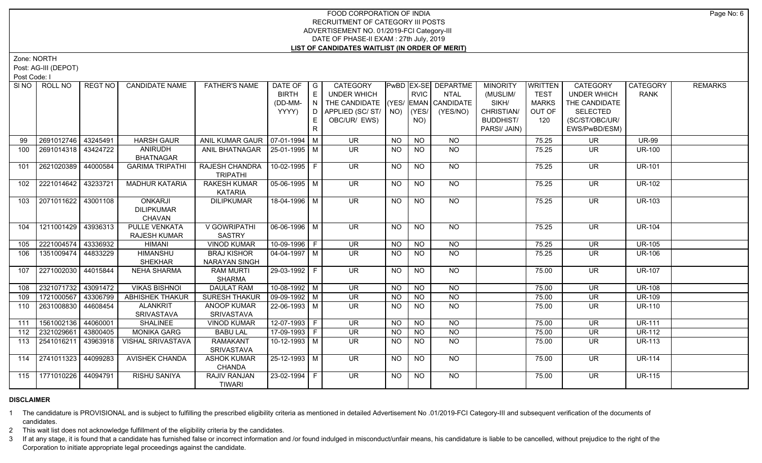Zone: NORTH

Post: AG-III (DEPOT)

Post Code: I

|     | SINO   ROLL NO        | REGT NO  | <b>CANDIDATE NAME</b>                         | <b>FATHER'S NAME</b>                    | DATE OF<br><b>BIRTH</b><br>(DD-MM-<br>YYYY) | $\overline{\phantom{a}}$ $\overline{\phantom{a}}$<br>l El<br>$\overline{N}$ | <b>CATEGORY</b><br><b>UNDER WHICH</b><br>THE CANDIDATE (YES/ EMAN CANDIDATE<br>D APPLIED (SC/ ST/   NO) |           | <b>RVIC</b><br>$ $ (YES/ | <b>PWBD EX-SE DEPARTME</b><br><b>NTAL</b><br>(YES/NO) | <b>MINORITY</b><br>(MUSLIM/<br>SIKH/<br>CHRISTIAN/ | WRITTEN<br><b>TEST</b><br><b>MARKS</b><br>OUT OF | <b>CATEGORY</b><br><b>UNDER WHICH</b><br>THE CANDIDATE<br><b>SELECTED</b> | CATEGORY<br><b>RANK</b> | <b>REMARKS</b> |
|-----|-----------------------|----------|-----------------------------------------------|-----------------------------------------|---------------------------------------------|-----------------------------------------------------------------------------|---------------------------------------------------------------------------------------------------------|-----------|--------------------------|-------------------------------------------------------|----------------------------------------------------|--------------------------------------------------|---------------------------------------------------------------------------|-------------------------|----------------|
|     |                       |          |                                               |                                         |                                             | E<br>$\mathsf{R}$                                                           | OBC/UR/ EWS)                                                                                            |           | NO)                      |                                                       | <b>BUDDHIST/</b><br>PARSI/ JAIN)                   | 120                                              | (SC/ST/OBC/UR/<br>EWS/PwBD/ESM)                                           |                         |                |
| 99  | 2691012746 43245491   |          | <b>HARSH GAUR</b>                             | ANIL KUMAR GAUR   07-01-1994   M        |                                             |                                                                             | <b>UR</b>                                                                                               | <b>NO</b> | <b>NO</b>                | NO                                                    |                                                    | 75.25                                            | <b>UR</b>                                                                 | <b>UR-99</b>            |                |
| 100 | 2691014318   43424722 |          | ANIRUDH                                       | ANIL BHATNAGAR                          | $ 25-01-1995 $ M                            |                                                                             | <b>UR</b>                                                                                               | <b>NO</b> | <b>NO</b>                | <b>NO</b>                                             |                                                    | 75.25                                            | UR                                                                        | <b>UR-100</b>           |                |
|     |                       |          | <b>BHATNAGAR</b>                              |                                         |                                             |                                                                             |                                                                                                         |           |                          |                                                       |                                                    |                                                  |                                                                           |                         |                |
| 101 | 2621020389            | 44000584 | <b>GARIMA TRIPATHI</b>                        | RAJESH CHANDRA<br><b>TRIPATHI</b>       | 10-02-1995 F                                |                                                                             | <b>UR</b>                                                                                               | <b>NO</b> | <b>NO</b>                | NO                                                    |                                                    | 75.25                                            | <b>UR</b>                                                                 | <b>UR-101</b>           |                |
| 102 | 2221014642            | 43233721 | <b>MADHUR KATARIA</b>                         | <b>RAKESH KUMAR</b><br><b>KATARIA</b>   | $05-06-1995$ M                              |                                                                             | $\overline{\mathsf{UR}}$                                                                                | <b>NO</b> | <b>NO</b>                | $N$ <sup>O</sup>                                      |                                                    | 75.25                                            | <b>UR</b>                                                                 | <b>UR-102</b>           |                |
| 103 | 2071011622 43001108   |          | <b>ONKARJI</b><br><b>DILIPKUMAR</b><br>CHAVAN | <b>DILIPKUMAR</b>                       | 18-04-1996 M                                |                                                                             | $\overline{\mathsf{UR}}$                                                                                | <b>NO</b> | $\overline{NO}$          | $N$ <sup>O</sup>                                      |                                                    | 75.25                                            | $\overline{\mathsf{UR}}$                                                  | <b>UR-103</b>           |                |
| 104 | 1211001429            | 43936313 | PULLE VENKATA<br><b>RAJESH KUMAR</b>          | V GOWRIPATHI<br><b>SASTRY</b>           | 06-06-1996   M                              |                                                                             | $\overline{\mathsf{UR}}$                                                                                | <b>NO</b> | NO                       | NO.                                                   |                                                    | 75.25                                            | <b>UR</b>                                                                 | <b>UR-104</b>           |                |
| 105 | 2221004574 43336932   |          | <b>HIMANI</b>                                 | <b>VINOD KUMAR</b>                      | 10-09-1996 F                                |                                                                             | $\overline{\mathsf{UR}}$                                                                                | <b>NO</b> | <b>NO</b>                | NO                                                    |                                                    | 75.25                                            | <b>UR</b>                                                                 | <b>UR-105</b>           |                |
| 106 | 1351009474            | 44833229 | <b>HIMANSHU</b><br><b>SHEKHAR</b>             | <b>BRAJ KISHOR</b><br>NARAYAN SINGH     | $\boxed{04-04-1997}$ M                      |                                                                             | $\overline{\mathsf{UR}}$                                                                                | <b>NO</b> | <b>NO</b>                | $N$ <sup>O</sup>                                      |                                                    | 75.25                                            | <b>UR</b>                                                                 | <b>UR-106</b>           |                |
| 107 | 2271002030 44015844   |          | <b>NEHA SHARMA</b>                            | <b>RAM MURTI</b><br><b>SHARMA</b>       | 29-03-1992 F                                |                                                                             | $\overline{\mathsf{UR}}$                                                                                | <b>NO</b> | $N$ O                    | $N$ O                                                 |                                                    | 75.00                                            | $\overline{\mathsf{UR}}$                                                  | <b>UR-107</b>           |                |
| 108 | 2321071732            | 43091472 | <b>VIKAS BISHNOI</b>                          | <b>DAULAT RAM</b>                       | $10-08-1992$ M                              |                                                                             | $\overline{\mathsf{UR}}$                                                                                | <b>NO</b> | $N$ O                    | $N$ <sup>O</sup>                                      |                                                    | 75.00                                            | <b>UR</b>                                                                 | <b>UR-108</b>           |                |
| 109 | 1721000567            | 43306799 | <b>ABHISHEK THAKUR</b>                        | SURESH THAKUR                           | 09-09-1992 M                                |                                                                             | <b>UR</b>                                                                                               | <b>NO</b> | <b>NO</b>                | <b>NO</b>                                             |                                                    | 75.00                                            | <b>UR</b>                                                                 | <b>UR-109</b>           |                |
| 110 | 2631008830            | 44608454 | <b>ALANKRIT</b><br><b>SRIVASTAVA</b>          | <b>ANOOP KUMAR</b><br><b>SRIVASTAVA</b> | 22-06-1993 M                                |                                                                             | UR.                                                                                                     | <b>NO</b> | <b>NO</b>                | NO                                                    |                                                    | 75.00                                            | <b>UR</b>                                                                 | <b>UR-110</b>           |                |
| 111 | 1561002136 44060001   |          | <b>SHALINEE</b>                               | <b>VINOD KUMAR</b>                      | $12-07-1993$ F                              |                                                                             | <b>UR</b>                                                                                               | <b>NO</b> | N <sub>O</sub>           | <b>NO</b>                                             |                                                    | 75.00                                            | <b>UR</b>                                                                 | <b>UR-111</b>           |                |
| 112 | 2321029661            | 43800405 | <b>MONIKA GARG</b>                            | <b>BABU LAL</b>                         | 17-09-1993 F                                |                                                                             | <b>UR</b>                                                                                               | <b>NO</b> | <b>NO</b>                | <b>NO</b>                                             |                                                    | 75.00                                            | <b>UR</b>                                                                 | <b>UR-112</b>           |                |
| 113 | 2541016211            | 43963918 | <b>VISHAL SRIVASTAVA</b>                      | <b>RAMAKANT</b><br>SRIVASTAVA           | $10-12-1993$ M                              |                                                                             | <b>UR</b>                                                                                               | <b>NO</b> | NO.                      | NO                                                    |                                                    | 75.00                                            | <b>UR</b>                                                                 | <b>UR-113</b>           |                |
| 114 | 2741011323            | 44099283 | <b>AVISHEK CHANDA</b>                         | <b>ASHOK KUMAR</b><br><b>CHANDA</b>     | 25-12-1993   M                              |                                                                             | UR.                                                                                                     | NO.       | <b>NO</b>                | NO.                                                   |                                                    | 75.00                                            | <b>UR</b>                                                                 | <b>UR-114</b>           |                |
| 115 | 1771010226 44094791   |          | <b>RISHU SANIYA</b>                           | <b>RAJIV RANJAN</b><br><b>TIWARI</b>    | 23-02-1994 F                                |                                                                             | <b>UR</b>                                                                                               | NO.       | <b>NO</b>                | NO.                                                   |                                                    | 75.00                                            | <b>UR</b>                                                                 | <b>UR-115</b>           |                |

#### **DISCLAIMER**

1 The candidature is PROVISIONAL and is subject to fulfilling the prescribed eligibility criteria as mentioned in detailed Advertisement No .01/2019-FCI Category-III and subsequent verification of the documents of candidates.

2 This wait list does not acknowledge fulfillment of the eligibility criteria by the candidates.

3 If at any stage, it is found that a candidate has furnished false or incorrect information and /or found indulged in misconduct/unfair means, his candidature is liable to be cancelled, without prejudice to the right of t Corporation to initiate appropriate legal proceedings against the candidate.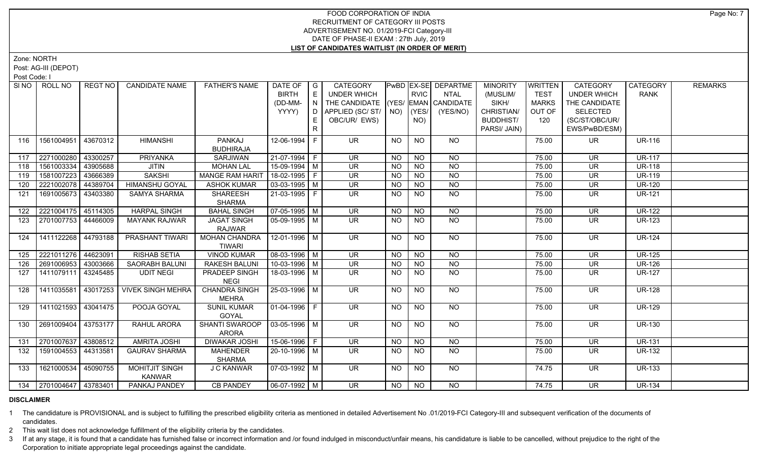Zone: NORTH

Post: AG-III (DEPOT)

Post Code: I

| SI NO | ROLL NO                 | REGT NO  | <b>CANDIDATE NAME</b>                  | <b>FATHER'S NAME</b> | DATE OF        | $\overline{\phantom{a}}$ G | CATEGORY                                  |           |                | PwBD EX-SE DEPARTME | <b>MINORITY</b>  | <b>WRITTEN</b> | CATEGORY                 | CATEGORY      | <b>REMARKS</b> |
|-------|-------------------------|----------|----------------------------------------|----------------------|----------------|----------------------------|-------------------------------------------|-----------|----------------|---------------------|------------------|----------------|--------------------------|---------------|----------------|
|       |                         |          |                                        |                      | <b>BIRTH</b>   | E                          | <b>UNDER WHICH</b>                        |           | RVIC           | <b>NTAL</b>         | (MUSLIM/         | <b>TEST</b>    | <b>UNDER WHICH</b>       | <b>RANK</b>   |                |
|       |                         |          |                                        |                      | (DD-MM-        | $\overline{N}$             | THE CANDIDATE (YES/ EMAN CANDIDATE        |           |                |                     | SIKH/            | <b>MARKS</b>   | THE CANDIDATE            |               |                |
|       |                         |          |                                        |                      | YYYY)          | D                          | APPLIED (SC/ST/ $\vert$ NO) $\vert$ (YES/ |           |                | (YES/NO)            | CHRISTIAN/       | OUT OF         | <b>SELECTED</b>          |               |                |
|       |                         |          |                                        |                      |                | E.                         | OBC/UR/ EWS)                              |           | NO)            |                     | <b>BUDDHIST/</b> | 120            | (SC/ST/OBC/UR/           |               |                |
|       |                         |          |                                        |                      |                | R                          |                                           |           |                |                     | PARSI/ JAIN)     |                | EWS/PwBD/ESM)            |               |                |
| 116   | 1561004951              | 43670312 | <b>HIMANSHI</b>                        | PANKAJ               | 12-06-1994     | F                          | <b>UR</b>                                 | <b>NO</b> | <b>NO</b>      | <b>NO</b>           |                  | 75.00          | UR.                      | <b>UR-116</b> |                |
|       |                         |          |                                        | <b>BUDHIRAJA</b>     |                |                            |                                           |           |                |                     |                  |                |                          |               |                |
| 117   | 2271000280              | 43300257 | <b>PRIYANKA</b>                        | SARJIWAN             | 21-07-1994 F   |                            | <b>UR</b>                                 | <b>NO</b> | <b>NO</b>      | <b>NO</b>           |                  | 75.00          | <b>UR</b>                | <b>UR-117</b> |                |
| 118   | 1561003334              | 43905688 | <b>JITIN</b>                           | <b>MOHAN LAL</b>     | 15-09-1994 M   |                            | <b>UR</b>                                 | <b>NO</b> | <b>NO</b>      | $\overline{N}$      |                  | 75.00          | <b>UR</b>                | <b>UR-118</b> |                |
| 119   | 1581007223              | 43666389 | <b>SAKSHI</b>                          | MANGE RAM HARIT      | 18-02-1995 F   |                            | <b>UR</b>                                 | <b>NO</b> | <b>NO</b>      | <b>NO</b>           |                  | 75.00          | <b>UR</b>                | <b>UR-119</b> |                |
| 120   | 2221002078 44389704     |          | <b>HIMANSHU GOYAL</b>                  | <b>ASHOK KUMAR</b>   | $03-03-1995$ M |                            | <b>UR</b>                                 | <b>NO</b> | <b>NO</b>      | $\overline{NQ}$     |                  | 75.00          | <b>UR</b>                | <b>UR-120</b> |                |
| 121   | 1691005673              | 43403380 | SAMYA SHARMA                           | <b>SHAREESH</b>      | 21-03-1995   F |                            | <b>UR</b>                                 | NO.       | <b>NO</b>      | <b>NO</b>           |                  | 75.00          | UR                       | <b>UR-121</b> |                |
|       |                         |          |                                        | <b>SHARMA</b>        |                |                            |                                           |           |                |                     |                  |                |                          |               |                |
| 122   | 2221004175 45114305     |          | <b>HARPAL SINGH</b>                    | <b>BAHAL SINGH</b>   | 07-05-1995 M   |                            | $\overline{\mathsf{UR}}$                  | <b>NO</b> | N <sub>O</sub> | $\overline{NQ}$     |                  | 75.00          | <b>UR</b>                | <b>UR-122</b> |                |
| 123   | 2701007753              | 44466009 | <b>MAYANK RAJWAR</b>                   | <b>JAGAT SINGH</b>   | 05-09-1995 M   |                            | UR.                                       | NO.       | <b>NO</b>      | <b>NO</b>           |                  | 75.00          | UR.                      | <b>UR-123</b> |                |
|       |                         |          |                                        | <b>RAJWAR</b>        |                |                            |                                           |           |                |                     |                  |                |                          |               |                |
| 124   | 1411122268 44793188     |          | <b>PRASHANT TIWARI</b>                 | <b>MOHAN CHANDRA</b> | 12-01-1996 M   |                            | $\overline{\mathsf{UR}}$                  | <b>NO</b> | N <sub>O</sub> | $N$ <sup>O</sup>    |                  | 75.00          | <b>UR</b>                | <b>UR-124</b> |                |
|       |                         |          |                                        | <b>TIWARI</b>        |                |                            |                                           |           |                |                     |                  |                |                          |               |                |
| 125   | 2221011276 44623091     |          | <b>RISHAB SETIA</b>                    | <b>VINOD KUMAR</b>   | $08-03-1996$ M |                            | $\overline{\mathsf{UR}}$                  | <b>NO</b> | N <sub>O</sub> | $N$ O               |                  | 75.00          | $\overline{\mathsf{UR}}$ | <b>UR-125</b> |                |
| 126   | 2691006953 43003666     |          | SAORABH BALUNI                         | <b>RAKESH BALUNI</b> | $10-03-1996$ M |                            | <b>UR</b>                                 | <b>NO</b> | <b>NO</b>      | N                   |                  | 75.00          | <b>UR</b>                | <b>UR-126</b> |                |
| 127   | 1411079111              | 43245485 | <b>UDIT NEGI</b>                       | <b>PRADEEP SINGH</b> | 18-03-1996 M   |                            | $\overline{\mathsf{UR}}$                  | <b>NO</b> | N <sub>O</sub> | $N$ O               |                  | 75.00          | <b>UR</b>                | <b>UR-127</b> |                |
|       |                         |          |                                        | <b>NEGI</b>          |                |                            |                                           |           |                |                     |                  |                |                          |               |                |
| 128   | 1411035581              | 43017253 | <b>VIVEK SINGH MEHRA</b>               | <b>CHANDRA SINGH</b> | 25-03-1996 M   |                            | UR.                                       | NO.       | NO.            | NO                  |                  | 75.00          | <b>UR</b>                | <b>UR-128</b> |                |
|       |                         |          |                                        | <b>MEHRA</b>         |                |                            |                                           |           |                |                     |                  |                |                          |               |                |
| 129   | 1411021593 43041475     |          | POOJA GOYAL                            | <b>SUNIL KUMAR</b>   | $01-04-1996$ F |                            | <b>UR</b>                                 | <b>NO</b> | <b>NO</b>      | <b>NO</b>           |                  | 75.00          | <b>UR</b>                | <b>UR-129</b> |                |
|       |                         |          |                                        | GOYAL                |                |                            |                                           |           |                |                     |                  |                |                          |               |                |
| 130   | 2691009404              | 43753177 | RAHUL ARORA                            | SHANTI SWAROOP       | 03-05-1996   M |                            | <b>UR</b>                                 | NO        | <b>NO</b>      | NO                  |                  | 75.00          | <b>UR</b>                | <b>UR-130</b> |                |
|       |                         |          |                                        | <b>ARORA</b>         |                |                            |                                           |           |                |                     |                  |                |                          |               |                |
| 131   | 2701007637 43808512     |          | <b>AMRITA JOSHI</b>                    | <b>DIWAKAR JOSHI</b> | 15-06-1996 F   |                            | <b>UR</b>                                 | <b>NO</b> | <b>NO</b>      | <b>NO</b>           |                  | 75.00          | <b>UR</b>                | <b>UR-131</b> |                |
| 132   | 1591004553 44313581     |          | <b>GAURAV SHARMA</b>                   | <b>MAHENDER</b>      | $20-10-1996$ M |                            | $\overline{\mathsf{UR}}$                  | <b>NO</b> | N <sub>O</sub> | $N$ <sup>O</sup>    |                  | 75.00          | <b>UR</b>                | <b>UR-132</b> |                |
|       |                         |          |                                        | <b>SHARMA</b>        |                |                            | $\overline{\mathsf{UR}}$                  |           |                | $N$ O               |                  |                |                          |               |                |
| 133   | 1621000534              | 45090755 | <b>MOHITJIT SINGH</b><br><b>KANWAR</b> | J C KANWAR           | $07-03-1992$ M |                            |                                           | <b>NO</b> | <b>NO</b>      |                     |                  | 74.75          | UR.                      | <b>UR-133</b> |                |
|       | 134 2701004647 43783401 |          | PANKAJ PANDEY                          | <b>CB PANDEY</b>     | 06-07-1992 M   |                            | $\overline{\mathsf{UR}}$                  | NO        | <b>NO</b>      | NO                  |                  | 74.75          | $\overline{\mathsf{UR}}$ | <b>UR-134</b> |                |
|       |                         |          |                                        |                      |                |                            |                                           |           |                |                     |                  |                |                          |               |                |

#### **DISCLAIMER**

1 The candidature is PROVISIONAL and is subject to fulfilling the prescribed eligibility criteria as mentioned in detailed Advertisement No .01/2019-FCI Category-III and subsequent verification of the documents of candidates.

2 This wait list does not acknowledge fulfillment of the eligibility criteria by the candidates.

3 If at any stage, it is found that a candidate has furnished false or incorrect information and /or found indulged in misconduct/unfair means, his candidature is liable to be cancelled, without prejudice to the right of t Corporation to initiate appropriate legal proceedings against the candidate.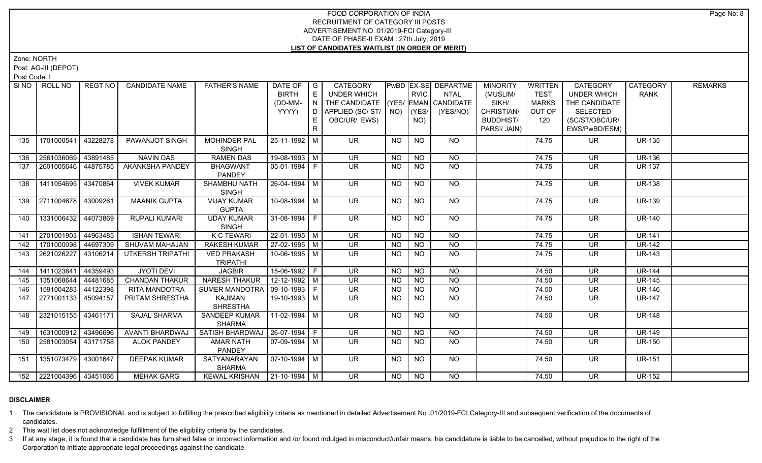Zone: NORTH

Post: AG-III (DEPOT)

Post Code: I

| SI NO I | ROLL NO                 | REGT NO  | <b>CANDIDATE NAME</b>   | <b>FATHER'S NAME</b>                  | DATE OF<br><b>BIRTH</b><br>(DD-MM-<br>YYYY) | $\overline{\phantom{a}}$ G<br>E<br>N<br>D<br>E.<br>R. | CATEGORY<br><b>UNDER WHICH</b><br>THE CANDIDATE (YES/ EMAN CANDIDATE<br>APPLIED (SC/ST/<br>OBC/UR/ EWS) |           | <b>RVIC</b><br>$NO)$ (YES/<br>NO) | PwBD EX-SE DEPARTME<br><b>NTAL</b><br>(YES/NO) | <b>MINORITY</b><br>(MUSLIM/<br>SIKH/<br>CHRISTIAN/<br><b>BUDDHIST/</b><br>PARSI/ JAIN) | <b>WRITTEN</b><br><b>TEST</b><br><b>MARKS</b><br>OUT OF<br>120 | <b>CATEGORY</b><br><b>UNDER WHICH</b><br>THE CANDIDATE<br><b>SELECTED</b><br>(SC/ST/OBC/UR/<br>EWS/PwBD/ESM) | CATEGORY<br><b>RANK</b> | <b>REMARKS</b> |
|---------|-------------------------|----------|-------------------------|---------------------------------------|---------------------------------------------|-------------------------------------------------------|---------------------------------------------------------------------------------------------------------|-----------|-----------------------------------|------------------------------------------------|----------------------------------------------------------------------------------------|----------------------------------------------------------------|--------------------------------------------------------------------------------------------------------------|-------------------------|----------------|
| 135     | 1701000541              | 43228278 | PAWANJOT SINGH          | <b>MOHINDER PAL</b><br>SINGH          | 25-11-1992 M                                |                                                       | <b>UR</b>                                                                                               | <b>NO</b> | <b>NO</b>                         | <b>NO</b>                                      |                                                                                        | 74.75                                                          | UR.                                                                                                          | <b>UR-135</b>           |                |
| 136     | 2561036069              | 43891485 | <b>NAVIN DAS</b>        | <b>RAMEN DAS</b>                      | 19-08-1993 M                                |                                                       | <b>UR</b>                                                                                               | <b>NO</b> | <b>NO</b>                         | <b>NO</b>                                      |                                                                                        | 74.75                                                          | <b>UR</b>                                                                                                    | <b>UR-136</b>           |                |
| 137     | 2601005646 44875785     |          | AKANKSHA PANDEY         | <b>BHAGWANT</b><br>PANDEY             | $05-01-1994$   F                            |                                                       | UR.                                                                                                     | NO.       | <b>NO</b>                         | <b>NO</b>                                      |                                                                                        | 74.75                                                          | <b>UR</b>                                                                                                    | <b>UR-137</b>           |                |
| 138     | 1411054695              | 43470864 | <b>VIVEK KUMAR</b>      | SHAMBHU NATH<br><b>SINGH</b>          | $26 - 04 - 1994$ M                          |                                                       | <b>UR</b>                                                                                               | <b>NO</b> | <b>NO</b>                         | NO                                             |                                                                                        | 74.75                                                          | <b>UR</b>                                                                                                    | <b>UR-138</b>           |                |
| 139     | 2711004678 43009261     |          | <b>MAANIK GUPTA</b>     | <b>VIJAY KUMAR</b><br><b>GUPTA</b>    | $10-08-1994$ M                              |                                                       | $\overline{\mathsf{UR}}$                                                                                | <b>NO</b> | N <sub>O</sub>                    | $N$ <sup>O</sup>                               |                                                                                        | 74.75                                                          | <b>UR</b>                                                                                                    | <b>UR-139</b>           |                |
| 140     | 1331006432 44073869     |          | <b>RUPALI KUMARI</b>    | <b>UDAY KUMAR</b><br><b>SINGH</b>     | 31-08-1994 F                                |                                                       | <b>UR</b>                                                                                               | <b>NO</b> | <b>NO</b>                         | NO                                             |                                                                                        | 74.75                                                          | <b>UR</b>                                                                                                    | <b>UR-140</b>           |                |
| 141     | 2701001903              | 44963485 | <b>ISHAN TEWARI</b>     | <b>K C TEWARI</b>                     | $22-01-1995$ M                              |                                                       | UR                                                                                                      | <b>NO</b> | <b>NO</b>                         | <b>NO</b>                                      |                                                                                        | 74.75                                                          | <b>UR</b>                                                                                                    | <b>UR-141</b>           |                |
| 142     | 1701000098 44697309     |          | SHUVAM MAHAJAN          | <b>RAKESH KUMAR</b>                   | 27-02-1995 M                                |                                                       | <b>UR</b>                                                                                               | <b>NO</b> | <b>NO</b>                         | $N$ O                                          |                                                                                        | 74.75                                                          | <b>UR</b>                                                                                                    | <b>UR-142</b>           |                |
| 143     | 2621026227              | 43106214 | <b>UTKERSH TRIPATHI</b> | <b>VED PRAKASH</b><br><b>TRIPATHI</b> | $10-06-1995$ M                              |                                                       | UR                                                                                                      | NO.       | N <sub>O</sub>                    | N <sub>O</sub>                                 |                                                                                        | 74.75                                                          | $\overline{\mathsf{UR}}$                                                                                     | <b>UR-143</b>           |                |
| 144     | 1411023841              | 44359493 | <b>JYOTI DEVI</b>       | <b>JAGBIR</b>                         | $15-06-1992$ F                              |                                                       | <b>UR</b>                                                                                               | <b>NO</b> | <b>NO</b>                         | <b>NO</b>                                      |                                                                                        | 74.50                                                          | <b>UR</b>                                                                                                    | <b>UR-144</b>           |                |
| 145     | 1351068644              | 44481685 | <b>CHANDAN THAKUR</b>   | <b>NARESH THAKUR</b>                  | 12-12-1992 M                                |                                                       | <b>UR</b>                                                                                               | <b>NO</b> | <b>NO</b>                         | <b>NO</b>                                      |                                                                                        | 74.50                                                          | <b>UR</b>                                                                                                    | <b>UR-145</b>           |                |
| 146     | 1591004283 44122398     |          | RITA MANDOTRA           | <b>SUMER MANDOTRA</b>                 | $09-10-1993$ F                              |                                                       | <b>UR</b>                                                                                               | <b>NO</b> | <b>NO</b>                         | $\overline{N}$                                 |                                                                                        | 74.50                                                          | <b>UR</b>                                                                                                    | <b>UR-146</b>           |                |
| 147     | 2771001133              | 45094157 | PRITAM SHRESTHA         | KAJIMAN<br><b>SHRESTHA</b>            | 19-10-1993 M                                |                                                       | UR                                                                                                      | NO.       | <b>NO</b>                         | <b>NO</b>                                      |                                                                                        | 74.50                                                          | <b>UR</b>                                                                                                    | <b>UR-147</b>           |                |
| 148     | 2321015155              | 43461171 | <b>SAJAL SHARMA</b>     | <b>SANDEEP KUMAR</b><br><b>SHARMA</b> | 11-02-1994 M                                |                                                       | $\overline{\mathsf{UR}}$                                                                                | NO        | <b>NO</b>                         | NO                                             |                                                                                        | 74.50                                                          | UR.                                                                                                          | <b>UR-148</b>           |                |
| 149     | 1631000912 43496696     |          | <b>AVANTI BHARDWAJ</b>  | SATISH BHARDWAJ   26-07-1994   F      |                                             |                                                       | $\overline{\mathsf{UR}}$                                                                                | <b>NO</b> | N <sub>O</sub>                    | N <sub>O</sub>                                 |                                                                                        | 74.50                                                          | <b>UR</b>                                                                                                    | <b>UR-149</b>           |                |
| 150     | 2581003054   43171758   |          | <b>ALOK PANDEY</b>      | <b>AMAR NATH</b><br>PANDEY            | $07-09-1994$ M                              |                                                       | UR.                                                                                                     | NO.       | <b>NO</b>                         | N <sub>O</sub>                                 |                                                                                        | 74.50                                                          | <b>UR</b>                                                                                                    | <b>UR-150</b>           |                |
| 151     | 1351073479 43001647     |          | <b>DEEPAK KUMAR</b>     | SATYANARAYAN<br><b>SHARMA</b>         | $\sqrt{07-10-1994}$ M                       |                                                       | <b>UR</b>                                                                                               | NO.       | <b>NO</b>                         | NO                                             |                                                                                        | 74.50                                                          | UR.                                                                                                          | <b>UR-151</b>           |                |
|         | 152 2221004396 43451066 |          | <b>MEHAK GARG</b>       | KEWAL KRISHAN   21-10-1994   M        |                                             |                                                       | $\overline{\mathsf{UR}}$                                                                                | NO        | NO                                | NO                                             |                                                                                        | 74.50                                                          | $\overline{\mathsf{UR}}$                                                                                     | <b>UR-152</b>           |                |

# **DISCLAIMER**

1 The candidature is PROVISIONAL and is subject to fulfilling the prescribed eligibility criteria as mentioned in detailed Advertisement No .01/2019-FCI Category-III and subsequent verification of the documents of candidates.

2 This wait list does not acknowledge fulfillment of the eligibility criteria by the candidates.

3 If at any stage, it is found that a candidate has furnished false or incorrect information and /or found indulged in misconduct/unfair means, his candidature is liable to be cancelled, without prejudice to the right of t Corporation to initiate appropriate legal proceedings against the candidate.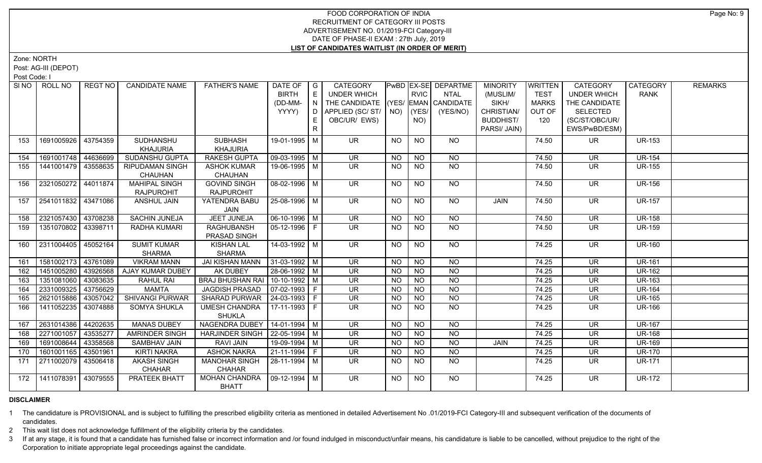Zone: NORTH

Post: AG-III (DEPOT)

Post Code: I

| SI NO I | ROLL NO             | REGT NO  | <b>CANDIDATE NAME</b>   | <b>FATHER'S NAME</b>              | DATE OF   G            |    | CATEGORY                           |                 |                 | PwBD EX-SE DEPARTME | <b>MINORITY</b>  | <b>WRITTEN</b> | CATEGORY                 | CATEGORY      | <b>REMARKS</b> |
|---------|---------------------|----------|-------------------------|-----------------------------------|------------------------|----|------------------------------------|-----------------|-----------------|---------------------|------------------|----------------|--------------------------|---------------|----------------|
|         |                     |          |                         |                                   | <b>BIRTH</b>           | E  | UNDER WHICH                        |                 | <b>RVIC</b>     | <b>NTAL</b>         | (MUSLIM/         | <b>TEST</b>    | <b>UNDER WHICH</b>       | <b>RANK</b>   |                |
|         |                     |          |                         |                                   | (DD-MM-                | N  | THE CANDIDATE (YES/ EMAN CANDIDATE |                 |                 |                     | SIKH/            | <b>MARKS</b>   | THE CANDIDATE            |               |                |
|         |                     |          |                         |                                   | YYYY)                  | D. | APPLIED (SC/ ST/   NO)             |                 | (YES/           | (YES/NO)            | CHRISTIAN/       | OUT OF         | <b>SELECTED</b>          |               |                |
|         |                     |          |                         |                                   |                        |    | OBC/UR/ EWS)                       |                 | NO)             |                     | <b>BUDDHIST/</b> | 120            | (SC/ST/OBC/UR/           |               |                |
|         |                     |          |                         |                                   |                        | R. |                                    |                 |                 |                     | PARSI/ JAIN)     |                | EWS/PwBD/ESM)            |               |                |
| 153     | 1691005926 43754359 |          | SUDHANSHU               | <b>SUBHASH</b>                    | 19-01-1995 M           |    | <b>UR</b>                          | <b>NO</b>       | <b>NO</b>       | <b>NO</b>           |                  | 74.50          | <b>UR</b>                | <b>UR-153</b> |                |
|         |                     |          | <b>KHAJURIA</b>         | <b>KHAJURIA</b>                   |                        |    |                                    |                 |                 |                     |                  |                |                          |               |                |
| 154     | 1691001748 44636699 |          | SUDANSHU GUPTA          | <b>RAKESH GUPTA</b>               | 09-03-1995 M           |    | <b>UR</b>                          | <b>NO</b>       | <b>NO</b>       | <b>NO</b>           |                  | 74.50          | <b>UR</b>                | <b>UR-154</b> |                |
| 155     | 1441001479 43558635 |          | <b>RIPUDAMAN SINGH</b>  | <b>ASHOK KUMAR</b>                | 19-06-1995 M           |    | <b>UR</b>                          | <b>NO</b>       | <b>NO</b>       | <b>NO</b>           |                  | 74.50          | UR.                      | <b>UR-155</b> |                |
|         |                     |          | CHAUHAN                 | CHAUHAN                           |                        |    |                                    |                 |                 |                     |                  |                |                          |               |                |
| 156     | 2321050272 44011874 |          | <b>MAHIPAL SINGH</b>    | <b>GOVIND SINGH</b>               | 08-02-1996   M         |    | <b>UR</b>                          | <b>NO</b>       | <b>NO</b>       | NO                  |                  | 74.50          | UR.                      | <b>UR-156</b> |                |
|         |                     |          | <b>RAJPUROHIT</b>       | <b>RAJPUROHIT</b>                 |                        |    |                                    |                 |                 |                     |                  |                |                          |               |                |
| 157     | 2541011832 43471086 |          | <b>ANSHUL JAIN</b>      | YATENDRA BABU                     | 25-08-1996 M           |    | $\overline{\mathsf{UR}}$           | $\overline{NO}$ | <b>NO</b>       | N <sub>O</sub>      | <b>JAIN</b>      | 74.50          | $\overline{\mathsf{UR}}$ | <b>UR-157</b> |                |
|         |                     |          |                         | JAIN                              |                        |    |                                    |                 |                 |                     |                  |                |                          |               |                |
| 158     | 2321057430 43708238 |          | <b>SACHIN JUNEJA</b>    | JEET JUNEJA                       | $\boxed{06-10-1996}$ M |    | $\overline{\mathsf{UR}}$           | <b>NO</b>       | $N$ O           | $N$ O               |                  | 74.50          | $\overline{\mathsf{UR}}$ | <b>UR-158</b> |                |
| 159     | 1351070802 43398711 |          | RADHA KUMARI            | <b>RAGHUBANSH</b>                 | 05-12-1996   F         |    | $\overline{\mathsf{UR}}$           | <b>NO</b>       | <b>NO</b>       | $N$ O               |                  | 74.50          | <b>UR</b>                | <b>UR-159</b> |                |
|         |                     |          |                         | PRASAD SINGH                      |                        |    |                                    |                 |                 |                     |                  |                |                          |               |                |
| 160     | 2311004405 45052164 |          | <b>SUMIT KUMAR</b>      | <b>KISHAN LAL</b>                 | 14-03-1992 M           |    | UR.                                | <b>NO</b>       | NO.             | NO.                 |                  | 74.25          | UR.                      | <b>UR-160</b> |                |
|         |                     |          | <b>SHARMA</b>           | <b>SHARMA</b>                     |                        |    |                                    |                 |                 |                     |                  |                |                          |               |                |
| 161     | 1581002173 43761089 |          | <b>VIKRAM MANN</b>      | <b>JAI KISHAN MANN</b>            | $31-03-1992$ M         |    | <b>UR</b>                          | <b>NO</b>       | <b>NO</b>       | NO                  |                  | 74.25          | <b>UR</b>                | <b>UR-161</b> |                |
| 162     | 1451005280 43926568 |          | <b>AJAY KUMAR DUBEY</b> | AK DUBEY                          | $28-06-1992$ M         |    | <b>UR</b>                          | <b>NO</b>       | $\overline{NQ}$ | $\overline{NQ}$     |                  | 74.25          | <b>UR</b>                | <b>UR-162</b> |                |
| 163     | 1351081060 43083635 |          | RAHUL RAI               | BRAJ BHUSHAN RAI   10-10-1992   M |                        |    | <b>UR</b>                          | <b>NO</b>       | <b>NO</b>       | <b>NO</b>           |                  | 74.25          | <b>UR</b>                | <b>UR-163</b> |                |
| 164     | 2331009325 43756629 |          | <b>MAMTA</b>            | <b>JAGDISH PRASAD</b>             | $\boxed{07-02-1993}$ F |    | <b>UR</b>                          | <b>NO</b>       | <b>NO</b>       | $\overline{NQ}$     |                  | 74.25          | <b>UR</b>                | <b>UR-164</b> |                |
| 165     | 2621015886 43057042 |          | <b>SHIVANGI PURWAR</b>  | <b>SHARAD PURWAR</b>              | $ 24-03-1993 F$        |    | <b>UR</b>                          | <b>NO</b>       | <b>NO</b>       | N <sub>O</sub>      |                  | 74.25          | <b>UR</b>                | <b>UR-165</b> |                |
| 166     | 1411052235 43074888 |          | <b>SOMYA SHUKLA</b>     | UMESH CHANDRA                     | $ 17-11-1993 F$        |    | UR.                                | NO.             | <b>NO</b>       | NO.                 |                  | 74.25          | UR.                      | <b>UR-166</b> |                |
|         |                     |          |                         | <b>SHUKLA</b>                     |                        |    |                                    |                 |                 |                     |                  |                |                          |               |                |
| 167     | 2631014386 44202635 |          | <b>MANAS DUBEY</b>      | NAGENDRA DUBEY   14-01-1994   M   |                        |    | UR.                                | <b>NO</b>       | $\overline{NO}$ | N <sub>O</sub>      |                  | 74.25          | <b>UR</b>                | <b>UR-167</b> |                |
| 168     | 2271001057 43535277 |          | AMRINDER SINGH          | HARJINDER SINGH   22-05-1994   M  |                        |    | $\overline{\mathsf{UR}}$           | <b>NO</b>       | $\overline{N}$  | $\overline{NO}$     |                  | 74.25          | $\overline{\mathsf{UR}}$ | <b>UR-168</b> |                |
| 169     | 1691008644          | 43358568 | <b>SAMBHAV JAIN</b>     | RAVI JAIN                         | 19-09-1994   M         |    | <b>UR</b>                          | <b>NO</b>       | $\overline{NO}$ | $\overline{NQ}$     | JAIN             | 74.25          | <b>UR</b>                | <b>UR-169</b> |                |
| 170     | 1601001165 43501961 |          | KIRTI NAKRA             | <b>ASHOK NAKRA</b>                | $21-11-1994$ F         |    | $\overline{\mathsf{UR}}$           | <b>NO</b>       | $\overline{NO}$ | N <sub>O</sub>      |                  | 74.25          | <b>UR</b>                | <b>UR-170</b> |                |
| 171     | 2711002079 43506418 |          | <b>AKASH SINGH</b>      | <b>MANOHAR SINGH</b>              | $ 28-11-1994 $ M       |    | UR.                                | NO.             | <b>NO</b>       | NO.                 |                  | 74.25          | UR.                      | <b>UR-171</b> |                |
|         |                     |          | <b>CHAHAR</b>           | CHAHAR                            |                        |    |                                    |                 |                 |                     |                  |                |                          |               |                |
| 172     | 1411078391 43079555 |          | <b>PRATEEK BHATT</b>    | <b>MOHAN CHANDRA</b>              | $\vert$ 09-12-1994 M   |    | UR.                                | <b>NO</b>       | $\overline{NO}$ | N <sub>O</sub>      |                  | 74.25          | <b>UR</b>                | <b>UR-172</b> |                |
|         |                     |          |                         | <b>BHATT</b>                      |                        |    |                                    |                 |                 |                     |                  |                |                          |               |                |

# **DISCLAIMER**

1 The candidature is PROVISIONAL and is subject to fulfilling the prescribed eligibility criteria as mentioned in detailed Advertisement No .01/2019-FCI Category-III and subsequent verification of the documents of candidates.

2 This wait list does not acknowledge fulfillment of the eligibility criteria by the candidates.

3 If at any stage, it is found that a candidate has furnished false or incorrect information and /or found indulged in misconduct/unfair means, his candidature is liable to be cancelled, without prejudice to the right of t Corporation to initiate appropriate legal proceedings against the candidate.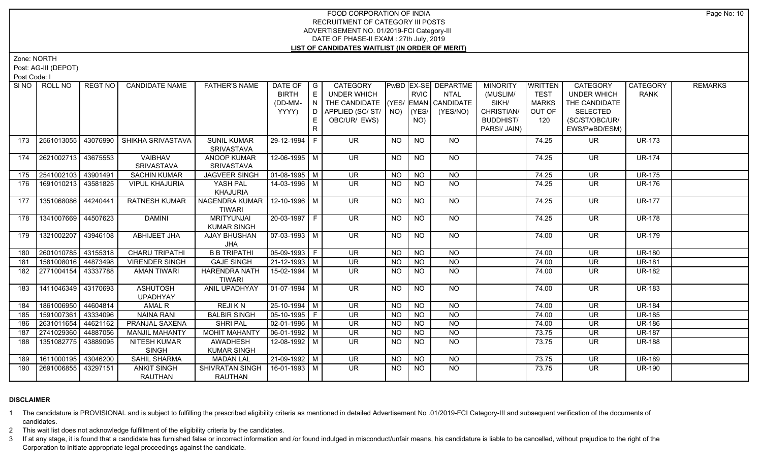Zone: NORTH

Post: AG-III (DEPOT)

Post Code: I

|     | SINO ROLL NO          | REGT NO   | <b>CANDIDATE NAME</b>                | <b>FATHER'S NAME</b>                             | DATE OF $ G $<br><b>BIRTH</b> | E. | CATEGORY<br>UNDER WHICH            |           | <b>RVIC</b>    | PwBD EX-SE DEPARTME<br><b>NTAL</b> | <b>MINORITY</b><br>(MUSLIM/ | <b>WRITTEN</b><br><b>TEST</b> | <b>CATEGORY</b><br><b>UNDER WHICH</b> | <b>CATEGORY</b><br><b>RANK</b> | <b>REMARKS</b> |
|-----|-----------------------|-----------|--------------------------------------|--------------------------------------------------|-------------------------------|----|------------------------------------|-----------|----------------|------------------------------------|-----------------------------|-------------------------------|---------------------------------------|--------------------------------|----------------|
|     |                       |           |                                      |                                                  | (DD-MM-                       | N  | THE CANDIDATE (YES/ EMAN CANDIDATE |           |                |                                    | SIKH/                       | <b>MARKS</b>                  | THE CANDIDATE                         |                                |                |
|     |                       |           |                                      |                                                  | YYYY)                         | D. | APPLIED (SC/ ST/   NO)             |           | (YES/          | (YES/NO)                           | CHRISTIAN/                  | OUT OF                        | <b>SELECTED</b>                       |                                |                |
|     |                       |           |                                      |                                                  |                               |    | OBC/UR/ EWS)                       |           | NO)            |                                    | <b>BUDDHIST/</b>            | 120                           | (SC/ST/OBC/UR/                        |                                |                |
|     |                       |           |                                      |                                                  |                               |    |                                    |           |                |                                    | PARSI/ JAIN)                |                               | EWS/PwBD/ESM)                         |                                |                |
| 173 | 2561013055 43076990   |           | SHIKHA SRIVASTAVA                    | <b>SUNIL KUMAR</b>                               | 29-12-1994 F                  |    | UR.                                | <b>NO</b> | <b>NO</b>      | NO.                                |                             | 74.25                         | UR.                                   | <b>UR-173</b>                  |                |
|     |                       |           |                                      | <b>SRIVASTAVA</b>                                |                               |    |                                    |           |                |                                    |                             |                               |                                       |                                |                |
| 174 | 2621002713 43675553   |           | VAIBHAV<br>SRIVASTAVA                | <b>ANOOP KUMAR</b><br><b>SRIVASTAVA</b>          | 12-06-1995 M                  |    | <b>UR</b>                          | <b>NO</b> | <b>NO</b>      | <b>NO</b>                          |                             | 74.25                         | <b>UR</b>                             | <b>UR-174</b>                  |                |
| 175 | 2541002103 43901491   |           | <b>SACHIN KUMAR</b>                  | <b>JAGVEER SINGH</b>                             | $ 01-08-1995 $ M              |    | <b>UR</b>                          | <b>NO</b> | <b>NO</b>      | <b>NO</b>                          |                             | 74.25                         | <b>UR</b>                             | <b>UR-175</b>                  |                |
| 176 | 1691010213 43581825   |           | <b>VIPUL KHAJURIA</b>                | YASH PAL<br><b>KHAJURIA</b>                      | 14-03-1996 M                  |    | <b>UR</b>                          | NO.       | <b>NO</b>      | NO                                 |                             | 74.25                         | UR.                                   | <b>UR-176</b>                  |                |
| 177 | 1351068086 44240441   |           | <b>RATNESH KUMAR</b>                 | NAGENDRA KUMAR   12-10-1996   M<br><b>TIWARI</b> |                               |    | $\overline{\mathsf{UR}}$           | <b>NO</b> | <b>NO</b>      | N <sub>O</sub>                     |                             | 74.25                         | UR.                                   | <b>UR-177</b>                  |                |
| 178 | 1341007669 44507623   |           | <b>DAMINI</b>                        | <b>MRITYUNJAI</b>                                | 20-03-1997 F                  |    | <b>UR</b>                          | <b>NO</b> | <b>NO</b>      | NO                                 |                             | 74.25                         | <b>UR</b>                             | <b>UR-178</b>                  |                |
|     |                       |           |                                      | <b>KUMAR SINGH</b>                               |                               |    |                                    |           |                |                                    |                             |                               |                                       |                                |                |
| 179 | 1321002207 43946108   |           | ABHIJEET JHA                         | AJAY BHUSHAN                                     | $\vert$ 07-03-1993 $\vert$ M  |    | <b>UR</b>                          | <b>NO</b> | NO             | NO                                 |                             | 74.00                         | UR.                                   | <b>UR-179</b>                  |                |
|     |                       |           |                                      | JHA                                              |                               |    |                                    |           |                |                                    |                             |                               |                                       |                                |                |
| 180 | 2601010785 43155318   |           | <b>CHARU TRIPATHI</b>                | <b>B B TRIPATHI</b>                              | $\boxed{05-09-1993}$ F        |    | <b>UR</b>                          | <b>NO</b> | N <sub>O</sub> | N <sub>O</sub>                     |                             | 74.00                         | <b>UR</b>                             | <b>UR-180</b>                  |                |
| 181 | 1581008016 44873498   |           | <b>VIRENDER SINGH</b>                | <b>GAJE SINGH</b>                                | 21-12-1993 M                  |    | <b>UR</b>                          | <b>NO</b> | <b>NO</b>      | <b>NO</b>                          |                             | 74.00                         | <b>UR</b>                             | <b>UR-181</b>                  |                |
| 182 | 2771004154   43337788 |           | <b>AMAN TIWARI</b>                   | <b>HARENDRA NATH</b><br><b>TIWARI</b>            | 15-02-1994 M                  |    | UR.                                | <b>NO</b> | <b>NO</b>      | <b>NO</b>                          |                             | 74.00                         | <b>UR</b>                             | <b>UR-182</b>                  |                |
| 183 | 1411046349 43170693   |           | <b>ASHUTOSH</b><br><b>UPADHYAY</b>   | ANIL UPADHYAY                                    | 01-07-1994   M                |    | UR.                                | NO.       | <b>NO</b>      | NO.                                |                             | 74.00                         | UR.                                   | <b>UR-183</b>                  |                |
| 184 | 1861006950 44604814   |           | <b>AMAL R</b>                        | <b>REJIKN</b>                                    | $25-10-1994$ M                |    | $\overline{\mathsf{UR}}$           | <b>NO</b> | $N$ O          | N <sub>O</sub>                     |                             | 74.00                         | $\overline{\mathsf{UR}}$              | <b>UR-184</b>                  |                |
| 185 | 1591007361            | 43334096  | NAINA RANI                           | <b>BALBIR SINGH</b>                              | 05-10-1995   F                |    | UR.                                | NO.       | <b>NO</b>      | N <sub>O</sub>                     |                             | 74.00                         | UR                                    | <b>UR-185</b>                  |                |
| 186 | 2631011654            | 144621162 | <b>PRANJAL SAXENA</b>                | <b>SHRI PAL</b>                                  | $\sqrt{02-01-1996}$ M         |    | $\overline{\mathsf{UR}}$           | <b>NO</b> | N <sub>O</sub> | N <sub>O</sub>                     |                             | 74.00                         | <b>UR</b>                             | <b>UR-186</b>                  |                |
| 187 | 2741029360 44887056   |           | <b>MANJIL MAHANTY</b>                | <b>MOHIT MAHANTY</b>                             | $\boxed{06-01-1992}$ M        |    | UR                                 | <b>NO</b> | N <sub>O</sub> | N <sub>O</sub>                     |                             | 73.75                         | <b>UR</b>                             | <b>UR-187</b>                  |                |
| 188 | 1351082775 43889095   |           | <b>NITESH KUMAR</b>                  | <b>AWADHESH</b>                                  | $12-08-1992$ M                |    | UR.                                | NO.       | <b>NO</b>      | $\overline{NO}$                    |                             | 73.75                         | <b>UR</b>                             | <b>UR-188</b>                  |                |
|     |                       |           | <b>SINGH</b>                         | <b>KUMAR SINGH</b>                               |                               |    |                                    |           |                |                                    |                             |                               |                                       |                                |                |
| 189 | 1611000195 43046200   |           | <b>SAHIL SHARMA</b>                  | <b>MADAN LAL</b>                                 | $21-09-1992$ M                |    | <b>UR</b>                          | <b>NO</b> | <b>NO</b>      | <b>NO</b>                          |                             | 73.75                         | UR                                    | <b>UR-189</b>                  |                |
| 190 | 2691006855 43297151   |           | <b>ANKIT SINGH</b><br><b>RAUTHAN</b> | <b>SHIVRATAN SINGH</b><br><b>RAUTHAN</b>         | $16-01-1993$ M                |    | UR.                                | NO.       | <b>NO</b>      | $N$ <sup>O</sup>                   |                             | 73.75                         | UR.                                   | <b>UR-190</b>                  |                |

# **DISCLAIMER**

1 The candidature is PROVISIONAL and is subject to fulfilling the prescribed eligibility criteria as mentioned in detailed Advertisement No .01/2019-FCI Category-III and subsequent verification of the documents of candidates.

2 This wait list does not acknowledge fulfillment of the eligibility criteria by the candidates.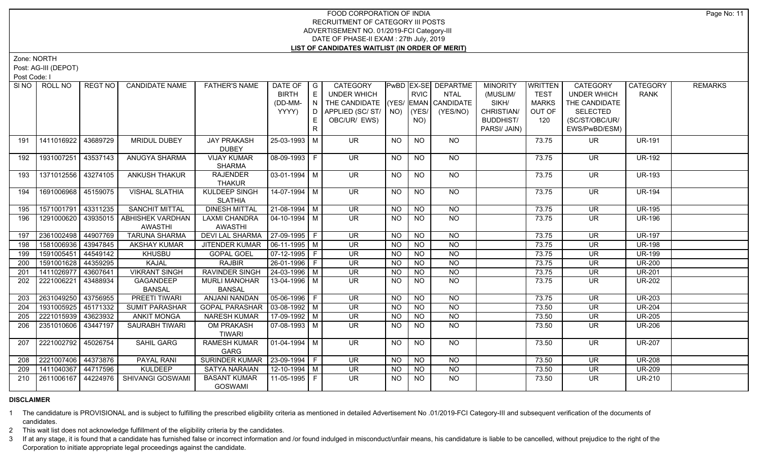Zone: NORTH

Post: AG-III (DEPOT)

Post Code: I

|     | SINO   ROLL NO        | REGT NO I | <b>CANDIDATE NAME</b>                | <b>FATHER'S NAME</b>            | DATE OF                | I G           | CATEGORY                           |           |                 | PwBD   EX-SE   DEPARTME | <b>MINORITY</b>  | <b>WRITTEN</b> | <b>CATEGORY</b>          | CATEGORY      | <b>REMARKS</b> |
|-----|-----------------------|-----------|--------------------------------------|---------------------------------|------------------------|---------------|------------------------------------|-----------|-----------------|-------------------------|------------------|----------------|--------------------------|---------------|----------------|
|     |                       |           |                                      |                                 | <b>BIRTH</b>           | E             | <b>UNDER WHICH</b>                 |           | <b>RVIC</b>     | <b>NTAL</b>             | (MUSLIM/         | <b>TEST</b>    | <b>UNDER WHICH</b>       | RANK          |                |
|     |                       |           |                                      |                                 | (DD-MM-                | $\mid N \mid$ | THE CANDIDATE (YES/ EMAN CANDIDATE |           |                 |                         | SIKH/            | <b>MARKS</b>   | THE CANDIDATE            |               |                |
|     |                       |           |                                      |                                 | YYYY)                  |               | D   APPLIED (SC/ ST/   NO)   (YES/ |           |                 | (YES/NO)                | CHRISTIAN/       | OUT OF         | <b>SELECTED</b>          |               |                |
|     |                       |           |                                      |                                 |                        | E.            | OBC/UR/ EWS)                       |           | NO)             |                         | <b>BUDDHIST/</b> | 120            | (SC/ST/OBC/UR/           |               |                |
|     |                       |           |                                      |                                 |                        | R             |                                    |           |                 |                         | PARSI/ JAIN)     |                | EWS/PwBD/ESM)            |               |                |
| 191 | 1411016922            | 43689729  | MRIDUL DUBEY                         | <b>JAY PRAKASH</b>              | 25-03-1993 M           |               | UR.                                | NO        | <b>NO</b>       | <b>NO</b>               |                  | 73.75          | UR                       | <b>UR-191</b> |                |
|     |                       |           |                                      | <b>DUBEY</b>                    |                        |               |                                    |           |                 |                         |                  |                |                          |               |                |
| 192 | 1931007251            | 43537143  | <b>ANUGYA SHARMA</b>                 | <b>VIJAY KUMAR</b>              | 08-09-1993 F           |               | <b>UR</b>                          | <b>NO</b> | <b>NO</b>       | <b>NO</b>               |                  | 73.75          | UR.                      | <b>UR-192</b> |                |
|     |                       |           |                                      | <b>SHARMA</b>                   |                        |               |                                    |           |                 |                         |                  |                |                          |               |                |
| 193 | 1371012556 43274105   |           | <b>ANKUSH THAKUR</b>                 | <b>RAJENDER</b>                 | $03-01-1994$ M         |               | <b>UR</b>                          | <b>NO</b> | $\overline{NQ}$ | $N$ <sup>O</sup>        |                  | 73.75          | <b>UR</b>                | <b>UR-193</b> |                |
|     |                       |           |                                      | <b>THAKUR</b>                   |                        |               |                                    |           |                 |                         |                  |                |                          |               |                |
| 194 | 1691006968 45159075   |           | <b>VISHAL SLATHIA</b>                | <b>KULDEEP SINGH</b>            | 14-07-1994 M           |               | <b>UR</b>                          | NO.       | NO.             | NO                      |                  | 73.75          | <b>UR</b>                | <b>UR-194</b> |                |
|     |                       |           |                                      | <b>SLATHIA</b>                  |                        |               |                                    |           |                 |                         |                  |                |                          |               |                |
| 195 | 1571001791            | 43311235  | <b>SANCHIT MITTAL</b>                | <b>DINESH MITTAL</b>            | $21-08-1994$ M         |               | <b>UR</b>                          | <b>NO</b> | <b>NO</b>       | <b>NO</b>               |                  | 73.75          | <b>UR</b>                | <b>UR-195</b> |                |
| 196 |                       |           | 1291000620 43935015 ABHISHEK VARDHAN | <b>LAXMI CHANDRA</b>            | $\boxed{04-10-1994}$ M |               | UR.                                | NO.       | <b>NO</b>       | N <sub>O</sub>          |                  | 73.75          | $\overline{\mathsf{UR}}$ | <b>UR-196</b> |                |
|     |                       |           | <b>AWASTHI</b>                       | <b>AWASTHI</b>                  |                        |               |                                    |           |                 |                         |                  |                |                          |               |                |
| 197 | 2361002498 44907769   |           | <b>TARUNA SHARMA</b>                 | <b>DEVI LAL SHARMA</b>          | $ 27-09-1995 F$        |               | UR                                 | <b>NO</b> | NO              | $N$ O                   |                  | 73.75          | $\overline{\mathsf{UR}}$ | <b>UR-197</b> |                |
| 198 | 1581006936            | 43947845  | AKSHAY KUMAR                         | JITENDER KUMAR                  | $06-11-1995$ M         |               | <b>UR</b>                          | NO.       | <b>NO</b>       | $N$ O                   |                  | 73.75          | <b>UR</b>                | <b>UR-198</b> |                |
| 199 | 1591005451            | 44549142  | <b>KHUSBU</b>                        | <b>GOPAL GOEL</b>               | $07-12-1995$ F         |               | $\overline{\mathsf{UR}}$           | <b>NO</b> | <b>NO</b>       | N <sub>O</sub>          |                  | 73.75          | <b>UR</b>                | <b>UR-199</b> |                |
| 200 | 1591001628            | 44359295  | KAJAL                                | <b>RAJBIR</b>                   | 26-01-1996 F           |               | <b>UR</b>                          | <b>NO</b> | <b>NO</b>       | $N$ O                   |                  | 73.75          | <b>UR</b>                | <b>UR-200</b> |                |
| 201 | 1411026977            | 43607641  | <b>VIKRANT SINGH</b>                 | <b>RAVINDER SINGH</b>           | $24 - 03 - 1996$ M     |               | <b>UR</b>                          | <b>NO</b> | NO              | $N$ O                   |                  | 73.75          | <b>UR</b>                | <b>UR-201</b> |                |
| 202 | 2221006221            | 43488934  | GAGANDEEP                            | <b>MURLI MANOHAR</b>            | 13-04-1996 M           |               | <b>UR</b>                          | NO.       | <b>NO</b>       | <b>NO</b>               |                  | 73.75          | UR                       | <b>UR-202</b> |                |
|     |                       |           | <b>BANSAL</b>                        | <b>BANSAL</b>                   |                        |               |                                    |           |                 |                         |                  |                |                          |               |                |
| 203 | 2631049250            | 43756955  | <b>PREETI TIWARI</b>                 | ANJANI NANDAN                   | 05-06-1996 F           |               | <b>UR</b>                          | <b>NO</b> | <b>NO</b>       | <b>NO</b>               |                  | 73.75          | <b>UR</b>                | <b>UR-203</b> |                |
| 204 | 1931005925            | 45171332  | <b>SUMIT PARASHAR</b>                | <b>GOPAL PARASHAR</b>           | $\sqrt{03-08-1992}$ M  |               | <b>UR</b>                          | <b>NO</b> | <b>NO</b>       | $\overline{NO}$         |                  | 73.50          | <b>UR</b>                | <b>UR-204</b> |                |
| 205 | 2221015939 43623932   |           | <b>ANKIT MONGA</b>                   | <b>NARESH KUMAR</b>             | 17-09-1992 M           |               | <b>UR</b>                          | <b>NO</b> | <b>NO</b>       | <b>NO</b>               |                  | 73.50          | <b>UR</b>                | <b>UR-205</b> |                |
| 206 | 2351010606   43447197 |           | <b>SAURABH TIWARI</b>                | OM PRAKASH                      | $07-08-1993$ M         |               | UR.                                | NO.       | NO.             | <b>NO</b>               |                  | 73.50          | <b>UR</b>                | <b>UR-206</b> |                |
|     |                       |           |                                      | <b>TIWARI</b>                   |                        |               |                                    |           |                 |                         |                  |                |                          |               |                |
| 207 | 2221002792 45026754   |           | SAHIL GARG                           | <b>RAMESH KUMAR</b>             | $01-04-1994$ M         |               | $\overline{\mathsf{UR}}$           | NO        | $\overline{NQ}$ | $N$ <sup>O</sup>        |                  | 73.50          | <b>UR</b>                | <b>UR-207</b> |                |
|     |                       |           |                                      | GARG                            |                        |               |                                    |           |                 |                         |                  |                |                          |               |                |
| 208 | 2221007406 44373876   |           | PAYAL RANI                           | SURINDER KUMAR   23-09-1994   F |                        |               | UR.                                | <b>NO</b> | <b>NO</b>       | <b>NO</b>               |                  | 73.50          | <b>UR</b>                | <b>UR-208</b> |                |
| 209 | 1411040367            | 44717596  | <b>KULDEEP</b>                       | <b>SATYA NARAIAN</b>            | 12-10-1994 M           |               | <b>UR</b>                          | <b>NO</b> | <b>NO</b>       | N <sub>O</sub>          |                  | 73.50          | <b>UR</b>                | <b>UR-209</b> |                |
| 210 | 2611006167            | 44224976  | SHIVANGI GOSWAMI                     | <b>BASANT KUMAR</b>             | 11-05-1995 F           |               | UR.                                | NO.       | NO.             | NO.                     |                  | 73.50          | UR.                      | <b>UR-210</b> |                |
|     |                       |           |                                      | <b>GOSWAMI</b>                  |                        |               |                                    |           |                 |                         |                  |                |                          |               |                |

#### **DISCLAIMER**

1 The candidature is PROVISIONAL and is subject to fulfilling the prescribed eligibility criteria as mentioned in detailed Advertisement No .01/2019-FCI Category-III and subsequent verification of the documents of candidates.

2 This wait list does not acknowledge fulfillment of the eligibility criteria by the candidates.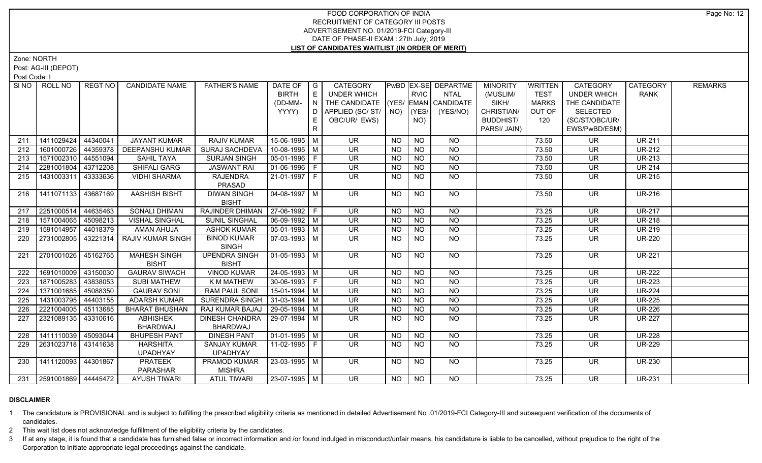Zone: NORTH

Post: AG-III (DEPOT)

Post Code: I

| SI NO | ROLL NO                 | REGT NO  | <b>CANDIDATE NAME</b>    | <b>FATHER'S NAME</b>               | DATE OF   G            |    | <b>CATEGORY</b>                    |           |                 | <b>PwBD EX-SE DEPARTME</b> | <b>MINORITY</b>  | <b>WRITTEN</b> | <b>CATEGORY</b>          | CATEGORY      | <b>REMARKS</b> |
|-------|-------------------------|----------|--------------------------|------------------------------------|------------------------|----|------------------------------------|-----------|-----------------|----------------------------|------------------|----------------|--------------------------|---------------|----------------|
|       |                         |          |                          |                                    | <b>BIRTH</b>           | E  | <b>UNDER WHICH</b>                 |           | <b>RVIC</b>     | <b>NTAL</b>                | (MUSLIM/         | <b>TEST</b>    | <b>UNDER WHICH</b>       | <b>RANK</b>   |                |
|       |                         |          |                          |                                    | (DD-MM-                | N  | THE CANDIDATE (YES/ EMAN CANDIDATE |           |                 |                            | SIKH/            | <b>MARKS</b>   | THE CANDIDATE            |               |                |
|       |                         |          |                          |                                    | YYYY)                  | D  | APPLIED (SC/ ST/   NO)   (YES/     |           |                 | (YES/NO)                   | CHRISTIAN/       | OUT OF         | <b>SELECTED</b>          |               |                |
|       |                         |          |                          |                                    |                        | E  | OBC/UR/ EWS)                       |           | NO)             |                            | <b>BUDDHIST/</b> | 120            | (SC/ST/OBC/UR/           |               |                |
|       |                         |          |                          |                                    |                        | R. |                                    |           |                 |                            | PARSI/ JAIN)     |                | EWS/PwBD/ESM)            |               |                |
| 211   | 1411029424              | 44340041 | <b>JAYANT KUMAR</b>      | RAJIV KUMAR                        | 15-06-1995 M           |    | <b>UR</b>                          | <b>NO</b> | <b>NO</b>       | <b>NO</b>                  |                  | 73.50          | <b>UR</b>                | <b>UR-211</b> |                |
| 212   | 1601000726              | 44359378 | <b>DEEPANSHU KUMAR</b>   | <b>SURAJ SACHDEVA</b>              | 10-08-1995 M           |    | $\overline{\mathsf{UR}}$           | <b>NO</b> | NO              | $N$ O                      |                  | 73.50          | $\overline{\mathsf{UR}}$ | <b>UR-212</b> |                |
| 213   | 1571002310 44551094     |          | <b>SAHIL TAYA</b>        | <b>SURJAN SINGH</b>                | $05-01-1996$ F         |    | UR.                                | <b>NO</b> | N <sub>O</sub>  | $N$ O                      |                  | 73.50          | <b>UR</b>                | <b>UR-213</b> |                |
| 214   | 2281001804              | 43712208 | <b>SHIFALI GARG</b>      | <b>JASWANT RAI</b>                 | $01-06-1996$ F         |    | <b>UR</b>                          | <b>NO</b> | <b>NO</b>       | N <sub>O</sub>             |                  | 73.50          | <b>UR</b>                | <b>UR-214</b> |                |
| 215   | 1431003311              | 43333636 | <b>VIDHI SHARMA</b>      | <b>RAJENDRA</b><br>PRASAD          | $21-01-1997$ F         |    | UR.                                | <b>NO</b> | NO              | $N$ O                      |                  | 73.50          | UR.                      | <b>UR-215</b> |                |
| 216   | 1411071133 43687169     |          | AASHISH BISHT            | <b>DIWAN SINGH</b><br><b>BISHT</b> | $04 - 08 - 1997$ M     |    | <b>UR</b>                          | NO.       | <b>NO</b>       | NO                         |                  | 73.50          | UR.                      | <b>UR-216</b> |                |
| 217   | 2251000514              | 44635463 | <b>SONALI DHIMAN</b>     | RAJINDER DHIMAN   27-06-1992   F   |                        |    | $\overline{\mathsf{UR}}$           | <b>NO</b> | $\overline{NO}$ | $\overline{NQ}$            |                  | 73.25          | <b>UR</b>                | <b>UR-217</b> |                |
| 218   | 1571004065              | 45098213 | <b>VISHAL SINGHAL</b>    | <b>SUNIL SINGHAL</b>               | 06-09-1992 M           |    | UR.                                | NO.       | <b>NO</b>       | $\overline{NQ}$            |                  | 73.25          | UR                       | <b>UR-218</b> |                |
| 219   | 1591014957              | 44018379 | AMAN AHUJA               | <b>ASHOK KUMAR</b>                 | $05-01-1993$ M         |    | <b>UR</b>                          | <b>NO</b> | <b>NO</b>       | $\overline{NQ}$            |                  | 73.25          | <b>UR</b>                | <b>UR-219</b> |                |
| 220   | 2731002805 43221314     |          | <b>RAJIV KUMAR SINGH</b> | <b>BINOD KUMAR</b>                 | 07-03-1993   M         |    | UR.                                | <b>NO</b> | <b>NO</b>       | NO.                        |                  | 73.25          | <b>UR</b>                | <b>UR-220</b> |                |
|       |                         |          |                          | <b>SINGH</b>                       |                        |    |                                    |           |                 |                            |                  |                |                          |               |                |
| 221   | 2701001026 45162765     |          | <b>MAHESH SINGH</b>      | <b>UPENDRA SINGH</b>               | $01-05-1993$ M         |    | <b>UR</b>                          | NO.       | <b>NO</b>       | NO                         |                  | 73.25          | <b>UR</b>                | <b>UR-221</b> |                |
|       |                         |          | <b>BISHT</b>             | <b>BISHT</b>                       |                        |    |                                    |           |                 |                            |                  |                |                          |               |                |
| 222   | 1691010009              | 43150030 | <b>GAURAV SIWACH</b>     | <b>VINOD KUMAR</b>                 | 24-05-1993 M           |    | <b>UR</b>                          | <b>NO</b> | <b>NO</b>       | <b>NO</b>                  |                  | 73.25          | <b>UR</b>                | <b>UR-222</b> |                |
| 223   | 1871005283              | 43838053 | <b>SUBI MATHEW</b>       | K M MATHEW                         | 30-06-1993 F           |    | <b>UR</b>                          | <b>NO</b> | $N$ O           | N <sub>O</sub>             |                  | 73.25          | <b>UR</b>                | <b>UR-223</b> |                |
| 224   | 1371001685 45088350     |          | <b>GAURAV SONI</b>       | <b>RAM PAUL SONI</b>               | $15-01-1994$ M         |    | $\overline{\mathsf{UR}}$           | $N$ O     | N               | $N$ O                      |                  | 73.25          | <b>UR</b>                | <b>UR-224</b> |                |
| 225   | 1431003795 44403155     |          | ADARSH KUMAR             | <b>SURENDRA SINGH</b>              | $31-03-1994$ M         |    | $\overline{\mathsf{UR}}$           | <b>NO</b> | N <sub>O</sub>  | N                          |                  | 73.25          | $\overline{\mathsf{UR}}$ | <b>UR-225</b> |                |
| 226   | 2221004005 45113685     |          | <b>BHARAT BHUSHAN</b>    | RAJ KUMAR BAJAJ                    | $29-05-1994$ M         |    | $\overline{\mathsf{UR}}$           | <b>NO</b> | $N$ O           | N                          |                  | 73.25          | <b>UR</b>                | <b>UR-226</b> |                |
| 227   | 2321089135 43310616     |          | <b>ABHISHEK</b>          | <b>DINESH CHANDRA</b>              | 29-07-1994 M           |    | UR.                                | <b>NO</b> | <b>NO</b>       | <b>NO</b>                  |                  | 73.25          | <b>UR</b>                | <b>UR-227</b> |                |
|       |                         |          | <b>BHARDWAJ</b>          | BHARDWAJ                           |                        |    |                                    |           |                 |                            |                  |                |                          |               |                |
| 228   | 1411110039              | 45093044 | <b>BHUPESH PANT</b>      | <b>DINESH PANT</b>                 | $\boxed{01-01-1995}$ M |    | $\overline{\mathsf{UR}}$           | <b>NO</b> | NO              | $N$ O                      |                  | 73.25          | $\overline{\mathsf{UR}}$ | <b>UR-228</b> |                |
| 229   | 2631023718   43141638   |          | <b>HARSHITA</b>          | <b>SANJAY KUMAR</b>                | 11-02-1995 F           |    | UR.                                | NO.       | <b>NO</b>       | $N$ O                      |                  | 73.25          | UR                       | <b>UR-229</b> |                |
|       |                         |          | <b>UPADHYAY</b>          | <b>UPADHYAY</b>                    |                        |    |                                    |           |                 |                            |                  |                |                          |               |                |
| 230   | 1411120093 44301867     |          | <b>PRATEEK</b>           | PRAMOD KUMAR                       | 23-03-1995 M           |    | UR.                                | NO        | <b>NO</b>       | NO.                        |                  | 73.25          | UR.                      | <b>UR-230</b> |                |
|       |                         |          | PARASHAR                 | <b>MISHRA</b>                      |                        |    |                                    |           |                 |                            |                  |                |                          |               |                |
|       | 231 2591001869 44445472 |          | <b>AYUSH TIWARI</b>      | <b>ATUL TIWARI</b>                 | 23-07-1995 M           |    | $\overline{\mathsf{UR}}$           | NO        | <b>NO</b>       | $\overline{NO}$            |                  | 73.25          | <b>UR</b>                | <b>UR-231</b> |                |

# **DISCLAIMER**

1 The candidature is PROVISIONAL and is subject to fulfilling the prescribed eligibility criteria as mentioned in detailed Advertisement No .01/2019-FCI Category-III and subsequent verification of the documents of candidates.

2 This wait list does not acknowledge fulfillment of the eligibility criteria by the candidates.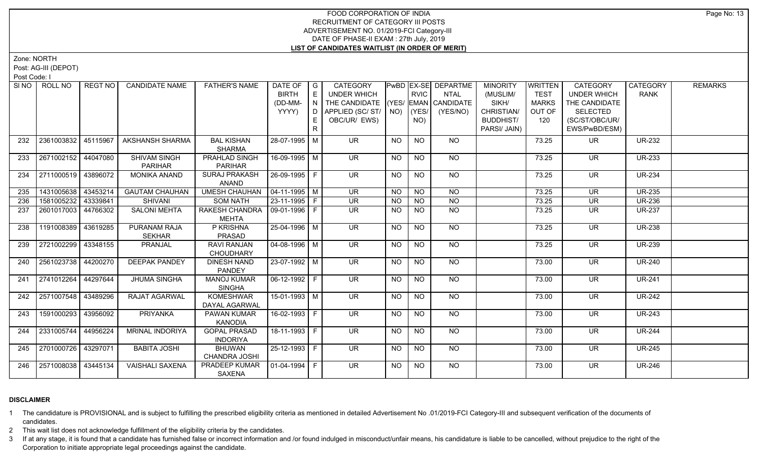Zone: NORTH

Post: AG-III (DEPOT)

Post Code: I

| SI NO I | ROLL NO             | REGT NO  | <b>CANDIDATE NAME</b>                 | <b>FATHER'S NAME</b>                   | DATE OF   G<br><b>BIRTH</b><br>(DD-MM-<br>YYYY) | E<br>N<br>D<br>E | <b>CATEGORY</b><br>UNDER WHICH<br>THE CANDIDATE (YES/ EMAN CANDIDATE<br>APPLIED (SC/ST/<br>OBC/UR/ EWS) |                 | <b>RVIC</b><br>$NO)$ (YES/<br>NO) | <b>PwBD EX-SE DEPARTME</b><br><b>NTAL</b><br>(YES/NO) | <b>MINORITY</b><br>(MUSLIM/<br>SIKH/<br>CHRISTIAN/<br><b>BUDDHIST/</b><br>PARSI/ JAIN) | <b>WRITTEN</b><br><b>TEST</b><br><b>MARKS</b><br>OUT OF<br>120 | <b>CATEGORY</b><br><b>UNDER WHICH</b><br>THE CANDIDATE<br><b>SELECTED</b><br>(SC/ST/OBC/UR/<br>EWS/PwBD/ESM) | CATEGORY<br><b>RANK</b> | <b>REMARKS</b> |
|---------|---------------------|----------|---------------------------------------|----------------------------------------|-------------------------------------------------|------------------|---------------------------------------------------------------------------------------------------------|-----------------|-----------------------------------|-------------------------------------------------------|----------------------------------------------------------------------------------------|----------------------------------------------------------------|--------------------------------------------------------------------------------------------------------------|-------------------------|----------------|
| 232     | 2361003832          | 45115967 | <b>AKSHANSH SHARMA</b>                | <b>BAL KISHAN</b><br><b>SHARMA</b>     | 28-07-1995 M                                    |                  | <b>UR</b>                                                                                               | NO              | <b>NO</b>                         | NO                                                    |                                                                                        | 73.25                                                          | UR.                                                                                                          | <b>UR-232</b>           |                |
| 233     | 2671002152 44047080 |          | <b>SHIVAM SINGH</b><br><b>PARIHAR</b> | PRAHLAD SINGH<br><b>PARIHAR</b>        | 16-09-1995 M                                    |                  | <b>UR</b>                                                                                               | NO              | <b>NO</b>                         | NO                                                    |                                                                                        | 73.25                                                          | <b>UR</b>                                                                                                    | <b>UR-233</b>           |                |
| 234     | 2711000519 43896072 |          | <b>MONIKA ANAND</b>                   | <b>SURAJ PRAKASH</b><br><b>ANAND</b>   | 26-09-1995 F                                    |                  | UR.                                                                                                     | NO              | $\overline{NQ}$                   | NO                                                    |                                                                                        | 73.25                                                          | <b>UR</b>                                                                                                    | <b>UR-234</b>           |                |
| 235     | 1431005638 43453214 |          | <b>GAUTAM CHAUHAN</b>                 | <b>UMESH CHAUHAN</b>                   | $04-11-1995$ M                                  |                  | $\overline{\mathsf{UR}}$                                                                                | <b>NO</b>       | N <sub>O</sub>                    | NO                                                    |                                                                                        | 73.25                                                          | <b>UR</b>                                                                                                    | <b>UR-235</b>           |                |
| 236     | 1581005232          | 43339841 | <b>SHIVANI</b>                        | <b>SOM NATH</b>                        | $23-11-1995$ F                                  |                  | $\overline{\mathsf{UR}}$                                                                                | <b>NO</b>       | $N$ O                             | N <sub>O</sub>                                        |                                                                                        | 73.25                                                          | $\overline{\mathsf{UR}}$                                                                                     | <b>UR-236</b>           |                |
| 237     | 2601017003 44766302 |          | <b>SALONI MEHTA</b>                   | <b>RAKESH CHANDRA</b><br><b>MEHTA</b>  | 09-01-1996 F                                    |                  | UR.                                                                                                     | <b>NO</b>       | $N$ O                             | N <sub>O</sub>                                        |                                                                                        | 73.25                                                          | <b>UR</b>                                                                                                    | <b>UR-237</b>           |                |
| 238     | 1191008389 43619285 |          | <b>PURANAM RAJA</b><br><b>SEKHAR</b>  | P KRISHNA<br>PRASAD                    | 25-04-1996 M                                    |                  | $\overline{\mathsf{UR}}$                                                                                | <b>NO</b>       | <b>NO</b>                         | NO                                                    |                                                                                        | 73.25                                                          | <b>UR</b>                                                                                                    | <b>UR-238</b>           |                |
| 239     | 2721002299          | 43348155 | PRANJAL                               | RAVI RANJAN<br><b>CHOUDHARY</b>        | $04 - 08 - 1996$ M                              |                  | $\overline{\mathsf{UR}}$                                                                                | <b>NO</b>       | N <sub>O</sub>                    | NO                                                    |                                                                                        | 73.25                                                          | $\overline{\mathsf{UR}}$                                                                                     | <b>UR-239</b>           |                |
| 240     | 2561023738          | 44200270 | <b>DEEPAK PANDEY</b>                  | <b>DINESH NAND</b><br><b>PANDEY</b>    | 23-07-1992 M                                    |                  | <b>UR</b>                                                                                               | <b>NO</b>       | <b>NO</b>                         | NO                                                    |                                                                                        | 73.00                                                          | <b>UR</b>                                                                                                    | <b>UR-240</b>           |                |
| 241     | 2741012264 44297644 |          | <b>JHUMA SINGHA</b>                   | <b>MANOJ KUMAR</b><br><b>SINGHA</b>    | $06-12-1992$ F                                  |                  | $\overline{\mathsf{UR}}$                                                                                | $\overline{NO}$ | $\overline{NQ}$                   | $N$ <sup>O</sup>                                      |                                                                                        | 73.00                                                          | <b>UR</b>                                                                                                    | <b>UR-241</b>           |                |
| 242     | 2571007548 43489296 |          | RAJAT AGARWAL                         | <b>KOMESHWAR</b><br>DAYAL AGARWAL      | 15-01-1993 M                                    |                  | <b>UR</b>                                                                                               | NO.             | <b>NO</b>                         | NO                                                    |                                                                                        | 73.00                                                          | UR                                                                                                           | <b>UR-242</b>           |                |
| 243     | 1591000293          | 43956092 | PRIYANKA                              | PAWAN KUMAR<br><b>KANODIA</b>          | 16-02-1993 F                                    |                  | UR.                                                                                                     | NO.             | <b>NO</b>                         | <b>NO</b>                                             |                                                                                        | 73.00                                                          | <b>UR</b>                                                                                                    | <b>UR-243</b>           |                |
| 244     | 2331005744          | 44956224 | <b>MRINAL INDORIYA</b>                | <b>GOPAL PRASAD</b><br><b>INDORIYA</b> | 18-11-1993 F                                    |                  | UR                                                                                                      | NO              | N <sub>O</sub>                    | NO                                                    |                                                                                        | 73.00                                                          | $\overline{\mathsf{UR}}$                                                                                     | <b>UR-244</b>           |                |
| 245     | 2701000726 43297071 |          | <b>BABITA JOSHI</b>                   | <b>BHUWAN</b><br>CHANDRA JOSHI         | 25-12-1993 F                                    |                  | <b>UR</b>                                                                                               | <b>NO</b>       | <b>NO</b>                         | <b>NO</b>                                             |                                                                                        | 73.00                                                          | <b>UR</b>                                                                                                    | <b>UR-245</b>           |                |
| 246     | 2571008038 43445134 |          | <b>VAISHALI SAXENA</b>                | PRADEEP KUMAR<br>SAXENA                | $01-04-1994$ F                                  |                  | UR.                                                                                                     | NO.             | <b>NO</b>                         | NO                                                    |                                                                                        | 73.00                                                          | UR.                                                                                                          | <b>UR-246</b>           |                |

# **DISCLAIMER**

1 The candidature is PROVISIONAL and is subject to fulfilling the prescribed eligibility criteria as mentioned in detailed Advertisement No .01/2019-FCI Category-III and subsequent verification of the documents of candidates.

2 This wait list does not acknowledge fulfillment of the eligibility criteria by the candidates.

3 If at any stage, it is found that a candidate has furnished false or incorrect information and /or found indulged in misconduct/unfair means, his candidature is liable to be cancelled, without prejudice to the right of t Corporation to initiate appropriate legal proceedings against the candidate.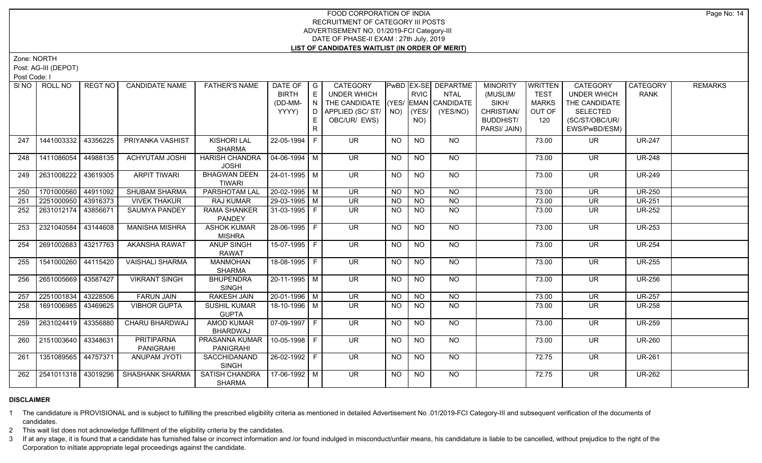Zone: NORTH

Post: AG-III (DEPOT)

Post Code: I

|     | SINO   ROLL NO      | REGT NO  | <b>CANDIDATE NAME</b>  | <b>FATHER'S NAME</b>  | DATE OF<br><b>BIRTH</b> | $\overline{\phantom{a}}$ $\overline{\phantom{a}}$<br>E | <b>CATEGORY</b><br>UNDER WHICH     |                | <b>RVIC</b>    | PwBD   EX-SE   DEPARTME<br><b>NTAL</b> | <b>MINORITY</b><br>(MUSLIM/ | <b>WRITTEN</b><br><b>TEST</b> | <b>CATEGORY</b><br><b>UNDER WHICH</b> | CATEGORY<br><b>RANK</b> | <b>REMARKS</b> |
|-----|---------------------|----------|------------------------|-----------------------|-------------------------|--------------------------------------------------------|------------------------------------|----------------|----------------|----------------------------------------|-----------------------------|-------------------------------|---------------------------------------|-------------------------|----------------|
|     |                     |          |                        |                       | (DD-MM-                 | $\top$ N $\bot$                                        | THE CANDIDATE (YES/ EMAN CANDIDATE |                |                |                                        | SIKH/                       | <b>MARKS</b>                  | THE CANDIDATE                         |                         |                |
|     |                     |          |                        |                       | YYYY)                   | D.                                                     | APPLIED (SC/ ST/   NO)   (YES/     |                |                | (YES/NO)                               | CHRISTIAN/                  | OUT OF                        | <b>SELECTED</b>                       |                         |                |
|     |                     |          |                        |                       |                         |                                                        | OBC/UR/ EWS)                       |                | NO)            |                                        | <b>BUDDHIST/</b>            | 120                           | (SC/ST/OBC/UR/                        |                         |                |
|     |                     |          |                        |                       |                         | E.                                                     |                                    |                |                |                                        |                             |                               |                                       |                         |                |
|     |                     |          |                        |                       |                         | R                                                      |                                    |                |                |                                        | PARSI/ JAIN)                |                               | EWS/PwBD/ESM)                         |                         |                |
| 247 | 1441003332          | 43356225 | PRIYANKA VASHIST       | <b>KISHORI LAL</b>    | 22-05-1994              |                                                        | <b>UR</b>                          | <b>NO</b>      | <b>NO</b>      | <b>NO</b>                              |                             | 73.00                         | UR.                                   | <b>UR-247</b>           |                |
|     |                     |          |                        | <b>SHARMA</b>         |                         |                                                        |                                    |                |                |                                        |                             |                               |                                       |                         |                |
| 248 | 1411086054          | 44988135 | <b>ACHYUTAM JOSHI</b>  | <b>HARISH CHANDRA</b> | $04 - 06 - 1994$ M      |                                                        | <b>UR</b>                          | <b>NO</b>      | <b>NO</b>      | NO                                     |                             | 73.00                         | UR.                                   | <b>UR-248</b>           |                |
|     |                     |          |                        | <b>JOSHI</b>          |                         |                                                        |                                    |                |                |                                        |                             |                               |                                       |                         |                |
| 249 | 2631008222          | 43619305 | <b>ARPIT TIWARI</b>    | <b>BHAGWAN DEEN</b>   | $24 - 01 - 1995$ M      |                                                        | $\overline{\mathsf{UR}}$           | <b>NO</b>      | <b>NO</b>      | $N$ <sup>O</sup>                       |                             | 73.00                         | <b>UR</b>                             | <b>UR-249</b>           |                |
|     |                     |          |                        | <b>TIWARI</b>         |                         |                                                        |                                    |                |                |                                        |                             |                               |                                       |                         |                |
| 250 | 1701000560 44911092 |          | SHUBAM SHARMA          | <b>PARSHOTAM LAL</b>  | 20-02-1995 M            |                                                        | $\overline{\mathsf{UR}}$           | N <sub>O</sub> | N <sub>O</sub> | N <sub>O</sub>                         |                             | 73.00                         | <b>UR</b>                             | <b>UR-250</b>           |                |
| 251 | 2251000950 43916373 |          | <b>VIVEK THAKUR</b>    | RAJ KUMAR             | 29-03-1995 M            |                                                        | <b>UR</b>                          | <b>NO</b>      | <b>NO</b>      | N <sub>O</sub>                         |                             | 73.00                         | $\overline{\mathsf{UR}}$              | <b>UR-251</b>           |                |
| 252 | 2631012174 43856671 |          | <b>SAUMYA PANDEY</b>   | <b>RAMA SHANKER</b>   | $31-03-1995$ F          |                                                        | $\overline{\mathsf{UR}}$           | <b>NO</b>      | N <sub>O</sub> | $N$ <sup>O</sup>                       |                             | 73.00                         | <b>UR</b>                             | <b>UR-252</b>           |                |
|     |                     |          |                        | PANDEY                |                         |                                                        |                                    |                |                |                                        |                             |                               |                                       |                         |                |
| 253 | 2321040584          | 43144608 | <b>MANISHA MISHRA</b>  | <b>ASHOK KUMAR</b>    | 28-06-1995 F            |                                                        | $\overline{\mathsf{UR}}$           | <b>NO</b>      | <b>NO</b>      | NO                                     |                             | 73.00                         | <b>UR</b>                             | <b>UR-253</b>           |                |
|     |                     |          |                        | <b>MISHRA</b>         |                         |                                                        |                                    |                |                |                                        |                             |                               |                                       |                         |                |
| 254 | 2691002683 43217763 |          | <b>AKANSHA RAWAT</b>   | <b>ANUP SINGH</b>     | $15-07-1995$ F          |                                                        | UR.                                | <b>NO</b>      | <b>NO</b>      | NO                                     |                             | 73.00                         | <b>UR</b>                             | <b>UR-254</b>           |                |
|     |                     |          |                        | <b>RAWAT</b>          |                         |                                                        |                                    |                |                |                                        |                             |                               |                                       |                         |                |
| 255 | 1541000260 44115420 |          | <b>VAISHALI SHARMA</b> | <b>MANMOHAN</b>       | 18-08-1995   F          |                                                        | <b>UR</b>                          | <b>NO</b>      | <b>NO</b>      | <b>NO</b>                              |                             | 73.00                         | <b>UR</b>                             | <b>UR-255</b>           |                |
|     |                     |          |                        | <b>SHARMA</b>         |                         |                                                        |                                    |                |                |                                        |                             |                               |                                       |                         |                |
| 256 | 2651005669 43587427 |          | <b>VIKRANT SINGH</b>   | <b>BHUPENDRA</b>      | 20-11-1995 M            |                                                        | <b>UR</b>                          | <b>NO</b>      | <b>NO</b>      | <b>NO</b>                              |                             | 73.00                         | <b>UR</b>                             | <b>UR-256</b>           |                |
|     |                     |          |                        | <b>SINGH</b>          |                         |                                                        |                                    |                |                |                                        |                             |                               |                                       |                         |                |
| 257 | 2251001834          | 43228506 | <b>FARUN JAIN</b>      | <b>RAKESH JAIN</b>    | 20-01-1996 M            |                                                        | $\overline{\mathsf{UR}}$           | <b>NO</b>      | <b>NO</b>      | N <sub>O</sub>                         |                             | 73.00                         | <b>UR</b>                             | <b>UR-257</b>           |                |
| 258 | 1691006985 43469625 |          | <b>VIBHOR GUPTA</b>    | <b>SUSHIL KUMAR</b>   | 18-10-1996 M            |                                                        | <b>UR</b>                          | NO.            | <b>NO</b>      | N <sub>O</sub>                         |                             | 73.00                         | <b>UR</b>                             | <b>UR-258</b>           |                |
|     |                     |          |                        | <b>GUPTA</b>          |                         |                                                        |                                    |                |                |                                        |                             |                               |                                       |                         |                |
| 259 | 2631024419          | 43356880 | CHARU BHARDWAJ         | <b>AMOD KUMAR</b>     | 07-09-1997 F            |                                                        | <b>UR</b>                          | NO.            | <b>NO</b>      | NO                                     |                             | 73.00                         | <b>UR</b>                             | <b>UR-259</b>           |                |
|     |                     |          |                        | <b>BHARDWAJ</b>       |                         |                                                        |                                    |                |                |                                        |                             |                               |                                       |                         |                |
| 260 | 2151003640 43348631 |          | PRITIPARNA             | PRASANNA KUMAR        | 10-05-1998 F            |                                                        | UR.                                | <b>NO</b>      | N <sub>O</sub> | NO                                     |                             | 73.00                         | <b>UR</b>                             | <b>UR-260</b>           |                |
|     |                     |          | PANIGRAHI              | <b>PANIGRAHI</b>      |                         |                                                        |                                    |                |                |                                        |                             |                               |                                       |                         |                |
| 261 | 1351089565 44757371 |          | <b>ANUPAM JYOTI</b>    | SACCHIDANAND          | 26-02-1992 F            |                                                        | <b>UR</b>                          | <b>NO</b>      | <b>NO</b>      | <b>NO</b>                              |                             | 72.75                         | <b>UR</b>                             | <b>UR-261</b>           |                |
|     |                     |          |                        | <b>SINGH</b>          |                         |                                                        |                                    |                |                |                                        |                             |                               |                                       |                         |                |
| 262 | 2541011318 43019296 |          | <b>SHASHANK SHARMA</b> | SATISH CHANDRA        | 17-06-1992 M            |                                                        | <b>UR</b>                          | <b>NO</b>      | <b>NO</b>      | $N$ <sup>O</sup>                       |                             | 72.75                         | <b>UR</b>                             | <b>UR-262</b>           |                |
|     |                     |          |                        | <b>SHARMA</b>         |                         |                                                        |                                    |                |                |                                        |                             |                               |                                       |                         |                |

# **DISCLAIMER**

1 The candidature is PROVISIONAL and is subject to fulfilling the prescribed eligibility criteria as mentioned in detailed Advertisement No .01/2019-FCI Category-III and subsequent verification of the documents of candidates.

2 This wait list does not acknowledge fulfillment of the eligibility criteria by the candidates.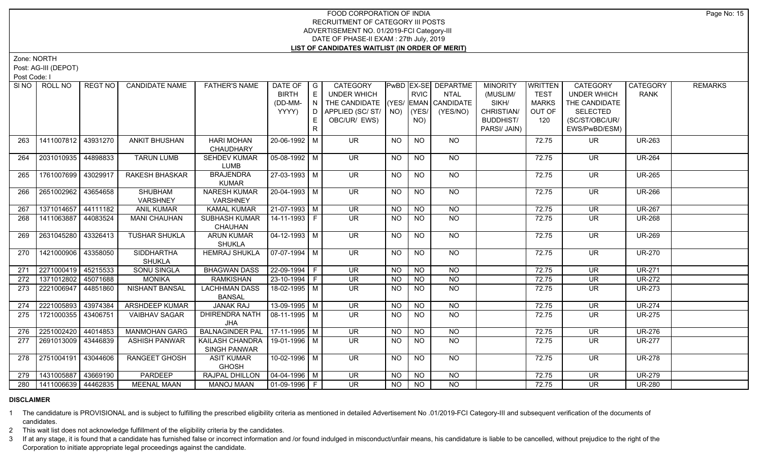Zone: NORTH

Post: AG-III (DEPOT)

Post Code: I

| SI NO | ROLL NO               | REGT NO  | <b>CANDIDATE NAME</b> | <b>FATHER'S NAME</b>   | DATE OF                      | $\overline{\phantom{a}}$ G | CATEGORY                           |             |                | PwBD EX-SE DEPARTME                      | <b>MINORITY</b>  | <b>WRITTEN</b> | CATEGORY                 | CATEGORY      | <b>REMARKS</b> |
|-------|-----------------------|----------|-----------------------|------------------------|------------------------------|----------------------------|------------------------------------|-------------|----------------|------------------------------------------|------------------|----------------|--------------------------|---------------|----------------|
|       |                       |          |                       |                        | <b>BIRTH</b>                 | E                          | <b>UNDER WHICH</b>                 |             | <b>RVIC</b>    | <b>NTAL</b>                              | (MUSLIM/         | <b>TEST</b>    | <b>UNDER WHICH</b>       | <b>RANK</b>   |                |
|       |                       |          |                       |                        | (DD-MM-                      | N.                         | THE CANDIDATE (YES/ EMAN CANDIDATE |             |                |                                          | SIKH/            | <b>MARKS</b>   | THE CANDIDATE            |               |                |
|       |                       |          |                       |                        | YYYY)                        | D                          | APPLIED (SC/ST/                    | $NO)$ (YES/ |                | (YES/NO)                                 | CHRISTIAN/       | OUT OF         | <b>SELECTED</b>          |               |                |
|       |                       |          |                       |                        |                              | E.                         | OBC/UR/ EWS)                       |             | NO)            |                                          | <b>BUDDHIST/</b> | 120            | (SC/ST/OBC/UR/           |               |                |
|       |                       |          |                       |                        |                              | R                          |                                    |             |                |                                          | PARSI/ JAIN)     |                | EWS/PwBD/ESM)            |               |                |
| 263   | 1411007812            | 43931270 | <b>ANKIT BHUSHAN</b>  | <b>HARI MOHAN</b>      | 20-06-1992 M                 |                            | <b>UR</b>                          | <b>NO</b>   | <b>NO</b>      | <b>NO</b>                                |                  | 72.75          | UR.                      | <b>UR-263</b> |                |
|       |                       |          |                       | CHAUDHARY              |                              |                            |                                    |             |                |                                          |                  |                |                          |               |                |
| 264   | 2031010935   44898833 |          | <b>TARUN LUMB</b>     | <b>SEHDEV KUMAR</b>    | $05-08-1992$ M               |                            | <b>UR</b>                          | NO          | <b>NO</b>      | NO                                       |                  | 72.75          | UR                       | <b>UR-264</b> |                |
|       |                       |          |                       | <b>LUMB</b>            |                              |                            |                                    |             |                |                                          |                  |                |                          |               |                |
| 265   | 1761007699            | 43029917 | RAKESH BHASKAR        | <b>BRAJENDRA</b>       | $27 - 03 - 1993$ M           |                            | $\overline{\mathsf{UR}}$           | NO.         | <b>NO</b>      | NO                                       |                  | 72.75          | <b>UR</b>                | <b>UR-265</b> |                |
|       |                       |          |                       | <b>KUMAR</b>           |                              |                            |                                    |             |                |                                          |                  |                |                          |               |                |
| 266   | 2651002962            | 43654658 | <b>SHUBHAM</b>        | <b>NARESH KUMAR</b>    | $20-04-1993$ M               |                            | $\overline{\mathsf{UR}}$           | NO          | N <sub>O</sub> | $N$ <sup>O</sup>                         |                  | 72.75          | $\overline{\mathsf{UR}}$ | <b>UR-266</b> |                |
|       |                       |          | <b>VARSHNEY</b>       | VARSHNEY               |                              |                            |                                    |             |                |                                          |                  |                |                          |               |                |
| 267   | 1371014657            | 44111182 | <b>ANIL KUMAR</b>     | <b>KAMAL KUMAR</b>     | $21-07-1993$ M               |                            | $\overline{\mathsf{UR}}$           | <b>NO</b>   | $N$ O          | $N$ O                                    |                  | 72.75          | $\overline{\mathsf{UR}}$ | <b>UR-267</b> |                |
| 268   | 1411063887            | 44083524 | <b>MANI CHAUHAN</b>   | <b>SUBHASH KUMAR</b>   | 14-11-1993 F                 |                            | UR.                                | NO.         | <b>NO</b>      | $N$ O                                    |                  | 72.75          | <b>UR</b>                | <b>UR-268</b> |                |
|       |                       |          |                       | CHAUHAN                |                              |                            |                                    |             |                |                                          |                  |                |                          |               |                |
| 269   | 2631045280            | 43326413 | <b>TUSHAR SHUKLA</b>  | <b>ARUN KUMAR</b>      | $04 - 12 - 1993$ M           |                            | $\overline{\mathsf{UR}}$           | NO          | N <sub>O</sub> | NO                                       |                  | 72.75          | <b>UR</b>                | <b>UR-269</b> |                |
|       |                       |          |                       | <b>SHUKLA</b>          |                              |                            |                                    |             |                |                                          |                  |                |                          |               |                |
| 270   | 1421000906            | 43358050 | <b>SIDDHARTHA</b>     | <b>HEMRAJ SHUKLA</b>   | $07-07-1994$ M               |                            | <b>UR</b>                          | <b>NO</b>   | <b>NO</b>      | <b>NO</b>                                |                  | 72.75          | <b>UR</b>                | <b>UR-270</b> |                |
|       |                       |          | <b>SHUKLA</b>         |                        |                              |                            |                                    |             |                |                                          |                  |                |                          |               |                |
| 271   | 2271000419 45215533   |          | <b>SONU SINGLA</b>    | <b>BHAGWAN DASS</b>    | 22-09-1994 F                 |                            | <b>UR</b>                          | <b>NO</b>   | <b>NO</b>      | <b>NO</b>                                |                  | 72.75          | <b>UR</b>                | <b>UR-271</b> |                |
| 272   | 1371012802            | 45071688 | MONIKA                | <b>RAMKISHAN</b>       | $23-10-1994$ F               |                            | UR                                 | <b>NO</b>   | $\overline{N}$ | N <sub>O</sub>                           |                  | 72.75          | $\overline{\mathsf{UR}}$ | <b>UR-272</b> |                |
| 273   | 2221006947            | 44851860 | <b>NISHANT BANSAL</b> | <b>LACHHMAN DASS</b>   | 18-02-1995   M               |                            | UR.                                | <b>NO</b>   | <b>NO</b>      | <b>NO</b>                                |                  | 72.75          | <b>UR</b>                | <b>UR-273</b> |                |
|       |                       |          |                       | <b>BANSAL</b>          |                              |                            |                                    |             |                |                                          |                  |                |                          |               |                |
| 274   | 2221005893            | 43974384 | <b>ARSHDEEP KUMAR</b> | <b>JANAK RAJ</b>       | 13-09-1995 M                 |                            | $\overline{\mathsf{UR}}$           | <b>NO</b>   | <b>NO</b>      | $N$ <sup><math>\overline{O}</math></sup> |                  | 72.75          | <b>UR</b>                | <b>UR-274</b> |                |
| 275   | 1721000355            | 43406751 | <b>VAIBHAV SAGAR</b>  | DHIRENDRA NATH         | 08-11-1995   M               |                            | UR.                                | NO          | NO.            | N <sub>O</sub>                           |                  | 72.75          | <b>UR</b>                | <b>UR-275</b> |                |
|       |                       |          |                       | <b>JHA</b>             |                              |                            |                                    |             |                |                                          |                  |                |                          |               |                |
| 276   | 2251002420 44014853   |          | <b>MANMOHAN GARG</b>  | <b>BALNAGINDER PAL</b> | 17-11-1995 M                 |                            | UR                                 | <b>NO</b>   | N <sub>O</sub> | N <sub>O</sub>                           |                  | 72.75          | <b>UR</b>                | <b>UR-276</b> |                |
| 277   | 2691013009            | 43446839 | <b>ASHISH PANWAR</b>  | KAILASH CHANDRA        | 19-01-1996 M                 |                            | UR.                                | NO.         | N <sub>O</sub> | N <sub>O</sub>                           |                  | 72.75          | <b>UR</b>                | <b>UR-277</b> |                |
|       |                       |          |                       | SINGH PANWAR           |                              |                            |                                    |             |                |                                          |                  |                |                          |               |                |
| 278   | 2751004191            | 43044606 | <b>RANGEET GHOSH</b>  | <b>ASIT KUMAR</b>      | 10-02-1996 M                 |                            | UR.                                | <b>NO</b>   | N <sub>O</sub> | NO                                       |                  | 72.75          | <b>UR</b>                | <b>UR-278</b> |                |
|       |                       |          |                       | <b>GHOSH</b>           |                              |                            |                                    |             |                |                                          |                  |                |                          |               |                |
| 279   | 1431005887            | 43669190 | PARDEEP               | RAJPAL DHILLON         | $\vert$ 04-04-1996 $\vert$ M |                            | <b>UR</b>                          | <b>NO</b>   | <b>NO</b>      | <b>NO</b>                                |                  | 72.75          | <b>UR</b>                | <b>UR-279</b> |                |
| 280   | 1411006639   44462835 |          | <b>MEENAL MAAN</b>    | <b>MANOJ MAAN</b>      | $ 01-09-1996 F$              |                            | <b>UR</b>                          | <b>NO</b>   | <b>NO</b>      | <b>NO</b>                                |                  | 72.75          | <b>UR</b>                | <b>UR-280</b> |                |

# **DISCLAIMER**

1 The candidature is PROVISIONAL and is subject to fulfilling the prescribed eligibility criteria as mentioned in detailed Advertisement No .01/2019-FCI Category-III and subsequent verification of the documents of candidates.

2 This wait list does not acknowledge fulfillment of the eligibility criteria by the candidates.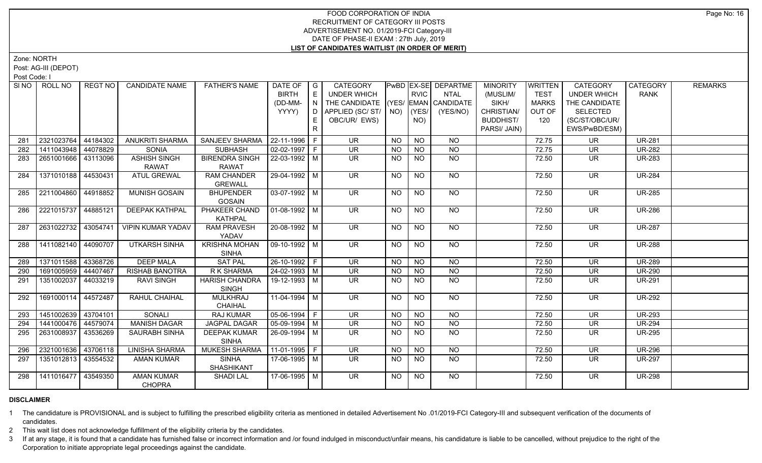Zone: NORTH

Post: AG-III (DEPOT)

Post Code: I

|     | SINO FROLL NO         | REGT NO  | <b>CANDIDATE NAME</b>    | <b>FATHER'S NAME</b>           | DATE OF               | $\overline{\phantom{a}}$ G | CATEGORY                           |           |                 | <b>PwBD EX-SE DEPARTME</b> | <b>MINORITY</b>  | <b>WRITTEN</b> | <b>CATEGORY</b>          | CATEGORY      | <b>REMARKS</b> |
|-----|-----------------------|----------|--------------------------|--------------------------------|-----------------------|----------------------------|------------------------------------|-----------|-----------------|----------------------------|------------------|----------------|--------------------------|---------------|----------------|
|     |                       |          |                          |                                | <b>BIRTH</b>          | E                          | UNDER WHICH                        |           | <b>RVIC</b>     | <b>NTAL</b>                | (MUSLIM/         | <b>TEST</b>    | <b>UNDER WHICH</b>       | <b>RANK</b>   |                |
|     |                       |          |                          |                                | (DD-MM-               | N I                        | THE CANDIDATE (YES/ EMAN CANDIDATE |           |                 |                            | SIKH/            | <b>MARKS</b>   | THE CANDIDATE            |               |                |
|     |                       |          |                          |                                | YYYY)                 |                            | D APPLIED (SC/ ST/ NO)             |           | (YES/           | (YES/NO)                   | CHRISTIAN/       | OUT OF         | <b>SELECTED</b>          |               |                |
|     |                       |          |                          |                                |                       |                            | OBC/UR/ EWS)                       |           | NO)             |                            | <b>BUDDHIST/</b> | 120            | (SC/ST/OBC/UR/           |               |                |
|     |                       |          |                          |                                |                       | R                          |                                    |           |                 |                            | PARSI/ JAIN)     |                | EWS/PwBD/ESM)            |               |                |
| 281 | 2321023764            | 44184302 | <b>ANUKRITI SHARMA</b>   | SANJEEV SHARMA   22-11-1996    |                       | E                          | <b>UR</b>                          | <b>NO</b> | <b>NO</b>       | <b>NO</b>                  |                  | 72.75          | <b>UR</b>                | <b>UR-281</b> |                |
| 282 | 1411043948            | 44078829 | <b>SONIA</b>             | <b>SUBHASH</b>                 | $02-02-1997$ F        |                            | <b>UR</b>                          | <b>NO</b> | NO              | $N$ O                      |                  | 72.75          | <b>UR</b>                | <b>UR-282</b> |                |
| 283 | 2651001666   43113096 |          | <b>ASHISH SINGH</b>      | <b>BIRENDRA SINGH</b>          | 22-03-1992 M          |                            | UR.                                | NO.       | N <sub>O</sub>  | <b>NO</b>                  |                  | 72.50          | <b>UR</b>                | <b>UR-283</b> |                |
|     |                       |          | <b>RAWAT</b>             | <b>RAWAT</b>                   |                       |                            |                                    |           |                 |                            |                  |                |                          |               |                |
| 284 | 1371010188            | 44530431 | <b>ATUL GREWAL</b>       | <b>RAM CHANDER</b>             | 29-04-1992 M          |                            | <b>UR</b>                          | <b>NO</b> | <b>NO</b>       | NO                         |                  | 72.50          | UR                       | <b>UR-284</b> |                |
|     |                       |          |                          | <b>GREWALL</b>                 |                       |                            |                                    |           |                 |                            |                  |                |                          |               |                |
| 285 | 2211004860            | 44918852 | <b>MUNISH GOSAIN</b>     | <b>BHUPENDER</b>               | $03-07-1992$ M        |                            | UR                                 | <b>NO</b> | $\overline{NQ}$ | $N$ <sup>O</sup>           |                  | 72.50          | $\overline{\mathsf{UR}}$ | <b>UR-285</b> |                |
|     |                       |          |                          | <b>GOSAIN</b>                  |                       |                            |                                    |           |                 |                            |                  |                |                          |               |                |
| 286 | 2221015737            | 44885121 | <b>DEEPAK KATHPAL</b>    | PHAKEER CHAND                  | $01-08-1992$ M        |                            | $\overline{\mathsf{UR}}$           | <b>NO</b> | N <sub>O</sub>  | $N$ O                      |                  | 72.50          | $\overline{\mathsf{UR}}$ | <b>UR-286</b> |                |
|     |                       |          |                          | <b>KATHPAL</b>                 |                       |                            |                                    |           |                 |                            |                  |                |                          |               |                |
| 287 | 2631022732 43054741   |          | <b>VIPIN KUMAR YADAV</b> | <b>RAM PRAVESH</b>             | 20-08-1992   M        |                            | UR.                                | <b>NO</b> | N <sub>O</sub>  | NO                         |                  | 72.50          | <b>UR</b>                | <b>UR-287</b> |                |
|     |                       |          |                          | YADAV                          |                       |                            |                                    |           |                 |                            |                  |                |                          |               |                |
| 288 | 1411082140 44090707   |          | <b>UTKARSH SINHA</b>     | <b>KRISHNA MOHAN</b>           | 09-10-1992   M        |                            | <b>UR</b>                          | NO.       | <b>NO</b>       | NO                         |                  | 72.50          | <b>UR</b>                | <b>UR-288</b> |                |
|     |                       |          |                          | <b>SINHA</b>                   |                       |                            |                                    |           |                 |                            |                  |                |                          |               |                |
| 289 | 1371011588 43368726   |          | <b>DEEP MALA</b>         | <b>SAT PAL</b>                 | $26-10-1992$ F        |                            | <b>UR</b>                          | <b>NO</b> | <b>NO</b>       | <b>NO</b>                  |                  | 72.50          | <b>UR</b>                | <b>UR-289</b> |                |
| 290 | 1691005959            | 44407467 | <b>RISHAB BANOTRA</b>    | R K SHARMA                     | $24-02-1993$ M        |                            | <b>UR</b>                          | <b>NO</b> | <b>NO</b>       | $\overline{NQ}$            |                  | 72.50          | <b>UR</b>                | <b>UR-290</b> |                |
| 291 | 1351002037            | 44033219 | <b>RAVI SINGH</b>        | <b>HARISH CHANDRA</b><br>SINGH | 19-12-1993 M          |                            | UR.                                | NO.       | <b>NO</b>       | NO                         |                  | 72.50          | UR                       | <b>UR-291</b> |                |
| 292 | 1691000114 44572487   |          | RAHUL CHAIHAL            | <b>MULKHRAJ</b>                | 11-04-1994 M          |                            | <b>UR</b>                          | <b>NO</b> | NO.             | NO                         |                  | 72.50          | <b>UR</b>                | <b>UR-292</b> |                |
|     |                       |          |                          | <b>CHAIHAL</b>                 |                       |                            |                                    |           |                 |                            |                  |                |                          |               |                |
| 293 | 1451002639            | 43704101 | <b>SONALI</b>            | <b>RAJ KUMAR</b>               | $05-06-1994$ F        |                            | $\overline{\mathsf{UR}}$           | <b>NO</b> | N <sub>O</sub>  | $N$ O                      |                  | 72.50          | UR.                      | <b>UR-293</b> |                |
| 294 | 1441000476            | 44579074 | <b>MANISH DAGAR</b>      | <b>JAGPAL DAGAR</b>            | $\sqrt{05-09-1994}$ M |                            | <b>UR</b>                          | <b>NO</b> | <b>NO</b>       | N <sub>O</sub>             |                  | 72.50          | <b>UR</b>                | <b>UR-294</b> |                |
| 295 | 2631008937            | 43536269 | <b>SAURABH SINHA</b>     | <b>DEEPAK KUMAR</b>            | 26-09-1994   M        |                            | <b>UR</b>                          | NO.       | <b>NO</b>       | <b>NO</b>                  |                  | 72.50          | UR                       | <b>UR-295</b> |                |
|     |                       |          |                          | <b>SINHA</b>                   |                       |                            |                                    |           |                 |                            |                  |                |                          |               |                |
| 296 | 2321001636            | 43706118 | LINISHA SHARMA           | MUKESH SHARMA                  | $11-01-1995$ F        |                            | <b>UR</b>                          | <b>NO</b> | N <sub>O</sub>  | <b>NO</b>                  |                  | 72.50          | <b>UR</b>                | <b>UR-296</b> |                |
| 297 | 1351012813            | 43554532 | <b>AMAN KUMAR</b>        | <b>SINHA</b>                   | 17-06-1995   M        |                            | <b>UR</b>                          | <b>NO</b> | <b>NO</b>       | <b>NO</b>                  |                  | 72.50          | <b>UR</b>                | <b>UR-297</b> |                |
|     |                       |          |                          | SHASHIKANT                     |                       |                            |                                    |           |                 |                            |                  |                |                          |               |                |
| 298 | 1411016477 43549350   |          | <b>AMAN KUMAR</b>        | <b>SHADI LAL</b>               | 17-06-1995   M        |                            | <b>UR</b>                          | <b>NO</b> | <b>NO</b>       | NO                         |                  | 72.50          | <b>UR</b>                | <b>UR-298</b> |                |
|     |                       |          | <b>CHOPRA</b>            |                                |                       |                            |                                    |           |                 |                            |                  |                |                          |               |                |

# **DISCLAIMER**

1 The candidature is PROVISIONAL and is subject to fulfilling the prescribed eligibility criteria as mentioned in detailed Advertisement No .01/2019-FCI Category-III and subsequent verification of the documents of candidates.

2 This wait list does not acknowledge fulfillment of the eligibility criteria by the candidates.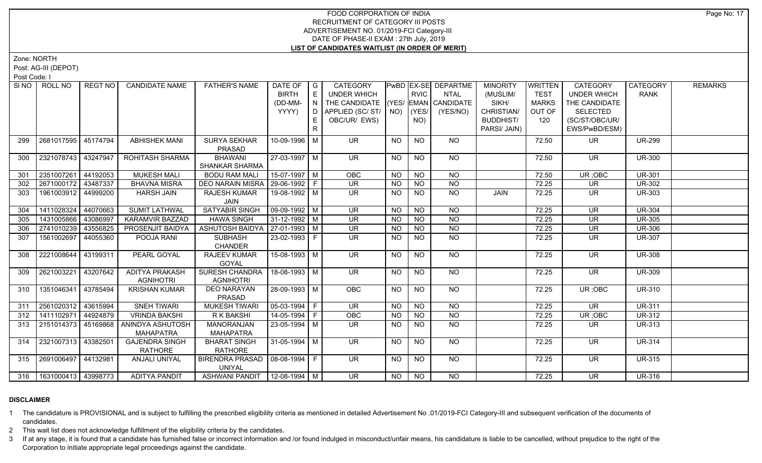Zone: NORTH

Post: AG-III (DEPOT)

Post Code: I

|     | SINO ROLL NO                | REGT NO  | <b>CANDIDATE NAME</b>  | <b>FATHER'S NAME</b>             | DATE OF   G            |              | CATEGORY                           |           |                 | <b>PwBD EX-SE DEPARTME</b> | <b>MINORITY</b>  | <b>WRITTEN</b> | <b>CATEGORY</b>          | CATEGORY      | <b>REMARKS</b> |
|-----|-----------------------------|----------|------------------------|----------------------------------|------------------------|--------------|------------------------------------|-----------|-----------------|----------------------------|------------------|----------------|--------------------------|---------------|----------------|
|     |                             |          |                        |                                  | <b>BIRTH</b>           | E            | UNDER WHICH                        |           | <b>RVIC</b>     | <b>NTAL</b>                | (MUSLIM/         | <b>TEST</b>    | <b>UNDER WHICH</b>       | <b>RANK</b>   |                |
|     |                             |          |                        |                                  | (DD-MM-                | N            | THE CANDIDATE (YES/ EMAN CANDIDATE |           |                 |                            | SIKH/            | <b>MARKS</b>   | THE CANDIDATE            |               |                |
|     |                             |          |                        |                                  | YYYY)                  | D            | APPLIED (SC/ST/                    | NO)       | (YES/           | (YES/NO)                   | CHRISTIAN/       | OUT OF         | <b>SELECTED</b>          |               |                |
|     |                             |          |                        |                                  |                        |              | OBC/UR/ EWS)                       |           | NO)             |                            | <b>BUDDHIST/</b> | 120            | (SC/ST/OBC/UR/           |               |                |
|     |                             |          |                        |                                  |                        | $\mathsf{R}$ |                                    |           |                 |                            | PARSI/ JAIN)     |                | EWS/PwBD/ESM)            |               |                |
| 299 | 2681017595                  | 45174794 | <b>ABHISHEK MANI</b>   | <b>SURYA SEKHAR</b>              | 10-09-1996 M           |              | UR.                                | <b>NO</b> | <b>NO</b>       | NO.                        |                  | 72.50          | UR.                      | <b>UR-299</b> |                |
|     |                             |          |                        | PRASAD                           |                        |              |                                    |           |                 |                            |                  |                |                          |               |                |
| 300 | 2321078743                  | 43247947 | ROHITASH SHARMA        | <b>BHAWANI</b>                   | 27-03-1997 M           |              | <b>UR</b>                          | <b>NO</b> | <b>NO</b>       | NO                         |                  | 72.50          | <b>UR</b>                | <b>UR-300</b> |                |
|     |                             |          |                        | <b>SHANKAR SHARMA</b>            |                        |              |                                    |           |                 |                            |                  |                |                          |               |                |
| 301 | 2351007261                  | 44192053 | <b>MUKESH MALI</b>     | <b>BODU RAM MALI</b>             | $15-07-1997$ M         |              | OBC                                | <b>NO</b> | <b>NO</b>       | $\overline{NQ}$            |                  | 72.50          | UR; OBC                  | <b>UR-301</b> |                |
| 302 | 2671000172                  | 43487337 | <b>BHAVNA MISRA</b>    | DEO NARAIN MISRA                 | 29-06-1992 F           |              | <b>UR</b>                          | NO.       | <b>NO</b>       | <b>NO</b>                  |                  | 72.25          | <b>UR</b>                | <b>UR-302</b> |                |
| 303 | 1961003912                  | 44999200 | <b>HARSH JAIN</b>      | <b>RAJESH KUMAR</b>              | 19-08-1992 M           |              | <b>UR</b>                          | <b>NO</b> | $\overline{NQ}$ | $\overline{NQ}$            | JAIN             | 72.25          | UR.                      | <b>UR-303</b> |                |
|     |                             |          |                        | JAIN                             |                        |              |                                    |           |                 |                            |                  |                |                          |               |                |
| 304 | 1411028324                  | 44070663 | <b>SUMIT LATHWAL</b>   | <b>SATYABIR SINGH</b>            | $\boxed{09-09-1992}$ M |              | $\overline{\mathsf{UR}}$           | <b>NO</b> | <b>NO</b>       | <b>NO</b>                  |                  | 72.25          | <b>UR</b>                | <b>UR-304</b> |                |
| 305 | 1431005866                  | 43086997 | <b>KARAMVIR BAZZAD</b> | <b>HAWA SINGH</b>                | $31 - 12 - 1992$ M     |              | <b>UR</b>                          | NO.       | <b>NO</b>       | N <sub>O</sub>             |                  | 72.25          | <b>UR</b>                | <b>UR-305</b> |                |
| 306 | 2741010239                  | 43556825 | PROSENJIT BAIDYA       | ASHUTOSH BAIDYA   27-01-1993   M |                        |              | <b>UR</b>                          | <b>NO</b> | N <sub>O</sub>  | N <sub>O</sub>             |                  | 72.25          | <b>UR</b>                | <b>UR-306</b> |                |
| 307 | 1561002697                  | 44055360 | POOJA RANI             | <b>SUBHASH</b>                   | 23-02-1993 F           |              | <b>UR</b>                          | NO.       | N <sub>O</sub>  | N <sub>O</sub>             |                  | 72.25          | <b>UR</b>                | <b>UR-307</b> |                |
|     |                             |          |                        | <b>CHANDER</b>                   |                        |              |                                    |           |                 |                            |                  |                |                          |               |                |
| 308 | 2221008644                  | 43199311 | PEARL GOYAL            | RAJEEV KUMAR                     | 15-08-1993   M         |              | <b>UR</b>                          | NO.       | <b>NO</b>       | NO                         |                  | 72.25          | <b>UR</b>                | <b>UR-308</b> |                |
|     |                             |          |                        | <b>GOYAL</b>                     |                        |              |                                    |           |                 |                            |                  |                |                          |               |                |
| 309 | 2621003221                  | 43207642 | <b>ADITYA PRAKASH</b>  | <b>SURESH CHANDRA</b>            | 18-08-1993 M           |              | $\overline{\mathsf{UR}}$           | <b>NO</b> | N <sub>O</sub>  | NO                         |                  | 72.25          | UR.                      | <b>UR-309</b> |                |
|     |                             |          | <b>AGNIHOTRI</b>       | <b>AGNIHOTRI</b>                 |                        |              |                                    |           |                 |                            |                  |                |                          |               |                |
| 310 | 1351046341                  | 43785494 | <b>KRISHAN KUMAR</b>   | <b>DEO NARAYAN</b>               | 28-09-1993 M           |              | OBC                                | <b>NO</b> | <b>NO</b>       | <b>NO</b>                  |                  | 72.25          | UR; OBC                  | <b>UR-310</b> |                |
|     |                             |          |                        | PRASAD                           |                        |              |                                    |           |                 |                            |                  |                |                          |               |                |
| 311 | 2561020312                  | 43615994 | <b>SNEH TIWARI</b>     | <b>MUKESH TIWARI</b>             | $05-03-1994$ F         |              | <b>UR</b>                          | NO.       | <b>NO</b>       | $\overline{NQ}$            |                  | 72.25          | <b>UR</b>                | <b>UR-311</b> |                |
| 312 | 1411102971                  | 44924879 | <b>VRINDA BAKSHI</b>   | R K BAKSHI                       | 14-05-1994 F           |              | OBC                                | <b>NO</b> | <b>NO</b>       | <b>NO</b>                  |                  | 72.25          | UR; OBC                  | <b>UR-312</b> |                |
| 313 | 2151014373   45169868       |          | ANINDYA ASHUTOSH       | MANORANJAN                       | 23-05-1994 M           |              | UR.                                | NO.       | NO.             | NO.                        |                  | 72.25          | UR.                      | <b>UR-313</b> |                |
|     |                             |          | <b>MAHAPATRA</b>       | <b>MAHAPATRA</b>                 |                        |              |                                    |           |                 |                            |                  |                |                          |               |                |
| 314 | 2321007313 43382501         |          | <b>GAJENDRA SINGH</b>  | <b>BHARAT SINGH</b>              | 31-05-1994 M           |              | $\overline{\mathsf{UR}}$           | <b>NO</b> | N <sub>O</sub>  | N <sub>O</sub>             |                  | 72.25          | $\overline{\mathsf{UR}}$ | <b>UR-314</b> |                |
|     |                             |          | <b>RATHORE</b>         | <b>RATHORE</b>                   |                        |              |                                    |           |                 |                            |                  |                |                          |               |                |
| 315 | 2691006497 44132981         |          | ANJALI UNIYAL          | BIRENDRA PRASAD                  | 08-08-1994 F           |              | UR.                                | <b>NO</b> | N <sub>O</sub>  | NO                         |                  | 72.25          | UR.                      | <b>UR-315</b> |                |
|     |                             |          |                        | <b>UNIYAL</b>                    |                        |              |                                    |           |                 |                            |                  |                |                          |               |                |
|     | 316   1631000413   43998773 |          | <b>ADITYA PANDIT</b>   | ASHWANI PANDIT   12-08-1994   M  |                        |              | $\overline{\mathsf{UR}}$           | NO.       | <b>NO</b>       | NO                         |                  | 72.25          | UR.                      | <b>UR-316</b> |                |

# **DISCLAIMER**

1 The candidature is PROVISIONAL and is subject to fulfilling the prescribed eligibility criteria as mentioned in detailed Advertisement No .01/2019-FCI Category-III and subsequent verification of the documents of candidates.

2 This wait list does not acknowledge fulfillment of the eligibility criteria by the candidates.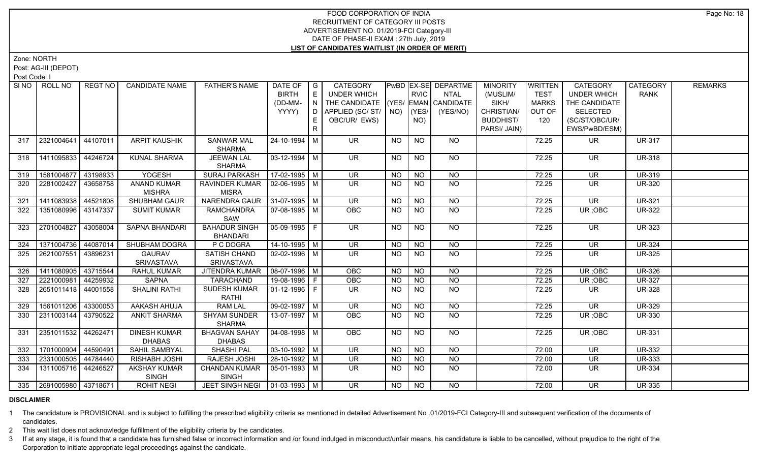Zone: NORTH

Post: AG-III (DEPOT)

Post Code: I

|     | SINO   ROLL NO          | REGT NO  | <b>CANDIDATE NAME</b> | <b>FATHER'S NAME</b>                  | DATE OF   G<br><b>BIRTH</b>  | E                      | <b>CATEGORY</b><br><b>UNDER WHICH</b> |           | <b>RVIC</b>    | <b>PWBD EX-SE DEPARTME</b><br><b>NTAL</b> | <b>MINORITY</b><br>(MUSLIM/ | WRITTEN<br><b>TEST</b> | <b>CATEGORY</b><br><b>UNDER WHICH</b> | CATEGORY<br><b>RANK</b> | <b>REMARKS</b> |
|-----|-------------------------|----------|-----------------------|---------------------------------------|------------------------------|------------------------|---------------------------------------|-----------|----------------|-------------------------------------------|-----------------------------|------------------------|---------------------------------------|-------------------------|----------------|
|     |                         |          |                       |                                       | (DD-MM-                      | $\overline{N}$         | THE CANDIDATE (YES/ EMAN CANDIDATE    |           |                |                                           | SIKH/                       | <b>MARKS</b>           | THE CANDIDATE                         |                         |                |
|     |                         |          |                       |                                       | YYYY)                        | $\cdot$ D <sup>-</sup> | APPLIED (SC/ST/ NO)                   |           | (YES/          | (YES/NO)                                  | CHRISTIAN/                  | OUT OF                 | <b>SELECTED</b>                       |                         |                |
|     |                         |          |                       |                                       |                              | E.                     | OBC/UR/ EWS)                          |           | NO)            |                                           | <b>BUDDHIST/</b>            | 120                    | (SC/ST/OBC/UR/                        |                         |                |
|     |                         |          |                       |                                       |                              | R                      |                                       |           |                |                                           | PARSI/ JAIN)                |                        | EWS/PwBD/ESM)                         |                         |                |
|     |                         |          |                       |                                       |                              |                        |                                       |           |                |                                           |                             |                        |                                       |                         |                |
| 317 | 2321004641 44107011     |          | <b>ARPIT KAUSHIK</b>  | <b>SANWAR MAL</b>                     | 24-10-1994 M                 |                        | <b>UR</b>                             | <b>NO</b> | <b>NO</b>      | NO.                                       |                             | 72.25                  | <b>UR</b>                             | <b>UR-317</b>           |                |
|     |                         |          |                       | <b>SHARMA</b>                         |                              |                        |                                       |           |                |                                           |                             |                        |                                       |                         |                |
| 318 | 1411095833              | 44246724 | <b>KUNAL SHARMA</b>   | <b>JEEWAN LAL</b>                     | 03-12-1994 M                 |                        | <b>UR</b>                             | NO.       | <b>NO</b>      | NO                                        |                             | 72.25                  | <b>UR</b>                             | <b>UR-318</b>           |                |
| 319 | 1581004877              | 43198933 | YOGESH                | <b>SHARMA</b><br><b>SURAJ PARKASH</b> | $17-02-1995$ M               |                        | <b>UR</b>                             | <b>NO</b> | <b>NO</b>      | <b>NO</b>                                 |                             | 72.25                  | <b>UR</b>                             | <b>UR-319</b>           |                |
| 320 | 2281002427              | 43658758 | <b>ANAND KUMAR</b>    | <b>RAVINDER KUMAR</b>                 | $\vert$ 02-06-1995 $\vert$ M |                        | <b>UR</b>                             | NO.       | NO             | NO                                        |                             | 72.25                  | <b>UR</b>                             | <b>UR-320</b>           |                |
|     |                         |          | <b>MISHRA</b>         | <b>MISRA</b>                          |                              |                        |                                       |           |                |                                           |                             |                        |                                       |                         |                |
| 321 | 1411083938 44521808     |          | <b>SHUBHAM GAUR</b>   | <b>NARENDRA GAUR</b>                  | $ 31-07-1995 $ M             |                        | $\overline{\mathsf{UR}}$              | <b>NO</b> | N <sub>O</sub> | N <sub>O</sub>                            |                             | 72.25                  | $\overline{\mathsf{UR}}$              | <b>UR-321</b>           |                |
| 322 | 1351080996 43147337     |          | <b>SUMIT KUMAR</b>    | <b>RAMCHANDRA</b>                     | 07-08-1995   M               |                        | OBC                                   | <b>NO</b> | <b>NO</b>      | NO                                        |                             | 72.25                  | UR; OBC                               | <b>UR-322</b>           |                |
|     |                         |          |                       | SAW                                   |                              |                        |                                       |           |                |                                           |                             |                        |                                       |                         |                |
| 323 | 2701004827              | 43058004 | SAPNA BHANDARI        | <b>BAHADUR SINGH</b>                  | 05-09-1995 F                 |                        | <b>UR</b>                             | <b>NO</b> | $N$ O          | $N$ O                                     |                             | 72.25                  | $\overline{\mathsf{UR}}$              | <b>UR-323</b>           |                |
|     |                         |          |                       | <b>BHANDARI</b>                       |                              |                        |                                       |           |                |                                           |                             |                        |                                       |                         |                |
| 324 | 1371004736              | 44087014 | SHUBHAM DOGRA         | P C DOGRA                             | $14-10-1995$ M               |                        | $\overline{\mathsf{UR}}$              | <b>NO</b> | $N$ O          | $N$ <sup>O</sup>                          |                             | 72.25                  | <b>UR</b>                             | <b>UR-324</b>           |                |
| 325 | 2621007551              | 43896231 | <b>GAURAV</b>         | SATISH CHAND                          | $02 - 02 - 1996$ M           |                        | <b>UR</b>                             | <b>NO</b> | NO.            | NO                                        |                             | 72.25                  | <b>UR</b>                             | <b>UR-325</b>           |                |
|     |                         |          | <b>SRIVASTAVA</b>     | <b>SRIVASTAVA</b>                     |                              |                        |                                       |           |                |                                           |                             |                        |                                       |                         |                |
| 326 | 1411080905              | 43715544 | <b>RAHUL KUMAR</b>    | JITENDRA KUMAR                        | 08-07-1996 M                 |                        | OBC                                   | <b>NO</b> | <b>NO</b>      | NO                                        |                             | 72.25                  | UR; OBC                               | <b>UR-326</b>           |                |
| 327 | 2221000981              | 44259932 | SAPNA                 | <b>TARACHAND</b>                      | 19-08-1996 F                 |                        | OBC                                   | <b>NO</b> | <b>NO</b>      | <b>NO</b>                                 |                             | 72.25                  | UR; OBC                               | <b>UR-327</b>           |                |
| 328 | 2651011418 44001558     |          | <b>SHALINI RATHI</b>  | <b>SUDESH KUMAR</b>                   | 01-12-1996   F               |                        | UR.                                   | NO.       | NO.            | NO.                                       |                             | 72.25                  | <b>UR</b>                             | <b>UR-328</b>           |                |
|     |                         |          |                       | RATHI                                 |                              |                        |                                       |           |                |                                           |                             |                        |                                       |                         |                |
| 329 | 1561011206              | 43300053 | <b>AAKASH AHUJA</b>   | <b>RAM LAL</b>                        | 09-02-1997 M                 |                        | $\overline{\mathsf{UR}}$              | <b>NO</b> | N <sub>O</sub> | $\overline{NO}$                           |                             | 72.25                  | $\overline{\mathsf{UR}}$              | <b>UR-329</b>           |                |
| 330 | 2311003144              | 43790522 | <b>ANKIT SHARMA</b>   | <b>SHYAM SUNDER</b>                   | 13-07-1997   M               |                        | <b>OBC</b>                            | <b>NO</b> | NO.            | NO                                        |                             | 72.25                  | UR; OBC                               | <b>UR-330</b>           |                |
|     |                         |          |                       | <b>SHARMA</b>                         |                              |                        |                                       |           |                |                                           |                             |                        |                                       |                         |                |
| 331 | 2351011532 44262471     |          | <b>DINESH KUMAR</b>   | <b>BHAGVAN SAHAY</b>                  | $\boxed{04-08-1998}$ M       |                        | OBC                                   | <b>NO</b> | NO.            | NO                                        |                             | 72.25                  | UR; OBC                               | <b>UR-331</b>           |                |
|     |                         |          | <b>DHABAS</b>         | <b>DHABAS</b>                         |                              |                        |                                       |           |                |                                           |                             |                        |                                       |                         |                |
| 332 | 1701000904              | 44590491 | SAHIL SAMBYAL         | SHASHI PAL                            | 03-10-1992 M                 |                        | UR                                    | <b>NO</b> | <b>NO</b>      | NO.                                       |                             | 72.00                  | <b>UR</b>                             | <b>UR-332</b>           |                |
| 333 | 2331000505 44784440     |          | RISHABH JOSHI         | RAJESH JOSHI                          | 28-10-1992 M                 |                        | $\overline{\mathsf{UR}}$              | <b>NO</b> | N <sub>O</sub> | $N$ O                                     |                             | 72.00                  | <b>UR</b>                             | <b>UR-333</b>           |                |
| 334 | 1311005716 44246527     |          | <b>AKSHAY KUMAR</b>   | CHANDAN KUMAR                         | 05-01-1993   M               |                        | <b>UR</b>                             | <b>NO</b> | <b>NO</b>      | NO                                        |                             | 72.00                  | <b>UR</b>                             | <b>UR-334</b>           |                |
|     |                         |          | <b>SINGH</b>          | <b>SINGH</b>                          |                              |                        |                                       |           |                |                                           |                             |                        |                                       |                         |                |
|     | 335 2691005980 43718671 |          | <b>ROHIT NEGI</b>     | JEET SINGH NEGI   01-03-1993   M      |                              |                        | $\overline{\mathsf{UR}}$              | <b>NO</b> | NO             | NO.                                       |                             | 72.00                  | <b>UR</b>                             | <b>UR-335</b>           |                |

# **DISCLAIMER**

1 The candidature is PROVISIONAL and is subject to fulfilling the prescribed eligibility criteria as mentioned in detailed Advertisement No .01/2019-FCI Category-III and subsequent verification of the documents of candidates.

2 This wait list does not acknowledge fulfillment of the eligibility criteria by the candidates.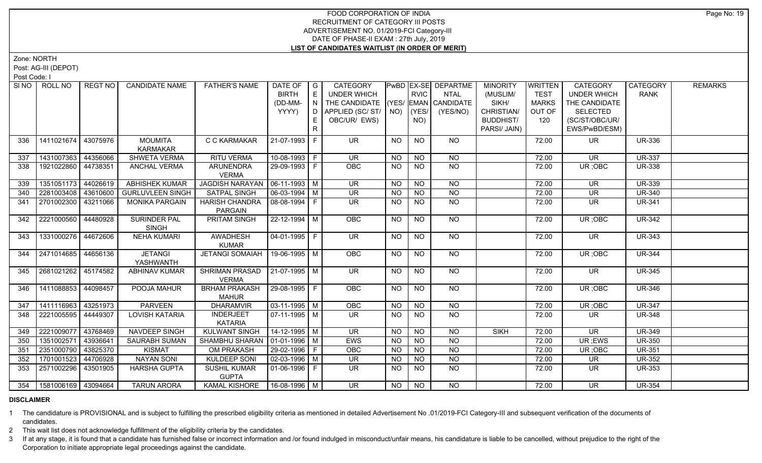Zone: NORTH

Post: AG-III (DEPOT)

Post Code: I

| SI NO 1 | ROLL NO                     | REGT NO  | <b>CANDIDATE NAME</b>   | <b>FATHER'S NAME</b>                 | DATE OF            | $\overline{\phantom{a}}$ G | CATEGORY                           |                |                | PwBD EX-SE DEPARTME | <b>MINORITY</b>  | <b>WRITTEN</b> | <b>CATEGORY</b>          | CATEGORY      | <b>REMARKS</b> |
|---------|-----------------------------|----------|-------------------------|--------------------------------------|--------------------|----------------------------|------------------------------------|----------------|----------------|---------------------|------------------|----------------|--------------------------|---------------|----------------|
|         |                             |          |                         |                                      | <b>BIRTH</b>       | E                          | <b>UNDER WHICH</b>                 |                | <b>RVIC</b>    | <b>NTAL</b>         | (MUSLIM/         | <b>TEST</b>    | <b>UNDER WHICH</b>       | <b>RANK</b>   |                |
|         |                             |          |                         |                                      | (DD-MM-            | $\overline{N}$             | THE CANDIDATE (YES/ EMAN CANDIDATE |                |                |                     | SIKH/            | <b>MARKS</b>   | THE CANDIDATE            |               |                |
|         |                             |          |                         |                                      | YYYY)              | D                          | APPLIED (SC/ST/                    | NO)            | YES/           | (YES/NO)            | CHRISTIAN/       | OUT OF         | <b>SELECTED</b>          |               |                |
|         |                             |          |                         |                                      |                    | E.                         | OBC/UR/ EWS)                       |                | NO)            |                     | <b>BUDDHIST/</b> | 120            | (SC/ST/OBC/UR/           |               |                |
|         |                             |          |                         |                                      |                    | R                          |                                    |                |                |                     | PARSI/ JAIN)     |                | EWS/PwBD/ESM)            |               |                |
| 336     | 1411021674                  | 43075976 | <b>MOUMITA</b>          | C C KARMAKAR                         | 21-07-1993         | F                          | <b>UR</b>                          | <b>NO</b>      | <b>NO</b>      | <b>NO</b>           |                  | 72.00          | <b>UR</b>                | <b>UR-336</b> |                |
|         |                             |          | <b>KARMAKAR</b>         |                                      |                    |                            |                                    |                |                |                     |                  |                |                          |               |                |
| 337     | 1431007363                  | 44356066 | SHWETA VERMA            | <b>RITU VERMA</b>                    | 10-08-1993 F       |                            | <b>UR</b>                          | <b>NO</b>      | <b>NO</b>      | <b>NO</b>           |                  | 72.00          | <b>UR</b>                | <b>UR-337</b> |                |
| 338     | 1921022860                  | 44738351 | <b>ANCHAL VERMA</b>     | <b>ARUNENDRA</b><br><b>VERMA</b>     | 29-09-1993 F       |                            | OBC                                | <b>NO</b>      | <b>NO</b>      | <b>NO</b>           |                  | 72.00          | UR; OBC                  | <b>UR-338</b> |                |
| 339     | 1351051173                  | 44026619 | <b>ABHISHEK KUMAR</b>   | JAGDISH NARAYAN   06-11-1993   M     |                    |                            | UR.                                | <b>NO</b>      | <b>NO</b>      | <b>NO</b>           |                  | 72.00          | UR.                      | <b>UR-339</b> |                |
| 340     | 2281003408 43610600         |          | <b>GURLUVLEEN SINGH</b> | <b>SATPAL SINGH</b>                  | $06 - 03 - 1994$ M |                            | <b>UR</b>                          | <b>NO</b>      | $\overline{N}$ | $\overline{NO}$     |                  | 72.00          | $\overline{\mathsf{UR}}$ | <b>UR-340</b> |                |
| 341     | 2701002300                  | 43211066 | <b>MONIKA PARGAIN</b>   | <b>HARISH CHANDRA</b>                | 08-08-1994 F       |                            | <b>UR</b>                          | <b>NO</b>      | <b>NO</b>      | <b>NO</b>           |                  | 72.00          | <b>UR</b>                | <b>UR-341</b> |                |
|         |                             |          |                         | <b>PARGAIN</b>                       |                    |                            |                                    |                |                |                     |                  |                |                          |               |                |
| 342     | 2221000560                  | 44480928 | <b>SURINDER PAL</b>     | <b>PRITAM SINGH</b>                  | $22 - 12 - 1994$ M |                            | OBC                                | NO             | N <sub>O</sub> | $N$ <sup>O</sup>    |                  | 72.00          | UR; OBC                  | <b>UR-342</b> |                |
|         |                             |          | <b>SINGH</b>            |                                      |                    |                            |                                    |                |                |                     |                  |                |                          |               |                |
| 343     | 1331000276 44672606         |          | <b>NEHA KUMARI</b>      | <b>AWADHESH</b>                      | $04-01-1995$ F     |                            | $\overline{\mathsf{UR}}$           | <b>NO</b>      | <b>NO</b>      | NO                  |                  | 72.00          | UR.                      | <b>UR-343</b> |                |
|         |                             |          |                         | <b>KUMAR</b>                         |                    |                            |                                    |                |                |                     |                  |                |                          |               |                |
| 344     | 2471014685 44656136         |          | <b>JETANGI</b>          | JETANGI SOMAIAH                      | 19-06-1995 M       |                            | <b>OBC</b>                         | NO             | <b>NO</b>      | NO                  |                  | 72.00          | UR; OBC                  | <b>UR-344</b> |                |
|         |                             |          | YASHWANTH               |                                      |                    |                            |                                    |                |                |                     |                  |                |                          |               |                |
| 345     | 2681021262 45174582         |          | <b>ABHINAV KUMAR</b>    | SHRIMAN PRASAD                       | $21-07-1995$ M     |                            | <b>UR</b>                          | <b>NO</b>      | <b>NO</b>      | <b>NO</b>           |                  | 72.00          | <b>UR</b>                | <b>UR-345</b> |                |
|         |                             |          |                         | <b>VERMA</b>                         |                    |                            |                                    |                |                |                     |                  |                |                          |               |                |
| 346     | 1411088853   44098457       |          | POOJA MAHUR             | <b>BRHAM PRAKASH</b><br><b>MAHUR</b> | $ 29-08-1995 F$    |                            | <b>OBC</b>                         | NO.            | <b>NO</b>      | <b>NO</b>           |                  | 72.00          | UR; OBC                  | <b>UR-346</b> |                |
| 347     | 1411116963 43251973         |          | <b>PARVEEN</b>          | <b>DHARAMVIR</b>                     | $03-11-1995$ M     |                            | OBC                                | <b>NO</b>      | N <sub>O</sub> | N <sub>O</sub>      |                  | 72.00          | UR; OBC                  | <b>UR-347</b> |                |
| 348     | 2221005595 44449307         |          | <b>LOVISH KATARIA</b>   | <b>INDERJEET</b>                     | $07-11-1995$ M     |                            | <b>UR</b>                          | NO.            | N <sub>O</sub> | <b>NO</b>           |                  | 72.00          | <b>UR</b>                | <b>UR-348</b> |                |
|         |                             |          |                         | <b>KATARIA</b>                       |                    |                            |                                    |                |                |                     |                  |                |                          |               |                |
| 349     | 2221009077                  | 43768469 | <b>NAVDEEP SINGH</b>    | <b>KULWANT SINGH</b>                 | $14 - 12 - 1995$ M |                            | $\overline{\mathsf{UR}}$           | $N$ O          | $N$ O          | N <sub>O</sub>      | <b>SIKH</b>      | 72.00          | $\overline{\mathsf{UR}}$ | <b>UR-349</b> |                |
| 350     | 1351002571                  | 43936641 | SAURABH SUMAN           | SHAMBHU SHARAN   01-01-1996   M      |                    |                            | EWS                                | <b>NO</b>      | $N$ O          | $N$ O               |                  | 72.00          | UR; EWS                  | <b>UR-350</b> |                |
| 351     | 2351000790                  | 43825370 | <b>KISMAT</b>           | OM PRAKASH                           | 29-02-1996 F       |                            | <b>OBC</b>                         | <b>NO</b>      | <b>NO</b>      | <b>NO</b>           |                  | 72.00          | UR; OBC                  | <b>UR-351</b> |                |
| 352     | 1701001523                  | 44706928 | <b>NAYAN SONI</b>       | <b>KULDEEP SONI</b>                  | $02 - 03 - 1996$ M |                            | $\overline{\mathsf{UR}}$           | <b>NO</b>      | NO             | N                   |                  | 72.00          | <b>UR</b>                | <b>UR-352</b> |                |
| 353     | 2571002296                  | 43501905 | <b>HARSHA GUPTA</b>     | <b>SUSHIL KUMAR</b>                  | $01-06-1996$   F   |                            | <b>UR</b>                          | NO.            | <b>NO</b>      | <b>NO</b>           |                  | 72.00          | UR                       | <b>UR-353</b> |                |
|         |                             |          |                         | <b>GUPTA</b>                         |                    |                            |                                    |                |                |                     |                  |                |                          |               |                |
|         | 354   1581006169   43094664 |          | <b>TARUN ARORA</b>      | <b>KAMAL KISHORE</b>                 | 16-08-1996 M       |                            | $\overline{\mathsf{UR}}$           | N <sub>O</sub> | NO             | N <sub>O</sub>      |                  | 72.00          | <b>UR</b>                | <b>UR-354</b> |                |
|         |                             |          |                         |                                      |                    |                            |                                    |                |                |                     |                  |                |                          |               |                |

# **DISCLAIMER**

1 The candidature is PROVISIONAL and is subject to fulfilling the prescribed eligibility criteria as mentioned in detailed Advertisement No .01/2019-FCI Category-III and subsequent verification of the documents of candidates.

2 This wait list does not acknowledge fulfillment of the eligibility criteria by the candidates.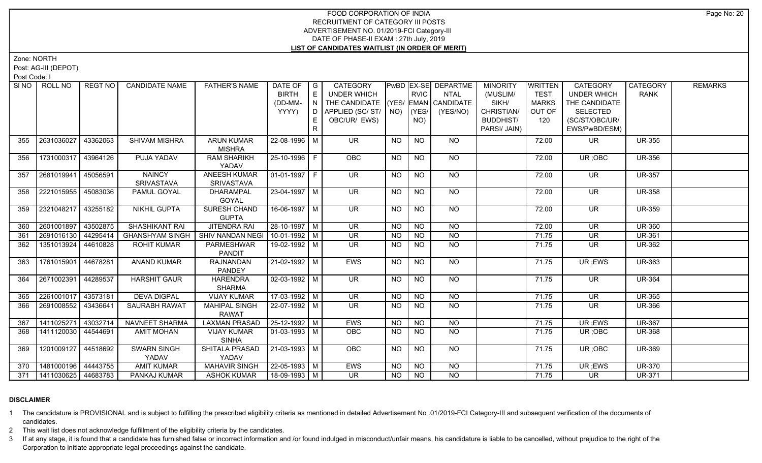Zone: NORTH

Post: AG-III (DEPOT)

Post Code: I

| SI NO I | ROLL NO                     | REGT NO   | <b>CANDIDATE NAME</b>       | <b>FATHER'S NAME</b>                 | DATE OF<br><b>BIRTH</b><br>(DD-MM-<br>YYYY) | $\overline{\phantom{a}}$ G<br>E<br>N<br>D<br>E. | CATEGORY<br><b>UNDER WHICH</b><br>THE CANDIDATE (YES/ EMAN CANDIDATE<br>APPLIED (SC/ST/<br>OBC/UR/ EWS) |                | <b>RVIC</b><br>$NO)$ (YES/<br>NO) | PwBD EX-SE DEPARTME<br><b>NTAL</b><br>(YES/NO) | <b>MINORITY</b><br>(MUSLIM/<br>SIKH/<br>CHRISTIAN/<br><b>BUDDHIST/</b><br>PARSI/ JAIN) | <b>WRITTEN</b><br><b>TEST</b><br><b>MARKS</b><br>OUT OF<br>120 | <b>CATEGORY</b><br><b>UNDER WHICH</b><br>THE CANDIDATE<br><b>SELECTED</b><br>(SC/ST/OBC/UR/<br>EWS/PwBD/ESM) | <b>CATEGORY</b><br><b>RANK</b> | <b>REMARKS</b> |
|---------|-----------------------------|-----------|-----------------------------|--------------------------------------|---------------------------------------------|-------------------------------------------------|---------------------------------------------------------------------------------------------------------|----------------|-----------------------------------|------------------------------------------------|----------------------------------------------------------------------------------------|----------------------------------------------------------------|--------------------------------------------------------------------------------------------------------------|--------------------------------|----------------|
| 355     | 2631036027                  | 43362063  | SHIVAM MISHRA               | <b>ARUN KUMAR</b><br><b>MISHRA</b>   | 22-08-1996 M                                |                                                 | <b>UR</b>                                                                                               | <b>NO</b>      | <b>NO</b>                         | <b>NO</b>                                      |                                                                                        | 72.00                                                          | UR.                                                                                                          | <b>UR-355</b>                  |                |
| 356     | 1731000317                  | 43964126  | PUJA YADAV                  | <b>RAM SHARIKH</b><br>YADAV          | 25-10-1996 F                                |                                                 | OBC                                                                                                     | <b>NO</b>      | <b>NO</b>                         | <b>NO</b>                                      |                                                                                        | 72.00                                                          | UR; OBC                                                                                                      | <b>UR-356</b>                  |                |
| 357     | 2681019941                  | 45056591  | <b>NAINCY</b><br>SRIVASTAVA | <b>ANEESH KUMAR</b><br>SRIVASTAVA    | $01-01-1997$ F                              |                                                 | $\overline{\mathsf{UR}}$                                                                                | <b>NO</b>      | $\overline{NQ}$                   | $N$ <sup>O</sup>                               |                                                                                        | 72.00                                                          | $\overline{\mathsf{UR}}$                                                                                     | <b>UR-357</b>                  |                |
| 358     | 2221015955                  | 45083036  | PAMUL GOYAL                 | <b>DHARAMPAL</b><br>GOYAL            | 23-04-1997 M                                |                                                 | $\overline{\mathsf{UR}}$                                                                                | <b>NO</b>      | N <sub>O</sub>                    | NO                                             |                                                                                        | 72.00                                                          | $\overline{\mathsf{UR}}$                                                                                     | <b>UR-358</b>                  |                |
| 359     | 2321048217                  | 43255182  | <b>NIKHIL GUPTA</b>         | <b>SURESH CHAND</b><br><b>GUPTA</b>  | $16-06-1997$ M                              |                                                 | <b>UR</b>                                                                                               | <b>NO</b>      | N <sub>O</sub>                    | $N$ O                                          |                                                                                        | 72.00                                                          | <b>UR</b>                                                                                                    | <b>UR-359</b>                  |                |
| 360     | 2601001897                  | 43502875  | SHASHIKANT RAI              | <b>JITENDRA RAI</b>                  | 28-10-1997 M                                |                                                 | <b>UR</b>                                                                                               | NO             | <b>NO</b>                         | <b>NO</b>                                      |                                                                                        | 72.00                                                          | <b>UR</b>                                                                                                    | <b>UR-360</b>                  |                |
| 361     | 2691016130                  | 44295414  | <b>GHANSHYAM SINGH</b>      | <b>SHIV NANDAN NEGI</b>              | $10-01-1992$ M                              |                                                 | $\overline{\mathsf{UR}}$                                                                                | NO             | NO                                | N <sub>O</sub>                                 |                                                                                        | 71.75                                                          | $\overline{\mathsf{UR}}$                                                                                     | <b>UR-361</b>                  |                |
| 362     | 1351013924 44610828         |           | <b>ROHIT KUMAR</b>          | PARMESHWAR<br><b>PANDIT</b>          | 19-02-1992 M                                |                                                 | <b>UR</b>                                                                                               | <b>NO</b>      | <b>NO</b>                         | <b>NO</b>                                      |                                                                                        | 71.75                                                          | <b>UR</b>                                                                                                    | <b>UR-362</b>                  |                |
| 363     | 1761015901                  | 44678281  | <b>ANAND KUMAR</b>          | RAJNANDAN<br><b>PANDEY</b>           | 21-02-1992 M                                |                                                 | EWS                                                                                                     | NO.            | <b>NO</b>                         | NO                                             |                                                                                        | 71.75                                                          | UR; EWS                                                                                                      | <b>UR-363</b>                  |                |
| 364     | 2671002391                  | 44289537  | <b>HARSHIT GAUR</b>         | <b>HARENDRA</b><br><b>SHARMA</b>     | $02-03-1992$ M                              |                                                 | $\overline{\mathsf{UR}}$                                                                                | <b>NO</b>      | $\overline{NQ}$                   | $N$ <sup>O</sup>                               |                                                                                        | 71.75                                                          | UR.                                                                                                          | <b>UR-364</b>                  |                |
| 365     | 2261001017                  | 143573181 | <b>DEVA DIGPAL</b>          | <b>VIJAY KUMAR</b>                   | 17-03-1992 M                                |                                                 | $\overline{\mathsf{UR}}$                                                                                | N <sub>O</sub> | N <sub>O</sub>                    | N <sub>O</sub>                                 |                                                                                        | 71.75                                                          | $\overline{\mathsf{UR}}$                                                                                     | <b>UR-365</b>                  |                |
| 366     | 2691008552                  | 43436641  | SAURABH RAWAT               | <b>MAHIPAL SINGH</b><br><b>RAWAT</b> | 22-07-1992   M                              |                                                 | UR                                                                                                      | NO.            | NO.                               | <b>NO</b>                                      |                                                                                        | 71.75                                                          | UR                                                                                                           | <b>UR-366</b>                  |                |
| 367     | 1411025271                  | 43032714  | NAVNEET SHARMA              | <b>LAXMAN PRASAD</b>                 | $25 - 12 - 1992$ M                          |                                                 | <b>EWS</b>                                                                                              | <b>NO</b>      | $N$ O                             | $N$ O                                          |                                                                                        | 71.75                                                          | UR; EWS                                                                                                      | <b>UR-367</b>                  |                |
| 368     | 1411120030   44544691       |           | <b>AMIT MOHAN</b>           | <b>VIJAY KUMAR</b><br><b>SINHA</b>   | $\boxed{01-03-1993}$ M                      |                                                 | <b>OBC</b>                                                                                              | <b>NO</b>      | <b>NO</b>                         | N <sub>O</sub>                                 |                                                                                        | 71.75                                                          | UR; OBC                                                                                                      | <b>UR-368</b>                  |                |
| 369     | 1201009127                  | 44518692  | <b>SWARN SINGH</b><br>YADAV | SHITALA PRASAD<br>YADAV              | $21-03-1993$ M                              |                                                 | OBC                                                                                                     | <b>NO</b>      | <b>NO</b>                         | NO                                             |                                                                                        | 71.75                                                          | UR; OBC                                                                                                      | <b>UR-369</b>                  |                |
| 370     | 1481000196 44443755         |           | <b>AMIT KUMAR</b>           | <b>MAHAVIR SINGH</b>                 | 22-05-1993 M                                |                                                 | EWS                                                                                                     | <b>NO</b>      | <b>NO</b>                         | <b>NO</b>                                      |                                                                                        | 71.75                                                          | UR; EWS                                                                                                      | <b>UR-370</b>                  |                |
|         | 371   1411030625   44683783 |           | PANKAJ KUMAR                | <b>ASHOK KUMAR</b>                   | 18-09-1993 M                                |                                                 | <b>UR</b>                                                                                               | <b>NO</b>      | NO                                | <b>NO</b>                                      |                                                                                        | 71.75                                                          | UR.                                                                                                          | <b>UR-371</b>                  |                |

# **DISCLAIMER**

1 The candidature is PROVISIONAL and is subject to fulfilling the prescribed eligibility criteria as mentioned in detailed Advertisement No .01/2019-FCI Category-III and subsequent verification of the documents of candidates.

2 This wait list does not acknowledge fulfillment of the eligibility criteria by the candidates.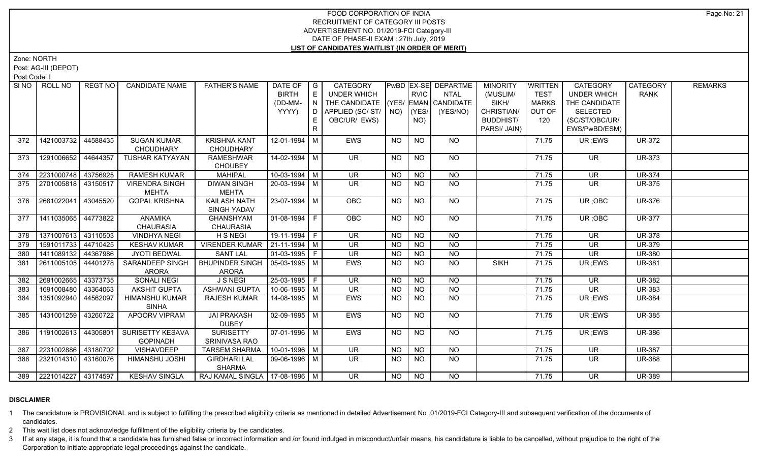Zone: NORTH

Post: AG-III (DEPOT)

Post Code: I

| SINO | ROLL NO                 | REGT NO  | <b>CANDIDATE NAME</b>                  | <b>FATHER'S NAME</b>                    | DATE OF<br><b>BIRTH</b><br>(DD-MM-<br>YYYY) | $\overline{\phantom{a}}$ $\overline{\phantom{a}}$<br>E<br>N<br>D<br>E<br>$\mathsf{R}$ | <b>CATEGORY</b><br><b>UNDER WHICH</b><br>THE CANDIDATE (YES/ EMAN CANDIDATE<br>APPLIED (SC/ ST/   NO)   (YES/<br>OBC/UR/ EWS) |           | <b>RVIC</b><br>NO) | PwBD EX-SE DEPARTME<br><b>NTAL</b><br>(YES/NO) | <b>MINORITY</b><br>(MUSLIM/<br>SIKH/<br>CHRISTIAN/<br><b>BUDDHIST/</b><br>PARSI/ JAIN) | <b>WRITTEN</b><br><b>TEST</b><br><b>MARKS</b><br>OUT OF<br>120 | CATEGORY<br><b>UNDER WHICH</b><br>THE CANDIDATE<br><b>SELECTED</b><br>(SC/ST/OBC/UR/<br>EWS/PwBD/ESM) | CATEGORY<br><b>RANK</b> | <b>REMARKS</b> |
|------|-------------------------|----------|----------------------------------------|-----------------------------------------|---------------------------------------------|---------------------------------------------------------------------------------------|-------------------------------------------------------------------------------------------------------------------------------|-----------|--------------------|------------------------------------------------|----------------------------------------------------------------------------------------|----------------------------------------------------------------|-------------------------------------------------------------------------------------------------------|-------------------------|----------------|
| 372  | 1421003732              | 44588435 | SUGAN KUMAR<br><b>CHOUDHARY</b>        | <b>KRISHNA KANT</b><br><b>CHOUDHARY</b> | 12-01-1994 M                                |                                                                                       | <b>EWS</b>                                                                                                                    | <b>NO</b> | <b>NO</b>          | NO.                                            |                                                                                        | 71.75                                                          | UR; EWS                                                                                               | <b>UR-372</b>           |                |
| 373  | 1291006652              | 44644357 | TUSHAR KATYAYAN                        | <b>RAMESHWAR</b><br><b>CHOUBEY</b>      | 14-02-1994 M                                |                                                                                       | <b>UR</b>                                                                                                                     | <b>NO</b> | <b>NO</b>          | <b>NO</b>                                      |                                                                                        | 71.75                                                          | <b>UR</b>                                                                                             | <b>UR-373</b>           |                |
| 374  | 2231000748              | 43756925 | RAMESH KUMAR                           | <b>MAHIPAL</b>                          | 10-03-1994 M                                |                                                                                       | <b>UR</b>                                                                                                                     | <b>NO</b> | <b>NO</b>          | <b>NO</b>                                      |                                                                                        | 71.75                                                          | <b>UR</b>                                                                                             | <b>UR-374</b>           |                |
| 375  | 2701005818   43150517   |          | <b>VIRENDRA SINGH</b><br><b>MEHTA</b>  | <b>DIWAN SINGH</b><br><b>MEHTA</b>      | 20-03-1994 M                                |                                                                                       | <b>UR</b>                                                                                                                     | <b>NO</b> | NO.                | NO.                                            |                                                                                        | 71.75                                                          | <b>UR</b>                                                                                             | <b>UR-375</b>           |                |
| 376  | 2681022041              | 43045520 | <b>GOPAL KRISHNA</b>                   | <b>KAILASH NATH</b><br>SINGH YADAV      | $23-07-1994$ M                              |                                                                                       | <b>OBC</b>                                                                                                                    | <b>NO</b> | <b>NO</b>          | $N$ <sup>O</sup>                               |                                                                                        | 71.75                                                          | UR; OBC                                                                                               | <b>UR-376</b>           |                |
| 377  | 1411035065 44773822     |          | ANAMIKA<br><b>CHAURASIA</b>            | <b>GHANSHYAM</b><br><b>CHAURASIA</b>    | 01-08-1994 F                                |                                                                                       | OBC                                                                                                                           | <b>NO</b> | <b>NO</b>          | <b>NO</b>                                      |                                                                                        | 71.75                                                          | UR; OBC                                                                                               | <b>UR-377</b>           |                |
| 378  | 1371007613              | 43110503 | <b>VINDHYA NEGI</b>                    | <b>H S NEGI</b>                         | 19-11-1994 F                                |                                                                                       | <b>UR</b>                                                                                                                     | <b>NO</b> | <b>NO</b>          | <b>NO</b>                                      |                                                                                        | 71.75                                                          | <b>UR</b>                                                                                             | <b>UR-378</b>           |                |
| 379  | 1591011733 44710425     |          | <b>KESHAV KUMAR</b>                    | <b>VIRENDER KUMAR</b>                   | $ 21 - 11 - 1994 $ M                        |                                                                                       | <b>UR</b>                                                                                                                     | <b>NO</b> | <b>NO</b>          | <b>NO</b>                                      |                                                                                        | 71.75                                                          | <b>UR</b>                                                                                             | <b>UR-379</b>           |                |
| 380  | 1411089132 44367986     |          | <b>JYOTI BEDWAL</b>                    | <b>SANT LAL</b>                         | $\boxed{01-03-1995}$ F                      |                                                                                       | UR                                                                                                                            | <b>NO</b> | <b>NO</b>          | $N$ O                                          |                                                                                        | 71.75                                                          | UR                                                                                                    | <b>UR-380</b>           |                |
| 381  | 2611005105              | 44401278 | <b>SARANDEEP SINGH</b><br><b>ARORA</b> | <b>BHUPINDER SINGH</b><br><b>ARORA</b>  | $\sqrt{05-03-1995}$ M                       |                                                                                       | <b>EWS</b>                                                                                                                    | <b>NO</b> | NO                 | $N$ <sup>O</sup>                               | <b>SIKH</b>                                                                            | 71.75                                                          | UR ;EWS                                                                                               | <b>UR-381</b>           |                |
| 382  | 2691002665              | 43373735 | <b>SONALI NEGI</b>                     | <b>J S NEGI</b>                         | 25-03-1995 F                                |                                                                                       | <b>UR</b>                                                                                                                     | <b>NO</b> | <b>NO</b>          | NO                                             |                                                                                        | 71.75                                                          | <b>UR</b>                                                                                             | <b>UR-382</b>           |                |
| 383  | 1691008480              | 43364063 | <b>AKSHIT GUPTA</b>                    | <b>ASHWANI GUPTA</b>                    | $10-06-1995$ M                              |                                                                                       | <b>UR</b>                                                                                                                     | <b>NO</b> | <b>NO</b>          | <b>NO</b>                                      |                                                                                        | 71.75                                                          | <b>UR</b>                                                                                             | <b>UR-383</b>           |                |
| 384  | 1351092940              | 44562097 | <b>HIMANSHU KUMAR</b><br><b>SINHA</b>  | RAJESH KUMAR                            | 14-08-1995   M                              |                                                                                       | EWS                                                                                                                           | NO.       | NO.                | NO.                                            |                                                                                        | 71.75                                                          | UR; EWS                                                                                               | <b>UR-384</b>           |                |
| 385  | 1431001259              | 43260722 | APOORV VIPRAM                          | <b>JAI PRAKASH</b><br><b>DUBEY</b>      | 02-09-1995   M                              |                                                                                       | <b>EWS</b>                                                                                                                    | <b>NO</b> | <b>NO</b>          | NO                                             |                                                                                        | 71.75                                                          | UR ;EWS                                                                                               | <b>UR-385</b>           |                |
| 386  | 1191002613              | 44305801 | SURISETTY KESAVA<br><b>GOPINADH</b>    | <b>SURISETTY</b><br>SRINIVASA RAO       | 07-01-1996   M                              |                                                                                       | <b>EWS</b>                                                                                                                    | <b>NO</b> | <b>NO</b>          | NO                                             |                                                                                        | 71.75                                                          | UR; EWS                                                                                               | <b>UR-386</b>           |                |
| 387  | 2231002886              | 43180702 | VISHAVDEEP                             | <b>TARSEM SHARMA</b>                    | 10-01-1996 M                                |                                                                                       | <b>UR</b>                                                                                                                     | NO.       | <b>NO</b>          | NO                                             |                                                                                        | 71.75                                                          | <b>UR</b>                                                                                             | <b>UR-387</b>           |                |
| 388  | 2321014310 43160076     |          | HIMANSHU JOSHI                         | <b>GIRDHARI LAL</b><br>SHARMA           | 09-06-1996   M                              |                                                                                       | <b>UR</b>                                                                                                                     | <b>NO</b> | NO.                | NO.                                            |                                                                                        | 71.75                                                          | <b>UR</b>                                                                                             | <b>UR-388</b>           |                |
|      | 389 2221014227 43174597 |          | <b>KESHAV SINGLA</b>                   | RAJ KAMAL SINGLA   17-08-1996   M       |                                             |                                                                                       | $\overline{\mathsf{UR}}$                                                                                                      | NO.       | NO                 | NO.                                            |                                                                                        | 71.75                                                          | <b>UR</b>                                                                                             | <b>UR-389</b>           |                |

# **DISCLAIMER**

1 The candidature is PROVISIONAL and is subject to fulfilling the prescribed eligibility criteria as mentioned in detailed Advertisement No .01/2019-FCI Category-III and subsequent verification of the documents of candidates.

2 This wait list does not acknowledge fulfillment of the eligibility criteria by the candidates.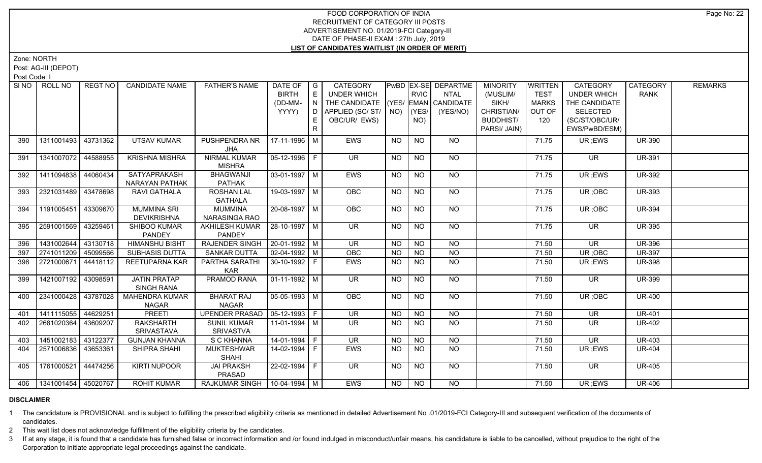Zone: NORTH

Post: AG-III (DEPOT)

Post Code: I

| SI <sub>NO</sub> | ROLL NO                     | REGT NO  | <b>CANDIDATE NAME</b> | <b>FATHER'S NAME</b>            | DATE OF   G           |       | <b>CATEGORY</b>            |           |             | PwBD EX-SE DEPARTME       | <b>MINORITY</b>  | WRITTEN      | <b>CATEGORY</b>          | CATEGORY      | <b>REMARKS</b> |
|------------------|-----------------------------|----------|-----------------------|---------------------------------|-----------------------|-------|----------------------------|-----------|-------------|---------------------------|------------------|--------------|--------------------------|---------------|----------------|
|                  |                             |          |                       |                                 | <b>BIRTH</b>          | E     | UNDER WHICH                |           | <b>RVIC</b> | NTAL                      | (MUSLIM/         | <b>TEST</b>  | <b>UNDER WHICH</b>       | <b>RANK</b>   |                |
|                  |                             |          |                       |                                 | (DD-MM-               | I N I | THE CANDIDATE              |           |             | $ (YES/ EMAN )$ CANDIDATE | SIKH/            | <b>MARKS</b> | THE CANDIDATE            |               |                |
|                  |                             |          |                       |                                 | YYYY)                 |       | D   APPLIED (SC/ ST/   NO) |           | YES         | (YES/NO)                  | CHRISTIAN/       | OUT OF       | <b>SELECTED</b>          |               |                |
|                  |                             |          |                       |                                 |                       | E     | OBC/UR/ EWS)               |           | NO)         |                           | <b>BUDDHIST/</b> | 120          | (SC/ST/OBC/UR/           |               |                |
|                  |                             |          |                       |                                 |                       | R     |                            |           |             |                           | PARSI/ JAIN)     |              | EWS/PwBD/ESM)            |               |                |
| 390              | 1311001493 43731362         |          | <b>UTSAV KUMAR</b>    | PUSHPENDRA NR                   | 17-11-1996   M        |       | <b>EWS</b>                 | <b>NO</b> | <b>NO</b>   | NO                        |                  | 71.75        | UR ;EWS                  | <b>UR-390</b> |                |
|                  |                             |          |                       | JHA                             |                       |       |                            |           |             |                           |                  |              |                          |               |                |
| 391              | 1341007072 44588955         |          | <b>KRISHNA MISHRA</b> | NIRMAL KUMAR                    | 05-12-1996   F        |       | UR.                        | <b>NO</b> | <b>NO</b>   | NO                        |                  | 71.75        | <b>UR</b>                | <b>UR-391</b> |                |
|                  |                             |          |                       | <b>MISHRA</b>                   |                       |       |                            |           |             |                           |                  |              |                          |               |                |
| 392              | 1411094838 44060434         |          | SATYAPRAKASH          | <b>BHAGWANJI</b>                | $\sqrt{03-01-1997}$ M |       | <b>EWS</b>                 | NO.       | NO.         | NO                        |                  | 71.75        | UR ;EWS                  | <b>UR-392</b> |                |
|                  |                             |          | NARAYAN PATHAK        | <b>PATHAK</b>                   |                       |       |                            |           |             |                           |                  |              |                          |               |                |
| 393              | 2321031489 43478698         |          | RAVI GATHALA          | <b>ROSHAN LAL</b>               | 19-03-1997   M        |       | <b>OBC</b>                 | NO.       | NO.         | NO                        |                  | 71.75        | UR; OBC                  | <b>UR-393</b> |                |
|                  |                             |          |                       | <b>GATHALA</b>                  |                       |       |                            |           |             |                           |                  |              |                          |               |                |
| 394              | 1191005451 43309670         |          | <b>MUMMINA SRI</b>    | <b>MUMMINA</b>                  | $20 - 08 - 1997$ M    |       | OBC                        | <b>NO</b> | <b>NO</b>   | NO                        |                  | 71.75        | UR; OBC                  | <b>UR-394</b> |                |
|                  |                             |          | <b>DEVIKRISHNA</b>    | NARASINGA RAO                   |                       |       |                            |           |             |                           |                  |              |                          |               |                |
| 395              | 2591001569                  | 43259461 | <b>SHIBOO KUMAR</b>   | AKHILESH KUMAR                  | 28-10-1997 M          |       | UR.                        | NO.       | <b>NO</b>   | NO.                       |                  | 71.75        | UR.                      | <b>UR-395</b> |                |
|                  |                             |          | <b>PANDEY</b>         | PANDEY                          |                       |       |                            |           |             |                           |                  |              |                          |               |                |
| 396              | 1431002644                  | 43130718 | <b>HIMANSHU BISHT</b> | <b>RAJENDER SINGH</b>           | $20-01-1992$ M        |       | UR.                        | <b>NO</b> | <b>NO</b>   | <b>NO</b>                 |                  | 71.50        | <b>UR</b>                | <b>UR-396</b> |                |
| 397              | 2741011209 45099566         |          | SUBHASIS DUTTA        | <b>SANKAR DUTTA</b>             | $\sqrt{02-04-1992}$ M |       | OBC                        | <b>NO</b> | <b>NO</b>   | <b>NO</b>                 |                  | 71.50        | UR; OBC                  | <b>UR-397</b> |                |
| 398              | 2721000671 44418112         |          | REETUPARNA KAR        | PARTHA SARATHI<br><b>KAR</b>    | 30-10-1992 F          |       | <b>EWS</b>                 | <b>NO</b> | <b>NO</b>   | <b>NO</b>                 |                  | 71.50        | UR; EWS                  | <b>UR-398</b> |                |
| 399              | 1421007192 43098591         |          | <b>JATIN PRATAP</b>   | PRAMOD RANA                     | 01-11-1992   M        |       | <b>UR</b>                  | <b>NO</b> | <b>NO</b>   | <b>NO</b>                 |                  | 71.50        | UR.                      | <b>UR-399</b> |                |
|                  |                             |          | <b>SINGH RANA</b>     |                                 |                       |       |                            |           |             |                           |                  |              |                          |               |                |
| 400              | 2341000428 43787028         |          | <b>MAHENDRA KUMAR</b> | <b>BHARAT RAJ</b>               | 05-05-1993   M        |       | <b>OBC</b>                 | <b>NO</b> | <b>NO</b>   | NO                        |                  | 71.50        | UR; OBC                  | <b>UR-400</b> |                |
|                  |                             |          | <b>NAGAR</b>          | <b>NAGAR</b>                    |                       |       |                            |           |             |                           |                  |              |                          |               |                |
| 401              | 1411115055                  | 44629251 | <b>PREETI</b>         | UPENDER PRASAD   05-12-1993   F |                       |       | $\overline{\mathsf{UR}}$   | <b>NO</b> | <b>NO</b>   | <b>NO</b>                 |                  | 71.50        | <b>UR</b>                | <b>UR-401</b> |                |
| 402              | 2681020364 43609207         |          | <b>RAKSHARTH</b>      | <b>SUNIL KUMAR</b>              | $11-01-1994$ M        |       | $\overline{\mathsf{UR}}$   | <b>NO</b> | NO.         | <b>NO</b>                 |                  | 71.50        | UR.                      | <b>UR-402</b> |                |
|                  |                             |          | <b>SRIVASTAVA</b>     | <b>SRIVASTVA</b>                |                       |       |                            |           |             |                           |                  |              |                          |               |                |
| 403              | 1451002183 43122377         |          | <b>GUNJAN KHANNA</b>  | <b>S C KHANNA</b>               | $14-01-1994$ F        |       | $\overline{\mathsf{UR}}$   | <b>NO</b> | <b>NO</b>   | $N$ O                     |                  | 71.50        | $\overline{\mathsf{UR}}$ | <b>UR-403</b> |                |
| 404              | 2571006836                  | 43653361 | SHIPRA SHAHI          | <b>MUKTESHWAR</b>               | $14-02-1994$ F        |       | EWS                        | <b>NO</b> | NO          | NO                        |                  | 71.50        | UR ;EWS                  | <b>UR-404</b> |                |
|                  |                             |          |                       | <b>SHAHI</b>                    |                       |       |                            |           |             |                           |                  |              |                          |               |                |
| 405              | 1761000521                  | 44474256 | <b>KIRTI NUPOOR</b>   | <b>JAI PRAKSH</b>               | 22-02-1994 F          |       | UR.                        | <b>NO</b> | <b>NO</b>   | NO                        |                  | 71.50        | UR.                      | <b>UR-405</b> |                |
|                  |                             |          |                       | PRASAD                          |                       |       |                            |           |             |                           |                  |              |                          |               |                |
|                  | 406   1341001454   45020767 |          | <b>ROHIT KUMAR</b>    | RAJKUMAR SINGH   10-04-1994   M |                       |       | <b>EWS</b>                 | NO.       | NO.         | NO.                       |                  | 71.50        | UR; EWS                  | <b>UR-406</b> |                |

#### **DISCLAIMER**

1 The candidature is PROVISIONAL and is subject to fulfilling the prescribed eligibility criteria as mentioned in detailed Advertisement No .01/2019-FCI Category-III and subsequent verification of the documents of candidates.

2 This wait list does not acknowledge fulfillment of the eligibility criteria by the candidates.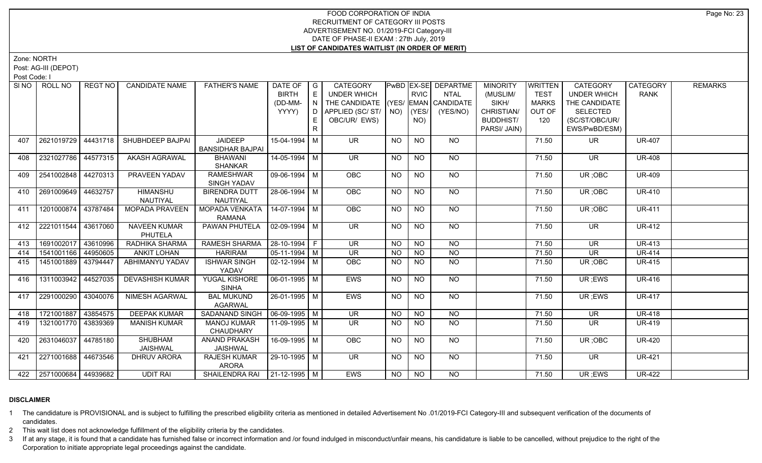Zone: NORTH

Post: AG-III (DEPOT)

Post Code: I

|     | SINO   ROLL NO          | REGT NO I | <b>CANDIDATE NAME</b>  | <b>FATHER'S NAME</b>            | DATE OF $ G $                |    | CATEGORY                           |           |                | <b>PwBD EX-SE DEPARTME</b> | <b>MINORITY</b>  | <b>WRITTEN</b> | <b>CATEGORY</b> | CATEGORY      | <b>REMARKS</b> |
|-----|-------------------------|-----------|------------------------|---------------------------------|------------------------------|----|------------------------------------|-----------|----------------|----------------------------|------------------|----------------|-----------------|---------------|----------------|
|     |                         |           |                        |                                 | <b>BIRTH</b>                 |    | UNDER WHICH                        |           | <b>RVIC</b>    | <b>NTAL</b>                | (MUSLIM/         | <b>TEST</b>    | UNDER WHICH     | <b>RANK</b>   |                |
|     |                         |           |                        |                                 | (DD-MM-                      | N  | THE CANDIDATE (YES/ EMAN CANDIDATE |           |                |                            | SIKH/            | <b>MARKS</b>   | THE CANDIDATE   |               |                |
|     |                         |           |                        |                                 | YYYY)                        | D. | APPLIED (SC/ ST/   NO)             |           | (YES/          | (YES/NO)                   | CHRISTIAN/       | OUT OF         | <b>SELECTED</b> |               |                |
|     |                         |           |                        |                                 |                              |    | OBC/UR/ EWS)                       |           | NO)            |                            | <b>BUDDHIST/</b> | 120            | (SC/ST/OBC/UR/  |               |                |
|     |                         |           |                        |                                 |                              |    |                                    |           |                |                            | PARSI/ JAIN)     |                | EWS/PwBD/ESM)   |               |                |
| 407 | 2621019729 44431718     |           | SHUBHDEEP BAJPAI       | <b>JAIDEEP</b>                  | 15-04-1994 M                 |    | <b>UR</b>                          | <b>NO</b> | <b>NO</b>      | NO.                        |                  | 71.50          | <b>UR</b>       | <b>UR-407</b> |                |
|     |                         |           |                        | <b>BANSIDHAR BAJPAI</b>         |                              |    |                                    |           |                |                            |                  |                |                 |               |                |
| 408 | 2321027786 44577315     |           | <b>AKASH AGRAWAL</b>   | <b>BHAWANI</b>                  | 14-05-1994 M                 |    | <b>UR</b>                          | <b>NO</b> | <b>NO</b>      | <b>NO</b>                  |                  | 71.50          | <b>UR</b>       | <b>UR-408</b> |                |
|     |                         |           |                        | <b>SHANKAR</b>                  |                              |    |                                    |           |                |                            |                  |                |                 |               |                |
| 409 | 2541002848 44270313     |           | PRAVEEN YADAV          | <b>RAMESHWAR</b>                | 09-06-1994 M                 |    | OBC                                | <b>NO</b> | <b>NO</b>      | NO                         |                  | 71.50          | UR; OBC         | <b>UR-409</b> |                |
|     |                         |           |                        | <b>SINGH YADAV</b>              |                              |    |                                    |           |                |                            |                  |                |                 |               |                |
| 410 | 2691009649 44632757     |           | <b>HIMANSHU</b>        | <b>BIRENDRA DUTT</b>            | $28-06-1994$ M               |    | <b>OBC</b>                         | <b>NO</b> | <b>NO</b>      | NO                         |                  | 71.50          | UR; OBC         | <b>UR-410</b> |                |
|     |                         |           | NAUTIYAL               | NAUTIYAL                        |                              |    |                                    |           |                |                            |                  |                |                 |               |                |
| 411 | 1201000874 43787484     |           | <b>MOPADA PRAVEEN</b>  | MOPADA VENKATA   14-07-1994   M |                              |    | OBC                                | <b>NO</b> | N <sub>O</sub> | $N$ <sup>O</sup>           |                  | 71.50          | UR; OBC         | <b>UR-411</b> |                |
|     |                         |           |                        | RAMANA                          |                              |    |                                    |           |                |                            |                  |                |                 |               |                |
| 412 | 2221011544 43617060     |           | <b>NAVEEN KUMAR</b>    | PAWAN PHUTELA                   | $\vert$ 02-09-1994 $\vert$ M |    | <b>UR</b>                          | <b>NO</b> | <b>NO</b>      | <b>NO</b>                  |                  | 71.50          | UR              | UR-412        |                |
|     |                         |           | PHUTELA                |                                 |                              |    |                                    |           |                |                            |                  |                |                 |               |                |
| 413 | 1691002017 43610996     |           | RADHIKA SHARMA         | RAMESH SHARMA                   | $ 28-10-1994 F$              |    | <b>UR</b>                          | <b>NO</b> | <b>NO</b>      | <b>NO</b>                  |                  | 71.50          | UR.             | <b>UR-413</b> |                |
| 414 | 1541001166 44950605     |           | <b>ANKIT LOHAN</b>     | <b>HARIRAM</b>                  | $\boxed{05-11-1994}$ M       |    | <b>UR</b>                          | <b>NO</b> | <b>NO</b>      | <b>NO</b>                  |                  | 71.50          | <b>UR</b>       | <b>UR-414</b> |                |
| 415 | 1451001889 43794447     |           | ABHIMANYU YADAV        | <b>ISHWAR SINGH</b>             | 02-12-1994 M                 |    | <b>OBC</b>                         | NO.       | <b>NO</b>      | <b>NO</b>                  |                  | 71.50          | UR; OBC         | <b>UR-415</b> |                |
|     |                         |           |                        | YADAV                           |                              |    |                                    |           |                |                            |                  |                |                 |               |                |
| 416 | 1311003942 44527035     |           | <b>DEVASHISH KUMAR</b> | YUGAL KISHORE                   | 06-01-1995   M               |    | <b>EWS</b>                         | <b>NO</b> | $\overline{N}$ | N                          |                  | 71.50          | UR; EWS         | <b>UR-416</b> |                |
|     |                         |           |                        | <b>SINHA</b>                    |                              |    |                                    |           |                |                            |                  |                |                 |               |                |
| 417 | 2291000290 43040076     |           | <b>NIMESH AGARWAL</b>  | <b>BAL MUKUND</b>               | $26 - 01 - 1995$ M           |    | EWS                                | <b>NO</b> | <b>NO</b>      | NO                         |                  | 71.50          | UR; EWS         | <b>UR-417</b> |                |
|     |                         |           |                        | AGARWAL                         |                              |    |                                    |           |                |                            |                  |                |                 |               |                |
| 418 | 1721001887 43854575     |           | <b>DEEPAK KUMAR</b>    | SADANAND SINGH                  | $\vert$ 06-09-1995 $\vert$ M |    | <b>UR</b>                          | <b>NO</b> | $N$ O          | $N$ O                      |                  | 71.50          | <b>UR</b>       | <b>UR-418</b> |                |
| 419 | 1321001770 43839369     |           | <b>MANISH KUMAR</b>    | <b>MANOJ KUMAR</b>              | 11-09-1995   M               |    | UR.                                | <b>NO</b> | <b>NO</b>      | <b>NO</b>                  |                  | 71.50          | UR.             | <b>UR-419</b> |                |
|     |                         |           |                        | CHAUDHARY                       |                              |    |                                    |           |                |                            |                  |                |                 |               |                |
| 420 | 2631046037 44785180     |           | SHUBHAM                | ANAND PRAKASH                   | 16-09-1995 M                 |    | <b>OBC</b>                         | <b>NO</b> | <b>NO</b>      | NO                         |                  | 71.50          | UR; OBC         | <b>UR-420</b> |                |
|     |                         |           | <b>JAISHWAL</b>        | <b>JAISHWAL</b>                 |                              |    |                                    |           |                |                            |                  |                |                 |               |                |
| 421 | 2271001688   44673546   |           | <b>DHRUV ARORA</b>     | <b>RAJESH KUMAR</b>             | 29-10-1995   M               |    | UR.                                | <b>NO</b> | <b>NO</b>      | NO                         |                  | 71.50          | UR.             | <b>UR-421</b> |                |
|     |                         |           |                        | <b>ARORA</b>                    |                              |    |                                    |           |                |                            |                  |                |                 |               |                |
|     | 422 2571000684 44939682 |           | <b>UDIT RAI</b>        | SHAILENDRA RAI   21-12-1995   M |                              |    | EWS                                | NO.       | <b>NO</b>      | NO                         |                  | 71.50          | UR; EWS         | <b>UR-422</b> |                |

# **DISCLAIMER**

1 The candidature is PROVISIONAL and is subject to fulfilling the prescribed eligibility criteria as mentioned in detailed Advertisement No .01/2019-FCI Category-III and subsequent verification of the documents of candidates.

2 This wait list does not acknowledge fulfillment of the eligibility criteria by the candidates.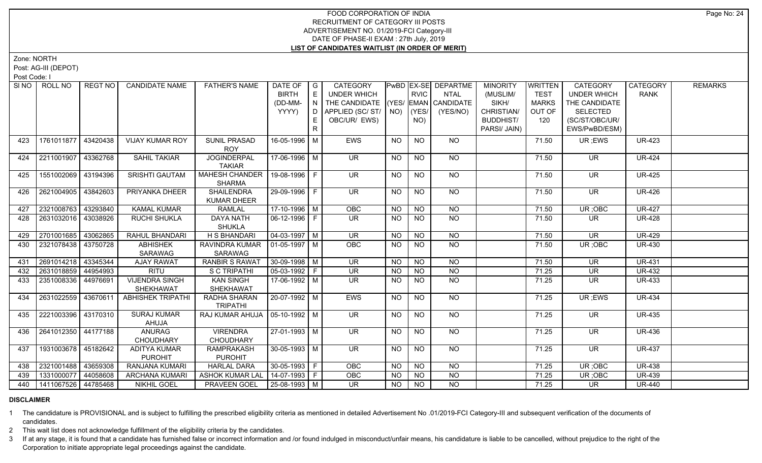Zone: NORTH

Post: AG-III (DEPOT)

Post Code: I

| SI NO I | ROLL NO               | REGT NO  | <b>CANDIDATE NAME</b>                 | <b>FATHER'S NAME</b>                    | DATE OF   G<br><b>BIRTH</b><br>(DD-MM-<br>YYYY) | E<br>IN<br>D | CATEGORY<br><b>UNDER WHICH</b><br>THE CANDIDATE (YES/ EMAN CANDIDATE<br>APPLIED (SC/ST/ NO) |           | <b>RVIC</b><br>(YES/ | <b>PWBD EX-SE DEPARTME</b><br><b>NTAL</b><br>(YES/NO) | <b>MINORITY</b><br>(MUSLIM/<br>SIKH/<br>CHRISTIAN/ | WRITTEN<br><b>TEST</b><br><b>MARKS</b><br>OUT OF | <b>CATEGORY</b><br><b>UNDER WHICH</b><br>THE CANDIDATE<br><b>SELECTED</b> | CATEGORY<br><b>RANK</b> | <b>REMARKS</b> |
|---------|-----------------------|----------|---------------------------------------|-----------------------------------------|-------------------------------------------------|--------------|---------------------------------------------------------------------------------------------|-----------|----------------------|-------------------------------------------------------|----------------------------------------------------|--------------------------------------------------|---------------------------------------------------------------------------|-------------------------|----------------|
|         |                       |          |                                       |                                         |                                                 | E.<br>R.     | OBC/UR/ EWS)                                                                                |           | NO)                  |                                                       | <b>BUDDHIST/</b><br>PARSI/ JAIN)                   | 120                                              | (SC/ST/OBC/UR/<br>EWS/PwBD/ESM)                                           |                         |                |
| 423     | 1761011877 43420438   |          | <b>VIJAY KUMAR ROY</b>                | <b>SUNIL PRASAD</b><br><b>ROY</b>       | 16-05-1996 M                                    |              | <b>EWS</b>                                                                                  | <b>NO</b> | <b>NO</b>            | NO.                                                   |                                                    | 71.50                                            | UR ;EWS                                                                   | <b>UR-423</b>           |                |
| 424     | 2211001907            | 43362768 | <b>SAHIL TAKIAR</b>                   | <b>JOGINDERPAL</b><br><b>TAKIAR</b>     | 17-06-1996 M                                    |              | <b>UR</b>                                                                                   | <b>NO</b> | <b>NO</b>            | NO                                                    |                                                    | 71.50                                            | <b>UR</b>                                                                 | <b>UR-424</b>           |                |
| 425     | 1551002069            | 43194396 | <b>SRISHTI GAUTAM</b>                 | <b>MAHESH CHANDER</b><br><b>SHARMA</b>  | 19-08-1996 F                                    |              | <b>UR</b>                                                                                   | <b>NO</b> | NO.                  | NO                                                    |                                                    | 71.50                                            | <b>UR</b>                                                                 | <b>UR-425</b>           |                |
| 426     | 2621004905            | 43842603 | PRIYANKA DHEER                        | <b>SHAILENDRA</b><br><b>KUMAR DHEER</b> | 29-09-1996 F                                    |              | UR.                                                                                         | <b>NO</b> | NO.                  | NO                                                    |                                                    | 71.50                                            | <b>UR</b>                                                                 | UR-426                  |                |
| 427     | 2321008763            | 43293840 | <b>KAMAL KUMAR</b>                    | <b>RAMLAL</b>                           | 17-10-1996 M                                    |              | OBC                                                                                         | $N$ O     | $N$ O                | $N$ <sup>O</sup>                                      |                                                    | 71.50                                            | UR; OBC                                                                   | <b>UR-427</b>           |                |
| 428     | 2631032016            | 43038926 | RUCHI SHUKLA                          | <b>DAYA NATH</b><br><b>SHUKLA</b>       | 06-12-1996 F                                    |              | <b>UR</b>                                                                                   | <b>NO</b> | <b>NO</b>            | <b>NO</b>                                             |                                                    | 71.50                                            | <b>UR</b>                                                                 | <b>UR-428</b>           |                |
| 429     | 2701001685            | 43062865 | RAHUL BHANDARI                        | <b>H S BHANDARI</b>                     | $\boxed{04-03-1997}$ M                          |              | $\overline{\mathsf{UR}}$                                                                    | <b>NO</b> | NO                   | $N$ O                                                 |                                                    | 71.50                                            | $\overline{\mathsf{UR}}$                                                  | <b>UR-429</b>           |                |
| 430     | 2321078438            | 43750728 | <b>ABHISHEK</b><br><b>SARAWAG</b>     | RAVINDRA KUMAR<br>SARAWAG               | $\vert$ 01-05-1997   M                          |              | <b>OBC</b>                                                                                  | <b>NO</b> | NO                   | $N$ <sup>O</sup>                                      |                                                    | 71.50                                            | UR; OBC                                                                   | <b>UR-430</b>           |                |
| 431     | 2691014218 43345344   |          | <b>AJAY RAWAT</b>                     | <b>RANBIR S RAWAT</b>                   | $30 - 09 - 1998$ M                              |              | <b>UR</b>                                                                                   | <b>NO</b> | <b>NO</b>            | <b>NO</b>                                             |                                                    | 71.50                                            | <b>UR</b>                                                                 | <b>UR-431</b>           |                |
| 432     | 2631018859 44954993   |          | <b>RITU</b>                           | S C TRIPATHI                            | $05-03-1992$ F                                  |              | <b>UR</b>                                                                                   | <b>NO</b> | <b>NO</b>            | <b>NO</b>                                             |                                                    | 71.25                                            | <b>UR</b>                                                                 | <b>UR-432</b>           |                |
| 433     | 2351008336            | 44976691 | <b>VIJENDRA SINGH</b><br>SHEKHAWAT    | <b>KAN SINGH</b><br>SHEKHAWAT           | 17-06-1992 M                                    |              | <b>UR</b>                                                                                   | <b>NO</b> | <b>NO</b>            | <b>NO</b>                                             |                                                    | 71.25                                            | <b>UR</b>                                                                 | <b>UR-433</b>           |                |
| 434     | 2631022559            | 43670611 | <b>ABHISHEK TRIPATHI</b>              | RADHA SHARAN<br><b>TRIPATHI</b>         | 20-07-1992 M                                    |              | <b>EWS</b>                                                                                  | <b>NO</b> | <b>NO</b>            | <b>NO</b>                                             |                                                    | 71.25                                            | UR; EWS                                                                   | <b>UR-434</b>           |                |
| 435     | 2221003396 43170310   |          | <b>SURAJ KUMAR</b><br>AHUJA           | RAJ KUMAR AHUJA   05-10-1992   M        |                                                 |              | $\overline{\mathsf{UR}}$                                                                    | <b>NO</b> | <b>NO</b>            | NO                                                    |                                                    | 71.25                                            | <b>UR</b>                                                                 | <b>UR-435</b>           |                |
| 436     | 2641012350            | 44177188 | <b>ANURAG</b><br><b>CHOUDHARY</b>     | <b>VIRENDRA</b><br><b>CHOUDHARY</b>     | $27-01-1993$ M                                  |              | $\overline{\mathsf{UR}}$                                                                    | <b>NO</b> | $N$ O                | $N$ O                                                 |                                                    | 71.25                                            | <b>UR</b>                                                                 | <b>UR-436</b>           |                |
| 437     | 1931003678 45182642   |          | <b>ADITYA KUMAR</b><br><b>PUROHIT</b> | <b>RAMPRAKASH</b><br><b>PUROHIT</b>     | $30 - 05 - 1993$ M                              |              | $\overline{\mathsf{UR}}$                                                                    | <b>NO</b> | $N$ O                | NO                                                    |                                                    | 71.25                                            | $\overline{\mathsf{UR}}$                                                  | <b>UR-437</b>           |                |
| 438     | 2321001488            | 43659308 | RANJANA KUMARI                        | <b>HARLAL DARA</b>                      | 30-05-1993 F                                    |              | <b>OBC</b>                                                                                  | <b>NO</b> | <b>NO</b>            | NO                                                    |                                                    | 71.25                                            | UR; OBC                                                                   | <b>UR-438</b>           |                |
| 439     | 1331000077            | 44058608 | ARCHANA KUMARI                        | <b>ASHOK KUMAR LAI</b>                  | 14-07-1993 F                                    |              | OBC                                                                                         | <b>NO</b> | <b>NO</b>            | <b>NO</b>                                             |                                                    | 71.25                                            | UR; OBC                                                                   | <b>UR-439</b>           |                |
| 440     | 1411067526   44785468 |          | <b>NIKHIL GOEL</b>                    | <b>PRAVEEN GOEL</b>                     | 25-08-1993 M                                    |              | UR.                                                                                         | NO.       | <b>NO</b>            | <b>NO</b>                                             |                                                    | 71.25                                            | UR.                                                                       | <b>UR-440</b>           |                |

#### **DISCLAIMER**

1 The candidature is PROVISIONAL and is subject to fulfilling the prescribed eligibility criteria as mentioned in detailed Advertisement No .01/2019-FCI Category-III and subsequent verification of the documents of candidates.

2 This wait list does not acknowledge fulfillment of the eligibility criteria by the candidates.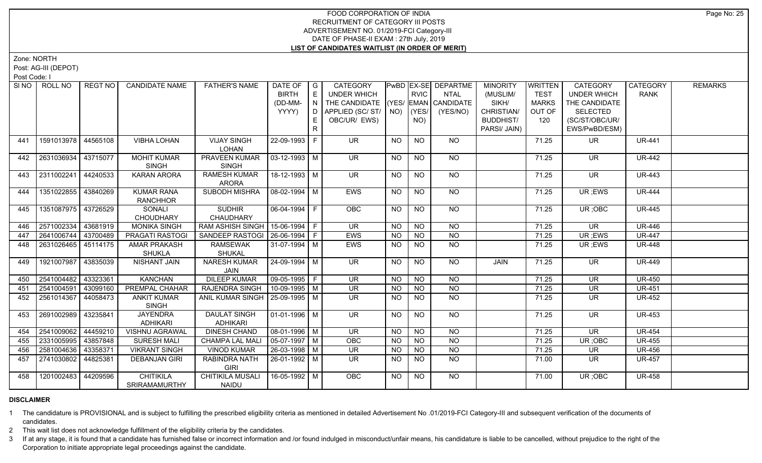Zone: NORTH

Post: AG-III (DEPOT)

Post Code: I

|     | SINO   ROLL NO      | REGT NO  | <b>CANDIDATE NAME</b>  | <b>FATHER'S NAME</b>              | DATE OF   G        |     | <b>CATEGORY</b>                    |           |                | <b>PwBD EX-SE DEPARTME</b> | <b>MINORITY</b>  | WRITTEN      | <b>CATEGORY</b>          | CATEGORY      | <b>REMARKS</b> |
|-----|---------------------|----------|------------------------|-----------------------------------|--------------------|-----|------------------------------------|-----------|----------------|----------------------------|------------------|--------------|--------------------------|---------------|----------------|
|     |                     |          |                        |                                   | <b>BIRTH</b>       | E   | <b>UNDER WHICH</b>                 |           | <b>RVIC</b>    | <b>NTAL</b>                | (MUSLIM/         | <b>TEST</b>  | <b>UNDER WHICH</b>       | <b>RANK</b>   |                |
|     |                     |          |                        |                                   | (DD-MM-            | IN. | THE CANDIDATE (YES/ EMAN CANDIDATE |           |                |                            | SIKH/            | <b>MARKS</b> | THE CANDIDATE            |               |                |
|     |                     |          |                        |                                   | YYYY)              | D   | APPLIED (SC/ ST/   NO)   (YES/     |           |                | (YES/NO)                   | CHRISTIAN/       | OUT OF       | <b>SELECTED</b>          |               |                |
|     |                     |          |                        |                                   |                    | E.  | OBC/UR/ EWS)                       |           | NO)            |                            | <b>BUDDHIST/</b> | 120          | (SC/ST/OBC/UR/           |               |                |
|     |                     |          |                        |                                   |                    | R   |                                    |           |                |                            | PARSI/ JAIN)     |              | EWS/PwBD/ESM)            |               |                |
| 441 | 1591013978 44565108 |          | <b>VIBHA LOHAN</b>     | <b>VIJAY SINGH</b>                | 22-09-1993 F       |     | <b>UR</b>                          | <b>NO</b> | <b>NO</b>      | <b>NO</b>                  |                  | 71.25        | <b>UR</b>                | <b>UR-441</b> |                |
|     |                     |          |                        | <b>LOHAN</b>                      |                    |     |                                    |           |                |                            |                  |              |                          |               |                |
| 442 | 2631036934          | 43715077 | <b>MOHIT KUMAR</b>     | PRAVEEN KUMAR                     | $03 - 12 - 1993$ M |     | <b>UR</b>                          | <b>NO</b> | <b>NO</b>      | <b>NO</b>                  |                  | 71.25        | <b>UR</b>                | <b>UR-442</b> |                |
|     |                     |          | <b>SINGH</b>           | <b>SINGH</b>                      |                    |     |                                    |           |                |                            |                  |              |                          |               |                |
| 443 | 2311002241          | 44240533 | KARAN ARORA            | <b>RAMESH KUMAR</b>               | 18-12-1993 M       |     | <b>UR</b>                          | NO.       | NO.            | NO.                        |                  | 71.25        | UR.                      | <b>UR-443</b> |                |
|     |                     |          |                        | <b>ARORA</b>                      |                    |     |                                    |           |                |                            |                  |              |                          |               |                |
| 444 | 1351022855          | 43840269 | <b>KUMAR RANA</b>      | SUBODH MISHRA                     | $08-02-1994$ M     |     | EWS                                | <b>NO</b> | <b>NO</b>      | NO                         |                  | 71.25        | UR ;EWS                  | <b>UR-444</b> |                |
|     |                     |          | <b>RANCHHOR</b>        |                                   |                    |     |                                    |           |                |                            |                  |              |                          |               |                |
| 445 | 1351087975 43726529 |          | SONALI                 | <b>SUDHIR</b>                     | $06 - 04 - 1994$ F |     | <b>OBC</b>                         | <b>NO</b> | N <sub>O</sub> | $N$ O                      |                  | 71.25        | UR; OBC                  | <b>UR-445</b> |                |
|     |                     |          | <b>CHOUDHARY</b>       | <b>CHAUDHARY</b>                  |                    |     |                                    |           |                |                            |                  |              |                          |               |                |
| 446 | 2571002334          | 43681919 | <b>MONIKA SINGH</b>    | RAM ASHISH SINGH                  | 15-06-1994 F       |     | $\overline{\mathsf{UR}}$           | <b>NO</b> | NO             | N <sub>O</sub>             |                  | 71.25        | $\overline{\mathsf{UR}}$ | <b>UR-446</b> |                |
| 447 | 2641006744          | 43700489 | <b>PRAGATI RASTOGI</b> | SANDEEP RASTOGI I                 | 26-06-1994 F       |     | <b>EWS</b>                         | <b>NO</b> | <b>NO</b>      | <b>NO</b>                  |                  | 71.25        | UR ;EWS                  | <b>UR-447</b> |                |
| 448 | 2631026465          | 45114175 | <b>AMAR PRAKASH</b>    | <b>RAMSEWAK</b>                   | 31-07-1994 M       |     | <b>EWS</b>                         | <b>NO</b> | N <sub>O</sub> | N <sub>O</sub>             |                  | 71.25        | UR; EWS                  | <b>UR-448</b> |                |
|     |                     |          | <b>SHUKLA</b>          | SHUKAL                            |                    |     |                                    |           |                |                            |                  |              |                          |               |                |
| 449 | 1921007987          | 43835039 | <b>NISHANT JAIN</b>    | <b>NARESH KUMAR</b>               | 24-09-1994 M       |     | <b>UR</b>                          | NO        | <b>NO</b>      | <b>NO</b>                  | JAIN             | 71.25        | <b>UR</b>                | <b>UR-449</b> |                |
|     |                     |          |                        | JAIN                              |                    |     |                                    |           |                |                            |                  |              |                          |               |                |
| 450 | 2541004482          | 43323361 | <b>KANCHAN</b>         | <b>DILEEP KUMAR</b>               | $09-05-1995$ F     |     | <b>UR</b>                          | NO.       | <b>NO</b>      | <b>NO</b>                  |                  | 71.25        | <b>UR</b>                | <b>UR-450</b> |                |
| 451 | 2541004591          | 43099160 | PREMPAL CHAHAR         | <b>RAJENDRA SINGH</b>             | 10-09-1995   M     |     | <b>UR</b>                          | <b>NO</b> | <b>NO</b>      | N <sub>O</sub>             |                  | 71.25        | <b>UR</b>                | <b>UR-451</b> |                |
| 452 | 2561014367          | 44058473 | <b>ANKIT KUMAR</b>     | ANIL KUMAR SINGH   25-09-1995   M |                    |     | UR.                                | NO.       | <b>NO</b>      | NO.                        |                  | 71.25        | UR.                      | <b>UR-452</b> |                |
|     |                     |          | <b>SINGH</b>           |                                   |                    |     |                                    |           |                |                            |                  |              |                          |               |                |
| 453 | 2691002989          | 43235841 | <b>JAYENDRA</b>        | <b>DAULAT SINGH</b>               | 01-01-1996   M     |     | UR.                                | <b>NO</b> | <b>NO</b>      | NO                         |                  | 71.25        | <b>UR</b>                | <b>UR-453</b> |                |
|     |                     |          | <b>ADHIKARI</b>        | <b>ADHIKARI</b>                   |                    |     |                                    |           |                |                            |                  |              |                          |               |                |
| 454 | 2541009062          | 44459210 | <b>VISHNU AGRAWAL</b>  | <b>DINESH CHAND</b>               | $08-01-1996$ M     |     | $\overline{\mathsf{UR}}$           | <b>NO</b> | N <sub>O</sub> | N <sub>O</sub>             |                  | 71.25        | $\overline{\mathsf{UR}}$ | <b>UR-454</b> |                |
| 455 | 2331005995          | 43857848 | <b>SURESH MALI</b>     | <b>CHAMPA LAL MALI</b>            | $05-07-1997$ M     |     | <b>OBC</b>                         | <b>NO</b> | <b>NO</b>      | <b>NO</b>                  |                  | 71.25        | UR; OBC                  | <b>UR-455</b> |                |
| 456 | 2581004636          | 43358371 | <b>VIKRANT SINGH</b>   | <b>VINOD KUMAR</b>                | 26-03-1998 M       |     | <b>UR</b>                          | <b>NO</b> | N <sub>O</sub> | $N$ O                      |                  | 71.25        | <b>UR</b>                | <b>UR-456</b> |                |
| 457 | 2741030802          | 44825381 | <b>DEBANJAN GIRI</b>   | RABINDRA NATH                     | 26-01-1992 M       |     | <b>UR</b>                          | <b>NO</b> | N <sub>O</sub> | N <sub>O</sub>             |                  | 71.00        | UR.                      | <b>UR-457</b> |                |
|     |                     |          |                        | <b>GIRI</b>                       |                    |     |                                    |           |                |                            |                  |              |                          |               |                |
| 458 | 1201002483 44209596 |          | <b>CHITIKILA</b>       | <b>CHITIKILA MUSALI</b>           | 16-05-1992 M       |     | <b>OBC</b>                         | NO.       | <b>NO</b>      | NO.                        |                  | 71.00        | UR; OBC                  | <b>UR-458</b> |                |
|     |                     |          | <b>SRIRAMAMURTHY</b>   | <b>NAIDU</b>                      |                    |     |                                    |           |                |                            |                  |              |                          |               |                |

#### **DISCLAIMER**

1 The candidature is PROVISIONAL and is subject to fulfilling the prescribed eligibility criteria as mentioned in detailed Advertisement No .01/2019-FCI Category-III and subsequent verification of the documents of candidates.

2 This wait list does not acknowledge fulfillment of the eligibility criteria by the candidates.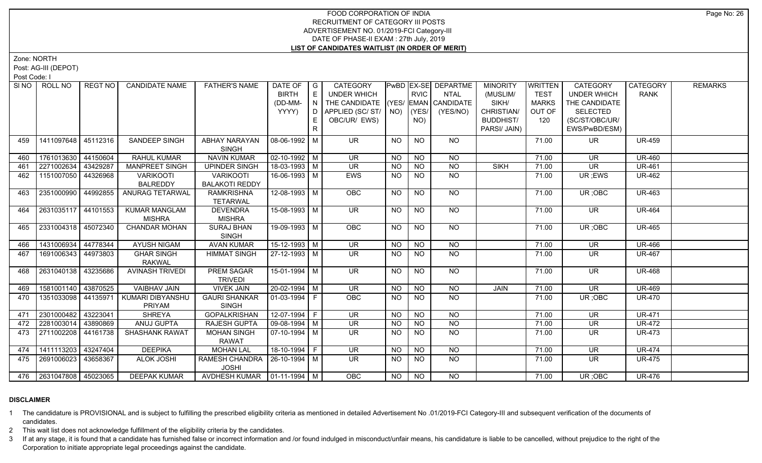Zone: NORTH

Post: AG-III (DEPOT)

Post Code: I

|     | SINO ROLL NO            | REGT NO  | <b>CANDIDATE NAME</b>  | <b>FATHER'S NAME</b>            | DATE OF   G                  |   | CATEGORY                           |           |                | <b>PWBD EX-SE DEPARTME</b> | <b>MINORITY</b>  | <b>WRITTEN</b> | <b>CATEGORY</b>          | CATEGORY      | <b>REMARKS</b> |
|-----|-------------------------|----------|------------------------|---------------------------------|------------------------------|---|------------------------------------|-----------|----------------|----------------------------|------------------|----------------|--------------------------|---------------|----------------|
|     |                         |          |                        |                                 | <b>BIRTH</b>                 | E | UNDER WHICH                        |           | <b>RVIC</b>    | <b>NTAL</b>                | (MUSLIM/         | <b>TEST</b>    | <b>UNDER WHICH</b>       | <b>RANK</b>   |                |
|     |                         |          |                        |                                 | (DD-MM-                      | N | THE CANDIDATE (YES/ EMAN CANDIDATE |           |                |                            | SIKH/            | <b>MARKS</b>   | THE CANDIDATE            |               |                |
|     |                         |          |                        |                                 | YYYY)                        | D | APPLIED (SC/ ST/   NO)             |           | (YES/          | (YES/NO)                   | CHRISTIAN/       | OUT OF         | <b>SELECTED</b>          |               |                |
|     |                         |          |                        |                                 |                              |   | OBC/UR/ EWS)                       |           | NO)            |                            | <b>BUDDHIST/</b> | 120            | (SC/ST/OBC/UR/           |               |                |
|     |                         |          |                        |                                 |                              |   |                                    |           |                |                            | PARSI/ JAIN)     |                | EWS/PwBD/ESM)            |               |                |
| 459 | 1411097648 45112316     |          | <b>SANDEEP SINGH</b>   | ABHAY NARAYAN                   | 08-06-1992 M                 |   | UR.                                | <b>NO</b> | <b>NO</b>      | NO.                        |                  | 71.00          | UR.                      | <b>UR-459</b> |                |
|     |                         |          |                        | <b>SINGH</b>                    |                              |   |                                    |           |                |                            |                  |                |                          |               |                |
| 460 | 1761013630 44150604     |          | RAHUL KUMAR            | <b>NAVIN KUMAR</b>              | 02-10-1992 M                 |   | <b>UR</b>                          | <b>NO</b> | <b>NO</b>      | <b>NO</b>                  |                  | 71.00          | <b>UR</b>                | <b>UR-460</b> |                |
| 461 | 2271002634              | 43429287 | <b>MANPREET SINGH</b>  | <b>UPINDER SINGH</b>            | 18-03-1993 M                 |   | <b>UR</b>                          | <b>NO</b> | <b>NO</b>      | <b>NO</b>                  | <b>SIKH</b>      | 71.00          | <b>UR</b>                | <b>UR-461</b> |                |
| 462 | 1151007050 44326968     |          | <b>VARIKOOTI</b>       | <b>VARIKOOTI</b>                | 16-06-1993 M                 |   | EWS                                | <b>NO</b> | <b>NO</b>      | <b>NO</b>                  |                  | 71.00          | UR; EWS                  | UR-462        |                |
|     |                         |          | <b>BALREDDY</b>        | <b>BALAKOTI REDDY</b>           |                              |   |                                    |           |                |                            |                  |                |                          |               |                |
| 463 | 2351000990 44992855     |          | ANURAG TETARWAL        | <b>RAMKRISHNA</b>               | $12-08-1993$ M               |   | <b>OBC</b>                         | <b>NO</b> | $\overline{N}$ | N <sub>O</sub>             |                  | 71.00          | UR; OBC                  | <b>UR-463</b> |                |
|     |                         |          |                        | <b>TETARWAL</b>                 |                              |   |                                    |           |                |                            |                  |                |                          |               |                |
| 464 | 2631035117 44101553     |          | <b>KUMAR MANGLAM</b>   | <b>DEVENDRA</b>                 | 15-08-1993 M                 |   | <b>UR</b>                          | <b>NO</b> | <b>NO</b>      | NO                         |                  | 71.00          | UR.                      | <b>UR-464</b> |                |
|     |                         |          | <b>MISHRA</b>          | <b>MISHRA</b>                   |                              |   |                                    |           |                |                            |                  |                |                          |               |                |
| 465 | 2331004318 45072340     |          | <b>CHANDAR MOHAN</b>   | <b>SURAJ BHAN</b>               | 19-09-1993 M                 |   | OBC                                | <b>NO</b> | $N$ O          | NO                         |                  | 71.00          | UR; OBC                  | <b>UR-465</b> |                |
|     |                         |          |                        | <b>SINGH</b>                    |                              |   |                                    |           |                |                            |                  |                |                          |               |                |
| 466 | 1431006934              | 44778344 | <b>AYUSH NIGAM</b>     | <b>AVAN KUMAR</b>               | $15-12-1993$ M               |   | <b>UR</b>                          | <b>NO</b> | <b>NO</b>      | <b>NO</b>                  |                  | 71.00          | <b>UR</b>                | <b>UR-466</b> |                |
| 467 | 1691006343 44973803     |          | <b>GHAR SINGH</b>      | <b>HIMMAT SINGH</b>             | 27-12-1993 M                 |   | <b>UR</b>                          | NO.       | <b>NO</b>      | <b>NO</b>                  |                  | 71.00          | <b>UR</b>                | <b>UR-467</b> |                |
|     |                         |          | <b>RAKWAL</b>          |                                 |                              |   |                                    |           |                |                            |                  |                |                          |               |                |
| 468 | 2631040138 43235686     |          | <b>AVINASH TRIVEDI</b> | PREM SAGAR                      | 15-01-1994 M                 |   | <b>UR</b>                          | <b>NO</b> | <b>NO</b>      | <b>NO</b>                  |                  | 71.00          | <b>UR</b>                | <b>UR-468</b> |                |
|     |                         |          |                        | <b>TRIVEDI</b>                  |                              |   |                                    |           |                |                            |                  |                |                          |               |                |
| 469 | 1581001140 43870525     |          | <b>VAIBHAV JAIN</b>    | <b>VIVEK JAIN</b>               | $20-02-1994$ M               |   | <b>UR</b>                          | <b>NO</b> | <b>NO</b>      | <b>NO</b>                  | JAIN             | 71.00          | <b>UR</b>                | <b>UR-469</b> |                |
| 470 | 1351033098 44135971     |          | KUMARI DIBYANSHU       | <b>GAURI SHANKAR</b>            | $ 01-03-1994 F$              |   | OBC                                | <b>NO</b> | <b>NO</b>      | <b>NO</b>                  |                  | 71.00          | UR; OBC                  | <b>UR-470</b> |                |
|     |                         |          | <b>PRIYAM</b>          | <b>SINGH</b>                    |                              |   |                                    |           |                |                            |                  |                |                          |               |                |
| 471 | 2301000482 43223041     |          | <b>SHREYA</b>          | <b>GOPALKRISHAN</b>             | $12-07-1994$ F               |   | <b>UR</b>                          | NO.       | <b>NO</b>      | <b>NO</b>                  |                  | 71.00          | <b>UR</b>                | <b>UR-471</b> |                |
| 472 | 2281003014 43890869     |          | <b>ANUJ GUPTA</b>      | <b>RAJESH GUPTA</b>             | $\boxed{09-08-1994}$ M       |   | <b>UR</b>                          | <b>NO</b> | N <sub>O</sub> | $N$ O                      |                  | 71.00          | <b>UR</b>                | <b>UR-472</b> |                |
| 473 | 2711002208   44161738   |          | SHASHANK RAWAT         | <b>MOHAN SINGH</b>              | $\vert$ 07-10-1994 $\vert$ M |   | UR.                                | NO.       | <b>NO</b>      | N <sub>O</sub>             |                  | 71.00          | UR.                      | <b>UR-473</b> |                |
|     |                         |          |                        | <b>RAWAT</b>                    |                              |   |                                    |           |                |                            |                  |                |                          |               |                |
| 474 | 1411113203 43247404     |          | <b>DEEPIKA</b>         | <b>MOHAN LAL</b>                | 18-10-1994 F                 |   | $\overline{\mathsf{UR}}$           | NO.       | <b>NO</b>      | N <sub>O</sub>             |                  | 71.00          | $\overline{\mathsf{UR}}$ | <b>UR-474</b> |                |
| 475 | 2691006023   43658367   |          | <b>ALOK JOSHI</b>      | RAMESH CHANDRA   26-10-1994   M |                              |   | UR.                                | NO.       | <b>NO</b>      | NO.                        |                  | 71.00          | UR.                      | <b>UR-475</b> |                |
|     |                         |          |                        | <b>JOSHI</b>                    |                              |   |                                    |           |                |                            |                  |                |                          |               |                |
|     | 476 2631047808 45023065 |          | <b>DEEPAK KUMAR</b>    | AVDHESH KUMAR   01-11-1994   M  |                              |   | <b>OBC</b>                         | NO.       | <b>NO</b>      | NO                         |                  | 71.00          | UR:OBC                   | <b>UR-476</b> |                |

# **DISCLAIMER**

1 The candidature is PROVISIONAL and is subject to fulfilling the prescribed eligibility criteria as mentioned in detailed Advertisement No .01/2019-FCI Category-III and subsequent verification of the documents of candidates.

2 This wait list does not acknowledge fulfillment of the eligibility criteria by the candidates.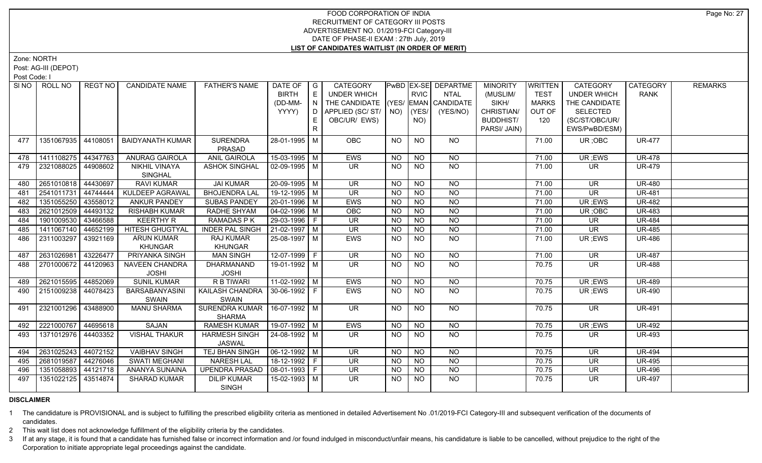Zone: NORTH

Post: AG-III (DEPOT)

Post Code: I

|     | SINO   ROLL NO        | REGT NO I | <b>CANDIDATE NAME</b>   | <b>FATHER'S NAME</b>             | DATE OF $ G $    |   | CATEGORY                           |           |                 | <b>PwBD EX-SE DEPARTME</b> | <b>MINORITY</b> | <b>WRITTEN</b> | <b>CATEGORY</b>          | CATEGORY      | <b>REMARKS</b> |
|-----|-----------------------|-----------|-------------------------|----------------------------------|------------------|---|------------------------------------|-----------|-----------------|----------------------------|-----------------|----------------|--------------------------|---------------|----------------|
|     |                       |           |                         |                                  | <b>BIRTH</b>     | E | UNDER WHICH                        |           | <b>RVIC</b>     | <b>NTAL</b>                | (MUSLIM/        | <b>TEST</b>    | <b>UNDER WHICH</b>       | <b>RANK</b>   |                |
|     |                       |           |                         |                                  | (DD-MM-          | N | THE CANDIDATE (YES/ EMAN CANDIDATE |           |                 |                            | SIKH/           | <b>MARKS</b>   | THE CANDIDATE            |               |                |
|     |                       |           |                         |                                  | YYYY)            | D | APPLIED (SC/ ST/   NO)             |           | (YES/           | (YES/NO)                   | CHRISTIAN/      | OUT OF         | SELECTED                 |               |                |
|     |                       |           |                         |                                  |                  | Е | OBC/UR/ EWS)                       |           | NO)             |                            | BUDDHIST/       | 120            | (SC/ST/OBC/UR/           |               |                |
|     |                       |           |                         |                                  |                  | R |                                    |           |                 |                            | PARSI/ JAIN)    |                | EWS/PwBD/ESM)            |               |                |
| 477 | 1351067935 44108051   |           | <b>BAIDYANATH KUMAR</b> | <b>SURENDRA</b>                  | 28-01-1995 M     |   | OBC                                | <b>NO</b> | <b>NO</b>       | NO.                        |                 | 71.00          | UR; OBC                  | <b>UR-477</b> |                |
|     |                       |           |                         | PRASAD                           |                  |   |                                    |           |                 |                            |                 |                |                          |               |                |
| 478 | 1411108275 44347763   |           | <b>ANURAG GAIROLA</b>   | <b>ANIL GAIROLA</b>              | 15-03-1995 M     |   | <b>EWS</b>                         | NO.       | <b>NO</b>       | <b>NO</b>                  |                 | 71.00          | UR ;EWS                  | <b>UR-478</b> |                |
| 479 | 2321088025   44908602 |           | <b>NIKHIL VINAYA</b>    | <b>ASHOK SINGHAL</b>             | $02-09-1995$ M   |   | UR.                                | <b>NO</b> | <b>NO</b>       | <b>NO</b>                  |                 | 71.00          | UR.                      | <b>UR-479</b> |                |
|     |                       |           | <b>SINGHAL</b>          |                                  |                  |   |                                    |           |                 |                            |                 |                |                          |               |                |
| 480 | 2651010818 44430697   |           | <b>RAVI KUMAR</b>       | <b>JAI KUMAR</b>                 | 20-09-1995 M     |   | <b>UR</b>                          | <b>NO</b> | <b>NO</b>       | <b>NO</b>                  |                 | 71.00          | <b>UR</b>                | <b>UR-480</b> |                |
| 481 | 2541011731            | 44744444  | KULDEEP AGRAWAL         | <b>BHOJENDRA LAL</b>             | $19-12-1995$ M   |   | UR.                                | <b>NO</b> | <b>NO</b>       | $\overline{NO}$            |                 | 71.00          | UR.                      | <b>UR-481</b> |                |
| 482 | 1351055250 43558012   |           | <b>ANKUR PANDEY</b>     | <b>SUBAS PANDEY</b>              | 20-01-1996 M     |   | EWS                                | <b>NO</b> | <b>NO</b>       | $\overline{NO}$            |                 | 71.00          | UR ;EWS                  | <b>UR-482</b> |                |
| 483 | 2621012509            | 44493132  | <b>RISHABH KUMAR</b>    | RADHE SHYAM                      | $ 04-02-1996 $ M |   | OBC                                | <b>NO</b> | $\overline{NO}$ | $\overline{NO}$            |                 | 71.00          | UR; OBC                  | <b>UR-483</b> |                |
| 484 | 1901009530 43466588   |           | <b>KEERTHY R</b>        | RAMADAS P K                      | $29-03-1996$ F   |   | UR.                                | <b>NO</b> | $\overline{NO}$ | $\overline{NO}$            |                 | 71.00          | <b>UR</b>                | <b>UR-484</b> |                |
| 485 | 1411067140 44652199   |           | <b>HITESH GHUGTYAL</b>  | <b>INDER PAL SINGH</b>           | $21-02-1997$ M   |   | <b>UR</b>                          | <b>NO</b> | $\overline{NO}$ | $\overline{NO}$            |                 | 71.00          | <b>UR</b>                | <b>UR-485</b> |                |
| 486 | 2311003297            | 43921169  | <b>ARUN KUMAR</b>       | RAJ KUMAR                        | 25-08-1997   M   |   | EWS                                | NO.       | <b>NO</b>       | <b>NO</b>                  |                 | 71.00          | UR; EWS                  | <b>UR-486</b> |                |
|     |                       |           | <b>KHUNGAR</b>          | <b>KHUNGAR</b>                   |                  |   |                                    |           |                 |                            |                 |                |                          |               |                |
| 487 | 2631026981            | 43226477  | <b>PRIYANKA SINGH</b>   | <b>MAN SINGH</b>                 | $12-07-1999$ F   |   | $\overline{\mathsf{UR}}$           | <b>NO</b> | N <sub>O</sub>  | N <sub>O</sub>             |                 | 71.00          | $\overline{\mathsf{UR}}$ | <b>UR-487</b> |                |
| 488 | 2701000672 44120963   |           | <b>NAVEEN CHANDRA</b>   | DHARMANAND                       | 19-01-1992 M     |   | UR.                                | NO.       | <b>NO</b>       | <b>NO</b>                  |                 | 70.75          | UR.                      | <b>UR-488</b> |                |
|     |                       |           | <b>JOSHI</b>            | <b>JOSHI</b>                     |                  |   |                                    |           |                 |                            |                 |                |                          |               |                |
| 489 | 2621015595 44852069   |           | <b>SUNIL KUMAR</b>      | R B TIWARI                       | $11-02-1992$ M   |   | EWS                                | <b>NO</b> | <b>NO</b>       | <b>NO</b>                  |                 | 70.75          | UR ;EWS                  | <b>UR-489</b> |                |
| 490 | 2151009238 44078423   |           | BARSABANYASINI          | KAILASH CHANDRA   30-06-1992   F |                  |   | EWS                                | <b>NO</b> | NO              | NO                         |                 | 70.75          | UR; EWS                  | <b>UR-490</b> |                |
|     |                       |           | SWAIN                   | <b>SWAIN</b>                     |                  |   |                                    |           |                 |                            |                 |                |                          |               |                |
| 491 | 2321001296 43488900   |           | <b>MANU SHARMA</b>      | SURENDRA KUMAR   16-07-1992   M  |                  |   | UR.                                | NO.       | <b>NO</b>       | NO                         |                 | 70.75          | UR.                      | <b>UR-491</b> |                |
|     |                       |           |                         | <b>SHARMA</b>                    |                  |   |                                    |           |                 |                            |                 |                |                          |               |                |
| 492 | 2221000767 44695618   |           | <b>SAJAN</b>            | <b>RAMESH KUMAR</b>              | 19-07-1992 M     |   | <b>EWS</b>                         | <b>NO</b> | $\overline{NQ}$ | <b>NO</b>                  |                 | 70.75          | UR; EWS                  | <b>UR-492</b> |                |
| 493 | 1371012976 44403352   |           | <b>VISHAL THAKUR</b>    | <b>HARMESH SINGH</b>             | 24-08-1992 M     |   | UR.                                | NO.       | <b>NO</b>       | <b>NO</b>                  |                 | 70.75          | UR.                      | <b>UR-493</b> |                |
|     |                       |           |                         | <b>JASWAL</b>                    |                  |   |                                    |           |                 |                            |                 |                |                          |               |                |
| 494 | 2631025243 44072152   |           | <b>VAIBHAV SINGH</b>    | TEJ BHAN SINGH                   | $ 06-12-1992 M$  |   | <b>UR</b>                          | <b>NO</b> | <b>NO</b>       | <b>NO</b>                  |                 | 70.75          | <b>UR</b>                | <b>UR-494</b> |                |
| 495 | 2681019587 44276046   |           | SWATI MEGHANI           | <b>NARESH LAL</b>                | 18-12-1992 F     |   | UR.                                | NO.       | <b>NO</b>       | <b>NO</b>                  |                 | 70.75          | UR.                      | <b>UR-495</b> |                |
| 496 | 1351058893 44121718   |           | ANANYA SUNAINA          | <b>UPENDRA PRASAD</b>            | 08-01-1993 F     |   | <b>UR</b>                          | <b>NO</b> | <b>NO</b>       | $\overline{NO}$            |                 | 70.75          | UR                       | <b>UR-496</b> |                |
| 497 | 1351022125 43514874   |           | <b>SHARAD KUMAR</b>     | <b>DILIP KUMAR</b>               | 15-02-1993   M   |   | <b>UR</b>                          | <b>NO</b> | NO.             | <b>NO</b>                  |                 | 70.75          | UR.                      | <b>UR-497</b> |                |
|     |                       |           |                         | <b>SINGH</b>                     |                  |   |                                    |           |                 |                            |                 |                |                          |               |                |

# **DISCLAIMER**

1 The candidature is PROVISIONAL and is subject to fulfilling the prescribed eligibility criteria as mentioned in detailed Advertisement No .01/2019-FCI Category-III and subsequent verification of the documents of candidates.

2 This wait list does not acknowledge fulfillment of the eligibility criteria by the candidates.

3 If at any stage, it is found that a candidate has furnished false or incorrect information and /or found indulged in misconduct/unfair means, his candidature is liable to be cancelled, without prejudice to the right of t Corporation to initiate appropriate legal proceedings against the candidate.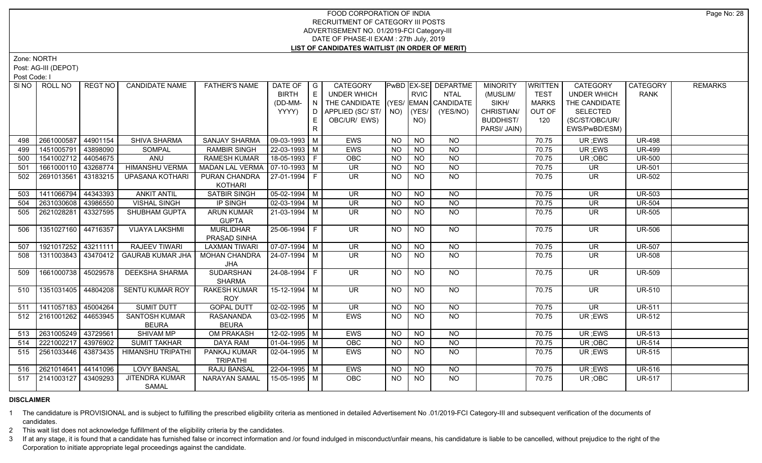Zone: NORTH

Post: AG-III (DEPOT)

Post Code: I

|     | SINO ROLL NO          | REGT NO  | <b>CANDIDATE NAME</b>    | <b>FATHER'S NAME</b>   | DATE OF   G           |    | <b>CATEGORY</b>                    |           |                 | <b>PwBD EX-SE DEPARTME</b> | <b>MINORITY</b>  | <b>WRITTEN</b> | <b>CATEGORY</b>    | CATEGORY      | <b>REMARKS</b> |
|-----|-----------------------|----------|--------------------------|------------------------|-----------------------|----|------------------------------------|-----------|-----------------|----------------------------|------------------|----------------|--------------------|---------------|----------------|
|     |                       |          |                          |                        | <b>BIRTH</b>          | E  | UNDER WHICH                        |           | <b>RVIC</b>     | NTAL                       | (MUSLIM/         | <b>TEST</b>    | <b>UNDER WHICH</b> | <b>RANK</b>   |                |
|     |                       |          |                          |                        | (DD-MM-               | N  | THE CANDIDATE (YES/ EMAN CANDIDATE |           |                 |                            | SIKH/            | <b>MARKS</b>   | THE CANDIDATE      |               |                |
|     |                       |          |                          |                        | YYYY)                 | D  | APPLIED (SC/ ST/   NO)             |           | (YES/           | (YES/NO)                   | CHRISTIAN/       | OUT OF         | <b>SELECTED</b>    |               |                |
|     |                       |          |                          |                        |                       |    | OBC/UR/ EWS)                       |           | NO)             |                            | <b>BUDDHIST/</b> | 120            | (SC/ST/OBC/UR/     |               |                |
|     |                       |          |                          |                        |                       | R. |                                    |           |                 |                            | PARSI/ JAIN)     |                | EWS/PwBD/ESM)      |               |                |
| 498 | 2661000587            | 44901154 | SHIVA SHARMA             | <b>SANJAY SHARMA</b>   | $09-03-1993$ M        |    | <b>EWS</b>                         | <b>NO</b> | <b>NO</b>       | NO.                        |                  | 70.75          | UR; EWS            | <b>UR-498</b> |                |
| 499 | 1451005791            | 43898090 | SOMPAL                   | <b>RAMBIR SINGH</b>    | 22-03-1993   M        |    | EWS                                | <b>NO</b> | <b>NO</b>       | <b>NO</b>                  |                  | 70.75          | UR; EWS            | <b>UR-499</b> |                |
| 500 | 1541002712            | 44054675 | ANU                      | <b>RAMESH KUMAR</b>    | 18-05-1993 F          |    | <b>OBC</b>                         | <b>NO</b> | <b>NO</b>       | N <sub>O</sub>             |                  | 70.75          | UR; OBC            | <b>UR-500</b> |                |
| 501 | 1661000110            | 43268774 | <b>HIMANSHU VERMA</b>    | <b>MADAN LAL VERMA</b> | $07-10-1993$ M        |    | $\overline{\mathsf{UR}}$           | <b>NO</b> | NO              | NO                         |                  | 70.75          | <b>UR</b>          | <b>UR-501</b> |                |
| 502 | 2691013561            | 43183215 | UPASANA KOTHARI          | PURAN CHANDRA          | 27-01-1994 F          |    | <b>UR</b>                          | <b>NO</b> | <b>NO</b>       | $N$ O                      |                  | 70.75          | UR                 | <b>UR-502</b> |                |
|     |                       |          |                          | <b>KOTHARI</b>         |                       |    |                                    |           |                 |                            |                  |                |                    |               |                |
| 503 | 1411066794            | 44343393 | <b>ANKIT ANTIL</b>       | <b>SATBIR SINGH</b>    | $05-02-1994$ M        |    | <b>UR</b>                          | <b>NO</b> | <b>NO</b>       | <b>NO</b>                  |                  | 70.75          | <b>UR</b>          | <b>UR-503</b> |                |
| 504 | 2631030608            | 43986550 | <b>VISHAL SINGH</b>      | IP SINGH               | $02-03-1994$ M        |    | <b>UR</b>                          | NO.       | <b>NO</b>       | <b>NO</b>                  |                  | 70.75          | <b>UR</b>          | <b>UR-504</b> |                |
| 505 | 2621028281            | 43327595 | SHUBHAM GUPTA            | <b>ARUN KUMAR</b>      | 21-03-1994   M        |    | UR.                                | <b>NO</b> | <b>NO</b>       | <b>NO</b>                  |                  | 70.75          | <b>UR</b>          | <b>UR-505</b> |                |
|     |                       |          |                          | <b>GUPTA</b>           |                       |    |                                    |           |                 |                            |                  |                |                    |               |                |
| 506 | 1351027160            | 44716357 | <b>VIJAYA LAKSHMI</b>    | <b>MURLIDHAR</b>       | $25 - 06 - 1994$ F    |    | $\overline{\mathsf{UR}}$           | <b>NO</b> | <b>NO</b>       | NO                         |                  | 70.75          | <b>UR</b>          | <b>UR-506</b> |                |
|     |                       |          |                          | PRASAD SINHA           |                       |    |                                    |           |                 |                            |                  |                |                    |               |                |
| 507 | 1921017252 43211111   |          | <b>RAJEEV TIWARI</b>     | <b>LAXMAN TIWARI</b>   | $\sqrt{07-07-1994}$ M |    | <b>UR</b>                          | <b>NO</b> | N <sub>O</sub>  | N <sub>O</sub>             |                  | 70.75          | <b>UR</b>          | <b>UR-507</b> |                |
| 508 | 1311003843 43470412   |          | <b>GAURAB KUMAR JHA</b>  | <b>MOHAN CHANDRA</b>   | l 24-07-1994 l M      |    | <b>UR</b>                          | NO.       | <b>NO</b>       | <b>NO</b>                  |                  | 70.75          | <b>UR</b>          | <b>UR-508</b> |                |
|     |                       |          |                          | <b>JHA</b>             |                       |    |                                    |           |                 |                            |                  |                |                    |               |                |
| 509 | 1661000738            | 45029578 | <b>DEEKSHA SHARMA</b>    | SUDARSHAN              | 24-08-1994 F          |    | <b>UR</b>                          | NO        | <b>NO</b>       | NO                         |                  | 70.75          | <b>UR</b>          | <b>UR-509</b> |                |
|     |                       |          |                          | <b>SHARMA</b>          |                       |    |                                    |           |                 |                            |                  |                |                    |               |                |
| 510 | 1351031405            | 44804208 | SENTU KUMAR ROY          | <b>RAKESH KUMAR</b>    | 15-12-1994 M          |    | UR                                 | <b>NO</b> | NO.             | NO.                        |                  | 70.75          | UR                 | UR-510        |                |
|     |                       |          |                          | <b>ROY</b>             |                       |    |                                    |           |                 |                            |                  |                |                    |               |                |
| 511 | 1411057183            | 45004264 | <b>SUMIT DUTT</b>        | <b>GOPAL DUTT</b>      | $02 - 02 - 1995$ M    |    | <b>UR</b>                          | <b>NO</b> | <b>NO</b>       | <b>NO</b>                  |                  | 70.75          | <b>UR</b>          | <b>UR-511</b> |                |
| 512 | 2161001262   44653945 |          | <b>SANTOSH KUMAR</b>     | <b>RASANANDA</b>       | $03-02-1995$ M        |    | EWS                                | NO.       | <b>NO</b>       | <b>NO</b>                  |                  | 70.75          | UR; EWS            | <b>UR-512</b> |                |
|     |                       |          | <b>BEURA</b>             | <b>BEURA</b>           |                       |    |                                    |           |                 |                            |                  |                |                    |               |                |
| 513 | 2631005249   43729561 |          | SHIVAM MP                | <b>OM PRAKASH</b>      | $12 - 02 - 1995$ M    |    | EWS                                | <b>NO</b> | <b>NO</b>       | <b>NO</b>                  |                  | 70.75          | UR ;EWS            | <b>UR-513</b> |                |
| 514 | 2221002217            | 43976902 | <b>SUMIT TAKHAR</b>      | <b>DAYA RAM</b>        | $01-04-1995$ M        |    | OBC                                | <b>NO</b> | $\overline{N}$  | $\overline{NQ}$            |                  | 70.75          | UR; OBC            | <b>UR-514</b> |                |
| 515 | 2561033446            | 43873435 | <b>HIMANSHU TRIPATHI</b> | PANKAJ KUMAR           | $02 - 04 - 1995$ M    |    | <b>EWS</b>                         | <b>NO</b> | $\overline{NQ}$ | $N$ O                      |                  | 70.75          | UR; EWS            | <b>UR-515</b> |                |
|     |                       |          |                          | <b>TRIPATHI</b>        |                       |    |                                    |           |                 |                            |                  |                |                    |               |                |
| 516 | 2621014641            | 44141096 | <b>LOVY BANSAL</b>       | <b>RAJU BANSAL</b>     | 22-04-1995 M          |    | <b>EWS</b>                         | NO.       | <b>NO</b>       | NO.                        |                  | 70.75          | UR ;EWS            | <b>UR-516</b> |                |
| 517 | 2141003127            | 43409293 | <b>JITENDRA KUMAR</b>    | <b>NARAYAN SAMAL</b>   | 15-05-1995   M        |    | <b>OBC</b>                         | NO.       | <b>NO</b>       | NO.                        |                  | 70.75          | UR;OBC             | <b>UR-517</b> |                |
|     |                       |          | SAMAL                    |                        |                       |    |                                    |           |                 |                            |                  |                |                    |               |                |

# **DISCLAIMER**

1 The candidature is PROVISIONAL and is subject to fulfilling the prescribed eligibility criteria as mentioned in detailed Advertisement No .01/2019-FCI Category-III and subsequent verification of the documents of candidates.

2 This wait list does not acknowledge fulfillment of the eligibility criteria by the candidates.

3 If at any stage, it is found that a candidate has furnished false or incorrect information and /or found indulged in misconduct/unfair means, his candidature is liable to be cancelled, without prejudice to the right of t Corporation to initiate appropriate legal proceedings against the candidate.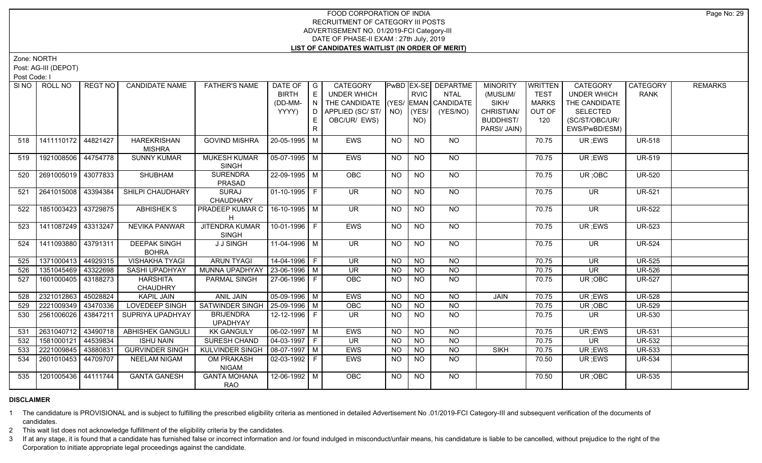Zone: NORTH

Post: AG-III (DEPOT)

Post Code: I

|     | SINO   ROLL NO        | REGT NO  | <b>CANDIDATE NAME</b>               | <b>FATHER'S NAME</b>                | DATE OF<br><b>BIRTH</b> | $\overline{\phantom{a}}$ G<br>E        | <b>CATEGORY</b><br><b>UNDER WHICH</b> |           | <b>RVIC</b>    | PwBD   EX-SE   DEPARTME<br><b>NTAL</b> | <b>MINORITY</b><br>(MUSLIM/ | <b>WRITTEN</b><br><b>TEST</b> | <b>CATEGORY</b><br><b>UNDER WHICH</b> | CATEGORY<br><b>RANK</b> | <b>REMARKS</b> |
|-----|-----------------------|----------|-------------------------------------|-------------------------------------|-------------------------|----------------------------------------|---------------------------------------|-----------|----------------|----------------------------------------|-----------------------------|-------------------------------|---------------------------------------|-------------------------|----------------|
|     |                       |          |                                     |                                     | (DD-MM-                 | $\mathbf{1} \ \mathbf{N} \ \mathbf{1}$ | THE CANDIDATE (YES/ EMAN CANDIDATE    |           |                |                                        | SIKH/                       | <b>MARKS</b>                  | THE CANDIDATE                         |                         |                |
|     |                       |          |                                     |                                     | YYYY)                   | $\overline{D}$                         | APPLIED (SC/ST/                       |           | $NO)$ (YES/    | (YES/NO)                               | CHRISTIAN/                  | OUT OF                        | <b>SELECTED</b>                       |                         |                |
|     |                       |          |                                     |                                     |                         | E.                                     | OBC/UR/ EWS)                          |           | NO)            |                                        | <b>BUDDHIST/</b>            | 120                           | (SC/ST/OBC/UR/                        |                         |                |
|     |                       |          |                                     |                                     |                         | $\mathsf{R}$                           |                                       |           |                |                                        | PARSI/ JAIN)                |                               | EWS/PwBD/ESM)                         |                         |                |
|     |                       |          |                                     |                                     |                         |                                        |                                       |           |                |                                        |                             |                               |                                       |                         |                |
| 518 | 1411110172 44821427   |          | <b>HAREKRISHAN</b><br><b>MISHRA</b> | <b>GOVIND MISHRA</b>                | 20-05-1995 M            |                                        | EWS                                   | <b>NO</b> | <b>NO</b>      | <b>NO</b>                              |                             | 70.75                         | UR; EWS                               | <b>UR-518</b>           |                |
| 519 | 1921008506 44754778   |          | <b>SUNNY KUMAR</b>                  | <b>MUKESH KUMAR</b>                 | $05-07-1995$ M          |                                        | EWS                                   | <b>NO</b> | <b>NO</b>      | <b>NO</b>                              |                             | 70.75                         | UR; EWS                               | <b>UR-519</b>           |                |
|     |                       |          |                                     | SINGH                               |                         |                                        |                                       |           |                |                                        |                             |                               |                                       |                         |                |
| 520 | 2691005019 43077833   |          | <b>SHUBHAM</b>                      | <b>SURENDRA</b>                     | 22-09-1995 M            |                                        | OBC                                   | <b>NO</b> | <b>NO</b>      | $N$ <sup>O</sup>                       |                             | 70.75                         | UR; OBC                               | <b>UR-520</b>           |                |
|     |                       |          |                                     | PRASAD                              |                         |                                        |                                       |           |                |                                        |                             |                               |                                       |                         |                |
| 521 | 2641015008   43394384 |          | SHILPI CHAUDHARY                    | <b>SURAJ</b><br>CHAUDHARY           | $01-10-1995$ F          |                                        | UR.                                   | NO        | <b>NO</b>      | NO                                     |                             | 70.75                         | UR.                                   | <b>UR-521</b>           |                |
| 522 | 1851003423            | 43729875 | <b>ABHISHEK S</b>                   | <b>PRADEEP KUMAR C</b>              | $16-10-1995$ M          |                                        | <b>UR</b>                             | NO        | <b>NO</b>      | <b>NO</b>                              |                             | 70.75                         | <b>UR</b>                             | <b>UR-522</b>           |                |
|     |                       |          |                                     |                                     |                         |                                        |                                       |           |                |                                        |                             |                               |                                       |                         |                |
| 523 | 1411087249 43313247   |          | <b>NEVIKA PANWAR</b>                | <b>JITENDRA KUMAR</b>               | 10-01-1996 F            |                                        | EWS                                   | NO.       | <b>NO</b>      | NO                                     |                             | 70.75                         | UR; EWS                               | <b>UR-523</b>           |                |
|     |                       |          |                                     | <b>SINGH</b>                        |                         |                                        |                                       |           |                |                                        |                             |                               |                                       |                         |                |
| 524 | 1411093880 43791311   |          | <b>DEEPAK SINGH</b><br><b>BOHRA</b> | <b>J J SINGH</b>                    | 11-04-1996 M            |                                        | <b>UR</b>                             | <b>NO</b> | <b>NO</b>      | <b>NO</b>                              |                             | 70.75                         | <b>UR</b>                             | <b>UR-524</b>           |                |
| 525 | 1371000413 44929315   |          | <b>VISHAKHA TYAGI</b>               | <b>ARUN TYAGI</b>                   | 14-04-1996 F            |                                        | <b>UR</b>                             | <b>NO</b> | <b>NO</b>      | <b>NO</b>                              |                             | 70.75                         | <b>UR</b>                             | <b>UR-525</b>           |                |
| 526 | 1351045469 43322698   |          | SASHI UPADHYAY                      | MUNNA UPADHYAY   23-06-1996   M     |                         |                                        | <b>UR</b>                             | <b>NO</b> | <b>NO</b>      | $\overline{NQ}$                        |                             | 70.75                         | <b>UR</b>                             | <b>UR-526</b>           |                |
| 527 | 1601000405 43188273   |          | <b>HARSHITA</b>                     | PARMAL SINGH                        | 27-06-1996 F            |                                        | OBC                                   | NO.       | N <sub>O</sub> | $\overline{NQ}$                        |                             | 70.75                         | UR; OBC                               | <b>UR-527</b>           |                |
|     |                       |          | <b>CHAUDHRY</b>                     |                                     |                         |                                        |                                       |           |                |                                        |                             |                               |                                       |                         |                |
| 528 | 2321012863            | 45028824 | <b>KAPIL JAIN</b>                   | <b>ANIL JAIN</b>                    | 05-09-1996 M            |                                        | EWS                                   | <b>NO</b> | N <sub>O</sub> | N <sub>O</sub>                         | <b>JAIN</b>                 | 70.75                         | UR ;EWS                               | <b>UR-528</b>           |                |
| 529 | 2221009349            | 43470336 | <b>LOVEDEEP SINGH</b>               | SATWINDER SINGH                     | 25-09-1996 M            |                                        | OBC                                   | <b>NO</b> | <b>NO</b>      | N <sub>O</sub>                         |                             | 70.75                         | UR; OBC                               | <b>UR-529</b>           |                |
| 530 | 2561006026 43847211   |          | SUPRIYA UPADHYAY                    | <b>BRIJENDRA</b><br><b>UPADHYAY</b> | 12-12-1996 F            |                                        | UR.                                   | NO.       | <b>NO</b>      | N <sub>O</sub>                         |                             | 70.75                         | UR.                                   | <b>UR-530</b>           |                |
| 531 | 2631040712 43490718   |          | <b>ABHISHEK GANGULI</b>             | <b>KK GANGULY</b>                   | $06 - 02 - 1997$ M      |                                        | <b>EWS</b>                            | <b>NO</b> | N <sub>O</sub> | N <sub>O</sub>                         |                             | 70.75                         | UR; EWS                               | <b>UR-531</b>           |                |
| 532 | 1581000121            | 44539834 | <b>ISHU NAIN</b>                    | <b>SURESH CHAND</b>                 | $04-03-1997$ F          |                                        | UR.                                   | <b>NO</b> | <b>NO</b>      | <b>NO</b>                              |                             | 70.75                         | <b>UR</b>                             | <b>UR-532</b>           |                |
| 533 | 2221009845            | 43880831 | <b>GURVINDER SINGH</b>              | <b>KULVINDER SINGH</b>              | $08-07-1997$ M          |                                        | EWS                                   | <b>NO</b> | N <sub>O</sub> | $N$ O                                  | <b>SIKH</b>                 | 70.75                         | UR; EWS                               | <b>UR-533</b>           |                |
|     | 2601010453            | 44709707 | <b>NEELAM NIGAM</b>                 | <b>OM PRAKASH</b>                   | $02-03-1992$ F          |                                        | <b>EWS</b>                            | <b>NO</b> | <b>NO</b>      | NO.                                    |                             | 70.50                         |                                       | <b>UR-534</b>           |                |
| 534 |                       |          |                                     | <b>NIGAM</b>                        |                         |                                        |                                       |           |                |                                        |                             |                               | UR; EWS                               |                         |                |
| 535 | 1201005436 44111744   |          | <b>GANTA GANESH</b>                 | <b>GANTA MOHANA</b>                 | 12-06-1992 M            |                                        | <b>OBC</b>                            | NO.       | <b>NO</b>      | <b>NO</b>                              |                             | 70.50                         | UR; OBC                               | <b>UR-535</b>           |                |
|     |                       |          |                                     | <b>RAO</b>                          |                         |                                        |                                       |           |                |                                        |                             |                               |                                       |                         |                |

# **DISCLAIMER**

1 The candidature is PROVISIONAL and is subject to fulfilling the prescribed eligibility criteria as mentioned in detailed Advertisement No .01/2019-FCI Category-III and subsequent verification of the documents of candidates.

2 This wait list does not acknowledge fulfillment of the eligibility criteria by the candidates.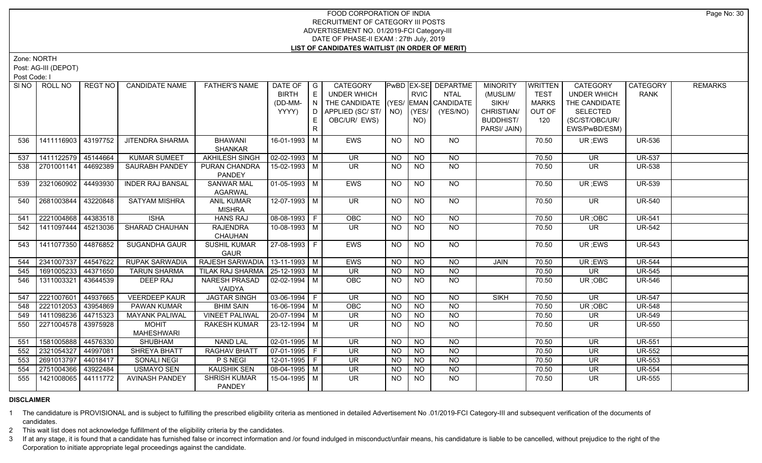Zone: NORTH

Post: AG-III (DEPOT)

Post Code: I

|     | SINO FROLL NO         | REGT NO I | <b>CANDIDATE NAME</b>   | <b>FATHER'S NAME</b>              | DATE OF                | $\overline{\phantom{a}}$ G | <b>CATEGORY</b>                    |                |                 | <b>PwBD EX-SE DEPARTME</b> | <b>MINORITY</b>  | <b>WRITTEN</b> | <b>CATEGORY</b>                | CATEGORY      | <b>REMARKS</b> |
|-----|-----------------------|-----------|-------------------------|-----------------------------------|------------------------|----------------------------|------------------------------------|----------------|-----------------|----------------------------|------------------|----------------|--------------------------------|---------------|----------------|
|     |                       |           |                         |                                   | <b>BIRTH</b>           | $\mathsf E$                | <b>UNDER WHICH</b>                 |                | <b>RVIC</b>     | <b>NTAL</b>                | (MUSLIM/         | <b>TEST</b>    | <b>UNDER WHICH</b>             | RANK          |                |
|     |                       |           |                         |                                   | (DD-MM-                | N I                        | THE CANDIDATE (YES/ EMAN CANDIDATE |                |                 |                            | SIKH/            | <b>MARKS</b>   | THE CANDIDATE                  |               |                |
|     |                       |           |                         |                                   | YYYY)                  |                            | D   APPLIED (SC/ ST/   NO)   (YES/ |                |                 | (YES/NO)                   | CHRISTIAN/       | OUT OF         | <b>SELECTED</b>                |               |                |
|     |                       |           |                         |                                   |                        | E.                         | OBC/UR/ EWS)                       |                | NO)             |                            | <b>BUDDHIST/</b> | 120            | (SC/ST/OBC/UR/                 |               |                |
|     |                       |           |                         |                                   |                        | $\mathsf{R}$               |                                    |                |                 |                            | PARSI/ JAIN)     |                | EWS/PwBD/ESM)                  |               |                |
| 536 | 1411116903   43197752 |           | <b>JITENDRA SHARMA</b>  | <b>BHAWANI</b>                    | 16-01-1993 M           |                            | <b>EWS</b>                         | <b>NO</b>      | <b>NO</b>       | NO.                        |                  | 70.50          | UR ;EWS                        | <b>UR-536</b> |                |
|     |                       |           |                         | <b>SHANKAR</b>                    |                        |                            |                                    |                |                 |                            |                  |                |                                |               |                |
| 537 | 1411122579            | 45144664  | <b>KUMAR SUMEET</b>     | <b>AKHILESH SINGH</b>             | $02 - 02 - 1993$ M     |                            | <b>UR</b>                          | <b>NO</b>      | <b>NO</b>       | <b>NO</b>                  |                  | 70.50          | <b>UR</b>                      | <b>UR-537</b> |                |
| 538 | 2701001141            | 44692389  | <b>SAURABH PANDEY</b>   | PURAN CHANDRA                     | 15-02-1993 M           |                            | <b>UR</b>                          | <b>NO</b>      | <b>NO</b>       | <b>NO</b>                  |                  | 70.50          | UR                             | <b>UR-538</b> |                |
|     |                       |           |                         | <b>PANDEY</b>                     |                        |                            |                                    |                |                 |                            |                  |                |                                |               |                |
| 539 | 2321060902            | 44493930  | <b>INDER RAJ BANSAL</b> | <b>SANWAR MAL</b>                 | $\boxed{01-05-1993}$ M |                            | <b>EWS</b>                         | NO.            | <b>NO</b>       | NO.                        |                  | 70.50          | $\overline{\mathsf{UR}}$ ; EWS | <b>UR-539</b> |                |
|     |                       |           |                         | <b>AGARWAL</b>                    |                        |                            |                                    |                |                 |                            |                  |                |                                |               |                |
| 540 | 2681003844            | 43220848  | <b>SATYAM MISHRA</b>    | <b>ANIL KUMAR</b>                 | 12-07-1993 M           |                            | UR.                                | <b>NO</b>      | <b>NO</b>       | NO                         |                  | 70.50          | UR.                            | <b>UR-540</b> |                |
|     |                       |           |                         | <b>MISHRA</b>                     |                        |                            |                                    |                |                 |                            |                  |                |                                |               |                |
| 541 | 2221004868            | 44383518  | <b>ISHA</b>             | <b>HANS RAJ</b>                   | $08-08-1993$ F         |                            | OBC                                | N <sub>O</sub> | N <sub>O</sub>  | N <sub>O</sub>             |                  | 70.50          | UR; OBC                        | <b>UR-541</b> |                |
| 542 | 1411097444            | 45213036  | <b>SHARAD CHAUHAN</b>   | <b>RAJENDRA</b>                   | 10-08-1993   M         |                            | UR.                                | NO.            | NO.             | <b>NO</b>                  |                  | 70.50          | UR.                            | <b>UR-542</b> |                |
|     |                       |           |                         | <b>CHAUHAN</b>                    |                        |                            |                                    |                |                 |                            |                  |                |                                |               |                |
| 543 | 1411077350            | 44876852  | <b>SUGANDHA GAUR</b>    | <b>SUSHIL KUMAR</b>               | 27-08-1993 F           |                            | EWS                                | NO             | N <sub>O</sub>  | <b>NO</b>                  |                  | 70.50          | UR ;EWS                        | <b>UR-543</b> |                |
|     |                       |           |                         | <b>GAUR</b>                       |                        |                            |                                    |                |                 |                            |                  |                |                                |               |                |
| 544 | 2341007337            | 44547622  | <b>RUPAK SARWADIA</b>   | RAJESH SARWADIA   13-11-1993   M  |                        |                            | EWS                                | <b>NO</b>      | <b>NO</b>       | <b>NO</b>                  | JAIN             | 70.50          | UR; EWS                        | <b>UR-544</b> |                |
| 545 | 1691005233            | 44371650  | <b>TARUN SHARMA</b>     | TILAK RAJ SHARMA   25-12-1993   M |                        |                            | <b>UR</b>                          | NO.            | <b>NO</b>       | NO.                        |                  | 70.50          | UR.                            | <b>UR-545</b> |                |
| 546 | 1311003321            | 43644539  | DEEP RAJ                | <b>NARESH PRASAD</b>              | $02 - 02 - 1994$ M     |                            | <b>OBC</b>                         | <b>NO</b>      | <b>NO</b>       | <b>NO</b>                  |                  | 70.50          | UR; OBC                        | <b>UR-546</b> |                |
|     |                       |           |                         | VAIDYA                            |                        |                            |                                    |                |                 |                            |                  |                |                                |               |                |
| 547 | 2221007601            | 44937665  | <b>VEERDEEP KAUR</b>    | <b>JAGTAR SINGH</b>               | $03-06-1994$ F         |                            | <b>UR</b>                          | <b>NO</b>      | <b>NO</b>       | <b>NO</b>                  | <b>SIKH</b>      | 70.50          | <b>UR</b>                      | <b>UR-547</b> |                |
| 548 | 2221012053            | 43954869  | PAWAN KUMAR             | <b>BHIM SAIN</b>                  | 16-06-1994 M           |                            | OBC                                | <b>NO</b>      | <b>NO</b>       | $\overline{N}$             |                  | 70.50          | UR; OBC                        | <b>UR-548</b> |                |
| 549 | 1411098236            | 44715323  | <b>MAYANK PALIWAL</b>   | <b>VINEET PALIWAL</b>             | $20-07-1994$ M         |                            | $\overline{\mathsf{UR}}$           | <b>NO</b>      | $\overline{NO}$ | $\overline{NO}$            |                  | 70.50          | <b>UR</b>                      | <b>UR-549</b> |                |
| 550 | 2271004578 43975928   |           | <b>MOHIT</b>            | RAKESH KUMAR                      | 23-12-1994   M         |                            | UR.                                | NO.            | NO.             | NO.                        |                  | 70.50          | UR.                            | <b>UR-550</b> |                |
|     |                       |           | <b>MAHESHWARI</b>       |                                   |                        |                            |                                    |                |                 |                            |                  |                |                                |               |                |
| 551 | 1581005888            | 44576330  | <b>SHUBHAM</b>          | <b>NAND LAL</b>                   | $02-01-1995$ M         |                            | <b>UR</b>                          | <b>NO</b>      | N <sub>O</sub>  | <b>NO</b>                  |                  | 70.50          | <b>UR</b>                      | <b>UR-551</b> |                |
| 552 | 2321054327            | 44997081  | SHREYA BHATT            | RAGHAV BHATT                      | $07-01-1995$ F         |                            | <b>UR</b>                          | <b>NO</b>      | N <sub>O</sub>  | N <sub>O</sub>             |                  | 70.50          | <b>UR</b>                      | <b>UR-552</b> |                |
| 553 | 2691013797            | 44018417  | SONALI NEGI             | P S NEGI                          | 12-01-1995 F           |                            | <b>UR</b>                          | <b>NO</b>      | <b>NO</b>       | $\overline{NO}$            |                  | 70.50          | UR                             | <b>UR-553</b> |                |
| 554 | 2751004366            | 43922484  | <b>USMAYO SEN</b>       | <b>KAUSHIK SEN</b>                | 08-04-1995 M           |                            | <b>UR</b>                          | <b>NO</b>      | N <sub>O</sub>  | N <sub>O</sub>             |                  | 70.50          | <b>UR</b>                      | <b>UR-554</b> |                |
| 555 | 1421008065            | 44111772  | <b>AVINASH PANDEY</b>   | <b>SHRISH KUMAR</b>               | 15-04-1995   M         |                            | UR.                                | NO.            | <b>NO</b>       | N <sub>O</sub>             |                  | 70.50          | UR.                            | <b>UR-555</b> |                |
|     |                       |           |                         | <b>PANDEY</b>                     |                        |                            |                                    |                |                 |                            |                  |                |                                |               |                |

# **DISCLAIMER**

1 The candidature is PROVISIONAL and is subject to fulfilling the prescribed eligibility criteria as mentioned in detailed Advertisement No .01/2019-FCI Category-III and subsequent verification of the documents of candidates.

2 This wait list does not acknowledge fulfillment of the eligibility criteria by the candidates.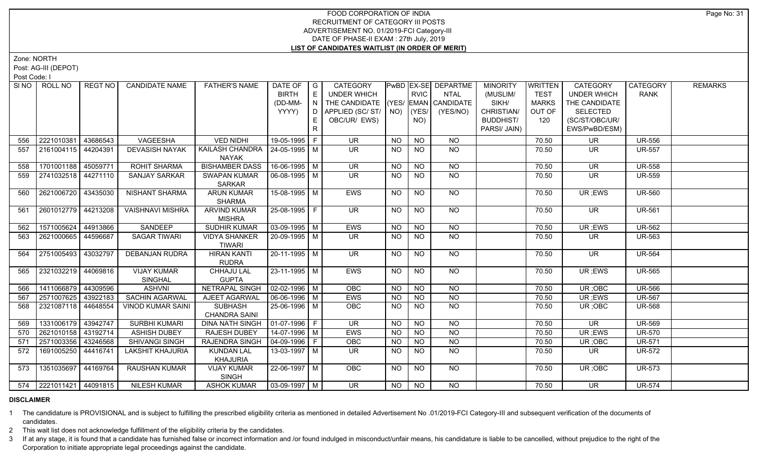Zone: NORTH

Post: AG-III (DEPOT)

Post Code: I

|     | SINO   ROLL NO          | REGT NO  | <b>CANDIDATE NAME</b>         | <b>FATHER'S NAME</b>                      | DATE OF<br><b>BIRTH</b>      | $\overline{\phantom{a}}$ G<br>E | <b>CATEGORY</b><br><b>UNDER WHICH</b> |                | <b>RVIC</b>     | PwBD   EX-SE   DEPARTME<br><b>NTAL</b> | <b>MINORITY</b><br>(MUSLIM/ | <b>WRITTEN</b><br><b>TEST</b> | <b>CATEGORY</b><br><b>UNDER WHICH</b> | CATEGORY<br><b>RANK</b> | <b>REMARKS</b> |
|-----|-------------------------|----------|-------------------------------|-------------------------------------------|------------------------------|---------------------------------|---------------------------------------|----------------|-----------------|----------------------------------------|-----------------------------|-------------------------------|---------------------------------------|-------------------------|----------------|
|     |                         |          |                               |                                           | (DD-MM-                      | $\overline{N}$                  | THE CANDIDATE (YES/ EMAN CANDIDATE    |                |                 |                                        | SIKH/                       | MARKS                         | THE CANDIDATE                         |                         |                |
|     |                         |          |                               |                                           | YYYY)                        | D I                             | APPLIED (SC/ST/                       |                | $NO)$ $(YES/$   | (YES/NO)                               | CHRISTIAN/                  | OUT OF                        | <b>SELECTED</b>                       |                         |                |
|     |                         |          |                               |                                           |                              | E.                              | OBC/UR/ EWS)                          |                | NO)             |                                        | <b>BUDDHIST/</b>            | 120                           | (SC/ST/OBC/UR/                        |                         |                |
|     |                         |          |                               |                                           |                              | $\mathsf{R}$                    |                                       |                |                 |                                        | PARSI/ JAIN)                |                               | EWS/PwBD/ESM)                         |                         |                |
| 556 | 2221010381              | 43686543 | VAGEESHA                      | <b>VED NIDHI</b>                          | 19-05-1995 F                 |                                 | <b>UR</b>                             | <b>NO</b>      | <b>NO</b>       | <b>NO</b>                              |                             | 70.50                         | <b>UR</b>                             | <b>UR-556</b>           |                |
| 557 | 2161004115              | 44204391 | <b>DEVASISH NAYAK</b>         | KAILASH CHANDRA   24-05-1995   M<br>NAYAK |                              |                                 | UR.                                   | NO.            | <b>NO</b>       | <b>NO</b>                              |                             | 70.50                         | UR                                    | <b>UR-557</b>           |                |
| 558 | 1701001188 45059771     |          | <b>ROHIT SHARMA</b>           | <b>BISHAMBER DASS</b>                     | 16-06-1995 M                 |                                 | <b>UR</b>                             | <b>NO</b>      | <b>NO</b>       | <b>NO</b>                              |                             | 70.50                         | <b>UR</b>                             | <b>UR-558</b>           |                |
| 559 | 2741032518 44271110     |          | <b>SANJAY SARKAR</b>          | <b>SWAPAN KUMAR</b>                       | 06-08-1995   M               |                                 | UR.                                   | <b>NO</b>      | <b>NO</b>       | <b>NO</b>                              |                             | 70.50                         | UR.                                   | <b>UR-559</b>           |                |
|     |                         |          |                               | <b>SARKAR</b>                             |                              |                                 |                                       |                |                 |                                        |                             |                               |                                       |                         |                |
| 560 | 2621006720 43435030     |          | <b>NISHANT SHARMA</b>         | <b>ARUN KUMAR</b><br><b>SHARMA</b>        | 15-08-1995 M                 |                                 | EWS                                   | <b>NO</b>      | $\overline{NQ}$ | $\overline{NQ}$                        |                             | 70.50                         | UR ;EWS                               | <b>UR-560</b>           |                |
| 561 | 2601012779   44213208   |          | <b>VAISHNAVI MISHRA</b>       | <b>ARVIND KUMAR</b><br><b>MISHRA</b>      | 25-08-1995 F                 |                                 | $\overline{\mathsf{UR}}$              | NO.            | <b>NO</b>       | <b>NO</b>                              |                             | 70.50                         | <b>UR</b>                             | <b>UR-561</b>           |                |
| 562 | 1571005624              | 44913866 | SANDEEP                       | <b>SUDHIR KUMAR</b>                       | $03-09-1995$ M               |                                 | EWS                                   | <b>NO</b>      | N               | $N$ O                                  |                             | 70.50                         | UR; EWS                               | <b>UR-562</b>           |                |
| 563 | 2621000665              | 44596687 | <b>SAGAR TIWARI</b>           | <b>VIDYA SHANKER</b><br><b>TIWARI</b>     | 20-09-1995 M                 |                                 | UR.                                   | <b>NO</b>      | <b>NO</b>       | NO                                     |                             | 70.50                         | UR.                                   | <b>UR-563</b>           |                |
| 564 | 2751005493              | 43032797 | <b>DEBANJAN RUDRA</b>         | <b>HIRAN KANTI</b><br><b>RUDRA</b>        | $20-11-1995$ M               |                                 | UR.                                   | NO.            | <b>NO</b>       | NO                                     |                             | 70.50                         | <b>UR</b>                             | <b>UR-564</b>           |                |
| 565 | 2321032219 44069816     |          | <b>VIJAY KUMAR</b><br>SINGHAL | <b>CHHAJU LAL</b><br><b>GUPTA</b>         | $23-11-1995$ M               |                                 | <b>EWS</b>                            | <b>NO</b>      | <b>NO</b>       | NO                                     |                             | 70.50                         | UR; EWS                               | <b>UR-565</b>           |                |
| 566 | 1411066879   44309596   |          | <b>ASHVNI</b>                 | NETRAPAL SINGH                            | $\vert$ 02-02-1996 $\vert$ M |                                 | <b>OBC</b>                            | <b>NO</b>      | <b>NO</b>       | <b>NO</b>                              |                             | 70.50                         | UR; OBC                               | <b>UR-566</b>           |                |
| 567 | 2571007625 43922183     |          | SACHIN AGARWAL                | AJEET AGARWAL                             | 06-06-1996 M                 |                                 | EWS                                   | <b>NO</b>      | <b>NO</b>       | $\overline{NO}$                        |                             | 70.50                         | UR ;EWS                               | <b>UR-567</b>           |                |
| 568 | 2321087118 44648554     |          | <b>VINOD KUMAR SAINI</b>      | <b>SUBHASH</b><br><b>CHANDRA SAINI</b>    | 25-06-1996 M                 |                                 | <b>OBC</b>                            | <b>NO</b>      | <b>NO</b>       | <b>NO</b>                              |                             | 70.50                         | UR;OBC                                | <b>UR-568</b>           |                |
| 569 | 1331006179 43942747     |          | <b>SURBHI KUMARI</b>          | <b>DINA NATH SINGH</b>                    | $01-07-1996$ F               |                                 | $\overline{\mathsf{UR}}$              | N <sub>O</sub> | N <sub>O</sub>  | N <sub>O</sub>                         |                             | 70.50                         | $\overline{\mathsf{UR}}$              | <b>UR-569</b>           |                |
| 570 | 2621010158 43192714     |          | <b>ASHISH DUBEY</b>           | <b>RAJESH DUBEY</b>                       | 14-07-1996 M                 |                                 | <b>EWS</b>                            | <b>NO</b>      | <b>NO</b>       | N <sub>O</sub>                         |                             | 70.50                         | UR; EWS                               | <b>UR-570</b>           |                |
| 571 | 2571003356              | 43246568 | SHIVANGI SINGH                | <b>RAJENDRA SINGH</b>                     | 04-09-1996   F               |                                 | OBC                                   | <b>NO</b>      | <b>NO</b>       | <b>NO</b>                              |                             | 70.50                         | UR; OBC                               | <b>UR-571</b>           |                |
| 572 | 1691005250              | 44416741 | <b>LAKSHIT KHAJURIA</b>       | <b>KUNDAN LAL</b><br>KHAJURIA             | 13-03-1997   M               |                                 | UR.                                   | NO.            | <b>NO</b>       | NO                                     |                             | 70.50                         | UR.                                   | UR-572                  |                |
| 573 | 1351035697              | 44169764 | <b>RAUSHAN KUMAR</b>          | <b>VIJAY KUMAR</b><br>SINGH               | 22-06-1997 M                 |                                 | <b>OBC</b>                            | NO.            | <b>NO</b>       | NO                                     |                             | 70.50                         | UR; OBC                               | <b>UR-573</b>           |                |
|     | 574 2221011421 44091815 |          | <b>NILESH KUMAR</b>           | <b>ASHOK KUMAR</b>                        | $\sqrt{03-09-1997}$ M        |                                 | $\overline{\mathsf{UR}}$              | NO             | NO              | <b>NO</b>                              |                             | 70.50                         | <b>UR</b>                             | <b>UR-574</b>           |                |

#### **DISCLAIMER**

1 The candidature is PROVISIONAL and is subject to fulfilling the prescribed eligibility criteria as mentioned in detailed Advertisement No .01/2019-FCI Category-III and subsequent verification of the documents of candidates.

2 This wait list does not acknowledge fulfillment of the eligibility criteria by the candidates.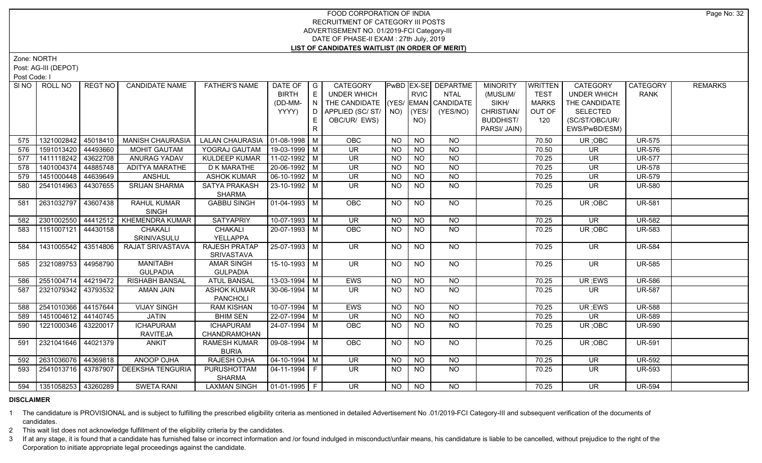Zone: NORTH

Post: AG-III (DEPOT)

Post Code: I

|     |                                                                                                                                                                          | <b>CANDIDATE NAME</b>                                                                                                                                                                                                                           | <b>FATHER'S NAME</b>                                                                                                                                                    | DATE OF                                                                                             | G                                | CATEGORY                                                                                                                                                                                                                                                                                                                                                                                               |                                                                   |                                     |                                                                          | <b>MINORITY</b>                                                                                                           | <b>WRITTEN</b>                                                      | CATEGORY                                     | <b>CATEGORY</b>                                                                                      | <b>REMARKS</b>                                                                  |
|-----|--------------------------------------------------------------------------------------------------------------------------------------------------------------------------|-------------------------------------------------------------------------------------------------------------------------------------------------------------------------------------------------------------------------------------------------|-------------------------------------------------------------------------------------------------------------------------------------------------------------------------|-----------------------------------------------------------------------------------------------------|----------------------------------|--------------------------------------------------------------------------------------------------------------------------------------------------------------------------------------------------------------------------------------------------------------------------------------------------------------------------------------------------------------------------------------------------------|-------------------------------------------------------------------|-------------------------------------|--------------------------------------------------------------------------|---------------------------------------------------------------------------------------------------------------------------|---------------------------------------------------------------------|----------------------------------------------|------------------------------------------------------------------------------------------------------|---------------------------------------------------------------------------------|
|     |                                                                                                                                                                          |                                                                                                                                                                                                                                                 |                                                                                                                                                                         |                                                                                                     |                                  |                                                                                                                                                                                                                                                                                                                                                                                                        |                                                                   |                                     |                                                                          |                                                                                                                           |                                                                     |                                              |                                                                                                      |                                                                                 |
|     |                                                                                                                                                                          |                                                                                                                                                                                                                                                 |                                                                                                                                                                         |                                                                                                     |                                  |                                                                                                                                                                                                                                                                                                                                                                                                        |                                                                   |                                     |                                                                          |                                                                                                                           |                                                                     |                                              |                                                                                                      |                                                                                 |
|     |                                                                                                                                                                          |                                                                                                                                                                                                                                                 |                                                                                                                                                                         |                                                                                                     |                                  |                                                                                                                                                                                                                                                                                                                                                                                                        |                                                                   |                                     |                                                                          |                                                                                                                           |                                                                     |                                              |                                                                                                      |                                                                                 |
|     |                                                                                                                                                                          |                                                                                                                                                                                                                                                 |                                                                                                                                                                         |                                                                                                     |                                  |                                                                                                                                                                                                                                                                                                                                                                                                        |                                                                   |                                     |                                                                          |                                                                                                                           |                                                                     |                                              |                                                                                                      |                                                                                 |
|     |                                                                                                                                                                          |                                                                                                                                                                                                                                                 |                                                                                                                                                                         |                                                                                                     |                                  |                                                                                                                                                                                                                                                                                                                                                                                                        |                                                                   |                                     |                                                                          |                                                                                                                           |                                                                     |                                              |                                                                                                      |                                                                                 |
| 575 |                                                                                                                                                                          |                                                                                                                                                                                                                                                 |                                                                                                                                                                         |                                                                                                     |                                  |                                                                                                                                                                                                                                                                                                                                                                                                        | <b>NO</b>                                                         |                                     |                                                                          |                                                                                                                           | 70.50                                                               |                                              |                                                                                                      |                                                                                 |
| 576 |                                                                                                                                                                          |                                                                                                                                                                                                                                                 |                                                                                                                                                                         |                                                                                                     |                                  |                                                                                                                                                                                                                                                                                                                                                                                                        | NO.                                                               |                                     |                                                                          |                                                                                                                           | 70.50                                                               | UR                                           |                                                                                                      |                                                                                 |
| 577 |                                                                                                                                                                          |                                                                                                                                                                                                                                                 |                                                                                                                                                                         |                                                                                                     |                                  | <b>UR</b>                                                                                                                                                                                                                                                                                                                                                                                              | <b>NO</b>                                                         |                                     |                                                                          |                                                                                                                           | 70.25                                                               | <b>UR</b>                                    |                                                                                                      |                                                                                 |
| 578 |                                                                                                                                                                          |                                                                                                                                                                                                                                                 |                                                                                                                                                                         |                                                                                                     |                                  |                                                                                                                                                                                                                                                                                                                                                                                                        |                                                                   |                                     |                                                                          |                                                                                                                           | 70.25                                                               | <b>UR</b>                                    |                                                                                                      |                                                                                 |
| 579 | 44639649                                                                                                                                                                 | <b>ANSHUL</b>                                                                                                                                                                                                                                   | <b>ASHOK KUMAR</b>                                                                                                                                                      |                                                                                                     |                                  | UR                                                                                                                                                                                                                                                                                                                                                                                                     | <b>NO</b>                                                         | <b>NO</b>                           | $N$ O                                                                    |                                                                                                                           | 70.25                                                               | <b>UR</b>                                    | <b>UR-579</b>                                                                                        |                                                                                 |
| 580 | 44307655                                                                                                                                                                 | <b>SRIJAN SHARMA</b>                                                                                                                                                                                                                            | SATYA PRAKASH<br><b>SHARMA</b>                                                                                                                                          |                                                                                                     |                                  | <b>UR</b>                                                                                                                                                                                                                                                                                                                                                                                              | <b>NO</b>                                                         | <b>NO</b>                           | <b>NO</b>                                                                |                                                                                                                           | 70.25                                                               | <b>UR</b>                                    | <b>UR-580</b>                                                                                        |                                                                                 |
| 581 | 43607438                                                                                                                                                                 | <b>RAHUL KUMAR</b><br><b>SINGH</b>                                                                                                                                                                                                              | <b>GABBU SINGH</b>                                                                                                                                                      |                                                                                                     |                                  | OBC                                                                                                                                                                                                                                                                                                                                                                                                    | <b>NO</b>                                                         | $\overline{N}$                      | $\overline{NQ}$                                                          |                                                                                                                           | 70.25                                                               | UR; OBC                                      | <b>UR-581</b>                                                                                        |                                                                                 |
| 582 |                                                                                                                                                                          |                                                                                                                                                                                                                                                 | <b>SATYAPRIY</b>                                                                                                                                                        |                                                                                                     |                                  | <b>UR</b>                                                                                                                                                                                                                                                                                                                                                                                              | <b>NO</b>                                                         | <b>NO</b>                           | <b>NO</b>                                                                |                                                                                                                           | 70.25                                                               | <b>UR</b>                                    | <b>UR-582</b>                                                                                        |                                                                                 |
| 583 | 44430158                                                                                                                                                                 | <b>CHAKALI</b>                                                                                                                                                                                                                                  | <b>CHAKALI</b>                                                                                                                                                          |                                                                                                     |                                  | <b>OBC</b>                                                                                                                                                                                                                                                                                                                                                                                             | NO.                                                               | <b>NO</b>                           | NO                                                                       |                                                                                                                           | 70.25                                                               | UR; OBC                                      | <b>UR-583</b>                                                                                        |                                                                                 |
|     |                                                                                                                                                                          | SRINIVASULU                                                                                                                                                                                                                                     | YELLAPPA                                                                                                                                                                |                                                                                                     |                                  |                                                                                                                                                                                                                                                                                                                                                                                                        |                                                                   |                                     |                                                                          |                                                                                                                           |                                                                     |                                              |                                                                                                      |                                                                                 |
| 584 |                                                                                                                                                                          | RAJAT SRIVASTAVA                                                                                                                                                                                                                                | <b>RAJESH PRATAP</b>                                                                                                                                                    |                                                                                                     |                                  | $\overline{\mathsf{UR}}$                                                                                                                                                                                                                                                                                                                                                                               | <b>NO</b>                                                         | N <sub>O</sub>                      | $N$ O                                                                    |                                                                                                                           | 70.25                                                               | $\overline{\mathsf{UR}}$                     | <b>UR-584</b>                                                                                        |                                                                                 |
|     |                                                                                                                                                                          |                                                                                                                                                                                                                                                 | SRIVASTAVA                                                                                                                                                              |                                                                                                     |                                  |                                                                                                                                                                                                                                                                                                                                                                                                        |                                                                   |                                     |                                                                          |                                                                                                                           |                                                                     |                                              |                                                                                                      |                                                                                 |
| 585 |                                                                                                                                                                          | <b>GULPADIA</b>                                                                                                                                                                                                                                 |                                                                                                                                                                         |                                                                                                     |                                  | <b>UR</b>                                                                                                                                                                                                                                                                                                                                                                                              | <b>NO</b>                                                         | <b>NO</b>                           | <b>NO</b>                                                                |                                                                                                                           | 70.25                                                               | <b>UR</b>                                    | <b>UR-585</b>                                                                                        |                                                                                 |
| 586 | 44219472                                                                                                                                                                 | <b>RISHABH BANSAL</b>                                                                                                                                                                                                                           | <b>ATUL BANSAL</b>                                                                                                                                                      |                                                                                                     |                                  | EWS                                                                                                                                                                                                                                                                                                                                                                                                    | <b>NO</b>                                                         | <b>NO</b>                           | <b>NO</b>                                                                |                                                                                                                           | 70.25                                                               | UR ;EWS                                      | <b>UR-586</b>                                                                                        |                                                                                 |
| 587 |                                                                                                                                                                          | AMAN JAIN                                                                                                                                                                                                                                       | <b>ASHOK KUMAR</b><br>PANCHOLI                                                                                                                                          |                                                                                                     |                                  | UR.                                                                                                                                                                                                                                                                                                                                                                                                    | NO.                                                               | <b>NO</b>                           | NO.                                                                      |                                                                                                                           | 70.25                                                               | UR.                                          | <b>UR-587</b>                                                                                        |                                                                                 |
| 588 | 44157644                                                                                                                                                                 | <b>VIJAY SINGH</b>                                                                                                                                                                                                                              | <b>RAM KISHAN</b>                                                                                                                                                       |                                                                                                     |                                  | EWS                                                                                                                                                                                                                                                                                                                                                                                                    | <b>NO</b>                                                         | <b>NO</b>                           | <b>NO</b>                                                                |                                                                                                                           | 70.25                                                               | UR; EWS                                      | <b>UR-588</b>                                                                                        |                                                                                 |
| 589 |                                                                                                                                                                          | <b>JATIN</b>                                                                                                                                                                                                                                    | <b>BHIM SEN</b>                                                                                                                                                         |                                                                                                     |                                  | <b>UR</b>                                                                                                                                                                                                                                                                                                                                                                                              | <b>NO</b>                                                         | <b>NO</b>                           | <b>NO</b>                                                                |                                                                                                                           | 70.25                                                               | <b>UR</b>                                    | <b>UR-589</b>                                                                                        |                                                                                 |
| 590 |                                                                                                                                                                          | <b>ICHAPURAM</b>                                                                                                                                                                                                                                | <b>ICHAPURAM</b>                                                                                                                                                        |                                                                                                     |                                  | <b>OBC</b>                                                                                                                                                                                                                                                                                                                                                                                             | NO.                                                               | <b>NO</b>                           | <b>NO</b>                                                                |                                                                                                                           | 70.25                                                               | UR; OBC                                      | <b>UR-590</b>                                                                                        |                                                                                 |
|     |                                                                                                                                                                          | <b>RAVITEJA</b>                                                                                                                                                                                                                                 | CHANDRAMOHAN                                                                                                                                                            |                                                                                                     |                                  |                                                                                                                                                                                                                                                                                                                                                                                                        |                                                                   |                                     |                                                                          |                                                                                                                           |                                                                     |                                              |                                                                                                      |                                                                                 |
| 591 |                                                                                                                                                                          | <b>ANKIT</b>                                                                                                                                                                                                                                    | RAMESH KUMAR                                                                                                                                                            |                                                                                                     |                                  | OBC                                                                                                                                                                                                                                                                                                                                                                                                    | NO                                                                | $\overline{NQ}$                     | $N$ O                                                                    |                                                                                                                           | 70.25                                                               | UR; OBC                                      | <b>UR-591</b>                                                                                        |                                                                                 |
|     |                                                                                                                                                                          |                                                                                                                                                                                                                                                 | <b>BURIA</b>                                                                                                                                                            |                                                                                                     |                                  |                                                                                                                                                                                                                                                                                                                                                                                                        |                                                                   |                                     |                                                                          |                                                                                                                           |                                                                     |                                              |                                                                                                      |                                                                                 |
| 592 | 44369818                                                                                                                                                                 | <b>ANOOP OJHA</b>                                                                                                                                                                                                                               | RAJESH OJHA                                                                                                                                                             |                                                                                                     |                                  | UR                                                                                                                                                                                                                                                                                                                                                                                                     | <b>NO</b>                                                         | <b>NO</b>                           | NO.                                                                      |                                                                                                                           | 70.25                                                               | <b>UR</b>                                    | <b>UR-592</b>                                                                                        |                                                                                 |
| 593 |                                                                                                                                                                          | <b>DEEKSHA TENGURIA</b>                                                                                                                                                                                                                         | PURUSHOTTAM<br><b>SHARMA</b>                                                                                                                                            |                                                                                                     |                                  | UR.                                                                                                                                                                                                                                                                                                                                                                                                    | NO.                                                               | <b>NO</b>                           | NO.                                                                      |                                                                                                                           | 70.25                                                               | UR.                                          | <b>UR-593</b>                                                                                        |                                                                                 |
|     |                                                                                                                                                                          | <b>SWETA RANI</b>                                                                                                                                                                                                                               | <b>LAXMAN SINGH</b>                                                                                                                                                     |                                                                                                     |                                  | <b>UR</b>                                                                                                                                                                                                                                                                                                                                                                                              | NO                                                                | <b>NO</b>                           | NO.                                                                      |                                                                                                                           | 70.25                                                               | $\overline{\mathsf{UR}}$                     | <b>UR-594</b>                                                                                        |                                                                                 |
|     | SINO   ROLL NO<br>1321002842<br>1591013420<br>1411118242<br>1401004374<br>1451000448<br>2541014963<br>2631032797<br>2301002550<br>1151007121<br>2551004714<br>2541010366 | 45018410<br>44493660<br>43622708<br>44885748<br>1431005542 43514806<br>  2321089753   44958790<br>  2321079342   43793532<br>1451004612 44140745<br>1221000346 43220017<br>  2321041646   44021379<br>2631036076<br>594   1351058253   43260289 | REGT NO<br><b>MANISH CHAURASIA</b><br><b>MOHIT GAUTAM</b><br>ANURAG YADAV<br>ADITYA MARATHE<br>44412512   KHEMENDRA KUMAR<br><b>MANITABH</b><br>  2541013716   43787907 | YOGRAJ GAUTAM<br><b>KULDEEP KUMAR</b><br><b>D K MARATHE</b><br><b>AMAR SINGH</b><br><b>GULPADIA</b> | <b>BIRTH</b><br>(DD-MM-<br>YYYY) | E<br>D<br>R.<br>LALAN CHAURASIA   01-08-1998   M<br>19-03-1999 M<br>11-02-1992 M<br>20-06-1992 M<br>$06-10-1992$ M<br>23-10-1992 M<br>$01-04-1993$ M<br>$10-07-1993$ M<br>20-07-1993 M<br>$25-07-1993$ M<br>15-10-1993 M<br>$13-03-1994$ M<br>$30 - 06 - 1994$ M<br>10-07-1994 M<br>22-07-1994 M<br>24-07-1994 M<br>$09-08-1994$ M<br>$04 - 10 - 1994$ M<br>  04-11-1994   F<br>$\boxed{01-01-1995}$ F | UNDER WHICH<br>N<br>OBC/UR/ EWS)<br>OBC<br><b>UR</b><br><b>UR</b> | APPLIED (SC/ ST/   NO)<br><b>NO</b> | <b>RVIC</b><br>(YES/<br>NO)<br><b>NO</b><br><b>NO</b><br><b>NO</b><br>NO | PwBD EX-SE DEPARTME<br>NTAL<br>THE CANDIDATE (YES/ EMAN CANDIDATE<br>(YES/NO)<br><b>NO</b><br>$N$ O<br><b>NO</b><br>$N$ O | (MUSLIM/<br>SIKH/<br>CHRISTIAN/<br><b>BUDDHIST/</b><br>PARSI/ JAIN) | <b>TEST</b><br><b>MARKS</b><br>OUT OF<br>120 | <b>UNDER WHICH</b><br>THE CANDIDATE<br><b>SELECTED</b><br>(SC/ST/OBC/UR/<br>EWS/PwBD/ESM)<br>UR; OBC | <b>RANK</b><br><b>UR-575</b><br><b>UR-576</b><br><b>UR-577</b><br><b>UR-578</b> |

#### **DISCLAIMER**

1 The candidature is PROVISIONAL and is subject to fulfilling the prescribed eligibility criteria as mentioned in detailed Advertisement No .01/2019-FCI Category-III and subsequent verification of the documents of candidates.

2 This wait list does not acknowledge fulfillment of the eligibility criteria by the candidates.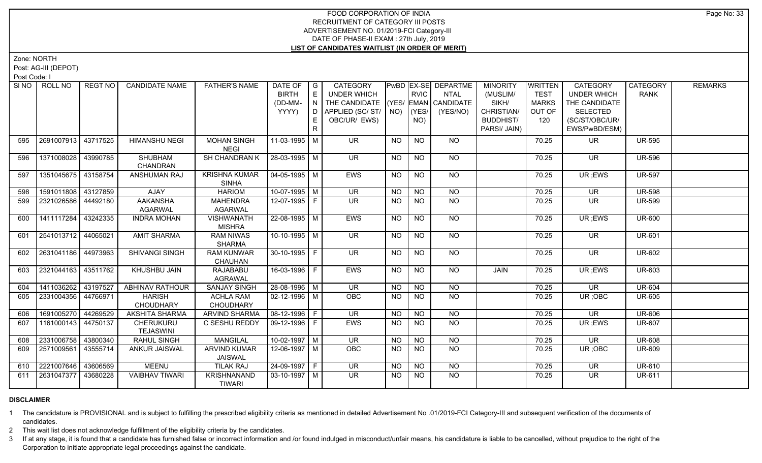Zone: NORTH

Post: AG-III (DEPOT)

Post Code: I

|     | SINO   ROLL NO        | REGT NO  | <b>CANDIDATE NAME</b>             | <b>FATHER'S NAME</b>                  | DATE OF<br><b>BIRTH</b><br>(DD-MM- | $\overline{\phantom{a}}$ G<br>$\mathsf{E}% _{\mathsf{H}}$<br>N | <b>CATEGORY</b><br><b>UNDER WHICH</b><br>THE CANDIDATE (YES/ EMAN CANDIDATE |             | <b>RVIC</b>     | PwBD   EX-SE   DEPARTME<br><b>NTAL</b> | <b>MINORITY</b><br>(MUSLIM/<br>SIKH/ | <b>WRITTEN</b><br><b>TEST</b><br><b>MARKS</b> | <b>CATEGORY</b><br><b>UNDER WHICH</b><br>THE CANDIDATE | CATEGORY<br><b>RANK</b> | <b>REMARKS</b> |
|-----|-----------------------|----------|-----------------------------------|---------------------------------------|------------------------------------|----------------------------------------------------------------|-----------------------------------------------------------------------------|-------------|-----------------|----------------------------------------|--------------------------------------|-----------------------------------------------|--------------------------------------------------------|-------------------------|----------------|
|     |                       |          |                                   |                                       | YYYY)                              | D                                                              | APPLIED (SC/ST/                                                             | $NO)$ (YES/ |                 | (YES/NO)                               | CHRISTIAN/                           | OUT OF                                        | <b>SELECTED</b>                                        |                         |                |
|     |                       |          |                                   |                                       |                                    | E.                                                             | OBC/UR/ EWS)                                                                |             | NO)             |                                        | <b>BUDDHIST/</b>                     | 120                                           | (SC/ST/OBC/UR/                                         |                         |                |
|     |                       |          |                                   |                                       |                                    | $\mathsf{R}$                                                   |                                                                             |             |                 |                                        | PARSI/ JAIN)                         |                                               | EWS/PwBD/ESM)                                          |                         |                |
| 595 | 2691007913 43717525   |          | <b>HIMANSHU NEGI</b>              | <b>MOHAN SINGH</b><br><b>NEGI</b>     | 11-03-1995 M                       |                                                                | <b>UR</b>                                                                   | <b>NO</b>   | <b>NO</b>       | <b>NO</b>                              |                                      | 70.25                                         | <b>UR</b>                                              | <b>UR-595</b>           |                |
| 596 | 1371008028            | 43990785 | SHUBHAM<br>CHANDRAN               | SH CHANDRAN K                         | 28-03-1995   M                     |                                                                | <b>UR</b>                                                                   | <b>NO</b>   | <b>NO</b>       | NO                                     |                                      | 70.25                                         | <b>UR</b>                                              | <b>UR-596</b>           |                |
| 597 | 1351045675 43158754   |          | <b>ANSHUMAN RAJ</b>               | <b>KRISHNA KUMAR</b><br><b>SINHA</b>  | $04 - 05 - 1995$ M                 |                                                                | <b>EWS</b>                                                                  | NO.         | <b>NO</b>       | NO.                                    |                                      | 70.25                                         | UR; EWS                                                | <b>UR-597</b>           |                |
| 598 | 1591011808 43127859   |          | <b>AJAY</b>                       | <b>HARIOM</b>                         | $10-07-1995$ M                     |                                                                | <b>UR</b>                                                                   | <b>NO</b>   | <b>NO</b>       | $N$ <sup>O</sup>                       |                                      | 70.25                                         | <b>UR</b>                                              | <b>UR-598</b>           |                |
| 599 | 2321026586 44492180   |          | <b>AAKANSHA</b><br><b>AGARWAL</b> | <b>MAHENDRA</b><br><b>AGARWAL</b>     | 12-07-1995 F                       |                                                                | UR.                                                                         | NO.         | <b>NO</b>       | N <sub>O</sub>                         |                                      | 70.25                                         | <b>UR</b>                                              | <b>UR-599</b>           |                |
| 600 | 1411117284            | 43242335 | <b>INDRA MOHAN</b>                | VISHWANATH<br><b>MISHRA</b>           | 22-08-1995   M                     |                                                                | <b>EWS</b>                                                                  | <b>NO</b>   | N <sub>O</sub>  | $N$ O                                  |                                      | 70.25                                         | UR; EWS                                                | <b>UR-600</b>           |                |
| 601 | 2541013712            | 44065021 | <b>AMIT SHARMA</b>                | <b>RAM NIWAS</b><br><b>SHARMA</b>     | $10-10-1995$ M                     |                                                                | $\overline{\mathsf{UR}}$                                                    | <b>NO</b>   | N <sub>O</sub>  | NO                                     |                                      | 70.25                                         | <b>UR</b>                                              | <b>UR-601</b>           |                |
| 602 | 2631041186   44973963 |          | SHIVANGI SINGH                    | <b>RAM KUNWAR</b><br><b>CHAUHAN</b>   | 30-10-1995 F                       |                                                                | UR.                                                                         | NO          | <b>NO</b>       | NO                                     |                                      | 70.25                                         | <b>UR</b>                                              | <b>UR-602</b>           |                |
| 603 | 2321044163 43511762   |          | <b>KHUSHBU JAIN</b>               | <b>RAJABABU</b><br><b>AGRAWAL</b>     | 16-03-1996   F                     |                                                                | <b>EWS</b>                                                                  | <b>NO</b>   | $\overline{NQ}$ | $\overline{NQ}$                        | JAIN                                 | 70.25                                         | UR; EWS                                                | <b>UR-603</b>           |                |
| 604 | 1411036262 43197527   |          | <b>ABHINAV RATHOUR</b>            | <b>SANJAY SINGH</b>                   | 28-08-1996 M                       |                                                                | $\overline{\mathsf{UR}}$                                                    | <b>NO</b>   | N <sub>O</sub>  | N <sub>O</sub>                         |                                      | 70.25                                         | $\overline{\mathsf{UR}}$                               | <b>UR-604</b>           |                |
| 605 | 2331004356   44766971 |          | <b>HARISH</b><br>CHOUDHARY        | <b>ACHLA RAM</b><br><b>CHOUDHARY</b>  | $02 - 12 - 1996$ M                 |                                                                | <b>OBC</b>                                                                  | <b>NO</b>   | <b>NO</b>       | <b>NO</b>                              |                                      | 70.25                                         | UR; OBC                                                | <b>UR-605</b>           |                |
| 606 | 1691005270 44269529   |          | <b>AKSHITA SHARMA</b>             | ARVIND SHARMA                         | 08-12-1996 F                       |                                                                | $\overline{\mathsf{UR}}$                                                    | <b>NO</b>   | <b>NO</b>       | $N$ O                                  |                                      | 70.25                                         | $\overline{\mathsf{UR}}$                               | <b>UR-606</b>           |                |
| 607 | 1161000143 44750137   |          | CHERUKURU<br><b>TEJASWINI</b>     | C SESHU REDDY                         | 09-12-1996 F                       |                                                                | EWS                                                                         | <b>NO</b>   | <b>NO</b>       | $N$ O                                  |                                      | 70.25                                         | UR; EWS                                                | <b>UR-607</b>           |                |
| 608 | 2331006758 43800340   |          | <b>RAHUL SINGH</b>                | <b>MANGILAL</b>                       | $10-02-1997$ M                     |                                                                | <b>UR</b>                                                                   | <b>NO</b>   | <b>NO</b>       | $N$ O                                  |                                      | 70.25                                         | $\overline{\mathsf{UR}}$                               | <b>UR-608</b>           |                |
| 609 | 2571009561            | 43555714 | <b>ANKUR JAISWAL</b>              | <b>ARVIND KUMAR</b><br><b>JAISWAL</b> | 12-06-1997 M                       |                                                                | OBC                                                                         | <b>NO</b>   | <b>NO</b>       | NO                                     |                                      | 70.25                                         | UR; OBC                                                | <b>UR-609</b>           |                |
| 610 | 2221007646            | 43606569 | <b>MEENU</b>                      | <b>TILAK RAJ</b>                      | 24-09-1997 F                       |                                                                | <b>UR</b>                                                                   | <b>NO</b>   | <b>NO</b>       | <b>NO</b>                              |                                      | 70.25                                         | <b>UR</b>                                              | UR-610                  |                |
| 611 | 2631047377            | 43680228 | <b>VAIBHAV TIWARI</b>             | <b>KRISHNANAND</b><br><b>TIWARI</b>   | 03-10-1997   M                     |                                                                | UR.                                                                         | <b>NO</b>   | NO.             | <b>NO</b>                              |                                      | 70.25                                         | UR.                                                    | <b>UR-611</b>           |                |

# **DISCLAIMER**

1 The candidature is PROVISIONAL and is subject to fulfilling the prescribed eligibility criteria as mentioned in detailed Advertisement No .01/2019-FCI Category-III and subsequent verification of the documents of candidates.

2 This wait list does not acknowledge fulfillment of the eligibility criteria by the candidates.

3 If at any stage, it is found that a candidate has furnished false or incorrect information and /or found indulged in misconduct/unfair means, his candidature is liable to be cancelled, without prejudice to the right of t Corporation to initiate appropriate legal proceedings against the candidate.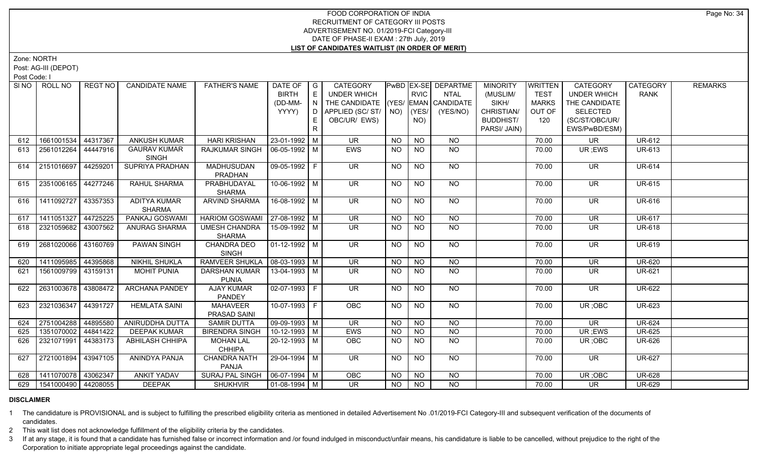Zone: NORTH

Post: AG-III (DEPOT)

Post Code: I

|     | SINO   ROLL NO      | REGT NO  | <b>CANDIDATE NAME</b>                | <b>FATHER'S NAME</b>                  | DATE OF<br><b>BIRTH</b><br>(DD-MM- | $\overline{\phantom{a}}$ G<br>E<br>$\overline{N}$ | <b>CATEGORY</b><br><b>UNDER WHICH</b><br>THE CANDIDATE (YES/ EMAN CANDIDATE |           | <b>RVIC</b>        | PwBD   EX-SE   DEPARTME<br><b>NTAL</b> | <b>MINORITY</b><br>(MUSLIM/<br>SIKH/ | WRITTEN<br><b>TEST</b><br><b>MARKS</b> | <b>CATEGORY</b><br><b>UNDER WHICH</b><br>THE CANDIDATE | CATEGORY<br><b>RANK</b> | <b>REMARKS</b> |
|-----|---------------------|----------|--------------------------------------|---------------------------------------|------------------------------------|---------------------------------------------------|-----------------------------------------------------------------------------|-----------|--------------------|----------------------------------------|--------------------------------------|----------------------------------------|--------------------------------------------------------|-------------------------|----------------|
|     |                     |          |                                      |                                       | YYYY)                              | D<br>E.                                           | APPLIED (SC/ST/<br>OBC/UR/ EWS)                                             |           | $NO)$ (YES/<br>NO) | (YES/NO)                               | CHRISTIAN/<br><b>BUDDHIST/</b>       | OUT OF<br>120                          | <b>SELECTED</b><br>(SC/ST/OBC/UR/                      |                         |                |
|     |                     |          |                                      |                                       |                                    | R                                                 |                                                                             |           |                    |                                        | PARSI/ JAIN)                         |                                        | EWS/PwBD/ESM)                                          |                         |                |
| 612 | 1661001534          | 44317367 | ANKUSH KUMAR                         | <b>HARI KRISHAN</b>                   | 23-01-1992 M                       |                                                   | <b>UR</b>                                                                   | <b>NO</b> | <b>NO</b>          | <b>NO</b>                              |                                      | 70.00                                  | <b>UR</b>                                              | <b>UR-612</b>           |                |
| 613 | 2561012264          | 44447916 | <b>GAURAV KUMAR</b><br><b>SINGH</b>  | <b>RAJKUMAR SINGH</b>                 | 06-05-1992   M                     |                                                   | EWS                                                                         | NO.       | <b>NO</b>          | NO.                                    |                                      | 70.00                                  | UR ;EWS                                                | UR-613                  |                |
| 614 | 2151016697          | 44259201 | SUPRIYA PRADHAN                      | <b>MADHUSUDAN</b><br>PRADHAN          | 09-05-1992 F                       |                                                   | <b>UR</b>                                                                   | <b>NO</b> | <b>NO</b>          | NO                                     |                                      | 70.00                                  | <b>UR</b>                                              | <b>UR-614</b>           |                |
| 615 | 2351006165          | 44277246 | RAHUL SHARMA                         | <b>PRABHUDAYAL</b><br><b>SHARMA</b>   | 10-06-1992 M                       |                                                   | UR.                                                                         | <b>NO</b> | <b>NO</b>          | <b>NO</b>                              |                                      | 70.00                                  | <b>UR</b>                                              | <b>UR-615</b>           |                |
| 616 | 1411092727          | 43357353 | <b>ADITYA KUMAR</b><br><b>SHARMA</b> | ARVIND SHARMA                         | 16-08-1992 M                       |                                                   | UR.                                                                         | NO        | <b>NO</b>          | <b>NO</b>                              |                                      | 70.00                                  | <b>UR</b>                                              | <b>UR-616</b>           |                |
| 617 | 1411051327          | 44725225 | <b>PANKAJ GOSWAMI</b>                | HARIOM GOSWAMI   27-08-1992   M       |                                    |                                                   | $\overline{\mathsf{UR}}$                                                    | <b>NO</b> | <b>NO</b>          | $N$ O                                  |                                      | 70.00                                  | $\overline{\mathsf{UR}}$                               | <b>UR-617</b>           |                |
| 618 | 2321059682          | 43007562 | ANURAG SHARMA                        | <b>UMESH CHANDRA</b><br><b>SHARMA</b> | 15-09-1992 M                       |                                                   | UR.                                                                         | <b>NO</b> | <b>NO</b>          | <b>NO</b>                              |                                      | 70.00                                  | <b>UR</b>                                              | <b>UR-618</b>           |                |
| 619 | 2681020066          | 43160769 | <b>PAWAN SINGH</b>                   | <b>CHANDRA DEO</b><br><b>SINGH</b>    | $\boxed{01-12-1992}$ M             |                                                   | UR                                                                          | NO.       | <b>NO</b>          | NO                                     |                                      | 70.00                                  | <b>UR</b>                                              | <b>UR-619</b>           |                |
| 620 | 1411095985          | 44395868 | <b>NIKHIL SHUKLA</b>                 | <b>RAMVEER SHUKLA</b>                 | $08-03-1993$ M                     |                                                   | <b>UR</b>                                                                   | <b>NO</b> | <b>NO</b>          | <b>NO</b>                              |                                      | 70.00                                  | <b>UR</b>                                              | <b>UR-620</b>           |                |
| 621 | 1561009799          | 43159131 | <b>MOHIT PUNIA</b>                   | <b>DARSHAN KUMAR</b><br><b>PUNIA</b>  | 13-04-1993 M                       |                                                   | UR.                                                                         | NO.       | <b>NO</b>          | <b>NO</b>                              |                                      | 70.00                                  | UR                                                     | <b>UR-621</b>           |                |
| 622 | 2631003678 43808472 |          | <b>ARCHANA PANDEY</b>                | <b>AJAY KUMAR</b><br><b>PANDEY</b>    | $02-07-1993$ F                     |                                                   | UR.                                                                         | NO.       | <b>NO</b>          | <b>NO</b>                              |                                      | 70.00                                  | UR                                                     | <b>UR-622</b>           |                |
| 623 | 2321036347          | 44391727 | <b>HEMLATA SAINI</b>                 | <b>MAHAVEER</b><br>PRASAD SAINI       | 10-07-1993 F                       |                                                   | OBC                                                                         | <b>NO</b> | N <sub>O</sub>     | $N$ <sup>O</sup>                       |                                      | 70.00                                  | UR; OBC                                                | <b>UR-623</b>           |                |
| 624 | 2751004288          | 44895580 | ANIRUDDHA DUTTA                      | <b>SAMIR DUTTA</b>                    | 09-09-1993 M                       |                                                   | <b>UR</b>                                                                   | <b>NO</b> | <b>NO</b>          | <b>NO</b>                              |                                      | 70.00                                  | <b>UR</b>                                              | <b>UR-624</b>           |                |
| 625 | 1351070002 44841422 |          | <b>DEEPAK KUMAR</b>                  | <b>BIRENDRA SINGH</b>                 | $10-12-1993$ M                     |                                                   | EWS                                                                         | <b>NO</b> | <b>NO</b>          | $N$ O                                  |                                      | 70.00                                  | UR; EWS                                                | <b>UR-625</b>           |                |
| 626 | 2321071991          | 44383173 | ABHILASH CHHIPA                      | <b>MOHAN LAL</b><br><b>CHHIPA</b>     | 20-12-1993 M                       |                                                   | <b>OBC</b>                                                                  | <b>NO</b> | <b>NO</b>          | N <sub>O</sub>                         |                                      | 70.00                                  | UR; OBC                                                | <b>UR-626</b>           |                |
| 627 | 2721001894          | 43947105 | ANINDYA PANJA                        | <b>CHANDRA NATH</b><br><b>PANJA</b>   | 29-04-1994 M                       |                                                   | <b>UR</b>                                                                   | <b>NO</b> | NO                 | <b>NO</b>                              |                                      | 70.00                                  | <b>UR</b>                                              | <b>UR-627</b>           |                |
| 628 | 1411070078 43062347 |          | <b>ANKIT YADAV</b>                   | SURAJ PAL SINGH                       | $06-07-1994$ M                     |                                                   | OBC                                                                         | NO.       | <b>NO</b>          | <b>NO</b>                              |                                      | 70.00                                  | UR; OBC                                                | <b>UR-628</b>           |                |
| 629 | 1541000490 44208055 |          | <b>DEEPAK</b>                        | <b>SHUKHVIR</b>                       | 01-08-1994 M                       |                                                   | UR.                                                                         | NO        | <b>NO</b>          | <b>NO</b>                              |                                      | 70.00                                  | <b>UR</b>                                              | <b>UR-629</b>           |                |

# **DISCLAIMER**

1 The candidature is PROVISIONAL and is subject to fulfilling the prescribed eligibility criteria as mentioned in detailed Advertisement No .01/2019-FCI Category-III and subsequent verification of the documents of candidates.

2 This wait list does not acknowledge fulfillment of the eligibility criteria by the candidates.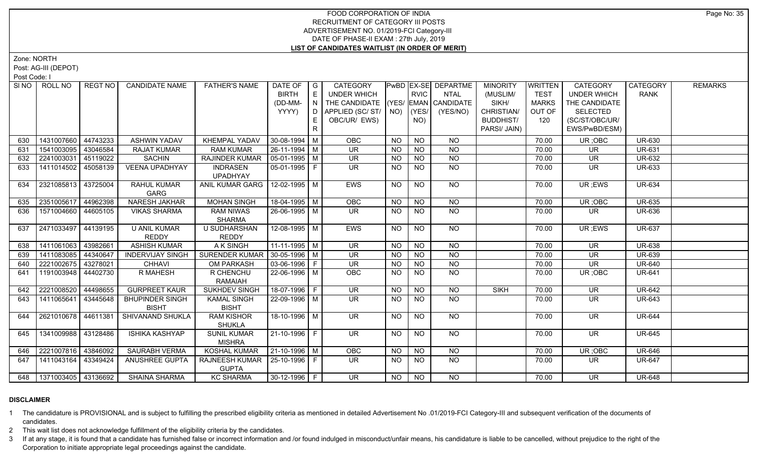Zone: NORTH

Post: AG-III (DEPOT)

Post Code: I

|     | SI NO   ROLL NO             | REGT NO I | <b>CANDIDATE NAME</b>                  | <b>FATHER'S NAME</b>               | DATE OF $ G $                |    | CATEGORY                           |           |                 | <b>PWBD EX-SE DEPARTME</b> | <b>MINORITY</b>  | <b>WRITTEN</b> | <b>CATEGORY</b>    | CATEGORY      | <b>REMARKS</b> |
|-----|-----------------------------|-----------|----------------------------------------|------------------------------------|------------------------------|----|------------------------------------|-----------|-----------------|----------------------------|------------------|----------------|--------------------|---------------|----------------|
|     |                             |           |                                        |                                    | <b>BIRTH</b>                 |    | UNDER WHICH                        |           | <b>RVIC</b>     | <b>NTAL</b>                | (MUSLIM/         | <b>TEST</b>    | <b>UNDER WHICH</b> | <b>RANK</b>   |                |
|     |                             |           |                                        |                                    | (DD-MM-                      | N. | THE CANDIDATE (YES/ EMAN CANDIDATE |           |                 |                            | SIKH/            | <b>MARKS</b>   | THE CANDIDATE      |               |                |
|     |                             |           |                                        |                                    | YYYY)                        | D. | APPLIED (SC/ ST/   NO)             |           | (YES/           | (YES/NO)                   | CHRISTIAN/       | OUT OF         | <b>SELECTED</b>    |               |                |
|     |                             |           |                                        |                                    |                              |    | OBC/UR/ EWS)                       |           | NO)             |                            | <b>BUDDHIST/</b> | 120            | (SC/ST/OBC/UR/     |               |                |
|     |                             |           |                                        |                                    |                              | R  |                                    |           |                 |                            | PARSI/ JAIN)     |                | EWS/PwBD/ESM)      |               |                |
| 630 | 1431007660   44743233       |           | <b>ASHWIN YADAV</b>                    | <b>KHEMPAL YADAV</b>               | $30 - 08 - 1994$ M           |    | OBC                                | NO.       | <b>NO</b>       | <b>NO</b>                  |                  | 70.00          | UR; OBC            | <b>UR-630</b> |                |
| 631 | 1541003095                  | 43046584  | <b>RAJAT KUMAR</b>                     | <b>RAM KUMAR</b>                   | 26-11-1994 M                 |    | <b>UR</b>                          | <b>NO</b> | <b>NO</b>       | <b>NO</b>                  |                  | 70.00          | UR.                | <b>UR-631</b> |                |
| 632 | 2241003031                  | 45119022  | <b>SACHIN</b>                          | RAJINDER KUMAR                     | $\vert$ 05-01-1995 $\vert$ M |    | <b>UR</b>                          | <b>NO</b> | <b>NO</b>       | $N$ O                      |                  | 70.00          | <b>UR</b>          | UR-632        |                |
| 633 | 1411014502 45058139         |           | <b>VEENA UPADHYAY</b>                  | <b>INDRASEN</b>                    | 05-01-1995 F                 |    | UR.                                | NO.       | <b>NO</b>       | <b>NO</b>                  |                  | 70.00          | UR.                | <b>UR-633</b> |                |
|     |                             |           |                                        | <b>UPADHYAY</b>                    |                              |    |                                    |           |                 |                            |                  |                |                    |               |                |
| 634 | 2321085813 43725004         |           | RAHUL KUMAR                            | ANIL KUMAR GARG   12-02-1995   M   |                              |    | <b>EWS</b>                         | NO.       | <b>NO</b>       | NO                         |                  | 70.00          | UR; EWS            | <b>UR-634</b> |                |
|     |                             |           | GARG                                   |                                    |                              |    |                                    |           |                 |                            |                  |                |                    |               |                |
| 635 | 2351005617 44962398         |           | <b>NARESH JAKHAR</b>                   | <b>MOHAN SINGH</b>                 | 18-04-1995 M                 |    | OBC                                | <b>NO</b> | $\overline{NQ}$ | N <sub>O</sub>             |                  | 70.00          | UR; OBC            | <b>UR-635</b> |                |
| 636 | 1571004660 44605105         |           | <b>VIKAS SHARMA</b>                    | <b>RAM NIWAS</b>                   | 26-06-1995   M               |    | UR.                                | NO.       | <b>NO</b>       | <b>NO</b>                  |                  | 70.00          | UR.                | UR-636        |                |
|     |                             |           |                                        | <b>SHARMA</b>                      |                              |    |                                    |           |                 |                            |                  |                |                    |               |                |
| 637 | 2471033497 44139195         |           | <b>U ANIL KUMAR</b>                    | U SUDHARSHAN                       | 12-08-1995 M                 |    | <b>EWS</b>                         | NO.       | <b>NO</b>       | NO                         |                  | 70.00          | UR ;EWS            | <b>UR-637</b> |                |
|     |                             |           | <b>REDDY</b>                           | <b>REDDY</b>                       |                              |    |                                    |           |                 |                            |                  |                |                    |               |                |
| 638 | 1411061063 43982661         |           | <b>ASHISH KUMAR</b>                    | A K SINGH                          | $11-11-1995$ M               |    | <b>UR</b>                          | <b>NO</b> | <b>NO</b>       | $N$ <sup>O</sup>           |                  | 70.00          | UR.                | <b>UR-638</b> |                |
| 639 | 1411083085 44340647         |           | <b>INDERVIJAY SINGH</b>                | SURENDER KUMAR   30-05-1996   M    |                              |    | <b>UR</b>                          | <b>NO</b> | $N$ O           | $N$ O                      |                  | 70.00          | <b>UR</b>          | <b>UR-639</b> |                |
| 640 | 2221002675 43278021         |           | <b>CHHAVI</b>                          | <b>OM PARKASH</b>                  | 03-06-1996 F                 |    | UR.                                | <b>NO</b> | <b>NO</b>       | <b>NO</b>                  |                  | 70.00          | UR                 | <b>UR-640</b> |                |
| 641 | 1191003948 44402730         |           | R MAHESH                               | R CHENCHU                          | 22-06-1996 M                 |    | <b>OBC</b>                         | NO.       | <b>NO</b>       | <b>NO</b>                  |                  | 70.00          | UR; OBC            | <b>UR-641</b> |                |
|     |                             |           |                                        | <b>RAMAIAH</b>                     |                              |    |                                    |           |                 |                            |                  |                |                    |               |                |
| 642 | 2221008520 44498655         |           | <b>GURPREET KAUR</b>                   | <b>SUKHDEV SINGH</b>               | 18-07-1996 F                 |    | <b>UR</b>                          | <b>NO</b> | <b>NO</b>       | <b>NO</b>                  | <b>SIKH</b>      | 70.00          | <b>UR</b>          | <b>UR-642</b> |                |
| 643 | 1411065641                  | 43445648  | <b>BHUPINDER SINGH</b><br><b>BISHT</b> | <b>KAMAL SINGH</b><br><b>BISHT</b> | 22-09-1996   M               |    | UR.                                | <b>NO</b> | <b>NO</b>       | <b>NO</b>                  |                  | 70.00          | UR                 | UR-643        |                |
| 644 | 2621010678 44611381         |           | SHIVANAND SHUKLA                       | <b>RAM KISHOR</b>                  | 18-10-1996 M                 |    | UR.                                | NO.       | <b>NO</b>       | NO.                        |                  | 70.00          | <b>UR</b>          | <b>UR-644</b> |                |
|     |                             |           |                                        | <b>SHUKLA</b>                      |                              |    |                                    |           |                 |                            |                  |                |                    |               |                |
| 645 | 1341009988 43128486         |           | <b>ISHIKA KASHYAP</b>                  | <b>SUNIL KUMAR</b>                 | 21-10-1996 F                 |    | UR.                                | <b>NO</b> | <b>NO</b>       | <b>NO</b>                  |                  | 70.00          | <b>UR</b>          | <b>UR-645</b> |                |
|     |                             |           |                                        | <b>MISHRA</b>                      |                              |    |                                    |           |                 |                            |                  |                |                    |               |                |
| 646 | 2221007816 43846092         |           | <b>SAURABH VERMA</b>                   | <b>KOSHAL KUMAR</b>                | $ 21 - 10 - 1996 $ M         |    | OBC                                | NO.       | <b>NO</b>       | <b>NO</b>                  |                  | 70.00          | UR; OBC            | <b>UR-646</b> |                |
| 647 | 1411043164 43349424         |           | ANUSHREE GUPTA                         | RAJNEESH KUMAR   25-10-1996   F    |                              |    | UR                                 | NO.       | <b>NO</b>       | NO.                        |                  | 70.00          | UR.                | <b>UR-647</b> |                |
|     |                             |           |                                        | <b>GUPTA</b>                       |                              |    |                                    |           |                 |                            |                  |                |                    |               |                |
|     | 648   1371003405   43136692 |           | <b>SHAINA SHARMA</b>                   | <b>KC SHARMA</b>                   | $30-12-1996$ F               |    | UR.                                | NO.       | <b>NO</b>       | NO.                        |                  | 70.00          | UR.                | <b>UR-648</b> |                |

#### **DISCLAIMER**

1 The candidature is PROVISIONAL and is subject to fulfilling the prescribed eligibility criteria as mentioned in detailed Advertisement No .01/2019-FCI Category-III and subsequent verification of the documents of candidates.

2 This wait list does not acknowledge fulfillment of the eligibility criteria by the candidates.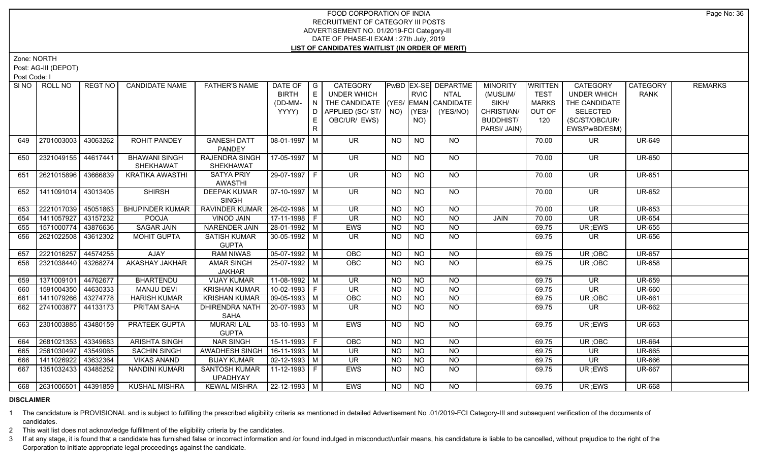Zone: NORTH

Post: AG-III (DEPOT)

Post Code: I

| SI NO I | ROLL NO                 | REGT NO  | <b>CANDIDATE NAME</b>  | <b>FATHER'S NAME</b>  | DATE OF              | $\overline{\phantom{a}}$ $\overline{\phantom{a}}$ | <b>CATEGORY</b>                    |             |             | <b>PwBD EX-SE DEPARTME</b> | <b>MINORITY</b>  | WRITTEN      | <b>CATEGORY</b>    | CATEGORY      | <b>REMARKS</b> |
|---------|-------------------------|----------|------------------------|-----------------------|----------------------|---------------------------------------------------|------------------------------------|-------------|-------------|----------------------------|------------------|--------------|--------------------|---------------|----------------|
|         |                         |          |                        |                       | <b>BIRTH</b>         | E                                                 | <b>UNDER WHICH</b>                 |             | <b>RVIC</b> | <b>NTAL</b>                | (MUSLIM/         | <b>TEST</b>  | <b>UNDER WHICH</b> | <b>RANK</b>   |                |
|         |                         |          |                        |                       | (DD-MM-              | N                                                 | THE CANDIDATE (YES/ EMAN CANDIDATE |             |             |                            | SIKH/            | <b>MARKS</b> | THE CANDIDATE      |               |                |
|         |                         |          |                        |                       | YYYY)                | D                                                 | APPLIED (SC/ST/                    | $NO)$ (YES/ |             | (YES/NO)                   | CHRISTIAN/       | OUT OF       | <b>SELECTED</b>    |               |                |
|         |                         |          |                        |                       |                      | E.                                                | OBC/UR/ EWS)                       |             | NO)         |                            | <b>BUDDHIST/</b> | 120          | (SC/ST/OBC/UR/     |               |                |
|         |                         |          |                        |                       |                      | $\mathsf{R}$                                      |                                    |             |             |                            | PARSI/ JAIN)     |              | EWS/PwBD/ESM)      |               |                |
| 649     | 2701003003              | 43063262 | <b>ROHIT PANDEY</b>    | <b>GANESH DATT</b>    | 08-01-1997   M       |                                                   | UR.                                | NO          | <b>NO</b>   | NO.                        |                  | 70.00        | UR.                | <b>UR-649</b> |                |
|         |                         |          |                        | PANDEY                |                      |                                                   |                                    |             |             |                            |                  |              |                    |               |                |
| 650     | 2321049155              | 44617441 | <b>BHAWANI SINGH</b>   | <b>RAJENDRA SINGH</b> | 17-05-1997 M         |                                                   | <b>UR</b>                          | NO.         | <b>NO</b>   | <b>NO</b>                  |                  | 70.00        | <b>UR</b>          | <b>UR-650</b> |                |
|         |                         |          | SHEKHAWAT              | SHEKHAWAT             |                      |                                                   |                                    |             |             |                            |                  |              |                    |               |                |
| 651     | 2621015896              | 43666839 | <b>KRATIKA AWASTHI</b> | <b>SATYA PRIY</b>     | 29-07-1997 F         |                                                   | <b>UR</b>                          | <b>NO</b>   | <b>NO</b>   | NO                         |                  | 70.00        | UR                 | <b>UR-651</b> |                |
|         |                         |          |                        | AWASTHI               |                      |                                                   |                                    |             |             |                            |                  |              |                    |               |                |
| 652     | 1411091014              | 43013405 | <b>SHIRSH</b>          | <b>DEEPAK KUMAR</b>   | 07-10-1997   M       |                                                   | <b>UR</b>                          | NO.         | <b>NO</b>   | NO                         |                  | 70.00        | <b>UR</b>          | <b>UR-652</b> |                |
|         |                         |          |                        | <b>SINGH</b>          |                      |                                                   |                                    |             |             |                            |                  |              |                    |               |                |
| 653     | 2221017039              | 45051863 | <b>BHUPINDER KUMAR</b> | <b>RAVINDER KUMAR</b> | 26-02-1998 M         |                                                   | <b>UR</b>                          | <b>NO</b>   | <b>NO</b>   | <b>NO</b>                  |                  | 70.00        | <b>UR</b>          | <b>UR-653</b> |                |
| 654     | 1411057927              | 43157232 | <b>POOJA</b>           | <b>VINOD JAIN</b>     | $17-11-1998$ F       |                                                   | <b>UR</b>                          | <b>NO</b>   | $N$ O       | $N$ O                      | JAIN             | 70.00        | <b>UR</b>          | <b>UR-654</b> |                |
| 655     | 1571000774              | 43876636 | <b>SAGAR JAIN</b>      | <b>NARENDER JAIN</b>  | 28-01-1992 M         |                                                   | EWS                                | <b>NO</b>   | <b>NO</b>   | $N$ O                      |                  | 69.75        | UR; EWS            | <b>UR-655</b> |                |
| 656     | 2621022508              | 43612302 | <b>MOHIT GUPTA</b>     | <b>SATISH KUMAR</b>   | $30 - 05 - 1992$ M   |                                                   | UR.                                | NO.         | <b>NO</b>   | <b>NO</b>                  |                  | 69.75        | UR                 | <b>UR-656</b> |                |
|         |                         |          |                        | <b>GUPTA</b>          |                      |                                                   |                                    |             |             |                            |                  |              |                    |               |                |
| 657     | 2221016257              | 44574255 | <b>AJAY</b>            | <b>RAM NIWAS</b>      | $05-07-1992$ M       |                                                   | OBC                                | <b>NO</b>   | <b>NO</b>   | $N$ O                      |                  | 69.75        | UR; OBC            | <b>UR-657</b> |                |
| 658     | 2321038440              | 43268274 | AKASHAY JAKHAR         | <b>AMAR SINGH</b>     | 25-07-1992 M         |                                                   | OBC                                | <b>NO</b>   | <b>NO</b>   | <b>NO</b>                  |                  | 69.75        | UR; OBC            | <b>UR-658</b> |                |
|         |                         |          |                        | JAKHAR                |                      |                                                   |                                    |             |             |                            |                  |              |                    |               |                |
| 659     | 1371009101              | 44762677 | <b>BHARTENDU</b>       | <b>VIJAY KUMAR</b>    | $11-08-1992$ M       |                                                   | <b>UR</b>                          | <b>NO</b>   | <b>NO</b>   | <b>NO</b>                  |                  | 69.75        | <b>UR</b>          | <b>UR-659</b> |                |
| 660     | 1591004350              | 44630333 | <b>MANJU DEVI</b>      | <b>KRISHAN KUMAR</b>  | 10-02-1993 F         |                                                   | <b>UR</b>                          | <b>NO</b>   | <b>NO</b>   | <b>NO</b>                  |                  | 69.75        | <b>UR</b>          | <b>UR-660</b> |                |
| 661     | 1411079266 43274778     |          | <b>HARISH KUMAR</b>    | <b>KRISHAN KUMAR</b>  | $09-05-1993$ M       |                                                   | OBC                                | <b>NO</b>   | <b>NO</b>   | <b>NO</b>                  |                  | 69.75        | UR; OBC            | <b>UR-661</b> |                |
| 662     | 2741003877 44133173     |          | PRITAM SAHA            | <b>DHIRENDRA NATH</b> | 20-07-1993   M       |                                                   | UR.                                | <b>NO</b>   | <b>NO</b>   | <b>NO</b>                  |                  | 69.75        | UR.                | <b>UR-662</b> |                |
|         |                         |          |                        | SAHA                  |                      |                                                   |                                    |             |             |                            |                  |              |                    |               |                |
| 663     | 2301003885              | 43480159 | PRATEEK GUPTA          | <b>MURARI LAL</b>     | $03 - 10 - 1993$ M   |                                                   | EWS                                | NO.         | <b>NO</b>   | <b>NO</b>                  |                  | 69.75        | UR; EWS            | <b>UR-663</b> |                |
|         |                         |          |                        | <b>GUPTA</b>          |                      |                                                   |                                    |             |             |                            |                  |              |                    |               |                |
| 664     | 2681021353              | 43349683 | <b>ARISHTA SINGH</b>   | <b>NAR SINGH</b>      | $15-11-1993$ F       |                                                   | <b>OBC</b>                         | <b>NO</b>   | <b>NO</b>   | <b>NO</b>                  |                  | 69.75        | UR; OBC            | <b>UR-664</b> |                |
| 665     | 2561030497              | 43549065 | <b>SACHIN SINGH</b>    | AWADHESH SINGH        | $16-11-1993$ M       |                                                   | <b>UR</b>                          | <b>NO</b>   | <b>NO</b>   | N <sub>O</sub>             |                  | 69.75        | UR                 | <b>UR-665</b> |                |
| 666     | 1411026922              | 43632364 | <b>VIKAS ANAND</b>     | <b>BIJAY KUMAR</b>    | $02 - 12 - 1993$ M   |                                                   | <b>UR</b>                          | <b>NO</b>   | <b>NO</b>   | <b>NO</b>                  |                  | 69.75        | UR                 | <b>UR-666</b> |                |
| 667     | 1351032433              | 43485252 | NANDINI KUMARI         | <b>SANTOSH KUMAR</b>  | 11-12-1993 F         |                                                   | EWS                                | NO.         | <b>NO</b>   | <b>NO</b>                  |                  | 69.75        | UR ;EWS            | <b>UR-667</b> |                |
|         |                         |          |                        | <b>UPADHYAY</b>       |                      |                                                   |                                    |             |             |                            |                  |              |                    |               |                |
|         | 668 2631006501 44391859 |          | <b>KUSHAL MISHRA</b>   | <b>KEWAL MISHRA</b>   | $ 22 - 12 - 1993 $ M |                                                   | <b>EWS</b>                         | NO          | <b>NO</b>   | <b>NO</b>                  |                  | 69.75        | UR; EWS            | <b>UR-668</b> |                |

# **DISCLAIMER**

1 The candidature is PROVISIONAL and is subject to fulfilling the prescribed eligibility criteria as mentioned in detailed Advertisement No .01/2019-FCI Category-III and subsequent verification of the documents of candidates.

2 This wait list does not acknowledge fulfillment of the eligibility criteria by the candidates.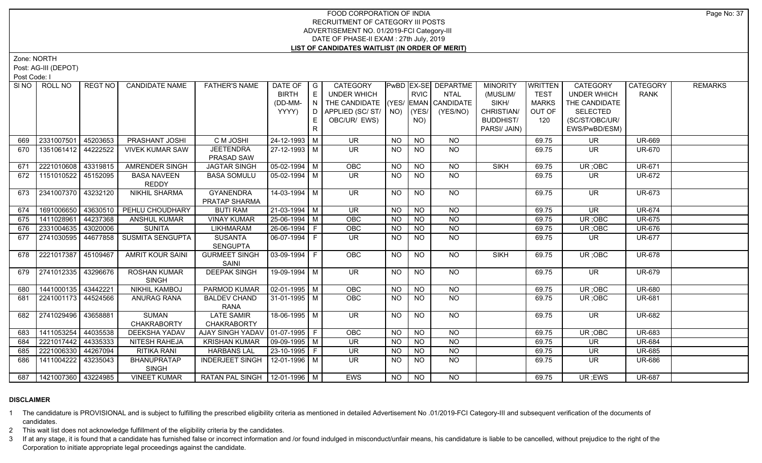Zone: NORTH

Post: AG-III (DEPOT)

Post Code: I

|     | SINO   ROLL NO              | REGT NO  | <b>CANDIDATE NAME</b>   | <b>FATHER'S NAME</b>              | DATE OF            | $\overline{\phantom{a}}$ G | CATEGORY                           |           |                | PwBD   EX-SE   DEPARTME | <b>MINORITY</b>  | <b>WRITTEN</b> | <b>CATEGORY</b>    | CATEGORY                    | <b>REMARKS</b> |
|-----|-----------------------------|----------|-------------------------|-----------------------------------|--------------------|----------------------------|------------------------------------|-----------|----------------|-------------------------|------------------|----------------|--------------------|-----------------------------|----------------|
|     |                             |          |                         |                                   | <b>BIRTH</b>       | E                          | <b>UNDER WHICH</b>                 |           | <b>RVIC</b>    | <b>NTAL</b>             | (MUSLIM/         | <b>TEST</b>    | <b>UNDER WHICH</b> | <b>RANK</b>                 |                |
|     |                             |          |                         |                                   | (DD-MM-            | N                          | THE CANDIDATE (YES/ EMAN CANDIDATE |           |                |                         | SIKH/            | <b>MARKS</b>   | THE CANDIDATE      |                             |                |
|     |                             |          |                         |                                   | YYYY)              | D                          | APPLIED (SC/ST/                    |           | $NO)$ (YES/    | (YES/NO)                | CHRISTIAN/       | OUT OF         | <b>SELECTED</b>    |                             |                |
|     |                             |          |                         |                                   |                    | E                          | OBC/UR/ EWS)                       |           | NO)            |                         | <b>BUDDHIST/</b> | 120            | (SC/ST/OBC/UR/     |                             |                |
|     |                             |          |                         |                                   |                    | R                          |                                    |           |                |                         | PARSI/ JAIN)     |                | EWS/PwBD/ESM)      |                             |                |
| 669 | 2331007501                  | 45203653 | PRASHANT JOSHI          | C M JOSHI                         | 24-12-1993 M       |                            | <b>UR</b>                          | <b>NO</b> | <b>NO</b>      | <b>NO</b>               |                  | 69.75          | UR                 | <b>UR-669</b>               |                |
| 670 | 1351061412 44222522         |          | <b>VIVEK KUMAR SAW</b>  | <b>JEETENDRA</b>                  | 27-12-1993 M       |                            | <b>UR</b>                          | <b>NO</b> | <b>NO</b>      | <b>NO</b>               |                  | 69.75          | <b>UR</b>          | <b>UR-670</b>               |                |
|     |                             |          |                         | PRASAD SAW                        |                    |                            |                                    |           |                |                         |                  |                |                    |                             |                |
| 671 | 2221010608 43319815         |          | <b>AMRENDER SINGH</b>   | <b>JAGTAR SINGH</b>               | $05-02-1994$ M     |                            | OBC                                | NO.       | <b>NO</b>      | <b>NO</b>               | <b>SIKH</b>      | 69.75          | UR; OBC            | <b>UR-671</b>               |                |
| 672 | 1151010522                  | 45152095 | <b>BASA NAVEEN</b>      | <b>BASA SOMULU</b>                | 05-02-1994 M       |                            | UR.                                | <b>NO</b> | <b>NO</b>      | <b>NO</b>               |                  | 69.75          | <b>UR</b>          | <b>UR-672</b>               |                |
|     |                             |          | <b>REDDY</b>            |                                   |                    |                            |                                    |           |                |                         |                  |                |                    |                             |                |
| 673 | 2341007370 43232120         |          | <b>NIKHIL SHARMA</b>    | <b>GYANENDRA</b>                  | 14-03-1994 M       |                            | UR.                                | NO        | <b>NO</b>      | NO.                     |                  | 69.75          | <b>UR</b>          | <b>UR-673</b>               |                |
|     |                             |          |                         | PRATAP SHARMA                     |                    |                            |                                    |           |                |                         |                  |                |                    |                             |                |
| 674 | 1691006650 43630510         |          | PEHLU CHOUDHARY         | <b>BUTI RAM</b>                   | $21-03-1994$ M     |                            | <b>UR</b>                          | <b>NO</b> | <b>NO</b>      | <b>NO</b>               |                  | 69.75          | <b>UR</b>          | <b>UR-674</b>               |                |
| 675 | 1411028961                  | 44237368 | ANSHUL KUMAR            | <b>VINAY KUMAR</b>                | 25-06-1994 M       |                            | OBC                                | <b>NO</b> | $N$ O          | N <sub>O</sub>          |                  | 69.75          | UR; OBC            | $\overline{\text{UR}}$ -675 |                |
| 676 | 2331004635   43020006       |          | <b>SUNITA</b>           | <b>LIKHMARAM</b>                  | 26-06-1994 F       |                            | OBC                                | <b>NO</b> | <b>NO</b>      | N <sub>O</sub>          |                  | 69.75          | UR; OBC            | UR-676                      |                |
| 677 | 2741030595                  | 44677858 | <b>SUSMITA SENGUPTA</b> | <b>SUSANTA</b>                    | 06-07-1994 F       |                            | UR.                                | <b>NO</b> | <b>NO</b>      | <b>NO</b>               |                  | 69.75          | UR.                | <b>UR-677</b>               |                |
|     |                             |          |                         | <b>SENGUPTA</b>                   |                    |                            |                                    |           |                |                         |                  |                |                    |                             |                |
| 678 | 2221017387                  | 45109467 | <b>AMRIT KOUR SAINI</b> | <b>GURMEET SINGH</b>              | $03-09-1994$ F     |                            | OBC                                | <b>NO</b> | N <sub>O</sub> | <b>NO</b>               | <b>SIKH</b>      | 69.75          | UR; OBC            | <b>UR-678</b>               |                |
|     |                             |          |                         | SAINI                             |                    |                            |                                    |           |                |                         |                  |                |                    |                             |                |
| 679 | 2741012335                  | 43296676 | <b>ROSHAN KUMAR</b>     | <b>DEEPAK SINGH</b>               | 19-09-1994 M       |                            | UR.                                | NO        | N <sub>O</sub> | N <sub>O</sub>          |                  | 69.75          | <b>UR</b>          | <b>UR-679</b>               |                |
|     |                             |          | <b>SINGH</b>            |                                   |                    |                            |                                    |           |                |                         |                  |                |                    |                             |                |
| 680 | 1441000135 43442221         |          | <b>NIKHIL KAMBOJ</b>    | PARMOD KUMAR                      | $02 - 01 - 1995$ M |                            | OBC                                | <b>NO</b> | <b>NO</b>      | <b>NO</b>               |                  | 69.75          | UR; OBC            | <b>UR-680</b>               |                |
| 681 | 2241001173 44524566         |          | <b>ANURAG RANA</b>      | <b>BALDEV CHAND</b>               | $31-01-1995$ M     |                            | OBC                                | <b>NO</b> | <b>NO</b>      | <b>NO</b>               |                  | 69.75          | UR; OBC            | <b>UR-681</b>               |                |
|     |                             |          |                         | <b>RANA</b>                       |                    |                            |                                    |           |                |                         |                  |                |                    |                             |                |
| 682 | 2741029496                  | 43658881 | SUMAN                   | <b>LATE SAMIR</b>                 | 18-06-1995   M     |                            | UR.                                | NO.       | <b>NO</b>      | <b>NO</b>               |                  | 69.75          | <b>UR</b>          | <b>UR-682</b>               |                |
|     |                             |          | <b>CHAKRABORTY</b>      | <b>CHAKRABORTY</b>                |                    |                            |                                    |           |                |                         |                  |                |                    |                             |                |
| 683 | 1411053254                  | 44035538 | DEEKSHA YADAV           | AJAY SINGH YADAV   01-07-1995   F |                    |                            | OBC                                | NO.       | <b>NO</b>      | <b>NO</b>               |                  | 69.75          | UR; OBC            | <b>UR-683</b>               |                |
| 684 | 2221017442 44335333         |          | NITESH RAHEJA           | <b>KRISHAN KUMAR</b>              | 09-09-1995   M     |                            | <b>UR</b>                          | <b>NO</b> | <b>NO</b>      | <b>NO</b>               |                  | 69.75          | <b>UR</b>          | <b>UR-684</b>               |                |
| 685 | 2221006330 44267094         |          | <b>RITIKA RANI</b>      | <b>HARBANS LAL</b>                | 23-10-1995 F       |                            | <b>UR</b>                          | <b>NO</b> | <b>NO</b>      | N <sub>O</sub>          |                  | 69.75          | <b>UR</b>          | <b>UR-685</b>               |                |
| 686 | 1411004222                  | 43235043 | <b>BHANUPRATAP</b>      | <b>INDERJEET SINGH</b>            | 12-01-1996 M       |                            | UR.                                | <b>NO</b> | <b>NO</b>      | $\overline{NO}$         |                  | 69.75          | UR                 | <b>UR-686</b>               |                |
|     |                             |          | <b>SINGH</b>            |                                   |                    |                            |                                    |           |                |                         |                  |                |                    |                             |                |
|     | 687   1421007360   43224985 |          | <b>VINEET KUMAR</b>     | RATAN PAL SINGH   12-01-1996   M  |                    |                            | <b>EWS</b>                         | NO.       | <b>NO</b>      | N <sub>O</sub>          |                  | 69.75          | UR ;EWS            | <b>UR-687</b>               |                |

# **DISCLAIMER**

1 The candidature is PROVISIONAL and is subject to fulfilling the prescribed eligibility criteria as mentioned in detailed Advertisement No .01/2019-FCI Category-III and subsequent verification of the documents of candidates.

2 This wait list does not acknowledge fulfillment of the eligibility criteria by the candidates.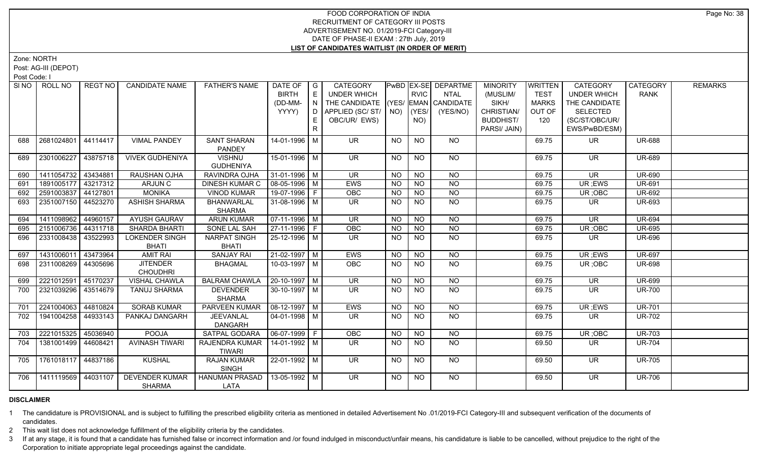Zone: NORTH

Post: AG-III (DEPOT)

Post Code: I

|     | SINO FROLL NO         | REGT NO  | <b>CANDIDATE NAME</b>  | <b>FATHER'S NAME</b>  | DATE OF                | $\overline{\phantom{a}}$ G | <b>CATEGORY</b>                    |           |                 | <b>PwBD EX-SE DEPARTME</b> | <b>MINORITY</b>  | <b>WRITTEN</b> | <b>CATEGORY</b>          | CATEGORY      | <b>REMARKS</b> |
|-----|-----------------------|----------|------------------------|-----------------------|------------------------|----------------------------|------------------------------------|-----------|-----------------|----------------------------|------------------|----------------|--------------------------|---------------|----------------|
|     |                       |          |                        |                       | <b>BIRTH</b>           | E                          | UNDER WHICH                        |           | <b>RVIC</b>     | <b>NTAL</b>                | (MUSLIM/         | <b>TEST</b>    | <b>UNDER WHICH</b>       | <b>RANK</b>   |                |
|     |                       |          |                        |                       | (DD-MM-                | N                          | THE CANDIDATE (YES/ EMAN CANDIDATE |           |                 |                            | SIKH/            | <b>MARKS</b>   | THE CANDIDATE            |               |                |
|     |                       |          |                        |                       | YYYY)                  |                            | D   APPLIED (SC/ ST/               |           | $NO)$ (YES/     | (YES/NO)                   | CHRISTIAN/       | OUT OF         | <b>SELECTED</b>          |               |                |
|     |                       |          |                        |                       |                        |                            | OBC/UR/ EWS)                       |           | NO)             |                            | <b>BUDDHIST/</b> | 120            | (SC/ST/OBC/UR/           |               |                |
|     |                       |          |                        |                       |                        | R.                         |                                    |           |                 |                            | PARSI/ JAIN)     |                | EWS/PwBD/ESM)            |               |                |
| 688 | 2681024801            | 44114417 | <b>VIMAL PANDEY</b>    | <b>SANT SHARAN</b>    | 14-01-1996 M           |                            | UR.                                | NO        | <b>NO</b>       | <b>NO</b>                  |                  | 69.75          | UR.                      | <b>UR-688</b> |                |
|     |                       |          |                        | <b>PANDEY</b>         |                        |                            |                                    |           |                 |                            |                  |                |                          |               |                |
| 689 | 2301006227            | 43875718 | <b>VIVEK GUDHENIYA</b> | <b>VISHNU</b>         | 15-01-1996 M           |                            | <b>UR</b>                          | NO.       | <b>NO</b>       | NO                         |                  | 69.75          | UR                       | <b>UR-689</b> |                |
|     |                       |          |                        | <b>GUDHENIYA</b>      |                        |                            |                                    |           |                 |                            |                  |                |                          |               |                |
| 690 | 1411054732   43434881 |          | RAUSHAN OJHA           | RAVINDRA OJHA         | $31-01-1996$ M         |                            | <b>UR</b>                          | NO.       | <b>NO</b>       | <b>NO</b>                  |                  | 69.75          | UR.                      | <b>UR-690</b> |                |
| 691 | 1891005177            | 43217312 | ARJUN C                | <b>DINESH KUMAR C</b> | 08-05-1996 M           |                            | EWS                                | <b>NO</b> | <b>NO</b>       | $\overline{NO}$            |                  | 69.75          | UR; EWS                  | <b>UR-691</b> |                |
| 692 | 2591003837            | 44127801 | <b>MONIKA</b>          | <b>VINOD KUMAR</b>    | 19-07-1996 F           |                            | OBC                                | <b>NO</b> | <b>NO</b>       | $\overline{NQ}$            |                  | 69.75          | UR; OBC                  | <b>UR-692</b> |                |
| 693 | 2351007150 44523270   |          | <b>ASHISH SHARMA</b>   | <b>BHANWARLAL</b>     | 31-08-1996 M           |                            | <b>UR</b>                          | NO.       | $\overline{N}$  | $\overline{NO}$            |                  | 69.75          | $\overline{\mathsf{UR}}$ | <b>UR-693</b> |                |
|     |                       |          |                        | <b>SHARMA</b>         |                        |                            |                                    |           |                 |                            |                  |                |                          |               |                |
| 694 | 1411098962            | 44960157 | <b>AYUSH GAURAV</b>    | <b>ARUN KUMAR</b>     | $07-11-1996$ M         |                            | <b>UR</b>                          | NO.       | <b>NO</b>       | NO                         |                  | 69.75          | <b>UR</b>                | <b>UR-694</b> |                |
| 695 | 2151006736            | 44311718 | <b>SHARDA BHARTI</b>   | <b>SONE LAL SAH</b>   | $27-11-1996$ F         |                            | OBC                                | <b>NO</b> | $\overline{NO}$ | N <sub>O</sub>             |                  | 69.75          | UR; OBC                  | <b>UR-695</b> |                |
| 696 | 2331008438            | 43522993 | <b>LOKENDER SINGH</b>  | NARPAT SINGH          | 25-12-1996 M           |                            | UR.                                | NO.       | <b>NO</b>       | <b>NO</b>                  |                  | 69.75          | UR.                      | <b>UR-696</b> |                |
|     |                       |          | <b>BHATI</b>           | <b>BHATI</b>          |                        |                            |                                    |           |                 |                            |                  |                |                          |               |                |
| 697 | 1431006011            | 43473964 | <b>AMIT RAI</b>        | <b>SANJAY RAI</b>     | $21-02-1997$ M         |                            | <b>EWS</b>                         | <b>NO</b> | N <sub>O</sub>  | $N$ <sup>O</sup>           |                  | 69.75          | UR; EWS                  | <b>UR-697</b> |                |
| 698 | 2311008269            | 44305696 | <b>JITENDER</b>        | <b>BHAGMAL</b>        | 10-03-1997   M         |                            | <b>OBC</b>                         | NO.       | <b>NO</b>       | <b>NO</b>                  |                  | 69.75          | UR; OBC                  | <b>UR-698</b> |                |
|     |                       |          | <b>CHOUDHRI</b>        |                       |                        |                            |                                    |           |                 |                            |                  |                |                          |               |                |
| 699 | 2221012591            | 45170237 | <b>VISHAL CHAWLA</b>   | <b>BALRAM CHAWLA</b>  | $20-10-1997$ M         |                            | <b>UR</b>                          | <b>NO</b> | <b>NO</b>       | <b>NO</b>                  |                  | 69.75          | <b>UR</b>                | <b>UR-699</b> |                |
| 700 | 2321039296            | 43514679 | <b>TANUJ SHARMA</b>    | <b>DEVENDER</b>       | $30-10-1997$ M         |                            | <b>UR</b>                          | NO.       | N <sub>O</sub>  | N <sub>O</sub>             |                  | 69.75          | <b>UR</b>                | <b>UR-700</b> |                |
|     |                       |          |                        | <b>SHARMA</b>         |                        |                            |                                    |           |                 |                            |                  |                |                          |               |                |
| 701 | 2241004063            | 44810824 | <b>SORAB KUMAR</b>     | PARVEEN KUMAR         | $\boxed{08-12-1997}$ M |                            | EWS                                | <b>NO</b> | <b>NO</b>       | <b>NO</b>                  |                  | 69.75          | UR; EWS                  | <b>UR-701</b> |                |
| 702 | 1941004258            | 44933143 | PANKAJ DANGARH         | <b>JEEVANLAL</b>      | $04 - 01 - 1998$ M     |                            | UR.                                | NO.       | <b>NO</b>       | NO.                        |                  | 69.75          | UR.                      | <b>UR-702</b> |                |
|     |                       |          |                        | <b>DANGARH</b>        |                        |                            |                                    |           |                 |                            |                  |                |                          |               |                |
| 703 | 2221015325            | 45036940 | <b>POOJA</b>           | SATPAL GODARA         | $ 06-07-1999 F$        |                            | OBC                                | <b>NO</b> | <b>NO</b>       | <b>NO</b>                  |                  | 69.75          | UR; OBC                  | <b>UR-703</b> |                |
| 704 | 1381001499            | 44608421 | <b>AVINASH TIWARI</b>  | RAJENDRA KUMAR        | 14-01-1992 M           |                            | UR.                                | NO.       | <b>NO</b>       | NO                         |                  | 69.50          | UR.                      | <b>UR-704</b> |                |
|     |                       |          |                        | <b>TIWARI</b>         |                        |                            |                                    |           |                 |                            |                  |                |                          |               |                |
| 705 | 1761018117   44837186 |          | <b>KUSHAL</b>          | <b>RAJAN KUMAR</b>    | 22-01-1992   M         |                            | UR.                                | NO.       | <b>NO</b>       | NO                         |                  | 69.50          | <b>UR</b>                | <b>UR-705</b> |                |
|     |                       |          |                        | <b>SINGH</b>          |                        |                            |                                    |           |                 |                            |                  |                |                          |               |                |
| 706 | 1411119569   44031107 |          | <b>DEVENDER KUMAR</b>  | <b>HANUMAN PRASAD</b> | 13-05-1992 M           |                            | UR.                                | <b>NO</b> | <b>NO</b>       | NO.                        |                  | 69.50          | <b>UR</b>                | <b>UR-706</b> |                |
|     |                       |          | <b>SHARMA</b>          | LATA                  |                        |                            |                                    |           |                 |                            |                  |                |                          |               |                |

# **DISCLAIMER**

1 The candidature is PROVISIONAL and is subject to fulfilling the prescribed eligibility criteria as mentioned in detailed Advertisement No .01/2019-FCI Category-III and subsequent verification of the documents of candidates.

2 This wait list does not acknowledge fulfillment of the eligibility criteria by the candidates.